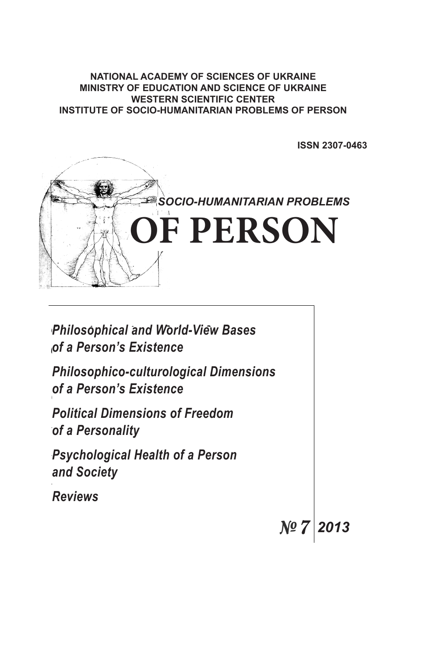# **NATIONAL ACADEMY OF SCIENCES OF UKRAINE**<br>NUSTRY OF FRUSTION AND COIFNOE OF UKRAIN MINISTRY OF EDUCATION AND SCIENCE OF UKRAINE **WESTERN SCIENTIFIC CENTER INSTITUTE OF SOCIO-HUMANITARIAN PROBLEMS OF PERSON**

**ISSN 2307-0463**



| <b>Philosophical and World-View Bases</b><br>of a Person's Existence     |      |      |
|--------------------------------------------------------------------------|------|------|
| <b>Philosophico-culturological Dimensions</b><br>of a Person's Existence |      |      |
| <b>Political Dimensions of Freedom</b><br>of a Personality               |      |      |
| <b>Psychological Health of a Person</b><br>and Society                   |      |      |
| <b>Reviews</b>                                                           |      |      |
|                                                                          | Nº 7 | 2013 |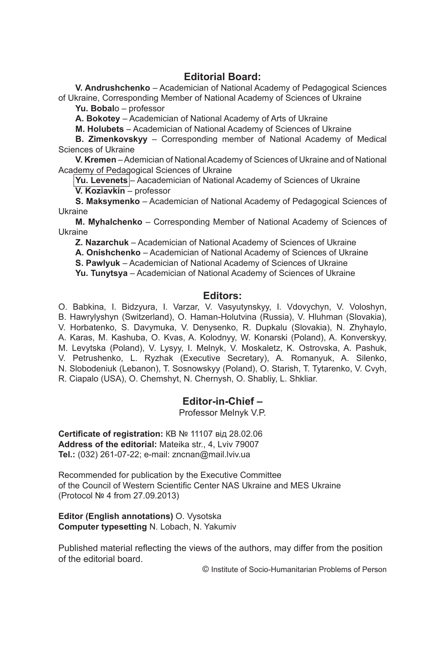# **Editorial Board:**

**V. Andrushchenko** – Academician of National Academy of Pedagogical Sciences of Ukraine, Corresponding Member of National Academy of Sciences of Ukraine

**Yu. Bobal**o – professor

**A. Bokotey** – Academician of National Academy of Arts of Ukraine

**M. Holubets** – Academician of National Academy of Sciences of Ukraine

**B. Zimenkovskyy** – Corresponding member of National Academy of Medical Sciences of Ukraine

**V. Kremen** – Ademician of National Academy of Sciences of Ukraine and of National Academy of Pedagogical Sciences of Ukraine

**Yu. Levenets** – Aacademician of National Academy of Sciences of Ukraine

**V. Koziavkin** – professor

**S. Maksymenko** – Academician of National Academy of Pedagogical Sciences of Ukraine

**M. Myhalchenko** – Corresponding Member of National Academy of Sciences of Ukraine

**Z. Nazarchuk** – Academician of National Academy of Sciences of Ukraine

**A. Onishchenko** – Academician of National Academy of Sciences of Ukraine

**S. Pawlyuk** – Academician of National Academy of Sciences of Ukraine

**Yu. Tunytsya** – Academician of National Academy of Sciences of Ukraine

# **Editors:**

O. Babkina, I. Bidzyura, I. Varzar, V. Vasyutynskyy, I. Vdovychyn, V. Voloshyn, B. Hawrylyshyn (Switzerland), O. Haman-Holutvina (Russia), V. Hluhman (Slovakia), V. Horbatenko, S. Davymuka, V. Denysenko, R. Dupkalu (Slovakia), N. Zhyhaylo, A. Karas, M. Kashuba, O. Kvas, A. Kolodnyy, W. Konarski (Poland), A. Konverskyy, M. Levytska (Poland), V. Lysyy, I. Melnyk, V. Moskaletz, K. Ostrovska, A. Pashuk, V. Petrushenko, L. Ryzhak (Executive Secretary), A. Romanyuk, A. Silenko, N. Slobodeniuk (Lebanon), T. Sosnowskyy (Poland), O. Starish, T. Tytarenko, V. Cvyh, R. Ciapalo (USA), O. Chemshyt, N. Chernysh, O. Shabliy, L. Shkliar.

# **Editor-in-Chief –**

Professor Мelnyk V.P.

**Certificate of registration:** КВ № 11107 від 28.02.06 **Address of the editorial:** Mateika str., 4, Lviv 79007 **Tel.:** (032) 261-07-22; e-mail: zncnan@mail.lviv.ua

Recommended for publication by the Executive Committee of the Council of Western Scientific Center NAS Ukraine and MES Ukraine (Protocol № 4 from 27.09.2013)

**Editor (English annotations)** O. Vysotska **Computer typesetting** N. Lobach, N. Yakumiv

Published material reflecting the views of the authors, may differ from the position of the editorial board.

© Institute of Socio-Humanitarian Problems of Person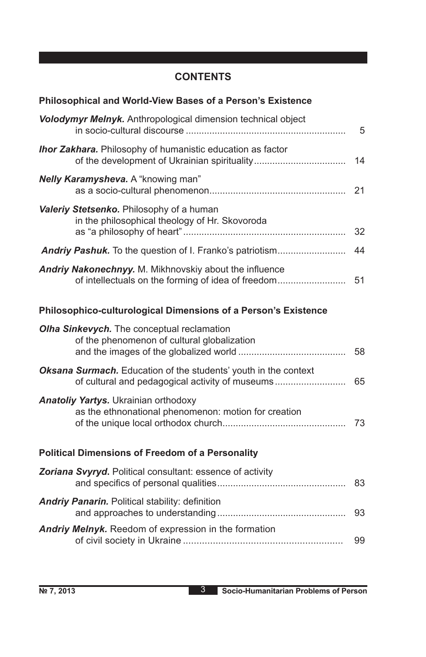# **CONTENTS**

| Volodymyr Melnyk. Anthropological dimension technical object<br><b>Ihor Zakhara.</b> Philosophy of humanistic education as factor<br>Nelly Karamysheva. A "knowing man"<br>Valeriy Stetsenko. Philosophy of a human<br>in the philosophical theology of Hr. Skovoroda<br>Andriy Nakonechnyy. M. Mikhnovskiy about the influence<br>of intellectuals on the forming of idea of freedom<br>Philosophico-culturological Dimensions of a Person's Existence<br>Olha Sinkevych. The conceptual reclamation<br>of the phenomenon of cultural globalization<br>Oksana Surmach. Education of the students' youth in the context<br><b>Anatoliy Yartys.</b> Ukrainian orthodoxy<br>as the ethnonational phenomenon: motion for creation<br><b>Political Dimensions of Freedom of a Personality</b><br>Zoriana Svyryd. Political consultant: essence of activity<br><b>Andriy Panarin.</b> Political stability: definition<br>Andriy Melnyk. Reedom of expression in the formation | Philosophical and World-View Bases of a Person's Existence |                |
|--------------------------------------------------------------------------------------------------------------------------------------------------------------------------------------------------------------------------------------------------------------------------------------------------------------------------------------------------------------------------------------------------------------------------------------------------------------------------------------------------------------------------------------------------------------------------------------------------------------------------------------------------------------------------------------------------------------------------------------------------------------------------------------------------------------------------------------------------------------------------------------------------------------------------------------------------------------------------|------------------------------------------------------------|----------------|
|                                                                                                                                                                                                                                                                                                                                                                                                                                                                                                                                                                                                                                                                                                                                                                                                                                                                                                                                                                          |                                                            | $5\phantom{1}$ |
|                                                                                                                                                                                                                                                                                                                                                                                                                                                                                                                                                                                                                                                                                                                                                                                                                                                                                                                                                                          |                                                            | 14             |
|                                                                                                                                                                                                                                                                                                                                                                                                                                                                                                                                                                                                                                                                                                                                                                                                                                                                                                                                                                          |                                                            | 21             |
|                                                                                                                                                                                                                                                                                                                                                                                                                                                                                                                                                                                                                                                                                                                                                                                                                                                                                                                                                                          |                                                            | 32             |
|                                                                                                                                                                                                                                                                                                                                                                                                                                                                                                                                                                                                                                                                                                                                                                                                                                                                                                                                                                          |                                                            | 44             |
|                                                                                                                                                                                                                                                                                                                                                                                                                                                                                                                                                                                                                                                                                                                                                                                                                                                                                                                                                                          |                                                            | 51             |
|                                                                                                                                                                                                                                                                                                                                                                                                                                                                                                                                                                                                                                                                                                                                                                                                                                                                                                                                                                          |                                                            |                |
|                                                                                                                                                                                                                                                                                                                                                                                                                                                                                                                                                                                                                                                                                                                                                                                                                                                                                                                                                                          |                                                            | 58             |
|                                                                                                                                                                                                                                                                                                                                                                                                                                                                                                                                                                                                                                                                                                                                                                                                                                                                                                                                                                          |                                                            | 65             |
|                                                                                                                                                                                                                                                                                                                                                                                                                                                                                                                                                                                                                                                                                                                                                                                                                                                                                                                                                                          |                                                            | 73             |
|                                                                                                                                                                                                                                                                                                                                                                                                                                                                                                                                                                                                                                                                                                                                                                                                                                                                                                                                                                          |                                                            |                |
|                                                                                                                                                                                                                                                                                                                                                                                                                                                                                                                                                                                                                                                                                                                                                                                                                                                                                                                                                                          |                                                            | 83             |
|                                                                                                                                                                                                                                                                                                                                                                                                                                                                                                                                                                                                                                                                                                                                                                                                                                                                                                                                                                          |                                                            | 93             |
|                                                                                                                                                                                                                                                                                                                                                                                                                                                                                                                                                                                                                                                                                                                                                                                                                                                                                                                                                                          |                                                            | 99             |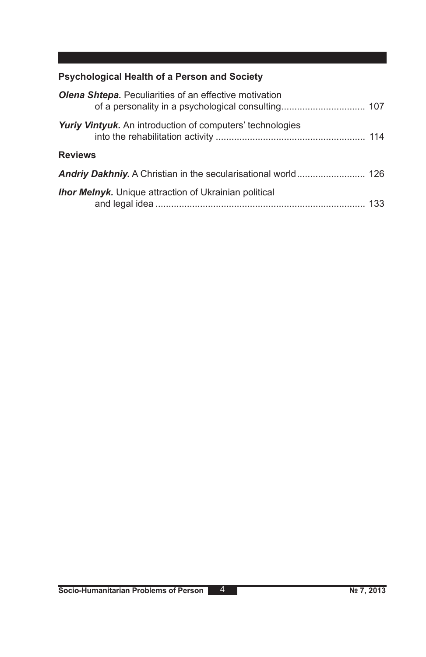# **Psychological Health of a Person and Society**

| <b>Olena Shtepa.</b> Peculiarities of an effective motivation |  |
|---------------------------------------------------------------|--|
| Yuriy Vintyuk. An introduction of computers' technologies     |  |
| <b>Reviews</b>                                                |  |
|                                                               |  |
| <b>Ihor Melnyk.</b> Unique attraction of Ukrainian political  |  |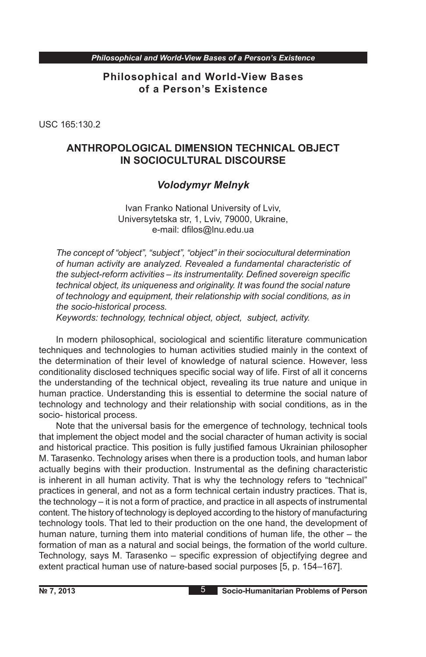**Philosophical and World-View Bases of a Person's Existence**

USC 165:130.2

# **ANTHROPOLOGICAL DIMENSION TECHNICAL OBJECT IN SOCIOCULTURAL DISCOURSE**

# *Volodymyr Melnyk*

Ivan Franko National University of Lviv, Universytetska str, 1, Lviv, 79000, Ukraine, e-mail: dfilos@lnu.edu.ua

*The concept of "object", "subject", "object" in their sociocultural determination of human activity are analyzed. Revealed a fundamental characteristic of the subject-reform activities – its instrumentality. Defined sovereign specific technical object, its uniqueness and originality. It was found the social nature of technology and equipment, their relationship with social conditions, as in the socio-historical process.*

*Keywords: technology, technical object, object, subject, activity.*

In modern philosophical, sociological and scientific literature communication techniques and technologies to human activities studied mainly in the context of the determination of their level of knowledge of natural science. However, less conditionality disclosed techniques specific social way of life. First of all it concerns the understanding of the technical object, revealing its true nature and unique in human practice. Understanding this is essential to determine the social nature of technology and technology and their relationship with social conditions, as in the socio- historical process.

Note that the universal basis for the emergence of technology, technical tools that implement the object model and the social character of human activity is social and historical practice. This position is fully justified famous Ukrainian philosopher M. Tarasenko. Technology arises when there is a production tools, and human labor actually begins with their production. Instrumental as the defining characteristic is inherent in all human activity. That is why the technology refers to "technical" practices in general, and not as a form technical certain industry practices. That is, the technology – it is not a form of practice, and practice in all aspects of instrumental content. The history of technology is deployed according to the history of manufacturing technology tools. That led to their production on the one hand, the development of human nature, turning them into material conditions of human life, the other – the formation of man as a natural and social beings, the formation of the world culture. Technology, says M. Tarasenko – specific expression of objectifying degree and extent practical human use of nature-based social purposes [5, p. 154–167].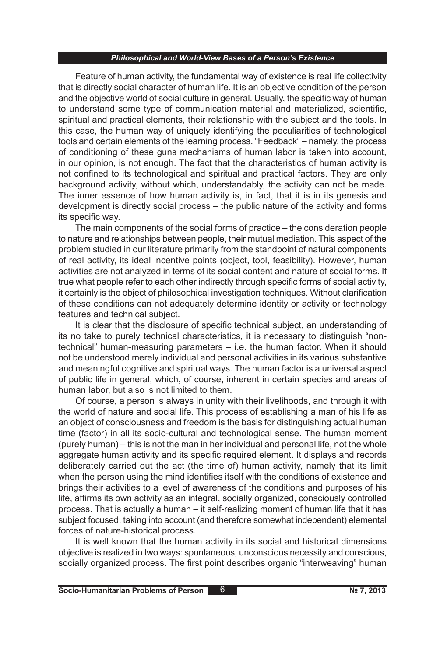Feature of human activity, the fundamental way of existence is real life collectivity that is directly social character of human life. It is an objective condition of the person and the objective world of social culture in general. Usually, the specific way of human to understand some type of communication material and materialized, scientific, spiritual and practical elements, their relationship with the subject and the tools. In this case, the human way of uniquely identifying the peculiarities of technological tools and certain elements of the learning process. "Feedback" – namely, the process of conditioning of these guns mechanisms of human labor is taken into account, in our opinion, is not enough. The fact that the characteristics of human activity is not confined to its technological and spiritual and practical factors. They are only background activity, without which, understandably, the activity can not be made. The inner essence of how human activity is, in fact, that it is in its genesis and development is directly social process – the public nature of the activity and forms its specific way.

The main components of the social forms of practice – the consideration people to nature and relationships between people, their mutual mediation. This aspect of the problem studied in our literature primarily from the standpoint of natural components of real activity, its ideal incentive points (object, tool, feasibility). However, human activities are not analyzed in terms of its social content and nature of social forms. If true what people refer to each other indirectly through specific forms of social activity, it certainly is the object of philosophical investigation techniques. Without clarification of these conditions can not adequately determine identity or activity or technology features and technical subject.

It is clear that the disclosure of specific technical subject, an understanding of its no take to purely technical characteristics, it is necessary to distinguish "nontechnical" human-measuring parameters – i.e. the human factor. When it should not be understood merely individual and personal activities in its various substantive and meaningful cognitive and spiritual ways. The human factor is a universal aspect of public life in general, which, of course, inherent in certain species and areas of human labor, but also is not limited to them.

Of course, a person is always in unity with their livelihoods, and through it with the world of nature and social life. This process of establishing a man of his life as an object of consciousness and freedom is the basis for distinguishing actual human time (factor) in all its socio-cultural and technological sense. The human moment (purely human) – this is not the man in her individual and personal life, not the whole aggregate human activity and its specific required element. It displays and records deliberately carried out the act (the time of) human activity, namely that its limit when the person using the mind identifies itself with the conditions of existence and brings their activities to a level of awareness of the conditions and purposes of his life, affirms its own activity as an integral, socially organized, consciously controlled process. That is actually a human – it self-realizing moment of human life that it has subject focused, taking into account (and therefore somewhat independent) elemental forces of nature-historical process.

It is well known that the human activity in its social and historical dimensions objective is realized in two ways: spontaneous, unconscious necessity and conscious, socially organized process. The first point describes organic "interweaving" human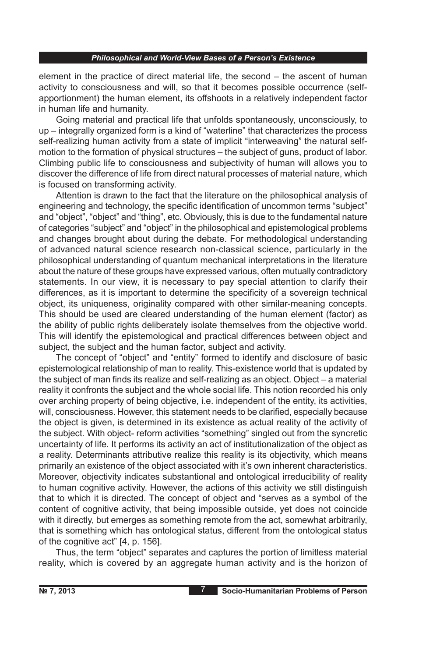element in the practice of direct material life, the second – the ascent of human activity to consciousness and will, so that it becomes possible occurrence (selfapportionment) the human element, its offshoots in a relatively independent factor in human life and humanity.

Going material and practical life that unfolds spontaneously, unconsciously, to up – integrally organized form is a kind of "waterline" that characterizes the process self-realizing human activity from a state of implicit "interweaving" the natural selfmotion to the formation of physical structures – the subject of guns, product of labor. Climbing public life to consciousness and subjectivity of human will allows you to discover the difference of life from direct natural processes of material nature, which is focused on transforming activity.

Attention is drawn to the fact that the literature on the philosophical analysis of engineering and technology, the specific identification of uncommon terms "subject" and "object", "object" and "thing", etc. Obviously, this is due to the fundamental nature of categories "subject" and "object" in the philosophical and epistemological problems and changes brought about during the debate. For methodological understanding of advanced natural science research non-classical science, particularly in the philosophical understanding of quantum mechanical interpretations in the literature about the nature of these groups have expressed various, often mutually contradictory statements. In our view, it is necessary to pay special attention to clarify their differences, as it is important to determine the specificity of a sovereign technical object, its uniqueness, originality compared with other similar-meaning concepts. This should be used are cleared understanding of the human element (factor) as the ability of public rights deliberately isolate themselves from the objective world. This will identify the epistemological and practical differences between object and subject, the subject and the human factor, subject and activity.

The concept of "object" and "entity" formed to identify and disclosure of basic epistemological relationship of man to reality. This-existence world that is updated by the subject of man finds its realize and self-realizing as an object. Object – a material reality it confronts the subject and the whole social life. This notion recorded his only over arching property of being objective, i.e. independent of the entity, its activities, will, consciousness. However, this statement needs to be clarified, especially because the object is given, is determined in its existence as actual reality of the activity of the subject. With object- reform activities "something" singled out from the syncretic uncertainty of life. It performs its activity an act of institutionalization of the object as a reality. Determinants attributive realize this reality is its objectivity, which means primarily an existence of the object associated with it's own inherent characteristics. Moreover, objectivity indicates substantional and ontological irreducibility of reality to human cognitive activity. However, the actions of this activity we still distinguish that to which it is directed. The concept of object and "serves as a symbol of the content of cognitive activity, that being impossible outside, yet does not coincide with it directly, but emerges as something remote from the act, somewhat arbitrarily, that is something which has ontological status, different from the ontological status of the cognitive act" [4, p. 156].

Thus, the term "object" separates and captures the portion of limitless material reality, which is covered by an aggregate human activity and is the horizon of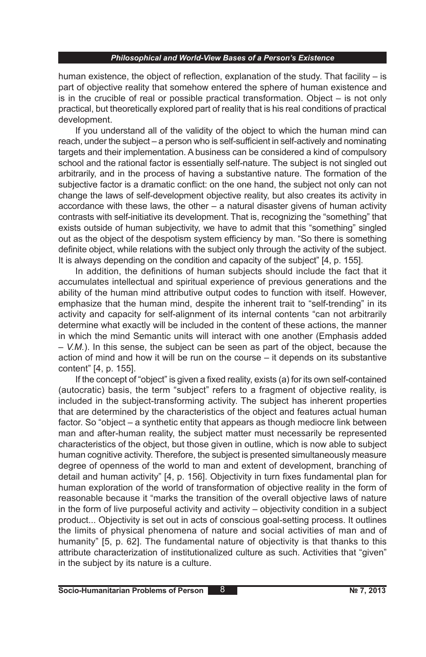human existence, the object of reflection, explanation of the study. That facility  $-$  is part of objective reality that somehow entered the sphere of human existence and is in the crucible of real or possible practical transformation. Object – is not only practical, but theoretically explored part of reality that is his real conditions of practical development.

If you understand all of the validity of the object to which the human mind can reach, under the subject – a person who is self-sufficient in self-actively and nominating targets and their implementation. A business can be considered a kind of compulsory school and the rational factor is essentially self-nature. The subject is not singled out arbitrarily, and in the process of having a substantive nature. The formation of the subjective factor is a dramatic conflict: on the one hand, the subject not only can not change the laws of self-development objective reality, but also creates its activity in accordance with these laws, the other  $-$  a natural disaster givens of human activity contrasts with self-initiative its development. That is, recognizing the "something" that exists outside of human subjectivity, we have to admit that this "something" singled out as the object of the despotism system efficiency by man. "So there is something definite object, while relations with the subject only through the activity of the subject. It is always depending on the condition and capacity of the subject" [4, p. 155].

In addition, the definitions of human subjects should include the fact that it accumulates intellectual and spiritual experience of previous generations and the ability of the human mind attributive output codes to function with itself. However, emphasize that the human mind, despite the inherent trait to "self-trending" in its activity and capacity for self-alignment of its internal contents "can not arbitrarily determine what exactly will be included in the content of these actions, the manner in which the mind Semantic units will interact with one another (Emphasis added – *V.M.*). In this sense, the subject can be seen as part of the object, because the action of mind and how it will be run on the course – it depends on its substantive content" [4, p. 155].

If the concept of "object" is given a fixed reality, exists (a) for its own self-contained (autocratic) basis, the term "subject" refers to a fragment of objective reality, is included in the subject-transforming activity. The subject has inherent properties that are determined by the characteristics of the object and features actual human factor. So "object – a synthetic entity that appears as though mediocre link between man and after-human reality, the subject matter must necessarily be represented characteristics of the object, but those given in outline, which is now able to subject human cognitive activity. Therefore, the subject is presented simultaneously measure degree of openness of the world to man and extent of development, branching of detail and human activity" [4, p. 156]. Objectivity in turn fixes fundamental plan for human exploration of the world of transformation of objective reality in the form of reasonable because it "marks the transition of the overall objective laws of nature in the form of live purposeful activity and activity – objectivity condition in a subject product... Objectivity is set out in acts of conscious goal-setting process. It outlines the limits of physical phenomena of nature and social activities of man and of humanity" [5, p. 62]. The fundamental nature of objectivity is that thanks to this attribute characterization of institutionalized culture as such. Activities that "given" in the subject by its nature is a culture.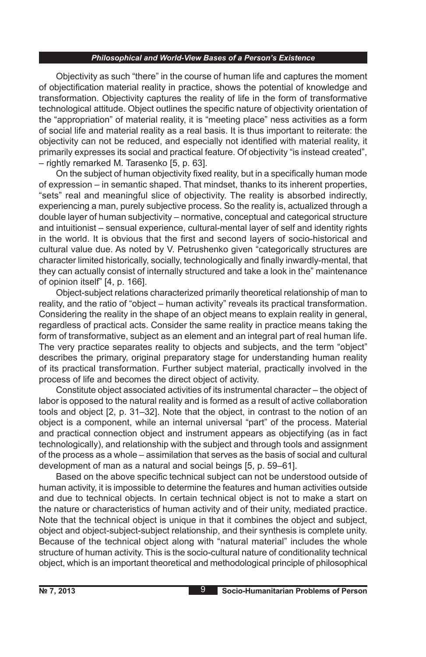Objectivity as such "there" in the course of human life and captures the moment of objectification material reality in practice, shows the potential of knowledge and transformation. Objectivity captures the reality of life in the form of transformative technological attitude. Object outlines the specific nature of objectivity orientation of the "appropriation" of material reality, it is "meeting place" ness activities as a form of social life and material reality as a real basis. It is thus important to reiterate: the objectivity can not be reduced, and especially not identified with material reality, it primarily expresses its social and practical feature. Of objectivity "is instead created", – rightly remarked M. Tarasenko [5, p. 63].

On the subject of human objectivity fixed reality, but in a specifically human mode of expression – in semantic shaped. That mindset, thanks to its inherent properties, "sets" real and meaningful slice of objectivity. The reality is absorbed indirectly, experiencing a man, purely subjective process. So the reality is, actualized through a double layer of human subjectivity – normative, conceptual and categorical structure and intuitionist – sensual experience, cultural-mental layer of self and identity rights in the world. It is obvious that the first and second layers of socio-historical and cultural value due. As noted by V. Petrushenko given "categorically structures are character limited historically, socially, technologically and finally inwardly-mental, that they can actually consist of internally structured and take a look in the" maintenance of opinion itself" [4, p. 166].

Object-subject relations characterized primarily theoretical relationship of man to reality, and the ratio of "object – human activity" reveals its practical transformation. Considering the reality in the shape of an object means to explain reality in general, regardless of practical acts. Consider the same reality in practice means taking the form of transformative, subject as an element and an integral part of real human life. The very practice separates reality to objects and subjects, and the term "object" describes the primary, original preparatory stage for understanding human reality of its practical transformation. Further subject material, practically involved in the process of life and becomes the direct object of activity.

Constitute object associated activities of its instrumental character – the object of labor is opposed to the natural reality and is formed as a result of active collaboration tools and object [2, p. 31–32]. Note that the object, in contrast to the notion of an object is a component, while an internal universal "part" of the process. Material and practical connection object and instrument appears as objectifying (as in fact technologically), and relationship with the subject and through tools and assignment of the process as a whole – assimilation that serves as the basis of social and cultural development of man as a natural and social beings [5, p. 59–61].

Based on the above specific technical subject can not be understood outside of human activity, it is impossible to determine the features and human activities outside and due to technical objects. In certain technical object is not to make a start on the nature or characteristics of human activity and of their unity, mediated practice. Note that the technical object is unique in that it combines the object and subject, object and object-subject-subject relationship, and their synthesis is complete unity. Because of the technical object along with "natural material" includes the whole structure of human activity. This is the socio-cultural nature of conditionality technical object, which is an important theoretical and methodological principle of philosophical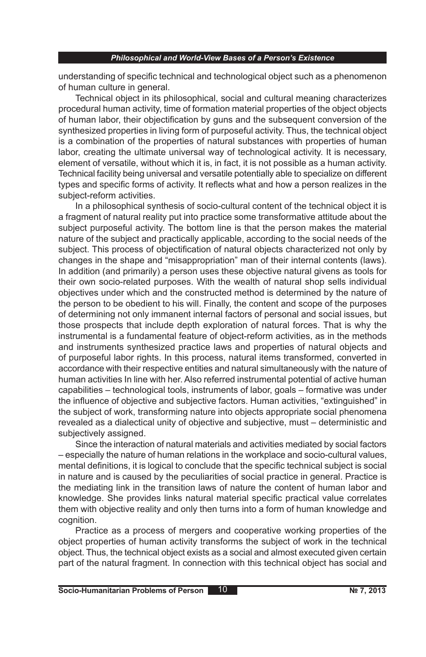understanding of specific technical and technological object such as a phenomenon of human culture in general.

Technical object in its philosophical, social and cultural meaning characterizes procedural human activity, time of formation material properties of the object objects of human labor, their objectification by guns and the subsequent conversion of the synthesized properties in living form of purposeful activity. Thus, the technical object is a combination of the properties of natural substances with properties of human labor, creating the ultimate universal way of technological activity. It is necessary, element of versatile, without which it is, in fact, it is not possible as a human activity. Technical facility being universal and versatile potentially able to specialize on different types and specific forms of activity. It reflects what and how a person realizes in the subject-reform activities.

In a philosophical synthesis of socio-cultural content of the technical object it is a fragment of natural reality put into practice some transformative attitude about the subject purposeful activity. The bottom line is that the person makes the material nature of the subject and practically applicable, according to the social needs of the subject. This process of objectification of natural objects characterized not only by changes in the shape and "misappropriation" man of their internal contents (laws). In addition (and primarily) a person uses these objective natural givens as tools for their own socio-related purposes. With the wealth of natural shop sells individual objectives under which and the constructed method is determined by the nature of the person to be obedient to his will. Finally, the content and scope of the purposes of determining not only immanent internal factors of personal and social issues, but those prospects that include depth exploration of natural forces. That is why the instrumental is a fundamental feature of object-reform activities, as in the methods and instruments synthesized practice laws and properties of natural objects and of purposeful labor rights. In this process, natural items transformed, converted in accordance with their respective entities and natural simultaneously with the nature of human activities In line with her. Also referred instrumental potential of active human capabilities – technological tools, instruments of labor, goals – formative was under the influence of objective and subjective factors. Human activities, "extinguished" in the subject of work, transforming nature into objects appropriate social phenomena revealed as a dialectical unity of objective and subjective, must – deterministic and subjectively assigned.

Since the interaction of natural materials and activities mediated by social factors – especially the nature of human relations in the workplace and socio-cultural values, mental definitions, it is logical to conclude that the specific technical subject is social in nature and is caused by the peculiarities of social practice in general. Practice is the mediating link in the transition laws of nature the content of human labor and knowledge. She provides links natural material specific practical value correlates them with objective reality and only then turns into a form of human knowledge and cognition.

Practice as a process of mergers and cooperative working properties of the object properties of human activity transforms the subject of work in the technical object. Thus, the technical object exists as a social and almost executed given certain part of the natural fragment. In connection with this technical object has social and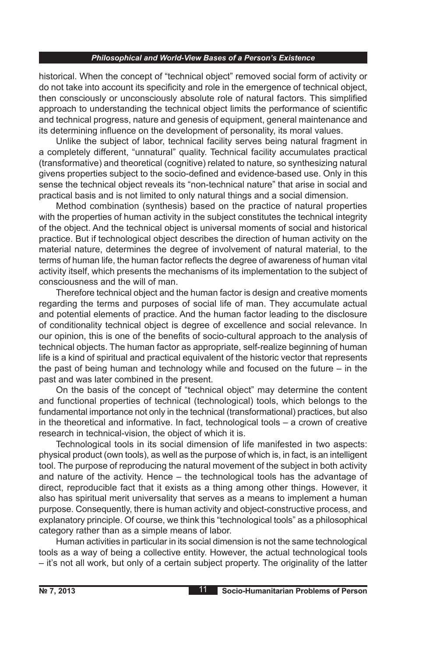historical. When the concept of "technical object" removed social form of activity or do not take into account its specificity and role in the emergence of technical object, then consciously or unconsciously absolute role of natural factors. This simplified approach to understanding the technical object limits the performance of scientific and technical progress, nature and genesis of equipment, general maintenance and its determining influence on the development of personality, its moral values.

Unlike the subject of labor, technical facility serves being natural fragment in a completely different, "unnatural" quality. Technical facility accumulates practical (transformative) and theoretical (cognitive) related to nature, so synthesizing natural givens properties subject to the socio-defined and evidence-based use. Only in this sense the technical object reveals its "non-technical nature" that arise in social and practical basis and is not limited to only natural things and a social dimension.

Method combination (synthesis) based on the practice of natural properties with the properties of human activity in the subject constitutes the technical integrity of the object. And the technical object is universal moments of social and historical practice. But if technological object describes the direction of human activity on the material nature, determines the degree of involvement of natural material, to the terms of human life, the human factor reflects the degree of awareness of human vital activity itself, which presents the mechanisms of its implementation to the subject of consciousness and the will of man.

Therefore technical object and the human factor is design and creative moments regarding the terms and purposes of social life of man. They accumulate actual and potential elements of practice. And the human factor leading to the disclosure of conditionality technical object is degree of excellence and social relevance. In our opinion, this is one of the benefits of socio-cultural approach to the analysis of technical objects. The human factor as appropriate, self-realize beginning of human life is a kind of spiritual and practical equivalent of the historic vector that represents the past of being human and technology while and focused on the future – in the past and was later combined in the present.

On the basis of the concept of "technical object" may determine the content and functional properties of technical (technological) tools, which belongs to the fundamental importance not only in the technical (transformational) practices, but also in the theoretical and informative. In fact, technological tools – a crown of creative research in technical-vision, the object of which it is.

Technological tools in its social dimension of life manifested in two aspects: physical product (own tools), as well as the purpose of which is, in fact, is an intelligent tool. The purpose of reproducing the natural movement of the subject in both activity and nature of the activity. Hence – the technological tools has the advantage of direct, reproducible fact that it exists as a thing among other things. However, it also has spiritual merit universality that serves as a means to implement a human purpose. Consequently, there is human activity and object-constructive process, and explanatory principle. Of course, we think this "technological tools" as a philosophical category rather than as a simple means of labor.

Human activities in particular in its social dimension is not the same technological tools as a way of being a collective entity. However, the actual technological tools – it's not all work, but only of a certain subject property. The originality of the latter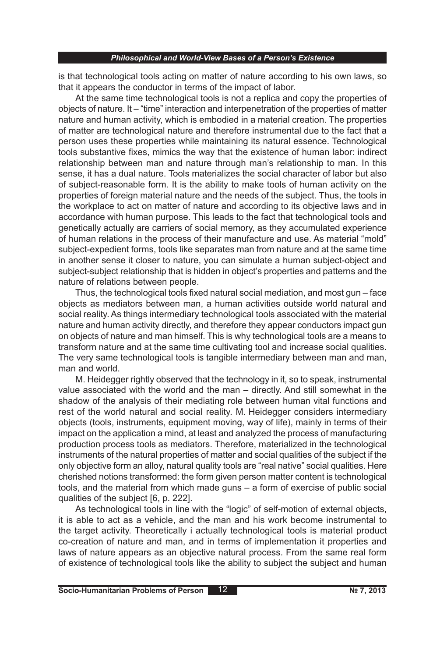is that technological tools acting on matter of nature according to his own laws, so that it appears the conductor in terms of the impact of labor.

At the same time technological tools is not a replica and copy the properties of objects of nature. It – "time" interaction and interpenetration of the properties of matter nature and human activity, which is embodied in a material creation. The properties of matter are technological nature and therefore instrumental due to the fact that a person uses these properties while maintaining its natural essence. Technological tools substantive fixes, mimics the way that the existence of human labor: indirect relationship between man and nature through man's relationship to man. In this sense, it has a dual nature. Tools materializes the social character of labor but also of subject-reasonable form. It is the ability to make tools of human activity on the properties of foreign material nature and the needs of the subject. Thus, the tools in the workplace to act on matter of nature and according to its objective laws and in accordance with human purpose. This leads to the fact that technological tools and genetically actually are carriers of social memory, as they accumulated experience of human relations in the process of their manufacture and use. As material "mold" subject-expedient forms, tools like separates man from nature and at the same time in another sense it closer to nature, you can simulate a human subject-object and subject-subject relationship that is hidden in object's properties and patterns and the nature of relations between people.

Thus, the technological tools fixed natural social mediation, and most gun – face objects as mediators between man, a human activities outside world natural and social reality. As things intermediary technological tools associated with the material nature and human activity directly, and therefore they appear conductors impact gun on objects of nature and man himself. This is why technological tools are a means to transform nature and at the same time cultivating tool and increase social qualities. The very same technological tools is tangible intermediary between man and man, man and world.

M. Heidegger rightly observed that the technology in it, so to speak, instrumental value associated with the world and the man – directly. And still somewhat in the shadow of the analysis of their mediating role between human vital functions and rest of the world natural and social reality. M. Heidegger considers intermediary objects (tools, instruments, equipment moving, way of life), mainly in terms of their impact on the application a mind, at least and analyzed the process of manufacturing production process tools as mediators. Therefore, materialized in the technological instruments of the natural properties of matter and social qualities of the subject if the only objective form an alloy, natural quality tools are "real native" social qualities. Here cherished notions transformed: the form given person matter content is technological tools, and the material from which made guns – a form of exercise of public social qualities of the subject [6, p. 222].

As technological tools in line with the "logic" of self-motion of external objects, it is able to act as a vehicle, and the man and his work become instrumental to the target activity. Theoretically i actually technological tools is material product co-creation of nature and man, and in terms of implementation it properties and laws of nature appears as an objective natural process. From the same real form of existence of technological tools like the ability to subject the subject and human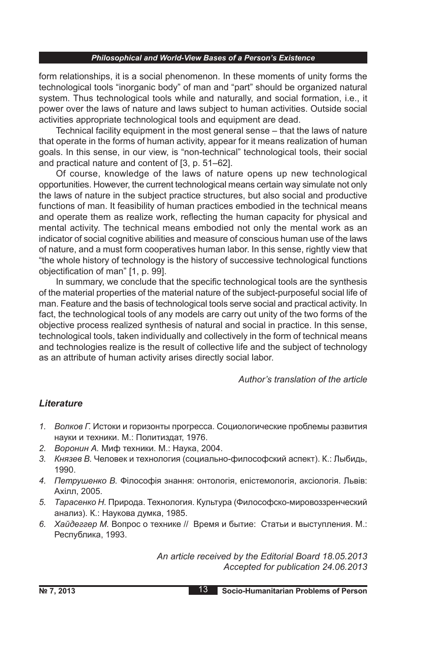form relationships, it is a social phenomenon. In these moments of unity forms the technological tools "inorganic body" of man and "part" should be organized natural system. Thus technological tools while and naturally, and social formation, i.e., it power over the laws of nature and laws subject to human activities. Outside social activities appropriate technological tools and equipment are dead.

Technical facility equipment in the most general sense – that the laws of nature that operate in the forms of human activity, appear for it means realization of human goals. In this sense, in our view, is "non-technical" technological tools, their social and practical nature and content of [3, p. 51–62].

Of course, knowledge of the laws of nature opens up new technological opportunities. However, the current technological means certain way simulate not only the laws of nature in the subject practice structures, but also social and productive functions of man. It feasibility of human practices embodied in the technical means and operate them as realize work, reflecting the human capacity for physical and mental activity. The technical means embodied not only the mental work as an indicator of social cognitive abilities and measure of conscious human use of the laws of nature, and a must form cooperatives human labor. In this sense, rightly view that "the whole history of technology is the history of successive technological functions objectification of man" [1, p. 99].

In summary, we conclude that the specific technological tools are the synthesis of the material properties of the material nature of the subject-purposeful social life of man. Feature and the basis of technological tools serve social and practical activity. In fact, the technological tools of any models are carry out unity of the two forms of the objective process realized synthesis of natural and social in practice. In this sense, technological tools, taken individually and collectively in the form of technical means and technologies realize is the result of collective life and the subject of technology as an attribute of human activity arises directly social labor.

*Author's translation of the article*

# *Lіterature*

- *1. Волков Г.* Истоки и горизонты прогресса. Социологические проблемы развития науки и техники. М.: Политиздат, 1976.
- *2. Воронин А.* Миф техники. М.: Наука, 2004.
- *3. Князев В.* Человек и технология (социально-философский аспект). К.: Лыбидь, 1990.
- *4. Петрушенко В.* Філософія знання: онтологія, епістемологія, аксіологія. Львів: Ахілл, 2005.
- *5. Тарасенко Н.* Природа. Технология. Культура (Философско-мировоззренческий анализ). К.: Наукова думка, 1985.
- *6. Хайдеггер М.* Вопрос о технике // Время и бытие: Статьи и выступления. М.: Республика, 1993.

*An article received by the Editorial Board 18.05.2013 Accepted for publication 24.06.2013*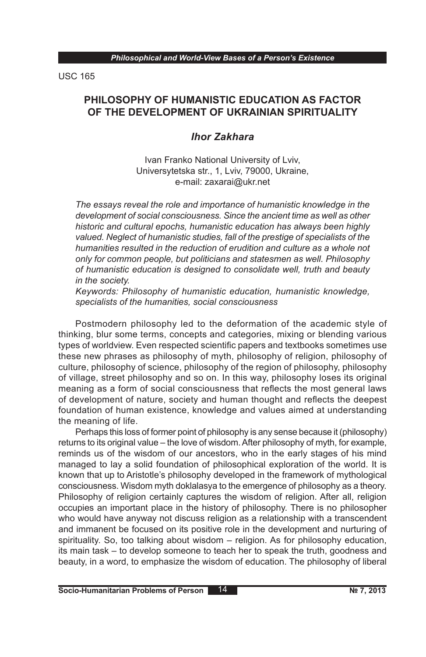USC 165

# **PHILOSOPHY OF HUMANISTIC EDUCATION AS FACTOR OF THE DEVELOPMENT OF UKRAINIAN SPIRITUALITY**

# *Ihor Zakhara*

Ivan Franko National University of Lviv, Universytetska str., 1, Lviv, 79000, Ukraine, e-mail: zaxarai@ukr.net

*The essays reveal the role and importance of humanistic knowledge in the development of social consciousness. Since the ancient time as well as other historic and cultural epochs, humanistic education has always been highly valued. Neglect of humanistic studies, fall of the prestige of specialists of the humanities resulted in the reduction of erudition and culture as a whole not only for common people, but politicians and statesmen as well. Philosophy of humanistic education is designed to consolidate well, truth and beauty in the society.*

*Keywords: Philosophy of humanistic education, humanistic knowledge, specialists of the humanities, social consciousness*

Postmodern philosophy led to the deformation of the academic style of thinking, blur some terms, concepts and categories, mixing or blending various types of worldview. Even respected scientific papers and textbooks sometimes use these new phrases as philosophy of myth, philosophy of religion, philosophy of culture, philosophy of science, philosophy of the region of philosophy, philosophy of village, street philosophy and so on. In this way, philosophy loses its original meaning as a form of social consciousness that reflects the most general laws of development of nature, society and human thought and reflects the deepest foundation of human existence, knowledge and values aimed at understanding the meaning of life.

Perhaps this loss of former point of philosophy is any sense because it (philosophy) returns to its original value – the love of wisdom. After philosophy of myth, for example, reminds us of the wisdom of our ancestors, who in the early stages of his mind managed to lay a solid foundation of philosophical exploration of the world. It is known that up to Aristotle's philosophy developed in the framework of mythological consciousness. Wisdom myth doklalasya to the emergence of philosophy as a theory. Philosophy of religion certainly captures the wisdom of religion. After all, religion occupies an important place in the history of philosophy. There is no philosopher who would have anyway not discuss religion as a relationship with a transcendent and immanent be focused on its positive role in the development and nurturing of spirituality. So, too talking about wisdom – religion. As for philosophy education, its main task – to develop someone to teach her to speak the truth, goodness and beauty, in a word, to emphasize the wisdom of education. The philosophy of liberal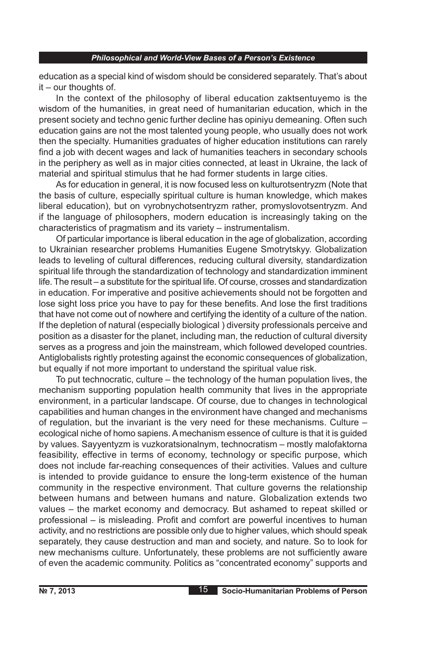education as a special kind of wisdom should be considered separately. That's about it – our thoughts of.

In the context of the philosophy of liberal education zaktsentuyemo is the wisdom of the humanities, in great need of humanitarian education, which in the present society and techno genic further decline has opiniyu demeaning. Often such education gains are not the most talented young people, who usually does not work then the specialty. Humanities graduates of higher education institutions can rarely find a job with decent wages and lack of humanities teachers in secondary schools in the periphery as well as in major cities connected, at least in Ukraine, the lack of material and spiritual stimulus that he had former students in large cities.

As for education in general, it is now focused less on kulturotsentryzm (Note that the basis of culture, especially spiritual culture is human knowledge, which makes liberal education), but on vyrobnychotsentryzm rather, promyslovotsentryzm. And if the language of philosophers, modern education is increasingly taking on the characteristics of pragmatism and its variety – instrumentalism.

Of particular importance is liberal education in the age of globalization, according to Ukrainian researcher problems Humanities Eugene Smotrytskyy. Globalization leads to leveling of cultural differences, reducing cultural diversity, standardization spiritual life through the standardization of technology and standardization imminent life. The result – a substitute for the spiritual life. Of course, crosses and standardization in education. For imperative and positive achievements should not be forgotten and lose sight loss price you have to pay for these benefits. And lose the first traditions that have not come out of nowhere and certifying the identity of a culture of the nation. If the depletion of natural (especially biological ) diversity professionals perceive and position as a disaster for the planet, including man, the reduction of cultural diversity serves as a progress and join the mainstream, which followed developed countries. Antiglobalists rightly protesting against the economic consequences of globalization, but equally if not more important to understand the spiritual value risk.

To put technocratic, culture – the technology of the human population lives, the mechanism supporting population health community that lives in the appropriate environment, in a particular landscape. Of course, due to changes in technological capabilities and human changes in the environment have changed and mechanisms of regulation, but the invariant is the very need for these mechanisms. Culture – ecological niche of homo sapiens. A mechanism essence of culture is that it is guided by values. Sayyentyzm is vuzkoratsionalnym, technocratism – mostly malofaktorna feasibility, effective in terms of economy, technology or specific purpose, which does not include far-reaching consequences of their activities. Values and culture is intended to provide guidance to ensure the long-term existence of the human community in the respective environment. That culture governs the relationship between humans and between humans and nature. Globalization extends two values – the market economy and democracy. But ashamed to repeat skilled or professional – is misleading. Profit and comfort are powerful incentives to human activity, and no restrictions are possible only due to higher values, which should speak separately, they cause destruction and man and society, and nature. So to look for new mechanisms culture. Unfortunately, these problems are not sufficiently aware of even the academic community. Politics as "concentrated economy" supports and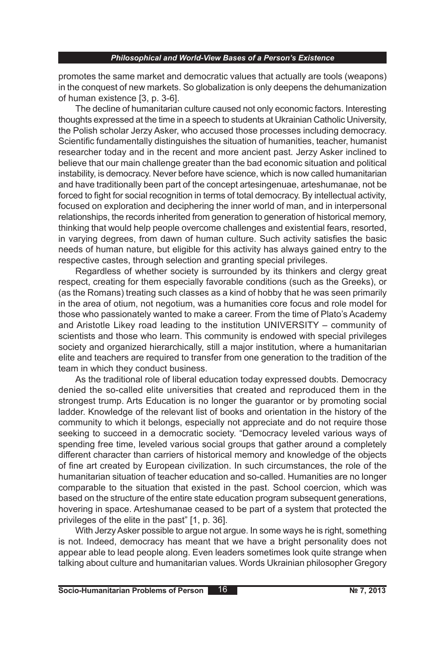promotes the same market and democratic values that actually are tools (weapons) in the conquest of new markets. So globalization is only deepens the dehumanization of human existence [3, p. 3-6].

The decline of humanitarian culture caused not only economic factors. Interesting thoughts expressed at the time in a speech to students at Ukrainian Catholic University, the Polish scholar Jerzy Asker, who accused those processes including democracy. Scientific fundamentally distinguishes the situation of humanities, teacher, humanist researcher today and in the recent and more ancient past. Jerzy Asker inclined to believe that our main challenge greater than the bad economic situation and political instability, is democracy. Never before have science, which is now called humanitarian and have traditionally been part of the concept artesingenuae, arteshumanae, not be forced to fight for social recognition in terms of total democracy. By intellectual activity, focused on exploration and deciphering the inner world of man, and in interpersonal relationships, the records inherited from generation to generation of historical memory, thinking that would help people overcome challenges and existential fears, resorted, in varying degrees, from dawn of human culture. Such activity satisfies the basic needs of human nature, but eligible for this activity has always gained entry to the respective castes, through selection and granting special privileges.

Regardless of whether society is surrounded by its thinkers and clergy great respect, creating for them especially favorable conditions (such as the Greeks), or (as the Romans) treating such classes as a kind of hobby that he was seen primarily in the area of otium, not negotium, was a humanities core focus and role model for those who passionately wanted to make a career. From the time of Plato's Academy and Aristotle Likey road leading to the institution UNIVERSITY – community of scientists and those who learn. This community is endowed with special privileges society and organized hierarchically, still a major institution, where a humanitarian elite and teachers are required to transfer from one generation to the tradition of the team in which they conduct business.

As the traditional role of liberal education today expressed doubts. Democracy denied the so-called elite universities that created and reproduced them in the strongest trump. Arts Education is no longer the guarantor or by promoting social ladder. Knowledge of the relevant list of books and orientation in the history of the community to which it belongs, especially not appreciate and do not require those seeking to succeed in a democratic society. "Democracy leveled various ways of spending free time, leveled various social groups that gather around a completely different character than carriers of historical memory and knowledge of the objects of fine art created by European civilization. In such circumstances, the role of the humanitarian situation of teacher education and so-called. Humanities are no longer comparable to the situation that existed in the past. School coercion, which was based on the structure of the entire state education program subsequent generations, hovering in space. Arteshumanae ceased to be part of a system that protected the privileges of the elite in the past" [1, p. 36].

With Jerzy Asker possible to argue not argue. In some ways he is right, something is not. Indeed, democracy has meant that we have a bright personality does not appear able to lead people along. Even leaders sometimes look quite strange when talking about culture and humanitarian values. Words Ukrainian philosopher Gregory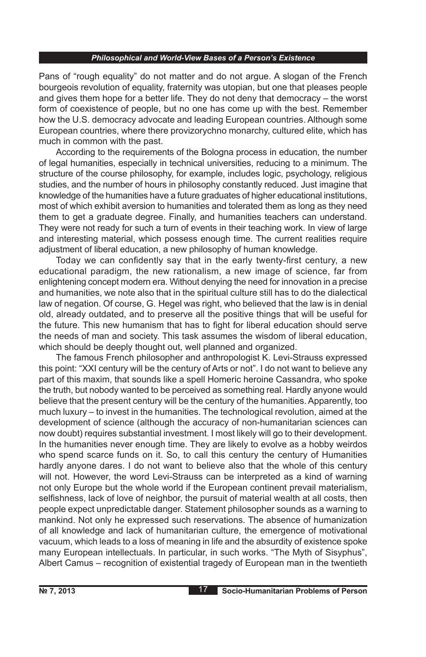Pans of "rough equality" do not matter and do not argue. A slogan of the French bourgeois revolution of equality, fraternity was utopian, but one that pleases people and gives them hope for a better life. They do not deny that democracy – the worst form of coexistence of people, but no one has come up with the best. Remember how the U.S. democracy advocate and leading European countries. Although some European countries, where there provizorychno monarchy, cultured elite, which has much in common with the past.

According to the requirements of the Bologna process in education, the number of legal humanities, especially in technical universities, reducing to a minimum. The structure of the course philosophy, for example, includes logic, psychology, religious studies, and the number of hours in philosophy constantly reduced. Just imagine that knowledge of the humanities have a future graduates of higher educational institutions, most of which exhibit aversion to humanities and tolerated them as long as they need them to get a graduate degree. Finally, and humanities teachers can understand. They were not ready for such a turn of events in their teaching work. In view of large and interesting material, which possess enough time. The current realities require adjustment of liberal education, a new philosophy of human knowledge.

Today we can confidently say that in the early twenty-first century, a new educational paradigm, the new rationalism, a new image of science, far from enlightening concept modern era. Without denying the need for innovation in a precise and humanities, we note also that in the spiritual culture still has to do the dialectical law of negation. Of course, G. Hegel was right, who believed that the law is in denial old, already outdated, and to preserve all the positive things that will be useful for the future. This new humanism that has to fight for liberal education should serve the needs of man and society. This task assumes the wisdom of liberal education, which should be deeply thought out, well planned and organized.

The famous French philosopher and anthropologist K. Levi-Strauss expressed this point: "XXI century will be the century of Arts or not". I do not want to believe any part of this maxim, that sounds like a spell Homeric heroine Cassandra, who spoke the truth, but nobody wanted to be perceived as something real. Hardly anyone would believe that the present century will be the century of the humanities. Apparently, too much luxury – to invest in the humanities. The technological revolution, aimed at the development of science (although the accuracy of non-humanitarian sciences can now doubt) requires substantial investment. I most likely will go to their development. In the humanities never enough time. They are likely to evolve as a hobby weirdos who spend scarce funds on it. So, to call this century the century of Humanities hardly anyone dares. I do not want to believe also that the whole of this century will not. However, the word Levi-Strauss can be interpreted as a kind of warning not only Europe but the whole world if the European continent prevail materialism, selfishness, lack of love of neighbor, the pursuit of material wealth at all costs, then people expect unpredictable danger. Statement philosopher sounds as a warning to mankind. Not only he expressed such reservations. The absence of humanization of all knowledge and lack of humanitarian culture, the emergence of motivational vacuum, which leads to a loss of meaning in life and the absurdity of existence spoke many European intellectuals. In particular, in such works. "The Myth of Sisyphus", Albert Camus – recognition of existential tragedy of European man in the twentieth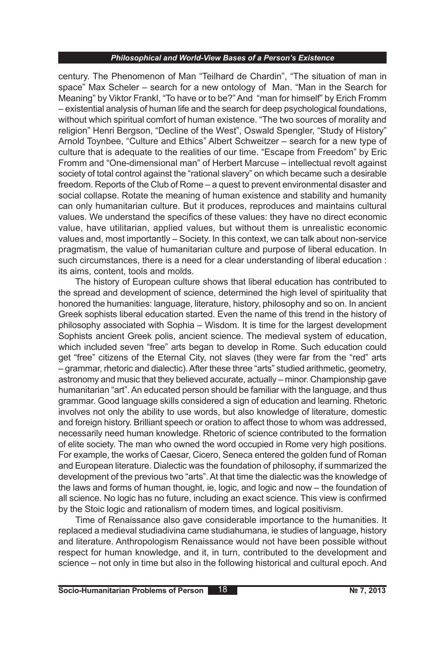century. The Phenomenon of Man "Teilhard de Chardin", "The situation of man in space" Max Scheler – search for a new ontology of Man. "Man in the Search for Meaning" by Viktor Frankl, "To have or to be?" And "man for himself" by Erich Fromm – existential analysis of human life and the search for deep psychological foundations, without which spiritual comfort of human existence. "The two sources of morality and religion" Henri Bergson, "Decline of the West", Oswald Spengler, "Study of History" Arnold Toynbee, "Culture and Ethics" Albert Schweitzer – search for a new type of culture that is adequate to the realities of our time. "Escape from Freedom" by Eric Fromm and "One-dimensional man" of Herbert Marcuse – intellectual revolt against society of total control against the "rational slavery" on which became such a desirable freedom. Reports of the Club of Rome – a quest to prevent environmental disaster and social collapse. Rotate the meaning of human existence and stability and humanity can only humanitarian culture. But it produces, reproduces and maintains cultural values. We understand the specifics of these values: they have no direct economic value, have utilitarian, applied values, but without them is unrealistic economic values and, most importantly – Society. In this context, we can talk about non-service pragmatism, the value of humanitarian culture and purpose of liberal education. In such circumstances, there is a need for a clear understanding of liberal education : its aims, content, tools and molds.

The history of European culture shows that liberal education has contributed to the spread and development of science, determined the high level of spirituality that honored the humanities: language, literature, history, philosophy and so on. In ancient Greek sophists liberal education started. Even the name of this trend in the history of philosophy associated with Sophia – Wisdom. It is time for the largest development Sophists ancient Greek polis, ancient science. The medieval system of education, which included seven "free" arts began to develop in Rome. Such education could get "free" citizens of the Eternal City, not slaves (they were far from the "red" arts – grammar, rhetoric and dialectic). After these three "arts" studied arithmetic, geometry, astronomy and music that they believed accurate, actually – minor. Championship gave humanitarian "art". An educated person should be familiar with the language, and thus grammar. Good language skills considered a sign of education and learning. Rhetoric involves not only the ability to use words, but also knowledge of literature, domestic and foreign history. Brilliant speech or oration to affect those to whom was addressed, necessarily need human knowledge. Rhetoric of science contributed to the formation of elite society. The man who owned the word occupied in Rome very high positions. For example, the works of Caesar, Cicero, Seneca entered the golden fund of Roman and European literature. Dialectic was the foundation of philosophy, if summarized the development of the previous two "arts". At that time the dialectic was the knowledge of the laws and forms of human thought, ie, logic, and logic and now – the foundation of all science. No logic has no future, including an exact science. This view is confirmed by the Stoic logic and rationalism of modern times, and logical positivism.

Time of Renaissance also gave considerable importance to the humanities. It replaced a medieval studiadivina came studiahumana, ie studies of language, history and literature. Anthropologism Renaissance would not have been possible without respect for human knowledge, and it, in turn, contributed to the development and science – not only in time but also in the following historical and cultural epoch. And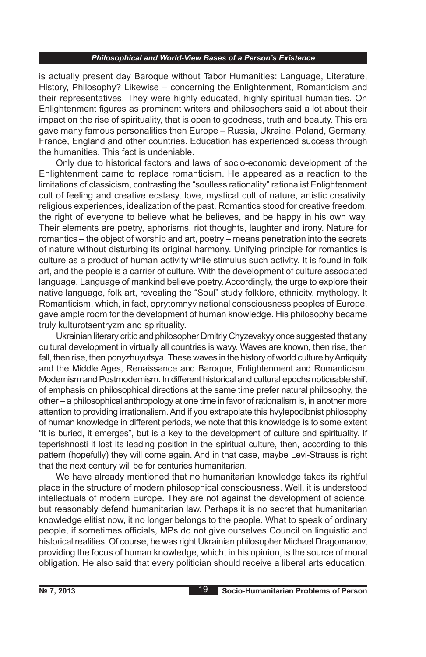is actually present day Baroque without Tabor Humanities: Language, Literature, History, Philosophy? Likewise – concerning the Enlightenment, Romanticism and their representatives. They were highly educated, highly spiritual humanities. On Enlightenment figures as prominent writers and philosophers said a lot about their impact on the rise of spirituality, that is open to goodness, truth and beauty. This era gave many famous personalities then Europe – Russia, Ukraine, Poland, Germany, France, England and other countries. Education has experienced success through the humanities. This fact is undeniable.

Only due to historical factors and laws of socio-economic development of the Enlightenment came to replace romanticism. He appeared as a reaction to the limitations of classicism, contrasting the "soulless rationality" rationalist Enlightenment cult of feeling and creative ecstasy, love, mystical cult of nature, artistic creativity, religious experiences, idealization of the past. Romantics stood for creative freedom, the right of everyone to believe what he believes, and be happy in his own way. Their elements are poetry, aphorisms, riot thoughts, laughter and irony. Nature for romantics – the object of worship and art, poetry – means penetration into the secrets of nature without disturbing its original harmony. Unifying principle for romantics is culture as a product of human activity while stimulus such activity. It is found in folk art, and the people is a carrier of culture. With the development of culture associated language. Language of mankind believe poetry. Accordingly, the urge to explore their native language, folk art, revealing the "Soul" study folklore, ethnicity, mythology. It Romanticism, which, in fact, oprytomnyv national consciousness peoples of Europe, gave ample room for the development of human knowledge. His philosophy became truly kulturotsentryzm and spirituality.

Ukrainian literary critic and philosopher Dmitriy Chyzevskyy once suggested that any cultural development in virtually all countries is wavy. Waves are known, then rise, then fall, then rise, then ponyzhuyutsya. These waves in the history of world culture by Antiquity and the Middle Ages, Renaissance and Baroque, Enlightenment and Romanticism, Modernism and Postmodernism. In different historical and cultural epochs noticeable shift of emphasis on philosophical directions at the same time prefer natural philosophy, the other – a philosophical anthropology at one time in favor of rationalism is, in another more attention to providing irrationalism. And if you extrapolate this hvylepodibnist philosophy of human knowledge in different periods, we note that this knowledge is to some extent "it is buried, it emerges", but is a key to the development of culture and spirituality. If teperishnosti it lost its leading position in the spiritual culture, then, according to this pattern (hopefully) they will come again. And in that case, maybe Levi-Strauss is right that the next century will be for centuries humanitarian.

We have already mentioned that no humanitarian knowledge takes its rightful place in the structure of modern philosophical consciousness. Well, it is understood intellectuals of modern Europe. They are not against the development of science, but reasonably defend humanitarian law. Perhaps it is no secret that humanitarian knowledge elitist now, it no longer belongs to the people. What to speak of ordinary people, if sometimes officials, MPs do not give ourselves Council on linguistic and historical realities. Of course, he was right Ukrainian philosopher Michael Dragomanov, providing the focus of human knowledge, which, in his opinion, is the source of moral obligation. He also said that every politician should receive a liberal arts education.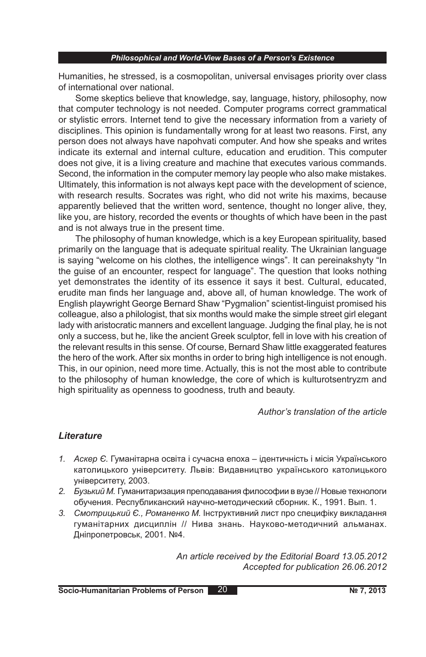Humanities, he stressed, is a cosmopolitan, universal envisages priority over class of international over national.

Some skeptics believe that knowledge, say, language, history, philosophy, now that computer technology is not needed. Computer programs correct grammatical or stylistic errors. Internet tend to give the necessary information from a variety of disciplines. This opinion is fundamentally wrong for at least two reasons. First, any person does not always have napohvati computer. And how she speaks and writes indicate its external and internal culture, education and erudition. This computer does not give, it is a living creature and machine that executes various commands. Second, the information in the computer memory lay people who also make mistakes. Ultimately, this information is not always kept pace with the development of science, with research results. Socrates was right, who did not write his maxims, because apparently believed that the written word, sentence, thought no longer alive, they, like you, are history, recorded the events or thoughts of which have been in the past and is not always true in the present time.

The philosophy of human knowledge, which is a key European spirituality, based primarily on the language that is adequate spiritual reality. The Ukrainian language is saying "welcome on his clothes, the intelligence wings". It can pereinakshyty "In the guise of an encounter, respect for language". The question that looks nothing yet demonstrates the identity of its essence it says it best. Cultural, educated, erudite man finds her language and, above all, of human knowledge. The work of English playwright George Bernard Shaw "Pygmalion" scientist-linguist promised his colleague, also a philologist, that six months would make the simple street girl elegant lady with aristocratic manners and excellent language. Judging the final play, he is not only a success, but he, like the ancient Greek sculptor, fell in love with his creation of the relevant results in this sense. Of course, Bernard Shaw little exaggerated features the hero of the work. After six months in order to bring high intelligence is not enough. This, in our opinion, need more time. Actually, this is not the most able to contribute to the philosophy of human knowledge, the core of which is kulturotsentryzm and high spirituality as openness to goodness, truth and beauty.

# *Author's translation of the article*

# *Lіterature*

- *1. Аскер Є.* Гуманітарна освіта і сучасна епоха ідентичність і місія Українського католицького університету. Львів: Видавництво українського католицького університету, 2003.
- *2. Бузький М.* Гуманитаризация преподавания философии в вузе // Новые технологи обучения. Республиканский научно-методический сборник. К., 1991. Вып. 1.
- *3. Смотрицький Є., Романенко М.* Інструктивний лист про специфіку викладання гуманітарних дисциплін // Нива знань. Науково-методичний альманах. Дніпропетровськ, 2001. №4.

*An article received by the Editorial Board 13.05.2012 Accepted for publication 26.06.2012*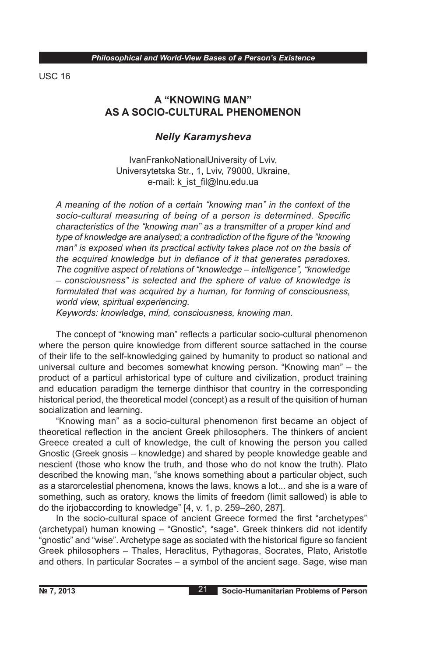USC 16

# **A "KNOWING MAN" AS A SOCIO-CULTURAL PHENOMENON**

# *Nelly Karamysheva*

IvanFrankoNationalUniversity of Lviv, Universytetska Str., 1, Lviv, 79000, Ukraine, e-mail: k\_ist\_fil@lnu.edu.ua

*A meaning of the notion of a certain "knowing man" in the context of the socio-cultural measuring of being of a person is determined. Specific characteristics of the "knowing man" as a transmitter of a proper kind and type of knowledge are analysed; a contradiction of the figure of the "knowing man" is exposed when its practical activity takes place not on the basis of the acquired knowledge but in defiance of it that generates paradoxes. The cognitive aspect of relations of "knowledge – intelligence", "knowledge – consciousness" is selected and the sphere of value of knowledge is formulated that was acquired by a human, for forming of consciousness, world view, spiritual experiencing.*

*Keywords: knowledge, mind, consciousness, knowing man.*

The concept of "knowing man" reflects a particular socio-cultural phenomenon where the person quire knowledge from different source sattached in the course of their life to the self-knowledging gained by humanity to product so national and universal culture and becomes somewhat knowing person. "Knowing man" – the product of a particul arhistorical type of culture and civilization, product training and education paradigm the temerge dinthisor that country in the corresponding historical period, the theoretical model (concept) as a result of the quisition of human socialization and learning.

"Knowing man" as a socio-cultural phenomenon first became an object of theoretical reflection in the ancient Greek philosophers. The thinkers of ancient Greece created a cult of knowledge, the cult of knowing the person you called Gnostic (Greek gnosis – knowledge) and shared by people knowledge geable and nescient (those who know the truth, and those who do not know the truth). Plato described the knowing man, "she knows something about a particular object, such as a starorcelestial phenomena, knows the laws, knows a lot... and she is a ware of something, such as oratory, knows the limits of freedom (limit sallowed) is able to do the irjobaccording to knowledge" [4, v. 1, p. 259–260, 287].

In the socio-cultural space of ancient Greece formed the first "archetypes" (archetypal) human knowing – "Gnostic", "sage". Greek thinkers did not identify "gnostic" and "wise". Archetype sage as sociated with the historical figure so fancient Greek philosophers – Thales, Heraclitus, Pythagoras, Socrates, Plato, Aristotle and others. In particular Socrates – a symbol of the ancient sage. Sage, wise man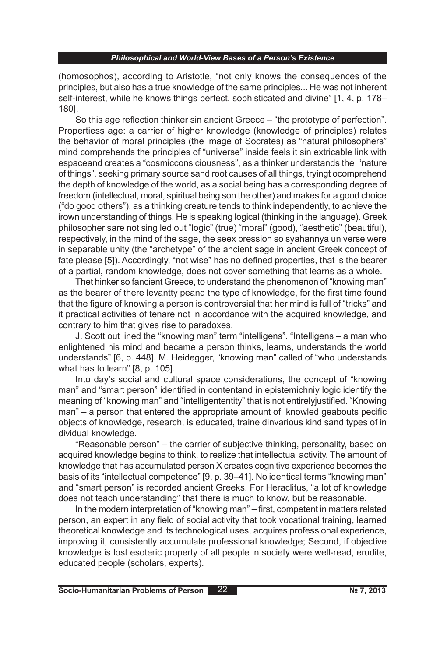(homosophos), according to Aristotle, "not only knows the consequences of the principles, but also has a true knowledge of the same principles... He was not inherent self-interest, while he knows things perfect, sophisticated and divine" [1, 4, p. 178– 180].

So this age reflection thinker sin ancient Greece – "the prototype of perfection". Propertiess age: a carrier of higher knowledge (knowledge of principles) relates the behavior of moral principles (the image of Socrates) as "natural philosophers" mind comprehends the principles of "universe" inside feels it sin extricable link with espaceand creates a "cosmiccons ciousness", as a thinker understands the "nature of things", seeking primary source sand root causes of all things, tryingt ocomprehend the depth of knowledge of the world, as a social being has a corresponding degree of freedom (intellectual, moral, spiritual being son the other) and makes for a good choice ("do good others"), as a thinking creature tends to think independently, to achieve the irown understanding of things. He is speaking logical (thinking in the language). Greek philosopher sare not sing led out "logic" (true) "moral" (good), "aesthetic" (beautiful), respectively, in the mind of the sage, the seex pression so syahannya universe were in separable unity (the "archetype" of the ancient sage in ancient Greek concept of fate please [5]). Accordingly, "not wise" has no defined properties, that is the bearer of a partial, random knowledge, does not cover something that learns as a whole.

Thet hinker so fancient Greece, to understand the phenomenon of "knowing man" as the bearer of there levantty peand the type of knowledge, for the first time found that the figure of knowing a person is controversial that her mind is full of "tricks" and it practical activities of tenare not in accordance with the acquired knowledge, and contrary to him that gives rise to paradoxes.

J. Scott out lined the "knowing man" term "intelligens". "Intelligens – a man who enlightened his mind and became a person thinks, learns, understands the world understands" [6, p. 448]. M. Heidegger, "knowing man" called of "who understands what has to learn" [8, p. 105].

Into day's social and cultural space considerations, the concept of "knowing man" and "smart person" identified in contentand in epistemichniy logic identify the meaning of "knowing man" and "intelligententity" that is not entirelyjustified. "Knowing man" – a person that entered the appropriate amount of knowled geabouts pecific objects of knowledge, research, is educated, traine dinvarious kind sand types of in dividual knowledge.

"Reasonable person" – the carrier of subjective thinking, personality, based on acquired knowledge begins to think, to realize that intellectual activity. The amount of knowledge that has accumulated person X creates cognitive experience becomes the basis of its "intellectual competence" [9, p. 39–41]. No identical terms "knowing man" and "smart person" is recorded ancient Greeks. For Heraclitus, "a lot of knowledge does not teach understanding" that there is much to know, but be reasonable.

In the modern interpretation of "knowing man" – first, competent in matters related person, an expert in any field of social activity that took vocational training, learned theoretical knowledge and its technological uses, acquires professional experience, improving it, consistently accumulate professional knowledge; Second, if objective knowledge is lost esoteric property of all people in society were well-read, erudite, educated people (scholars, experts).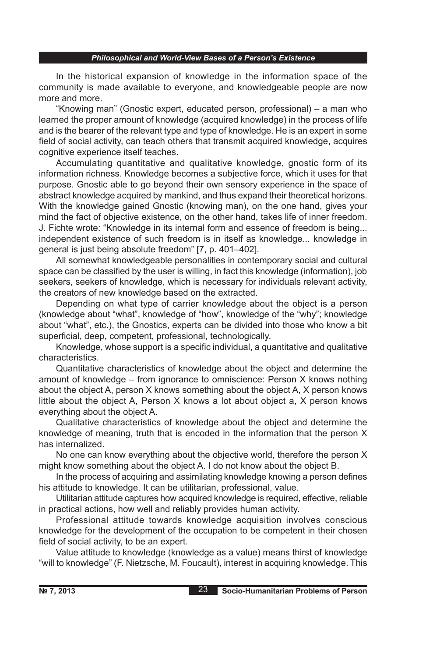In the historical expansion of knowledge in the information space of the community is made available to everyone, and knowledgeable people are now more and more.

"Knowing man" (Gnostic expert, educated person, professional) – a man who learned the proper amount of knowledge (acquired knowledge) in the process of life and is the bearer of the relevant type and type of knowledge. He is an expert in some field of social activity, can teach others that transmit acquired knowledge, acquires cognitive experience itself teaches.

Accumulating quantitative and qualitative knowledge, gnostic form of its information richness. Knowledge becomes a subjective force, which it uses for that purpose. Gnostic able to go beyond their own sensory experience in the space of abstract knowledge acquired by mankind, and thus expand their theoretical horizons. With the knowledge gained Gnostic (knowing man), on the one hand, gives your mind the fact of objective existence, on the other hand, takes life of inner freedom. J. Fichte wrote: "Knowledge in its internal form and essence of freedom is being... independent existence of such freedom is in itself as knowledge... knowledge in general is just being absolute freedom" [7, p. 401–402].

All somewhat knowledgeable personalities in contemporary social and cultural space can be classified by the user is willing, in fact this knowledge (information), job seekers, seekers of knowledge, which is necessary for individuals relevant activity, the creators of new knowledge based on the extracted.

Depending on what type of carrier knowledge about the object is a person (knowledge about "what", knowledge of "how", knowledge of the "why"; knowledge about "what", etc.), the Gnostics, experts can be divided into those who know a bit superficial, deep, competent, professional, technologically.

Knowledge, whose support is a specific individual, a quantitative and qualitative characteristics.

Quantitative characteristics of knowledge about the object and determine the amount of knowledge – from ignorance to omniscience: Person X knows nothing about the object A, person X knows something about the object A, X person knows little about the object A, Person X knows a lot about object a, X person knows everything about the object A.

Qualitative characteristics of knowledge about the object and determine the knowledge of meaning, truth that is encoded in the information that the person X has internalized.

No one can know everything about the objective world, therefore the person X might know something about the object A. I do not know about the object B.

In the process of acquiring and assimilating knowledge knowing a person defines his attitude to knowledge. It can be utilitarian, professional, value.

Utilitarian attitude captures how acquired knowledge is required, effective, reliable in practical actions, how well and reliably provides human activity.

Professional attitude towards knowledge acquisition involves conscious knowledge for the development of the occupation to be competent in their chosen field of social activity, to be an expert.

Value attitude to knowledge (knowledge as a value) means thirst of knowledge "will to knowledge" (F. Nietzsche, M. Foucault), interest in acquiring knowledge. This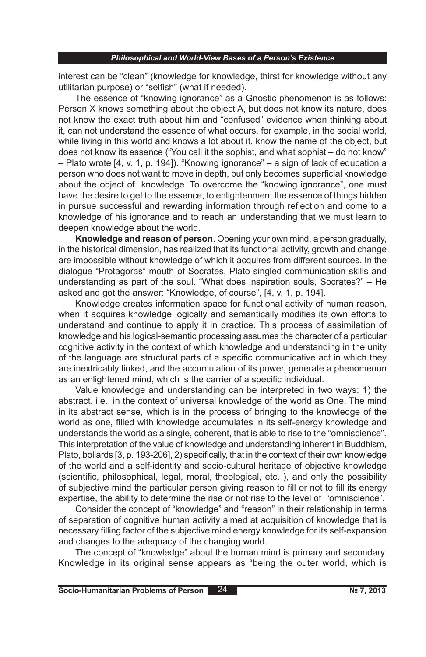interest can be "clean" (knowledge for knowledge, thirst for knowledge without any utilitarian purpose) or "selfish" (what if needed).

The essence of "knowing ignorance" as a Gnostic phenomenon is as follows: Person X knows something about the object A, but does not know its nature, does not know the exact truth about him and "confused" evidence when thinking about it, can not understand the essence of what occurs, for example, in the social world, while living in this world and knows a lot about it, know the name of the object, but does not know its essence ("You call it the sophist, and what sophist – do not know" – Plato wrote [4, v. 1, p. 194]). "Knowing ignorance" – a sign of lack of education a person who does not want to move in depth, but only becomes superficial knowledge about the object of knowledge. To overcome the "knowing ignorance", one must have the desire to get to the essence, to enlightenment the essence of things hidden in pursue successful and rewarding information through reflection and come to a knowledge of his ignorance and to reach an understanding that we must learn to deepen knowledge about the world.

**Knowledge and reason of person**. Opening your own mind, a person gradually, in the historical dimension, has realized that its functional activity, growth and change are impossible without knowledge of which it acquires from different sources. In the dialogue "Protagoras" mouth of Socrates, Plato singled communication skills and understanding as part of the soul. "What does inspiration souls, Socrates?" – He asked and got the answer: "Knowledge, of course", [4, v. 1, p. 194].

Knowledge creates information space for functional activity of human reason, when it acquires knowledge logically and semantically modifies its own efforts to understand and continue to apply it in practice. This process of assimilation of knowledge and his logical-semantic processing assumes the character of a particular cognitive activity in the context of which knowledge and understanding in the unity of the language are structural parts of a specific communicative act in which they are inextricably linked, and the accumulation of its power, generate a phenomenon as an enlightened mind, which is the carrier of a specific individual.

Value knowledge and understanding can be interpreted in two ways: 1) the abstract, i.e., in the context of universal knowledge of the world as One. The mind in its abstract sense, which is in the process of bringing to the knowledge of the world as one, filled with knowledge accumulates in its self-energy knowledge and understands the world as a single, coherent, that is able to rise to the "omniscience". This interpretation of the value of knowledge and understanding inherent in Buddhism, Plato, bollards [3, p. 193-206], 2) specifically, that in the context of their own knowledge of the world and a self-identity and socio-cultural heritage of objective knowledge (scientific, philosophical, legal, moral, theological, etc. ), and only the possibility of subjective mind the particular person giving reason to fill or not to fill its energy expertise, the ability to determine the rise or not rise to the level of "omniscience".

Consider the concept of "knowledge" and "reason" in their relationship in terms of separation of cognitive human activity aimed at acquisition of knowledge that is necessary filling factor of the subjective mind energy knowledge for its self-expansion and changes to the adequacy of the changing world.

The concept of "knowledge" about the human mind is primary and secondary. Knowledge in its original sense appears as "being the outer world, which is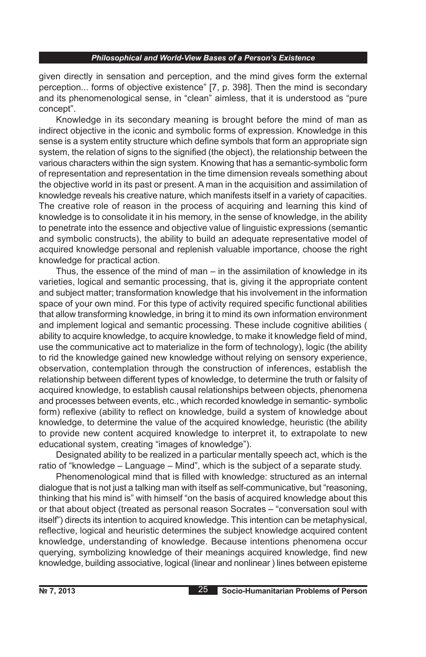given directly in sensation and perception, and the mind gives form the external perception... forms of objective existence" [7, p. 398]. Then the mind is secondary and its phenomenological sense, in "clean" aimless, that it is understood as "pure concept".

Knowledge in its secondary meaning is brought before the mind of man as indirect objective in the iconic and symbolic forms of expression. Knowledge in this sense is a system entity structure which define symbols that form an appropriate sign system, the relation of signs to the signified (the object), the relationship between the various characters within the sign system. Knowing that has a semantic-symbolic form of representation and representation in the time dimension reveals something about the objective world in its past or present. A man in the acquisition and assimilation of knowledge reveals his creative nature, which manifests itself in a variety of capacities. The creative role of reason in the process of acquiring and learning this kind of knowledge is to consolidate it in his memory, in the sense of knowledge, in the ability to penetrate into the essence and objective value of linguistic expressions (semantic and symbolic constructs), the ability to build an adequate representative model of acquired knowledge personal and replenish valuable importance, choose the right knowledge for practical action.

Thus, the essence of the mind of man – in the assimilation of knowledge in its varieties, logical and semantic processing, that is, giving it the appropriate content and subject matter; transformation knowledge that his involvement in the information space of your own mind. For this type of activity required specific functional abilities that allow transforming knowledge, in bring it to mind its own information environment and implement logical and semantic processing. These include cognitive abilities ( ability to acquire knowledge, to acquire knowledge, to make it knowledge field of mind, use the communicative act to materialize in the form of technology), logic (the ability to rid the knowledge gained new knowledge without relying on sensory experience, observation, contemplation through the construction of inferences, establish the relationship between different types of knowledge, to determine the truth or falsity of acquired knowledge, to establish causal relationships between objects, phenomena and processes between events, etc., which recorded knowledge in semantic- symbolic form) reflexive (ability to reflect on knowledge, build a system of knowledge about knowledge, to determine the value of the acquired knowledge, heuristic (the ability to provide new content acquired knowledge to interpret it, to extrapolate to new educational system, creating "images of knowledge").

Designated ability to be realized in a particular mentally speech act, which is the ratio of "knowledge – Language – Mind", which is the subject of a separate study.

Phenomenological mind that is filled with knowledge: structured as an internal dialogue that is not just a talking man with itself as self-communicative, but "reasoning, thinking that his mind is" with himself "on the basis of acquired knowledge about this or that about object (treated as personal reason Socrates – "conversation soul with itself") directs its intention to acquired knowledge. This intention can be metaphysical, reflective, logical and heuristic determines the subject knowledge acquired content knowledge, understanding of knowledge. Because intentions phenomena occur querying, symbolizing knowledge of their meanings acquired knowledge, find new knowledge, building associative, logical (linear and nonlinear ) lines between episteme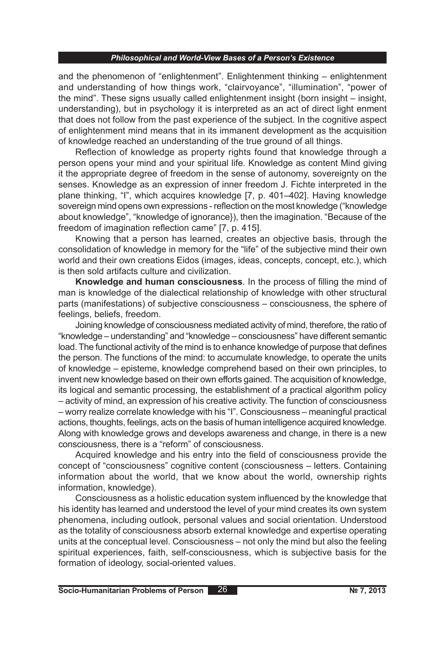and the phenomenon of "enlightenment". Enlightenment thinking – enlightenment and understanding of how things work, "clairvoyance", "illumination", "power of the mind". These signs usually called enlightenment insight (born insight – insight, understanding), but in psychology it is interpreted as an act of direct light enment that does not follow from the past experience of the subject. In the cognitive aspect of enlightenment mind means that in its immanent development as the acquisition of knowledge reached an understanding of the true ground of all things.

Reflection of knowledge as property rights found that knowledge through a person opens your mind and your spiritual life. Knowledge as content Mind giving it the appropriate degree of freedom in the sense of autonomy, sovereignty on the senses. Knowledge as an expression of inner freedom J. Fichte interpreted in the plane thinking, "I", which acquires knowledge [7, p. 401–402]. Having knowledge sovereign mind opens own expressions - reflection on the most knowledge ("knowledge about knowledge", "knowledge of ignorance}), then the imagination. "Because of the freedom of imagination reflection came" [7, p. 415].

Knowing that a person has learned, creates an objective basis, through the consolidation of knowledge in memory for the "life" of the subjective mind their own world and their own creations Eidos (images, ideas, concepts, concept, etc.), which is then sold artifacts culture and civilization.

**Knowledge and human consciousness**. In the process of filling the mind of man is knowledge of the dialectical relationship of knowledge with other structural parts (manifestations) of subjective consciousness – consciousness, the sphere of feelings, beliefs, freedom.

Joining knowledge of consciousness mediated activity of mind, therefore, the ratio of "knowledge – understanding" and "knowledge – consciousness" have different semantic load. The functional activity of the mind is to enhance knowledge of purpose that defines the person. The functions of the mind: to accumulate knowledge, to operate the units of knowledge – episteme, knowledge comprehend based on their own principles, to invent new knowledge based on their own efforts gained. The acquisition of knowledge, its logical and semantic processing, the establishment of a practical algorithm policy – activity of mind, an expression of his creative activity. The function of consciousness – worry realize correlate knowledge with his "I". Consciousness – meaningful practical actions, thoughts, feelings, acts on the basis of human intelligence acquired knowledge. Along with knowledge grows and develops awareness and change, in there is a new consciousness, there is a "reform" of consciousness.

Acquired knowledge and his entry into the field of consciousness provide the concept of "consciousness" cognitive content (consciousness – letters. Containing information about the world, that we know about the world, ownership rights information, knowledge).

Consciousness as a holistic education system influenced by the knowledge that his identity has learned and understood the level of your mind creates its own system phenomena, including outlook, personal values and social orientation. Understood as the totality of consciousness absorb external knowledge and expertise operating units at the conceptual level. Consciousness – not only the mind but also the feeling spiritual experiences, faith, self-consciousness, which is subjective basis for the formation of ideology, social-oriented values.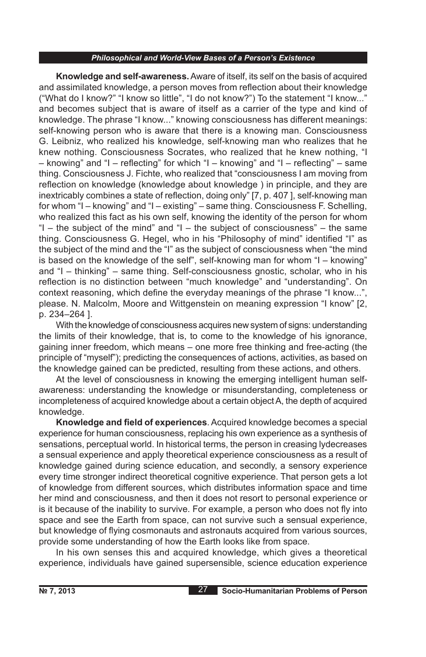**Knowledge and self-awareness.** Aware of itself, its self on the basis of acquired and assimilated knowledge, a person moves from reflection about their knowledge ("What do I know?" "I know so little", "I do not know?") To the statement "I know..." and becomes subject that is aware of itself as a carrier of the type and kind of knowledge. The phrase "I know..." knowing consciousness has different meanings: self-knowing person who is aware that there is a knowing man. Consciousness G. Leibniz, who realized his knowledge, self-knowing man who realizes that he knew nothing. Consciousness Socrates, who realized that he knew nothing, "I – knowing" and "I – reflecting" for which "I – knowing" and "I – reflecting" – same thing. Consciousness J. Fichte, who realized that "consciousness I am moving from reflection on knowledge (knowledge about knowledge ) in principle, and they are inextricably combines a state of reflection, doing only" [7, p. 407 ], self-knowing man for whom "I – knowing" and "I – existing" – same thing. Consciousness F. Schelling, who realized this fact as his own self, knowing the identity of the person for whom "I – the subject of the mind" and "I – the subject of consciousness" – the same thing. Consciousness G. Hegel, who in his "Philosophy of mind" identified "I" as the subject of the mind and the "I" as the subject of consciousness when "the mind is based on the knowledge of the self", self-knowing man for whom "I – knowing" and "I – thinking" – same thing. Self-consciousness gnostic, scholar, who in his reflection is no distinction between "much knowledge" and "understanding". On context reasoning, which define the everyday meanings of the phrase "I know...", please. N. Malcolm, Moore and Wittgenstein on meaning expression "I know" [2, p. 234–264 ].

With the knowledge of consciousness acquires new system of signs: understanding the limits of their knowledge, that is, to come to the knowledge of his ignorance, gaining inner freedom, which means – one more free thinking and free-acting (the principle of "myself"); predicting the consequences of actions, activities, as based on the knowledge gained can be predicted, resulting from these actions, and others.

At the level of consciousness in knowing the emerging intelligent human selfawareness: understanding the knowledge or misunderstanding, completeness or incompleteness of acquired knowledge about a certain object A, the depth of acquired knowledge.

**Knowledge and field of experiences**. Acquired knowledge becomes a special experience for human consciousness, replacing his own experience as a synthesis of sensations, perceptual world. In historical terms, the person in creasing lydecreases a sensual experience and apply theoretical experience consciousness as a result of knowledge gained during science education, and secondly, a sensory experience every time stronger indirect theoretical cognitive experience. That person gets a lot of knowledge from different sources, which distributes information space and time her mind and consciousness, and then it does not resort to personal experience or is it because of the inability to survive. For example, a person who does not fly into space and see the Earth from space, can not survive such a sensual experience, but knowledge of flying cosmonauts and astronauts acquired from various sources, provide some understanding of how the Earth looks like from space.

In his own senses this and acquired knowledge, which gives a theoretical experience, individuals have gained supersensible, science education experience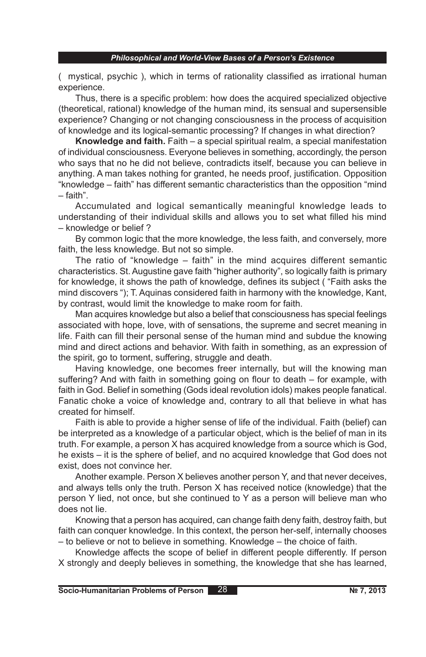( mystical, psychic ), which in terms of rationality classified as irrational human experience.

Thus, there is a specific problem: how does the acquired specialized objective (theoretical, rational) knowledge of the human mind, its sensual and supersensible experience? Changing or not changing consciousness in the process of acquisition of knowledge and its logical-semantic processing? If changes in what direction?

**Knowledge and faith.** Faith – a special spiritual realm, a special manifestation of individual consciousness. Everyone believes in something, accordingly, the person who says that no he did not believe, contradicts itself, because you can believe in anything. A man takes nothing for granted, he needs proof, justification. Opposition "knowledge – faith" has different semantic characteristics than the opposition "mind – faith".

Accumulated and logical semantically meaningful knowledge leads to understanding of their individual skills and allows you to set what filled his mind – knowledge or belief ?

By common logic that the more knowledge, the less faith, and conversely, more faith, the less knowledge. But not so simple.

The ratio of "knowledge – faith" in the mind acquires different semantic characteristics. St. Augustine gave faith "higher authority", so logically faith is primary for knowledge, it shows the path of knowledge, defines its subject ( "Faith asks the mind discovers "); T. Aquinas considered faith in harmony with the knowledge, Kant, by contrast, would limit the knowledge to make room for faith.

Man acquires knowledge but also a belief that consciousness has special feelings associated with hope, love, with of sensations, the supreme and secret meaning in life. Faith can fill their personal sense of the human mind and subdue the knowing mind and direct actions and behavior. With faith in something, as an expression of the spirit, go to torment, suffering, struggle and death.

Having knowledge, one becomes freer internally, but will the knowing man suffering? And with faith in something going on flour to death – for example, with faith in God. Belief in something (Gods ideal revolution idols) makes people fanatical. Fanatic choke a voice of knowledge and, contrary to all that believe in what has created for himself.

Faith is able to provide a higher sense of life of the individual. Faith (belief) can be interpreted as a knowledge of a particular object, which is the belief of man in its truth. For example, a person X has acquired knowledge from a source which is God, he exists – it is the sphere of belief, and no acquired knowledge that God does not exist, does not convince her.

Another example. Person X believes another person Y, and that never deceives, and always tells only the truth. Person X has received notice (knowledge) that the person Y lied, not once, but she continued to Y as a person will believe man who does not lie.

Knowing that a person has acquired, can change faith deny faith, destroy faith, but faith can conquer knowledge. In this context, the person her-self, internally chooses – to believe or not to believe in something. Knowledge – the choice of faith.

Knowledge affects the scope of belief in different people differently. If person X strongly and deeply believes in something, the knowledge that she has learned,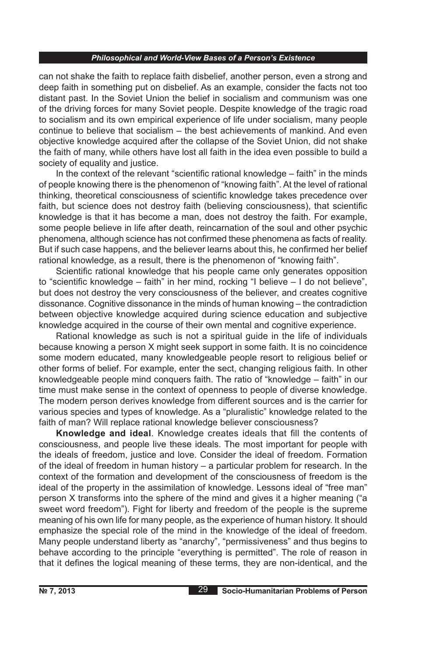can not shake the faith to replace faith disbelief, another person, even a strong and deep faith in something put on disbelief. As an example, consider the facts not too distant past. In the Soviet Union the belief in socialism and communism was one of the driving forces for many Soviet people. Despite knowledge of the tragic road to socialism and its own empirical experience of life under socialism, many people continue to believe that socialism – the best achievements of mankind. And even objective knowledge acquired after the collapse of the Soviet Union, did not shake the faith of many, while others have lost all faith in the idea even possible to build a society of equality and justice.

In the context of the relevant "scientific rational knowledge – faith" in the minds of people knowing there is the phenomenon of "knowing faith". At the level of rational thinking, theoretical consciousness of scientific knowledge takes precedence over faith, but science does not destroy faith (believing consciousness), that scientific knowledge is that it has become a man, does not destroy the faith. For example, some people believe in life after death, reincarnation of the soul and other psychic phenomena, although science has not confirmed these phenomena as facts of reality. But if such case happens, and the believer learns about this, he confirmed her belief rational knowledge, as a result, there is the phenomenon of "knowing faith".

Scientific rational knowledge that his people came only generates opposition to "scientific knowledge – faith" in her mind, rocking "I believe – I do not believe", but does not destroy the very consciousness of the believer, and creates cognitive dissonance. Cognitive dissonance in the minds of human knowing – the contradiction between objective knowledge acquired during science education and subjective knowledge acquired in the course of their own mental and cognitive experience.

Rational knowledge as such is not a spiritual guide in the life of individuals because knowing a person X might seek support in some faith. It is no coincidence some modern educated, many knowledgeable people resort to religious belief or other forms of belief. For example, enter the sect, changing religious faith. In other knowledgeable people mind conquers faith. The ratio of "knowledge – faith" in our time must make sense in the context of openness to people of diverse knowledge. The modern person derives knowledge from different sources and is the carrier for various species and types of knowledge. As a "pluralistic" knowledge related to the faith of man? Will replace rational knowledge believer consciousness?

**Knowledge and ideal**. Knowledge creates ideals that fill the contents of consciousness, and people live these ideals. The most important for people with the ideals of freedom, justice and love. Consider the ideal of freedom. Formation of the ideal of freedom in human history – a particular problem for research. In the context of the formation and development of the consciousness of freedom is the ideal of the property in the assimilation of knowledge. Lessons ideal of "free man" person X transforms into the sphere of the mind and gives it a higher meaning ("a sweet word freedom"). Fight for liberty and freedom of the people is the supreme meaning of his own life for many people, as the experience of human history. It should emphasize the special role of the mind in the knowledge of the ideal of freedom. Many people understand liberty as "anarchy", "permissiveness" and thus begins to behave according to the principle "everything is permitted". The role of reason in that it defines the logical meaning of these terms, they are non-identical, and the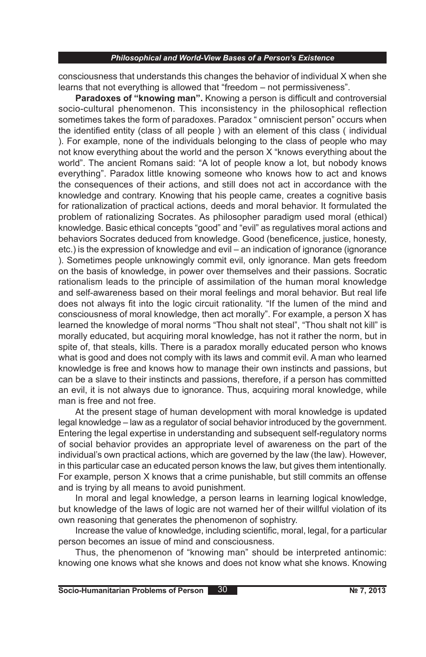consciousness that understands this changes the behavior of individual X when she learns that not everything is allowed that "freedom – not permissiveness".

**Paradoxes of "knowing man".** Knowing a person is difficult and controversial socio-cultural phenomenon. This inconsistency in the philosophical reflection sometimes takes the form of paradoxes. Paradox " omniscient person" occurs when the identified entity (class of all people ) with an element of this class ( individual ). For example, none of the individuals belonging to the class of people who may not know everything about the world and the person X "knows everything about the world". The ancient Romans said: "A lot of people know a lot, but nobody knows everything". Paradox little knowing someone who knows how to act and knows the consequences of their actions, and still does not act in accordance with the knowledge and contrary. Knowing that his people came, creates a cognitive basis for rationalization of practical actions, deeds and moral behavior. It formulated the problem of rationalizing Socrates. As philosopher paradigm used moral (ethical) knowledge. Basic ethical concepts "good" and "evil" as regulatives moral actions and behaviors Socrates deduced from knowledge. Good (beneficence, justice, honesty, etc.) is the expression of knowledge and evil – an indication of ignorance (ignorance ). Sometimes people unknowingly commit evil, only ignorance. Man gets freedom on the basis of knowledge, in power over themselves and their passions. Socratic rationalism leads to the principle of assimilation of the human moral knowledge and self-awareness based on their moral feelings and moral behavior. But real life does not always fit into the logic circuit rationality. "If the lumen of the mind and consciousness of moral knowledge, then act morally". For example, a person X has learned the knowledge of moral norms "Thou shalt not steal", "Thou shalt not kill" is morally educated, but acquiring moral knowledge, has not it rather the norm, but in spite of, that steals, kills. There is a paradox morally educated person who knows what is good and does not comply with its laws and commit evil. A man who learned knowledge is free and knows how to manage their own instincts and passions, but can be a slave to their instincts and passions, therefore, if a person has committed an evil, it is not always due to ignorance. Thus, acquiring moral knowledge, while man is free and not free.

At the present stage of human development with moral knowledge is updated legal knowledge – law as a regulator of social behavior introduced by the government. Entering the legal expertise in understanding and subsequent self-regulatory norms of social behavior provides an appropriate level of awareness on the part of the individual's own practical actions, which are governed by the law (the law). However, in this particular case an educated person knows the law, but gives them intentionally. For example, person X knows that a crime punishable, but still commits an offense and is trying by all means to avoid punishment.

In moral and legal knowledge, a person learns in learning logical knowledge, but knowledge of the laws of logic are not warned her of their willful violation of its own reasoning that generates the phenomenon of sophistry.

Increase the value of knowledge, including scientific, moral, legal, for a particular person becomes an issue of mind and consciousness.

Thus, the phenomenon of "knowing man" should be interpreted antinomic: knowing one knows what she knows and does not know what she knows. Knowing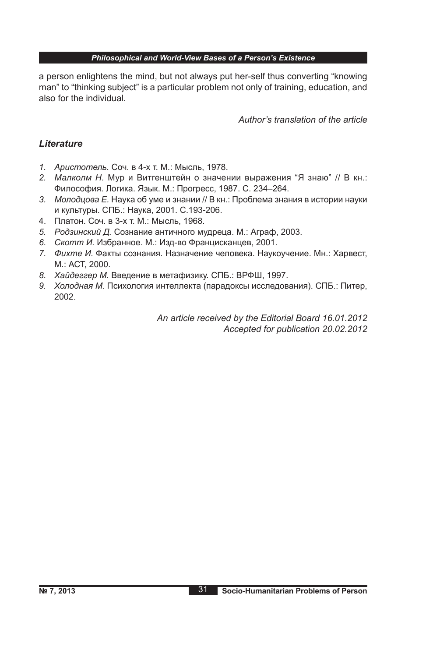a person enlightens the mind, but not always put her-self thus converting "knowing man" to "thinking subject" is a particular problem not only of training, education, and also for the individual.

*Author's translation of the article*

# *Lіterature*

- *1. Аристотель.* Соч. в 4-х т. М.: Мысль, 1978.
- *2. Малколм Н.* Мур и Витгенштейн о значении выражения "Я знаю" // В кн.: Философия. Логика. Язык. М.: Прогресс, 1987. С. 234–264.
- *3. Молодцова Е.* Наука об уме и знании // В кн.: Проблема знания в истории науки и культуры. СПБ.: Наука, 2001. С.193-206.
- 4. Платон. Соч. в 3-х т. М.: Мысль, 1968.
- *5. Родзинский Д.* Сознание античного мудреца. М.: Аграф, 2003.
- *6. Скотт И.* Избранное. М.: Изд-во Францисканцев, 2001.
- *7. Фихте И.* Факты сознания. Назначение человека. Наукоучение. Мн.: Харвест, М.: АСТ, 2000.
- *8. Хайдеггер М.* Введение в метафизику. СПБ.: ВРФШ, 1997.
- *9. Холодная М.* Психология интеллекта (парадоксы исследования). СПБ.: Питер, 2002.

*An article received by the Editorial Board 16.01.2012 Accepted for publication 20.02.2012*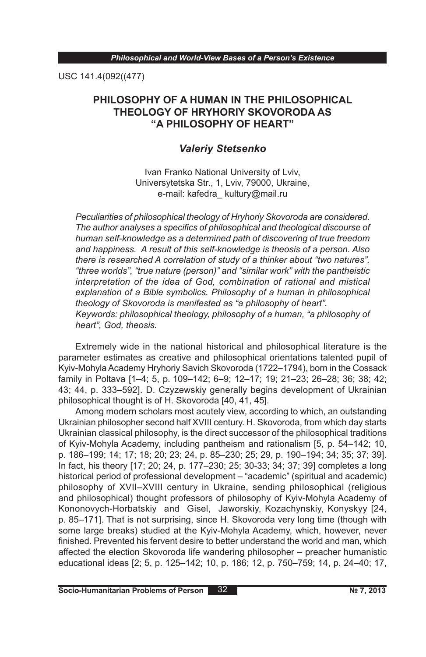USC 141.4(092((477)

# **PHILOSOPHY OF A HUMAN IN THE PHILOSOPHICAL THEOLOGY ОF HRYHORIY SKOVORODA AS "A PHILOSOPHY OF HEART"**

# *Valeriy Stetsenko*

Ivan Franko National University of Lviv, Universytetska Str., 1, Lviv, 79000, Ukraine, e-mail: kafedra kultury@mail.ru

*Peculiarities of philosophical theology of Hryhoriy Skovoroda are considered. The author analyses a specifics of philosophical and theological discourse of human self-knowledge as a determined path of discovering of true freedom and happiness. A result of this self-knowledge is theosis of a person. Also there is researched A correlation of study of a thinker about "two natures", "three worlds", "true nature (person)" and "similar work" with the pantheistic interpretation of the idea of God, combination of rational and mistical explanation of a Bible symbolics. Philosophy of a human in philosophical theology of Skovoroda is manifested as "a philosophy of heart". Keywords: philosophical theology, philosophy of a human, "a philosophy of heart", God, theosis.*

Extremely wide in the national historical and philosophical literature is the parameter estimates as creative and philosophical orientations talented pupil of Kyiv-Mohyla Academy Hryhoriy Savich Skovoroda (1722–1794), born in the Cossack family in Poltava [1–4; 5, p. 109–142; 6–9; 12–17; 19; 21–23; 26–28; 36; 38; 42; 43; 44, p. 333–592]. D. Czyzewskiy generally begins development of Ukrainian philosophical thought is of H. Skovoroda [40, 41, 45].

Among modern scholars most acutely view, according to which, an outstanding Ukrainian philosopher second half XVIII century. H. Skovoroda, from which day starts Ukrainian classical philosophy, is the direct successor of the philosophical traditions of Kyiv-Mohyla Academy, including pantheism and rationalism [5, p. 54–142; 10, p. 186–199; 14; 17; 18; 20; 23; 24, p. 85–230; 25; 29, p. 190–194; 34; 35; 37; 39]. In fact, his theory [17; 20; 24, p. 177–230; 25; 30-33; 34; 37; 39] completes a long historical period of professional development – "academic" (spiritual and academic) philosophy of XVII–XVIII century in Ukraine, sending philosophical (religious and philosophical) thought professors of philosophy of Kyiv-Mohyla Academy of Kononovych-Horbatskiy and Gisel, Jaworskiy, Kozachynskiy, Konyskyy [24, p. 85–171]. That is not surprising, since H. Skovoroda very long time (though with some large breaks) studied at the Kyiv-Mohyla Academy, which, however, never finished. Prevented his fervent desire to better understand the world and man, which affected the election Skovoroda life wandering philosopher – preacher humanistic educational ideas [2; 5, p. 125–142; 10, p. 186; 12, p. 750–759; 14, p. 24–40; 17,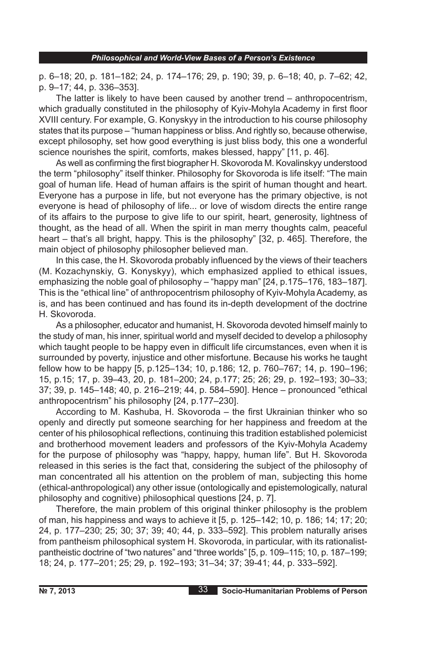p. 6–18; 20, p. 181–182; 24, p. 174–176; 29, p. 190; 39, p. 6–18; 40, p. 7–62; 42, p. 9–17; 44, p. 336–353].

The latter is likely to have been caused by another trend – anthropocentrism, which gradually constituted in the philosophy of Kyiv-Mohyla Academy in first floor XVIII century. For example, G. Konyskyy in the introduction to his course philosophy states that its purpose – "human happiness or bliss. And rightly so, because otherwise, except philosophy, set how good everything is just bliss body, this one a wonderful science nourishes the spirit, comforts, makes blessed, happy" [11, p. 46].

As well as confirming the first biographer H. Skovoroda M. Kovalinskyy understood the term "philosophy" itself thinker. Philosophy for Skovoroda is life itself: "The main goal of human life. Head of human affairs is the spirit of human thought and heart. Everyone has a purpose in life, but not everyone has the primary objective, is not everyone is head of philosophy of life... or love of wisdom directs the entire range of its affairs to the purpose to give life to our spirit, heart, generosity, lightness of thought, as the head of all. When the spirit in man merry thoughts calm, peaceful heart – that's all bright, happy. This is the philosophy" [32, p. 465]. Therefore, the main object of philosophy philosopher believed man.

In this case, the H. Skovoroda probably influenced by the views of their teachers (M. Kozachynskiy, G. Konyskyy), which emphasized applied to ethical issues, emphasizing the noble goal of philosophy – "happy man" [24, p.175–176, 183–187]. This is the "ethical line" of anthropocentrism philosophy of Kyiv-Mohyla Academy, as is, and has been continued and has found its in-depth development of the doctrine H. Skovoroda.

As a philosopher, educator and humanist, H. Skovoroda devoted himself mainly to the study of man, his inner, spiritual world and myself decided to develop a philosophy which taught people to be happy even in difficult life circumstances, even when it is surrounded by poverty, injustice and other misfortune. Because his works he taught fellow how to be happy [5, p.125–134; 10, p.186; 12, p. 760–767; 14, p. 190–196; 15, p.15; 17, p. 39–43, 20, p. 181–200; 24, p.177; 25; 26; 29, p. 192–193; 30–33; 37; 39, p. 145–148; 40, p. 216–219; 44, p. 584–590]. Hence – pronounced "ethical anthropocentrism" his philosophy [24, p.177–230].

According to M. Kashuba, H. Skovoroda – the first Ukrainian thinker who so openly and directly put someone searching for her happiness and freedom at the center of his philosophical reflections, continuing this tradition established polemicist and brotherhood movement leaders and professors of the Kyiv-Mohyla Academy for the purpose of philosophy was "happy, happy, human life". But H. Skovoroda released in this series is the fact that, considering the subject of the philosophy of man concentrated all his attention on the problem of man, subjecting this home (ethical-anthropological) any other issue (ontologically and epistemologically, natural philosophy and cognitive) philosophical questions [24, p. 7].

Therefore, the main problem of this original thinker philosophy is the problem of man, his happiness and ways to achieve it [5, p. 125–142; 10, p. 186; 14; 17; 20; 24, p. 177–230; 25; 30; 37; 39; 40; 44, p. 333–592]. This problem naturally arises from pantheism philosophical system H. Skovoroda, in particular, with its rationalistpantheistic doctrine of "two natures" and "three worlds" [5, p. 109–115; 10, p. 187–199; 18; 24, p. 177–201; 25; 29, p. 192–193; 31–34; 37; 39-41; 44, p. 333–592].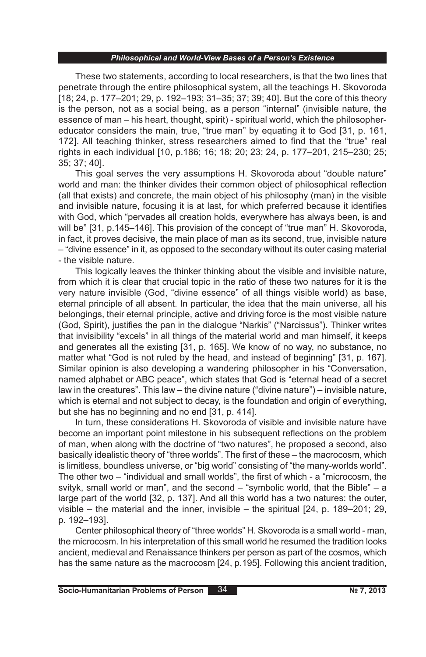These two statements, according to local researchers, is that the two lines that penetrate through the entire philosophical system, all the teachings H. Skovoroda [18; 24, p. 177–201; 29, p. 192–193; 31–35; 37; 39; 40]. But the core of this theory is the person, not as a social being, as a person "internal" (invisible nature, the essence of man – his heart, thought, spirit) - spiritual world, which the philosophereducator considers the main, true, "true man" by equating it to God [31, p. 161, 172]. All teaching thinker, stress researchers aimed to find that the "true" real rights in each individual [10, p.186; 16; 18; 20; 23; 24, p. 177–201, 215–230; 25; 35; 37; 40].

This goal serves the very assumptions H. Skovoroda about "double nature" world and man: the thinker divides their common object of philosophical reflection (all that exists) and concrete, the main object of his philosophy (man) in the visible and invisible nature, focusing it is at last, for which preferred because it identifies with God, which "pervades all creation holds, everywhere has always been, is and will be" [31, p.145–146]. This provision of the concept of "true man" H. Skovoroda, in fact, it proves decisive, the main place of man as its second, true, invisible nature – "divine essence" in it, as opposed to the secondary without its outer casing material - the visible nature.

This logically leaves the thinker thinking about the visible and invisible nature, from which it is clear that crucial topic in the ratio of these two natures for it is the very nature invisible (God, "divine essence" of all things visible world) as base, eternal principle of all absent. In particular, the idea that the main universe, all his belongings, their eternal principle, active and driving force is the most visible nature (God, Spirit), justifies the pan in the dialogue "Narkis" ("Narcissus"). Thinker writes that invisibility "excels" in all things of the material world and man himself, it keeps and generates all the existing [31, p. 165]. We know of no way, no substance, no matter what "God is not ruled by the head, and instead of beginning" [31, p. 167]. Similar opinion is also developing a wandering philosopher in his "Conversation, named alphabet or ABC peace", which states that God is "eternal head of a secret law in the creatures". This law – the divine nature ("divine nature") – invisible nature, which is eternal and not subject to decay, is the foundation and origin of everything, but she has no beginning and no end [31, p. 414].

In turn, these considerations H. Skovoroda of visible and invisible nature have become an important point milestone in his subsequent reflections on the problem of man, when along with the doctrine of "two natures", he proposed a second, also basically idealistic theory of "three worlds". The first of these – the macrocosm, which is limitless, boundless universe, or "big world" consisting of "the many-worlds world". The other two – "individual and small worlds", the first of which - a "microcosm, the svityk, small world or man", and the second – "symbolic world, that the Bible" – a large part of the world [32, p. 137]. And all this world has a two natures: the outer, visible – the material and the inner, invisible – the spiritual [24, p. 189–201; 29, p. 192–193].

Center philosophical theory of "three worlds" H. Skovoroda is a small world - man, the microcosm. In his interpretation of this small world he resumed the tradition looks ancient, medieval and Renaissance thinkers per person as part of the cosmos, which has the same nature as the macrocosm [24, p.195]. Following this ancient tradition,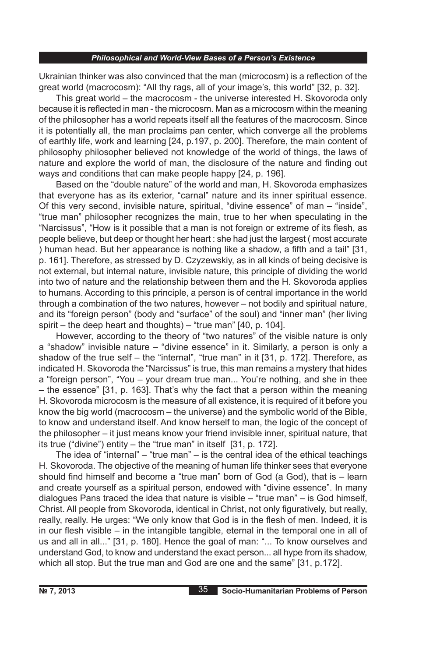Ukrainian thinker was also convinced that the man (microcosm) is a reflection of the great world (macrocosm): "All thy rags, all of your image's, this world" [32, p. 32].

This great world – the macrocosm - the universe interested H. Skovoroda only because it is reflected in man - the microcosm. Man as a microcosm within the meaning of the philosopher has a world repeats itself all the features of the macrocosm. Since it is potentially all, the man proclaims pan center, which converge all the problems of earthly life, work and learning [24, p.197, p. 200]. Therefore, the main content of philosophy philosopher believed not knowledge of the world of things, the laws of nature and explore the world of man, the disclosure of the nature and finding out ways and conditions that can make people happy [24, p. 196].

Based on the "double nature" of the world and man, H. Skovoroda emphasizes that everyone has as its exterior, "carnal" nature and its inner spiritual essence. Of this very second, invisible nature, spiritual, "divine essence" of man – "inside", "true man" philosopher recognizes the main, true to her when speculating in the "Narcissus", "How is it possible that a man is not foreign or extreme of its flesh, as people believe, but deep or thought her heart : she had just the largest ( most accurate ) human head. But her appearance is nothing like a shadow, a fifth and a tail" [31, p. 161]. Therefore, as stressed by D. Czyzewskiy, as in all kinds of being decisive is not external, but internal nature, invisible nature, this principle of dividing the world into two of nature and the relationship between them and the H. Skovoroda applies to humans. According to this principle, a person is of central importance in the world through a combination of the two natures, however – not bodily and spiritual nature, and its "foreign person" (body and "surface" of the soul) and "inner man" (her living spirit – the deep heart and thoughts) – "true man" [40, p. 104].

However, according to the theory of "two natures" of the visible nature is only a "shadow" invisible nature – "divine essence" in it. Similarly, a person is only a shadow of the true self – the "internal", "true man" in it [31, p. 172]. Therefore, as indicated H. Skovoroda the "Narcissus" is true, this man remains a mystery that hides a "foreign person", "You – your dream true man... You're nothing, and she in thee – the essence" [31, p. 163]. That's why the fact that a person within the meaning H. Skovoroda microcosm is the measure of all existence, it is required of it before you know the big world (macrocosm – the universe) and the symbolic world of the Bible, to know and understand itself. And know herself to man, the logic of the concept of the philosopher – it just means know your friend invisible inner, spiritual nature, that its true ("divine") entity – the "true man" in itself [31, p. 172].

The idea of "internal" – "true man" – is the central idea of the ethical teachings H. Skovoroda. The objective of the meaning of human life thinker sees that everyone should find himself and become a "true man" born of God (a God), that is – learn and create yourself as a spiritual person, endowed with "divine essence". In many dialogues Pans traced the idea that nature is visible – "true man" – is God himself, Christ. All people from Skovoroda, identical in Christ, not only figuratively, but really, really, really. He urges: "We only know that God is in the flesh of men. Indeed, it is in our flesh visible – in the intangible tangible, eternal in the temporal one in all of us and all in all..." [31, p. 180]. Hence the goal of man: "... To know ourselves and understand God, to know and understand the exact person... all hype from its shadow, which all stop. But the true man and God are one and the same" [31, p.172].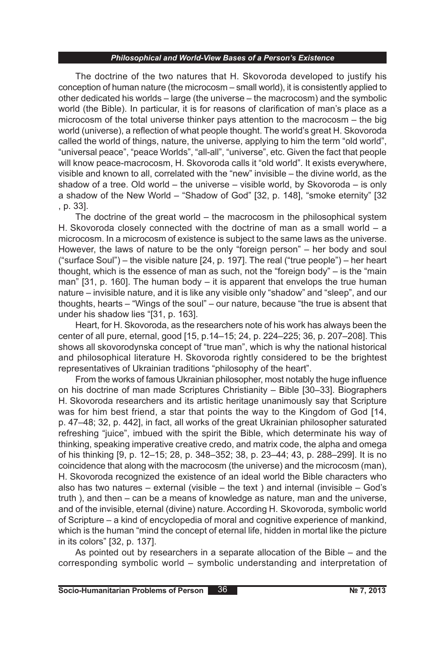The doctrine of the two natures that H. Skovoroda developed to justify his conception of human nature (the microcosm – small world), it is consistently applied to other dedicated his worlds – large (the universe – the macrocosm) and the symbolic world (the Bible). In particular, it is for reasons of clarification of man's place as a microcosm of the total universe thinker pays attention to the macrocosm – the big world (universe), a reflection of what people thought. The world's great H. Skovoroda called the world of things, nature, the universe, applying to him the term "old world", "universal peace", "peace Worlds", "all-all", "universe", etc. Given the fact that people will know peace-macrocosm, H. Skovoroda calls it "old world". It exists everywhere, visible and known to all, correlated with the "new" invisible – the divine world, as the shadow of a tree. Old world – the universe  $-$  visible world, by Skovoroda – is only a shadow of the New World – "Shadow of God" [32, p. 148], "smoke eternity" [32 , p. 33].

The doctrine of the great world – the macrocosm in the philosophical system H. Skovoroda closely connected with the doctrine of man as a small world – a microcosm. In a microcosm of existence is subject to the same laws as the universe. However, the laws of nature to be the only "foreign person" – her body and soul ("surface Soul") – the visible nature [24, p. 197]. The real ("true people") – her heart thought, which is the essence of man as such, not the "foreign body" – is the "main man"  $[31, p. 160]$ . The human body – it is apparent that envelops the true human nature – invisible nature, and it is like any visible only "shadow" and "sleep", and our thoughts, hearts – "Wings of the soul" – our nature, because "the true is absent that under his shadow lies "[31, p. 163].

Heart, for H. Skovoroda, as the researchers note of his work has always been the center of all pure, eternal, good [15, p.14–15; 24, p. 224–225; 36, p. 207–208]. This shows all skovorodynska concept of "true man", which is why the national historical and philosophical literature H. Skovoroda rightly considered to be the brightest representatives of Ukrainian traditions "philosophy of the heart".

From the works of famous Ukrainian philosopher, most notably the huge influence on his doctrine of man made Scriptures Christianity – Bible [30–33]. Biographers H. Skovoroda researchers and its artistic heritage unanimously say that Scripture was for him best friend, a star that points the way to the Kingdom of God [14, p. 47–48; 32, p. 442], in fact, all works of the great Ukrainian philosopher saturated refreshing "juice", imbued with the spirit the Bible, which determinate his way of thinking, speaking imperative creative credo, and matrix code, the alpha and omega of his thinking [9, p. 12–15; 28, p. 348–352; 38, p. 23–44; 43, p. 288–299]. It is no coincidence that along with the macrocosm (the universe) and the microcosm (man), H. Skovoroda recognized the existence of an ideal world the Bible characters who also has two natures – external (visible – the text ) and internal (invisible – God's truth ), and then – can be a means of knowledge as nature, man and the universe, and of the invisible, eternal (divine) nature. According H. Skovoroda, symbolic world of Scripture – a kind of encyclopedia of moral and cognitive experience of mankind, which is the human "mind the concept of eternal life, hidden in mortal like the picture in its colors" [32, p. 137].

As pointed out by researchers in a separate allocation of the Bible – and the corresponding symbolic world – symbolic understanding and interpretation of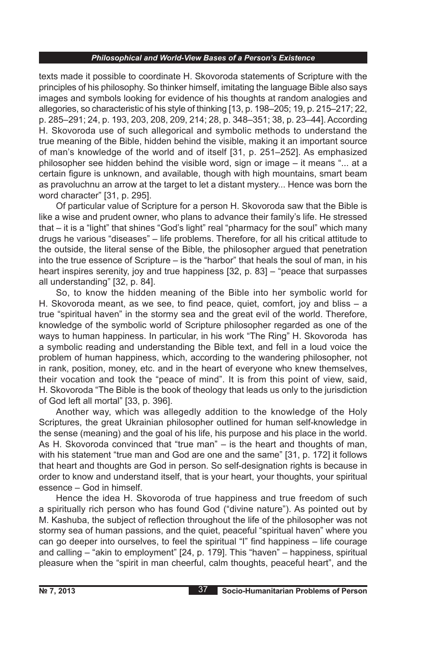texts made it possible to coordinate H. Skovoroda statements of Scripture with the principles of his philosophy. So thinker himself, imitating the language Bible also says images and symbols looking for evidence of his thoughts at random analogies and allegories, so characteristic of his style of thinking [13, p. 198–205; 19, p. 215–217; 22, p. 285–291; 24, p. 193, 203, 208, 209, 214; 28, p. 348–351; 38, p. 23–44]. According H. Skovoroda use of such allegorical and symbolic methods to understand the true meaning of the Bible, hidden behind the visible, making it an important source of man's knowledge of the world and of itself [31, p. 251–252]. As emphasized philosopher see hidden behind the visible word, sign or image – it means "... at a certain figure is unknown, and available, though with high mountains, smart beam as pravoluchnu an arrow at the target to let a distant mystery... Hence was born the word character" [31, p. 295].

Of particular value of Scripture for a person H. Skovoroda saw that the Bible is like a wise and prudent owner, who plans to advance their family's life. He stressed that – it is a "light" that shines "God's light" real "pharmacy for the soul" which many drugs he various "diseases" – life problems. Therefore, for all his critical attitude to the outside, the literal sense of the Bible, the philosopher argued that penetration into the true essence of Scripture – is the "harbor" that heals the soul of man, in his heart inspires serenity, joy and true happiness [32, p. 83] – "peace that surpasses all understanding" [32, p. 84].

So, to know the hidden meaning of the Bible into her symbolic world for H. Skovoroda meant, as we see, to find peace, quiet, comfort, joy and bliss – a true "spiritual haven" in the stormy sea and the great evil of the world. Therefore, knowledge of the symbolic world of Scripture philosopher regarded as one of the ways to human happiness. In particular, in his work "The Ring" H. Skovoroda has a symbolic reading and understanding the Bible text, and fell in a loud voice the problem of human happiness, which, according to the wandering philosopher, not in rank, position, money, etc. and in the heart of everyone who knew themselves, their vocation and took the "peace of mind". It is from this point of view, said, H. Skovoroda "The Bible is the book of theology that leads us only to the jurisdiction of God left all mortal" [33, p. 396].

Another way, which was allegedly addition to the knowledge of the Holy Scriptures, the great Ukrainian philosopher outlined for human self-knowledge in the sense (meaning) and the goal of his life, his purpose and his place in the world. As H. Skovoroda convinced that "true man" – is the heart and thoughts of man, with his statement "true man and God are one and the same" [31, p. 172] it follows that heart and thoughts are God in person. So self-designation rights is because in order to know and understand itself, that is your heart, your thoughts, your spiritual essence – God in himself.

Hence the idea H. Skovoroda of true happiness and true freedom of such a spiritually rich person who has found God ("divine nature"). As pointed out by M. Kashuba, the subject of reflection throughout the life of the philosopher was not stormy sea of human passions, and the quiet, peaceful "spiritual haven" where you can go deeper into ourselves, to feel the spiritual "I" find happiness – life courage and calling – "akin to employment" [24, p. 179]. This "haven" – happiness, spiritual pleasure when the "spirit in man cheerful, calm thoughts, peaceful heart", and the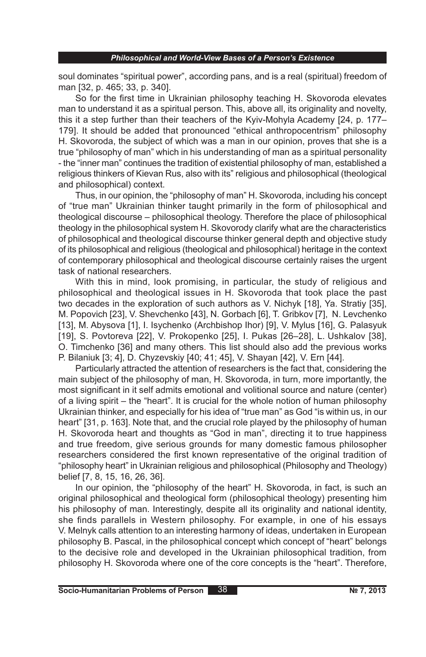soul dominates "spiritual power", according pans, and is a real (spiritual) freedom of man [32, p. 465; 33, p. 340].

So for the first time in Ukrainian philosophy teaching H. Skovoroda elevates man to understand it as a spiritual person. This, above all, its originality and novelty, this it a step further than their teachers of the Kyiv-Mohyla Academy [24, p. 177– 179]. It should be added that pronounced "ethical anthropocentrism" philosophy H. Skovoroda, the subject of which was a man in our opinion, proves that she is a true "philosophy of man" which in his understanding of man as a spiritual personality - the "inner man" continues the tradition of existential philosophy of man, established a religious thinkers of Kievan Rus, also with its" religious and philosophical (theological and philosophical) context.

Thus, in our opinion, the "philosophy of man" H. Skovoroda, including his concept of "true man" Ukrainian thinker taught primarily in the form of philosophical and theological discourse – philosophical theology. Therefore the place of philosophical theology in the philosophical system H. Skovorody clarify what are the characteristics of philosophical and theological discourse thinker general depth and objective study of its philosophical and religious (theological and philosophical) heritage in the context of contemporary philosophical and theological discourse certainly raises the urgent task of national researchers.

With this in mind, look promising, in particular, the study of religious and philosophical and theological issues in H. Skovoroda that took place the past two decades in the exploration of such authors as V. Nichyk [18], Ya. Stratiy [35], M. Popovich [23], V. Shevchenko [43], N. Gorbach [6], T. Gribkov [7], N. Levchenko [13], M. Abysova [1], I. Isychenko (Archbishop Ihor) [9], V. Mylus [16], G. Palasyuk [19], S. Povtoreva [22], V. Prokopenko [25], I. Pukas [26–28], L. Ushkalov [38], O. Timchenko [36] and many others. This list should also add the previous works P. Bilaniuk [3; 4], D. Chyzevskiy [40; 41; 45], V. Shayan [42], V. Ern [44].

Particularly attracted the attention of researchers is the fact that, considering the main subject of the philosophy of man, H. Skovoroda, in turn, more importantly, the most significant in it self admits emotional and volitional source and nature (center) of a living spirit – the "heart". It is crucial for the whole notion of human philosophy Ukrainian thinker, and especially for his idea of "true man" as God "is within us, in our heart" [31, p. 163]. Note that, and the crucial role played by the philosophy of human H. Skovoroda heart and thoughts as "God in man", directing it to true happiness and true freedom, give serious grounds for many domestic famous philosopher researchers considered the first known representative of the original tradition of "philosophy heart" in Ukrainian religious and philosophical (Philosophy and Theology) belief [7, 8, 15, 16, 26, 36].

In our opinion, the "philosophy of the heart" H. Skovoroda, in fact, is such an original philosophical and theological form (philosophical theology) presenting him his philosophy of man. Interestingly, despite all its originality and national identity, she finds parallels in Western philosophy. For example, in one of his essays V. Melnyk calls attention to an interesting harmony of ideas, undertaken in European philosophy B. Pascal, in the philosophical concept which concept of "heart" belongs to the decisive role and developed in the Ukrainian philosophical tradition, from philosophy H. Skovoroda where one of the core concepts is the "heart". Therefore,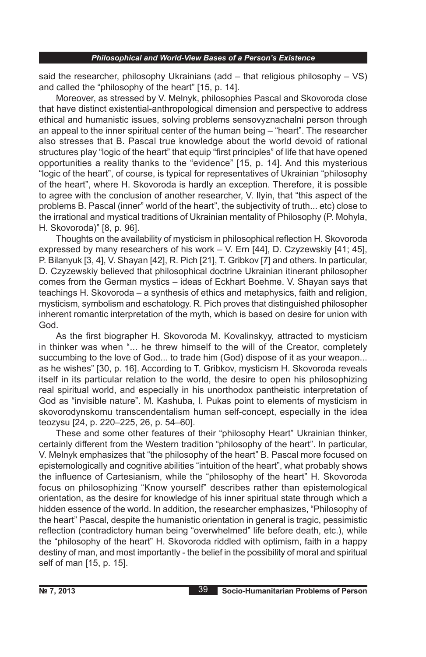said the researcher, philosophy Ukrainians (add  $-$  that religious philosophy  $-$  VS) and called the "philosophy of the heart" [15, p. 14].

Moreover, as stressed by V. Melnyk, philosophies Pascal and Skovoroda close that have distinct existential-anthropological dimension and perspective to address ethical and humanistic issues, solving problems sensovyznachalni person through an appeal to the inner spiritual center of the human being – "heart". The researcher also stresses that B. Pascal true knowledge about the world devoid of rational structures play "logic of the heart" that equip "first principles" of life that have opened opportunities a reality thanks to the "evidence" [15, p. 14]. And this mysterious "logic of the heart", of course, is typical for representatives of Ukrainian "philosophy of the heart", where H. Skovoroda is hardly an exception. Therefore, it is possible to agree with the conclusion of another researcher, V. Ilyin, that "this aspect of the problems B. Pascal (inner" world of the heart", the subjectivity of truth... etc) close to the irrational and mystical traditions of Ukrainian mentality of Philosophy (P. Mohyla, H. Skovoroda)" [8, p. 96].

Thoughts on the availability of mysticism in philosophical reflection H. Skovoroda expressed by many researchers of his work  $-$  V. Ern [44], D. Czyzewskiy [41; 45], P. Bilanyuk [3, 4], V. Shayan [42], R. Pich [21], T. Gribkov [7] and others. In particular, D. Czyzewskiy believed that philosophical doctrine Ukrainian itinerant philosopher comes from the German mystics – ideas of Eckhart Boehme. V. Shayan says that teachings H. Skovoroda – a synthesis of ethics and metaphysics, faith and religion, mysticism, symbolism and eschatology. R. Pich proves that distinguished philosopher inherent romantic interpretation of the myth, which is based on desire for union with God.

As the first biographer H. Skovoroda M. Kovalinskyy, attracted to mysticism in thinker was when "... he threw himself to the will of the Creator, completely succumbing to the love of God... to trade him (God) dispose of it as your weapon... as he wishes" [30, p. 16]. According to T. Gribkov, mysticism H. Skovoroda reveals itself in its particular relation to the world, the desire to open his philosophizing real spiritual world, and especially in his unorthodox pantheistic interpretation of God as "invisible nature". M. Kashuba, I. Pukas point to elements of mysticism in skovorodynskomu transcendentalism human self-concept, especially in the idea teozysu [24, p. 220–225, 26, p. 54–60].

These and some other features of their "philosophy Heart" Ukrainian thinker, certainly different from the Western tradition "philosophy of the heart". In particular, V. Melnyk emphasizes that "the philosophy of the heart" B. Pascal more focused on epistemologically and cognitive abilities "intuition of the heart", what probably shows the influence of Cartesianism, while the "philosophy of the heart" H. Skovoroda focus on philosophizing "Know yourself" describes rather than epistemological orientation, as the desire for knowledge of his inner spiritual state through which a hidden essence of the world. In addition, the researcher emphasizes, "Philosophy of the heart" Pascal, despite the humanistic orientation in general is tragic, pessimistic reflection (contradictory human being "overwhelmed" life before death, etc.), while the "philosophy of the heart" H. Skovoroda riddled with optimism, faith in a happy destiny of man, and most importantly - the belief in the possibility of moral and spiritual self of man [15, p. 15].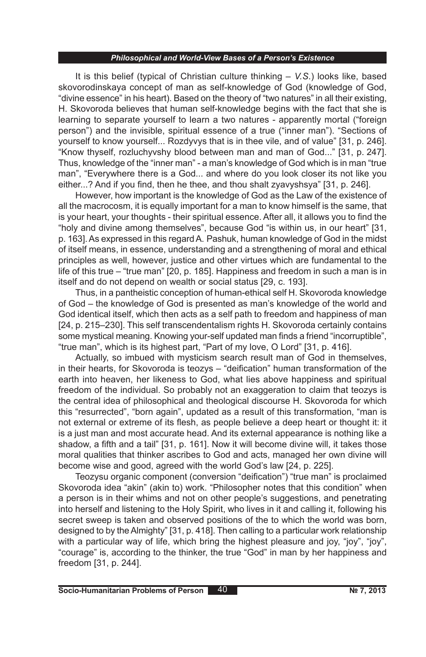It is this belief (typical of Christian culture thinking – *V.S*.) looks like, based skovorodinskaya concept of man as self-knowledge of God (knowledge of God, "divine essence" in his heart). Based on the theory of "two natures" in all their existing, H. Skovoroda believes that human self-knowledge begins with the fact that she is learning to separate yourself to learn a two natures - apparently mortal ("foreign person") and the invisible, spiritual essence of a true ("inner man"). "Sections of yourself to know yourself... Rozdyvys that is in thee vile, and of value" [31, p. 246]. "Know thyself, rozluchyvshy blood between man and man of God..." [31, p. 247]. Thus, knowledge of the "inner man" - a man's knowledge of God which is in man "true man", "Everywhere there is a God... and where do you look closer its not like you either...? And if you find, then he thee, and thou shalt zyavyshsya" [31, p. 246].

However, how important is the knowledge of God as the Law of the existence of all the macrocosm, it is equally important for a man to know himself is the same, that is your heart, your thoughts - their spiritual essence. After all, it allows you to find the "holy and divine among themselves", because God "is within us, in our heart" [31, p. 163]. As expressed in this regard A. Pashuk, human knowledge of God in the midst of itself means, in essence, understanding and a strengthening of moral and ethical principles as well, however, justice and other virtues which are fundamental to the life of this true – "true man" [20, p. 185]. Happiness and freedom in such a man is in itself and do not depend on wealth or social status [29, c. 193].

Thus, in a pantheistic conception of human-ethical self H. Skovoroda knowledge of God – the knowledge of God is presented as man's knowledge of the world and God identical itself, which then acts as a self path to freedom and happiness of man [24, p. 215–230]. This self transcendentalism rights H. Skovoroda certainly contains some mystical meaning. Knowing your-self updated man finds a friend "incorruptible", "true man", which is its highest part, "Part of my love, O Lord" [31, p. 416].

Actually, so imbued with mysticism search result man of God in themselves, in their hearts, for Skovoroda is teozys – "deification" human transformation of the earth into heaven, her likeness to God, what lies above happiness and spiritual freedom of the individual. So probably not an exaggeration to claim that teozys is the central idea of philosophical and theological discourse H. Skovoroda for which this "resurrected", "born again", updated as a result of this transformation, "man is not external or extreme of its flesh, as people believe a deep heart or thought it: it is a just man and most accurate head. And its external appearance is nothing like a shadow, a fifth and a tail" [31, p. 161]. Now it will become divine will, it takes those moral qualities that thinker ascribes to God and acts, managed her own divine will become wise and good, agreed with the world God's law [24, p. 225].

Teozysu organic component (conversion "deification") "true man" is proclaimed Skovoroda idea "akin" (akin to) work. "Philosopher notes that this condition" when a person is in their whims and not on other people's suggestions, and penetrating into herself and listening to the Holy Spirit, who lives in it and calling it, following his secret sweep is taken and observed positions of the to which the world was born, designed to by the Almighty" [31, p. 418]. Then calling to a particular work relationship with a particular way of life, which bring the highest pleasure and joy, "joy", "joy", "courage" is, according to the thinker, the true "God" in man by her happiness and freedom [31, p. 244].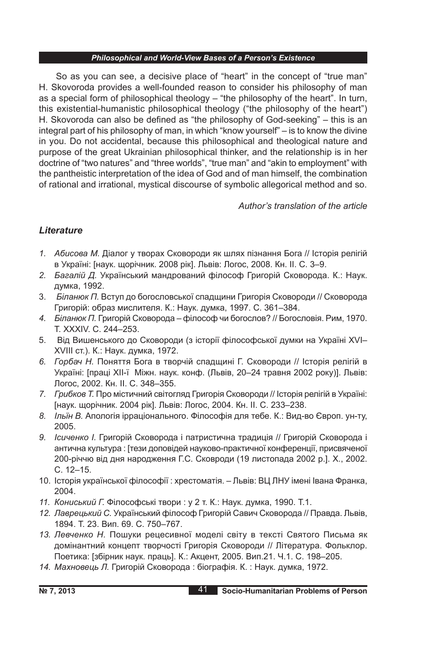So as you can see, a decisive place of "heart" in the concept of "true man" H. Skovoroda provides a well-founded reason to consider his philosophy of man as a special form of philosophical theology – "the philosophy of the heart". In turn, this existential-humanistic philosophical theology ("the philosophy of the heart") H. Skovoroda can also be defined as "the philosophy of God-seeking" – this is an integral part of his philosophy of man, in which "know yourself" – is to know the divine in you. Do not accidental, because this philosophical and theological nature and purpose of the great Ukrainian philosophical thinker, and the relationship is in her doctrine of "two natures" and "three worlds", "true man" and "akin to employment" with the pantheistic interpretation of the idea of God and of man himself, the combination of rational and irrational, mystical discourse of symbolic allegorical method and so.

*Author's translation of the article*

## *Lіterature*

- *1. Абисова М.* Діалог у творах Сковороди як шлях пізнання Бога // Історія релігій в Україні: [наук. щорічник. 2008 рік]. Львів: Логос, 2008. Кн. ІІ. С. 3–9.
- *2. Багалій Д.* Український мандрований філософ Григорій Сковорода. К.: Наук. думка, 1992.
- 3. *Біланюк П.* Вступ до богословської спадщини Григорія Сковороди // Сковорода Григорій: образ мислителя. К.: Наук. думка, 1997. С. 361–384.
- *4. Біланюк П.* Григорій Сковорода філософ чи богослов? // Богословія. Рим, 1970. Т. XXXIV. С. 244–253.
- 5. Від Вишенського до Сковороди (з історії філософської думки на Україні XVI– XVIII ст.). К.: Наук. думка, 1972.
- *6. Горбач Н.* Поняття Бога в творчій спадщині Г. Сковороди // Історія релігій в Україні: [праці ХІІ-ї Міжн. наук. конф. (Львів, 20–24 травня 2002 року)]. Львів: Логос, 2002. Кн. ІІ. С. 348–355.
- *7. Грибков Т.* Про містичний світогляд Григорія Сковороди // Історія релігій в Україні: [наук. щорічник. 2004 рік]. Львів: Логос, 2004. Кн. ІІ. С. 233–238.
- *8. Ільїн В.* Апологія ірраціонального. Філософія для тебе. К.: Вид-во Європ. ун-ту, 2005.
- *9. Ісиченко І.* Григорій Сковорода і патристична традиція // Григорій Сковорода і антична культура : [тези доповідей науково-практичної конференції, присвяченої 200-річчю від дня народження Г.С. Сковроди (19 листопада 2002 р.]. Х., 2002. С. 12–15.
- 10. Історія української філософії : хрестоматія. Львів: ВЦ ЛНУ імені Івана Франка, 2004.
- *11. Кониський Г.* Філософські твори : у 2 т. К.: Наук. думка, 1990. Т.1.
- *12. Лаврецький С.* Український філософ Григорій Савич Сковорода // Правда. Львів, 1894. Т. 23. Вип. 69. С. 750–767.
- *13. Левченко Н.* Пошуки рецесивної моделі світу в тексті Святого Письма як домінантний концепт творчості Григорія Сковороди // Література. Фольклор. Поетика: [збірник наук. праць]. К.: Акцент, 2005. Вип.21. Ч.1. С. 198–205.
- *14. Махновець Л.* Григорій Сковорода : біографія. К. : Наук. думка, 1972.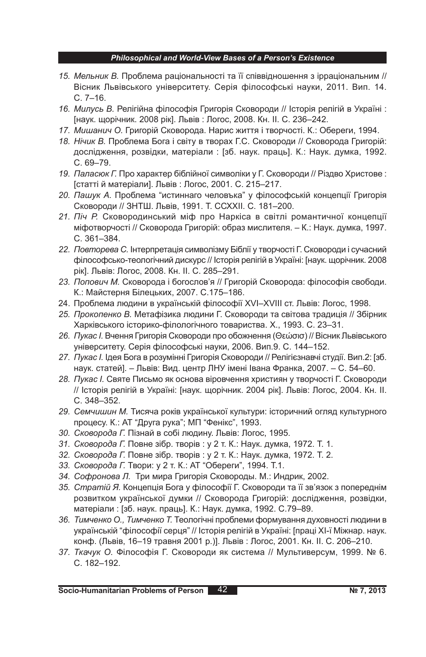- *15. Мельник В.* Проблема раціональності та її співвідношення з ірраціональним // Вісник Львівського університету. Серія філософські науки, 2011. Вип. 14. С. 7–16.
- *16. Милусь В.* Релігійна філософія Григорія Сковороди // Історія релігій в Україні : [наук. щорічник. 2008 рік]. Львів : Логос, 2008. Кн. ІІ. С. 236–242.
- *17. Мишанич О.* Григорій Сковорода. Нарис життя і творчості. К.: Обереги, 1994.
- *18. Нічик В.* Проблема Бога і світу в творах Г.С. Сковороди // Сковорода Григорій: дослідження, розвідки, матеріали : [зб. наук. праць]. К.: Наук. думка, 1992. С. 69–79.
- *19. Паласюк Г.* Про характер біблійної символіки у Г. Сковороди // Різдво Христове : [статті й матеріали]. Львів : Логос, 2001. С. 215–217.
- *20. Пашук А.* Проблема "истиннаго человъка" у філософській концепції Григорія Сковороди // ЗНТШ. Львів, 1991. Т. ССХХІІ. С. 181–200.
- *21. Піч Р.* Сковородинський міф про Наркіса в світлі романтичної концепції міфотворчості // Сковорода Григорій: образ мислителя. – К.: Наук. думка, 1997. С. 361–384.
- *22. Повторева С.* Інтерпретація символізму Біблії у творчості Г. Сковороди і сучасний філософсько-теологічний дискурс // Історія релігій в Україні: [наук. щорічник. 2008 рік]. Львів: Логос, 2008. Кн. ІІ. С. 285–291.
- *23. Попович М.* Сковорода і богослов'я // Григорій Сковорода: філософія свободи. К.: Майстерня Білецьких, 2007. С.175–186.
- 24. Проблема людини в українській філософії XVІ–XVIII ст. Львів: Логос, 1998.
- *25. Прокопенко В.* Метафізика людини Г. Сковороди та світова традиція // Збірник Харківського історико-філологічного товариства. Х., 1993. С. 23–31.
- *26. Пукас І.* Вчення Григорія Сковороди про обожнення (Θεώσισ) // Вісник Львівського університету. Серія філософські науки, 2006. Вип.9. С. 144–152.
- *27. Пукас І.* Ідея Бога в розумінні Григорія Сковороди // Релігієзнавчі студії. Вип.2: [зб. наук. статей]. – Львів: Вид. центр ЛНУ імені Івана Франка, 2007. – С. 54–60.
- *28. Пукас І.* Святе Письмо як основа віровчення християн у творчості Г. Сковороди // Історія релігій в Україні: [наук. щорічник. 2004 рік]. Львів: Логос, 2004. Кн. ІІ. С. 348–352.
- *29. Семчишин М.* Тисяча років української культури: історичний огляд культурного процесу. К.: АТ "Друга рука"; МП "Фенікс", 1993.
- *30. Сковорода Г.* Пізнай в собі людину. Львів: Логос, 1995.
- *31. Сковорода Г.* Повне зібр. творів : у 2 т. К.: Наук. думка, 1972. Т. 1.
- *32. Сковорода Г.* Повне зібр. творів : у 2 т. К.: Наук. думка, 1972. Т. 2.
- *33. Сковорода Г.* Твори: у 2 т. К.: АТ "Обереги", 1994. Т.1.
- *34. Софронова Л.* Три мира Григорія Сковороды. М.: Индрик, 2002.
- *35. Стратій Я.* Концепція Бога у філософії Г. Сковороди та її зв'язок з попереднім розвитком української думки // Сковорода Григорій: дослідження, розвідки, матеріали : [зб. наук. праць]. К.: Наук. думка, 1992. С.79–89.
- *36. Тимченко О., Тимченко Т.* Теологічні проблеми формування духовності людини в українській "філософії серця" // Історія релігій в Україні: [праці ХІ-ї Міжнар. наук. конф. (Львів, 16–19 травня 2001 р.)]. Львів : Логос, 2001. Кн. ІІ. С. 206–210.
- *37. Ткачук О.* Філософія Г. Сковороди як система // Мультиверсум, 1999. № 6. С. 182–192.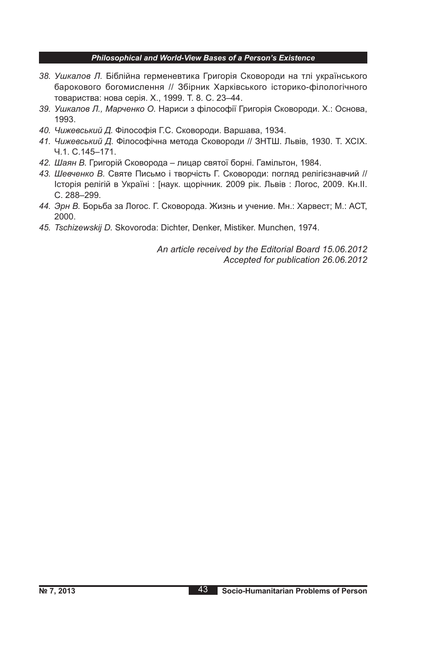- *38. Ушкалов Л.* Біблійна герменевтика Григорія Сковороди на тлі українського барокового богомислення // Збірник Харківського історико-філологічного товариства: нова серія. Х., 1999. Т. 8. С. 23–44.
- *39. Ушкалов Л., Марченко О.* Нариси з філософії Григорія Сковороди. Х.: Основа, 1993.
- *40. Чижевський Д.* Філософія Г.С. Сковороди. Варшава, 1934.
- *41. Чижевський Д.* Філософічна метода Сковороди // ЗНТШ. Львів, 1930. Т. ХСІХ. Ч.1. С.145–171.
- *42. Шаян В.* Григорій Сковорода лицар святої борні. Гамільтон, 1984.
- *43. Шевченко В.* Святе Письмо і творчість Г. Сковороди: погляд релігієзнавчий // Історія релігій в Україні : [наук. щорічник. 2009 рік. Львів : Логос, 2009. Кн.ІІ. С. 288–299.
- *44. Эрн В.* Борьба за Логос. Г. Сковорода. Жизнь и учение. Мн.: Харвест; М.: АСТ, 2000.
- *45. Tschizewskij D.* Skovoroda: Dichter, Denker, Mistiker. Munchen, 1974.

*An article received by the Editorial Board 15.06.2012 Accepted for publication 26.06.2012*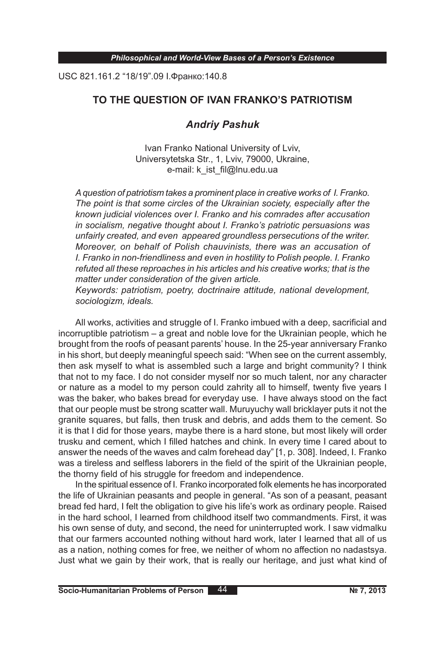USC 821.161.2 "18/19".09 І.Франко:140.8

## **TO THE QUESTION OF IVAN FRANKO'S PATRIOTISM**

# *Andriy Pashuk*

Ivan Franko National University of Lviv, Universytetska Str., 1, Lviv, 79000, Ukraine, e-mail: k\_ist\_fil@lnu.edu.ua

*A question of patriotism takes a prominent place in creative works of I. Franko. The point is that some circles of the Ukrainian society, especially after the known judicial violences over I. Franko and his comrades after accusation in socialism, negative thought about I. Franko's patriotic persuasions was unfairly created, and even appeared groundless persecutions of the writer. Moreover, on behalf of Polish chauvinists, there was an accusation of I. Franko in non-friendliness and even in hostility to Polish people. I. Franko refuted all these reproaches in his articles and his creative works; that is the matter under consideration of the given article.*

*Keywords: patriotism, poetry, doctrinaire attitude, national development, sociologizm, ideals.*

All works, activities and struggle of I. Franko imbued with a deep, sacrificial and incorruptible patriotism – a great and noble love for the Ukrainian people, which he brought from the roofs of peasant parents' house. In the 25-year anniversary Franko in his short, but deeply meaningful speech said: "When see on the current assembly, then ask myself to what is assembled such a large and bright community? I think that not to my face. I do not consider myself nor so much talent, nor any character or nature as a model to my person could zahrity all to himself, twenty five years I was the baker, who bakes bread for everyday use. I have always stood on the fact that our people must be strong scatter wall. Muruyuchy wall bricklayer puts it not the granite squares, but falls, then trusk and debris, and adds them to the cement. So it is that I did for those years, maybe there is a hard stone, but most likely will order trusku and cement, which I filled hatches and chink. In every time I cared about to answer the needs of the waves and calm forehead day" [1, p. 308]. Indeed, I. Franko was a tireless and selfless laborers in the field of the spirit of the Ukrainian people, the thorny field of his struggle for freedom and independence.

In the spiritual essence of I. Franko incorporated folk elements he has incorporated the life of Ukrainian peasants and people in general. "As son of a peasant, peasant bread fed hard, I felt the obligation to give his life's work as ordinary people. Raised in the hard school, I learned from childhood itself two commandments. First, it was his own sense of duty, and second, the need for uninterrupted work. I saw vidmalku that our farmers accounted nothing without hard work, later I learned that all of us as a nation, nothing comes for free, we neither of whom no affection no nadastsya. Just what we gain by their work, that is really our heritage, and just what kind of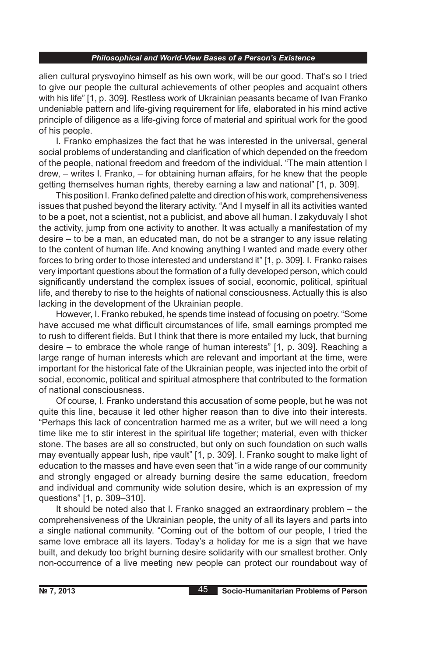alien cultural prysvoyino himself as his own work, will be our good. That's so I tried to give our people the cultural achievements of other peoples and acquaint others with his life" [1, p. 309]. Restless work of Ukrainian peasants became of Ivan Franko undeniable pattern and life-giving requirement for life, elaborated in his mind active principle of diligence as a life-giving force of material and spiritual work for the good of his people.

I. Franko emphasizes the fact that he was interested in the universal, general social problems of understanding and clarification of which depended on the freedom of the people, national freedom and freedom of the individual. "The main attention I drew, – writes I. Franko, – for obtaining human affairs, for he knew that the people getting themselves human rights, thereby earning a law and national" [1, p. 309].

This position I. Franko defined palette and direction of his work, comprehensiveness issues that pushed beyond the literary activity. "And I myself in all its activities wanted to be a poet, not a scientist, not a publicist, and above all human. I zakyduvaly I shot the activity, jump from one activity to another. It was actually a manifestation of my desire – to be a man, an educated man, do not be a stranger to any issue relating to the content of human life. And knowing anything I wanted and made every other forces to bring order to those interested and understand it" [1, p. 309]. I. Franko raises very important questions about the formation of a fully developed person, which could significantly understand the complex issues of social, economic, political, spiritual life, and thereby to rise to the heights of national consciousness. Actually this is also lacking in the development of the Ukrainian people.

However, I. Franko rebuked, he spends time instead of focusing on poetry. "Some have accused me what difficult circumstances of life, small earnings prompted me to rush to different fields. But I think that there is more entailed my luck, that burning desire – to embrace the whole range of human interests" [1, p. 309]. Reaching a large range of human interests which are relevant and important at the time, were important for the historical fate of the Ukrainian people, was injected into the orbit of social, economic, political and spiritual atmosphere that contributed to the formation of national consciousness.

Of course, I. Franko understand this accusation of some people, but he was not quite this line, because it led other higher reason than to dive into their interests. "Perhaps this lack of concentration harmed me as a writer, but we will need a long time like me to stir interest in the spiritual life together; material, even with thicker stone. The bases are all so constructed, but only on such foundation on such walls may eventually appear lush, ripe vault" [1, p. 309]. I. Franko sought to make light of education to the masses and have even seen that "in a wide range of our community and strongly engaged or already burning desire the same education, freedom and individual and community wide solution desire, which is an expression of my questions" [1, p. 309–310].

It should be noted also that I. Franko snagged an extraordinary problem – the comprehensiveness of the Ukrainian people, the unity of all its layers and parts into a single national community. "Coming out of the bottom of our people, I tried the same love embrace all its layers. Today's a holiday for me is a sign that we have built, and dekudy too bright burning desire solidarity with our smallest brother. Only non-occurrence of a live meeting new people can protect our roundabout way of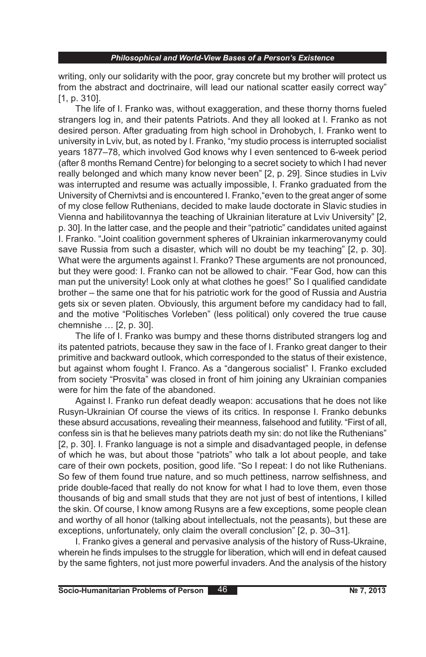writing, only our solidarity with the poor, gray concrete but my brother will protect us from the abstract and doctrinaire, will lead our national scatter easily correct way" [1, p. 310].

The life of I. Franko was, without exaggeration, and these thorny thorns fueled strangers log in, and their patents Patriots. And they all looked at I. Franko as not desired person. After graduating from high school in Drohobych, I. Franko went to university in Lviv, but, as noted by I. Franko, "my studio process is interrupted socialist years 1877–78, which involved God knows why I even sentenced to 6-week period (after 8 months Remand Centre) for belonging to a secret society to which I had never really belonged and which many know never been" [2, p. 29]. Since studies in Lviv was interrupted and resume was actually impossible, I. Franko graduated from the University of Chernivtsi and is encountered I. Franko,"even to the great anger of some of my close fellow Ruthenians, decided to make laude doctorate in Slavic studies in Vienna and habilitovannya the teaching of Ukrainian literature at Lviv University" [2, p. 30]. In the latter case, and the people and their "patriotic" candidates united against I. Franko. "Joint coalition government spheres of Ukrainian inkarmerovanymy could save Russia from such a disaster, which will no doubt be my teaching" [2, p. 30]. What were the arguments against I. Franko? These arguments are not pronounced, but they were good: I. Franko can not be allowed to chair. "Fear God, how can this man put the university! Look only at what clothes he goes!" So I qualified candidate brother – the same one that for his patriotic work for the good of Russia and Austria gets six or seven platen. Obviously, this argument before my candidacy had to fall, and the motive "Politisches Vorleben" (less political) only covered the true cause chemnishe … [2, p. 30].

The life of I. Franko was bumpy and these thorns distributed strangers log and its patented patriots, because they saw in the face of I. Franko great danger to their primitive and backward outlook, which corresponded to the status of their existence, but against whom fought I. Franco. As a "dangerous socialist" I. Franko excluded from society "Prosvita" was closed in front of him joining any Ukrainian companies were for him the fate of the abandoned.

Against I. Franko run defeat deadly weapon: accusations that he does not like Rusyn-Ukrainian Of course the views of its critics. In response I. Franko debunks these absurd accusations, revealing their meanness, falsehood and futility. "First of all, confess sin is that he believes many patriots death my sin: do not like the Ruthenians" [2, p. 30]. I. Franko language is not a simple and disadvantaged people, in defense of which he was, but about those "patriots" who talk a lot about people, and take care of their own pockets, position, good life. "So I repeat: I do not like Ruthenians. So few of them found true nature, and so much pettiness, narrow selfishness, and pride double-faced that really do not know for what I had to love them, even those thousands of big and small studs that they are not just of best of intentions, I killed the skin. Of course, I know among Rusyns are a few exceptions, some people clean and worthy of all honor (talking about intellectuals, not the peasants), but these are exceptions, unfortunately, only claim the overall conclusion" [2, p. 30–31].

I. Franko gives a general and pervasive analysis of the history of Russ-Ukraine, wherein he finds impulses to the struggle for liberation, which will end in defeat caused by the same fighters, not just more powerful invaders. And the analysis of the history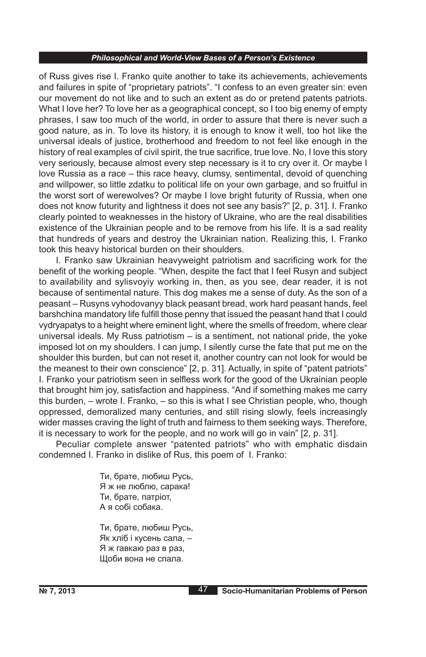of Russ gives rise I. Franko quite another to take its achievements, achievements and failures in spite of "proprietary patriots". "I confess to an even greater sin: even our movement do not like and to such an extent as do or pretend patents patriots. What I love her? To love her as a geographical concept, so I too big enemy of empty phrases, I saw too much of the world, in order to assure that there is never such a good nature, as in. To love its history, it is enough to know it well, too hot like the universal ideals of justice, brotherhood and freedom to not feel like enough in the history of real examples of civil spirit, the true sacrifice, true love. No, I love this story very seriously, because almost every step necessary is it to cry over it. Or maybe I love Russia as a race – this race heavy, clumsy, sentimental, devoid of quenching and willpower, so little zdatku to political life on your own garbage, and so fruitful in the worst sort of werewolves? Or maybe I love bright futurity of Russia, when one does not know futurity and lightness it does not see any basis?" [2, p. 31]. I. Franko clearly pointed to weaknesses in the history of Ukraine, who are the real disabilities existence of the Ukrainian people and to be remove from his life. It is a sad reality that hundreds of years and destroy the Ukrainian nation. Realizing this, I. Franko took this heavy historical burden on their shoulders.

I. Franko saw Ukrainian heavyweight patriotism and sacrificing work for the benefit of the working people. "When, despite the fact that I feel Rusyn and subject to availability and sylisvoyiy working in, then, as you see, dear reader, it is not because of sentimental nature. This dog makes me a sense of duty. As the son of a peasant – Rusyns vyhodovanyy black peasant bread, work hard peasant hands, feel barshchina mandatory life fulfill those penny that issued the peasant hand that I could vydryapatys to a height where eminent light, where the smells of freedom, where clear universal ideals. My Russ patriotism – is a sentiment, not national pride, the yoke imposed lot on my shoulders. I can jump, I silently curse the fate that put me on the shoulder this burden, but can not reset it, another country can not look for would be the meanest to their own conscience" [2, p. 31]. Actually, in spite of "patent patriots" I. Franko your patriotism seen in selfless work for the good of the Ukrainian people that brought him joy, satisfaction and happiness. "And if something makes me carry this burden, – wrote I. Franko, – so this is what I see Christian people, who, though oppressed, demoralized many centuries, and still rising slowly, feels increasingly wider masses craving the light of truth and fairness to them seeking ways. Therefore, it is necessary to work for the people, and no work will go in vain" [2, p. 31].

Peculiar complete answer "patented patriots" who with emphatic disdain condemned I. Franko in dislike of Rus, this poem of I. Franko:

> Ти, брате, любиш Русь, Я ж не люблю, сарака! Ти, брате, патріот, А я собі собака.

> Ти, брате, любиш Русь, Як хліб і кусень сала, – Я ж гавкаю раз в раз, Щоби вона не спала.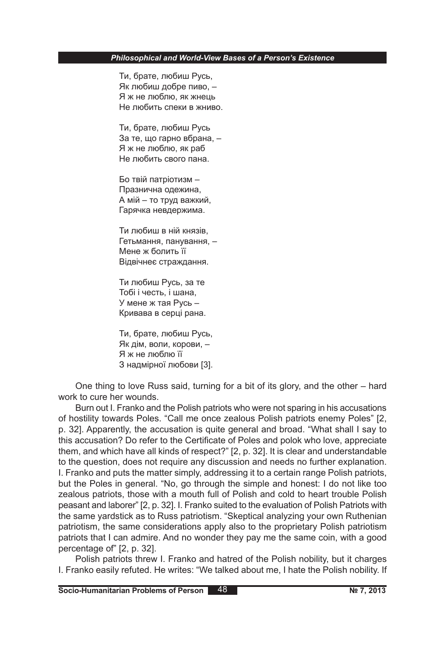Ти, брате, любиш Русь, Як любиш добре пиво, – Я ж не люблю, як жнець Не любить спеки в жниво.

Ти, брате, любиш Русь За те, що гарно вбрана, – Я ж не люблю, як раб Не любить свого пана.

Бо твій патріотизм – Празнична одежина, А мій – то труд важкий, Гарячка невдержима.

Ти любиш в ній князів, Гетьмання, панування, – Мене ж болить її Відвічнеє страждання.

Ти любиш Русь, за те Тобі і честь, і шана, У мене ж тая Русь – Кривава в серці рана.

Ти, брате, любиш Русь, Як дім, воли, корови, – Я ж не люблю її З надмірної любови [3].

One thing to love Russ said, turning for a bit of its glory, and the other – hard work to cure her wounds.

Burn out I. Franko and the Polish patriots who were not sparing in his accusations of hostility towards Poles. "Call me once zealous Polish patriots enemy Poles" [2, p. 32]. Apparently, the accusation is quite general and broad. "What shall I say to this accusation? Do refer to the Certificate of Poles and polok who love, appreciate them, and which have all kinds of respect?" [2, p. 32]. It is clear and understandable to the question, does not require any discussion and needs no further explanation. I. Franko and puts the matter simply, addressing it to a certain range Polish patriots, but the Poles in general. "No, go through the simple and honest: I do not like too zealous patriots, those with a mouth full of Polish and cold to heart trouble Polish peasant and laborer" [2, p. 32]. I. Franko suited to the evaluation of Polish Patriots with the same yardstick as to Russ patriotism. "Skeptical analyzing your own Ruthenian patriotism, the same considerations apply also to the proprietary Polish patriotism patriots that I can admire. And no wonder they pay me the same coin, with a good percentage of" [2, p. 32].

Polish patriots threw I. Franko and hatred of the Polish nobility, but it charges I. Franko easily refuted. He writes: "We talked about me, I hate the Polish nobility. If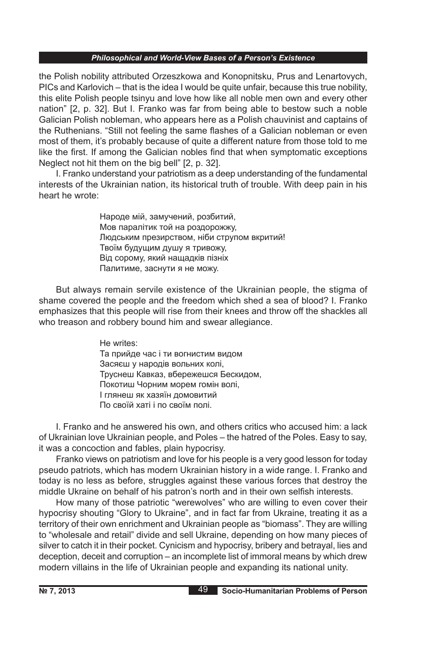the Polish nobility attributed Orzeszkowa and Konopnitsku, Prus and Lenartovych, PICs and Karlovich – that is the idea I would be quite unfair, because this true nobility, this elite Polish people tsinyu and love how like all noble men own and every other nation" [2, p. 32]. But I. Franko was far from being able to bestow such a noble Galician Polish nobleman, who appears here as a Polish chauvinist and captains of the Ruthenians. "Still not feeling the same flashes of a Galician nobleman or even most of them, it's probably because of quite a different nature from those told to me like the first. If among the Galician nobles find that when symptomatic exceptions Neglect not hit them on the big bell" [2, p. 32].

I. Franko understand your patriotism as a deep understanding of the fundamental interests of the Ukrainian nation, its historical truth of trouble. With deep pain in his heart he wrote:

> Народе мій, замучений, розбитий, Мов паралітик той на роздорожжу, Людським презирством, ніби струпом вкритий! Твоїм будущим душу я тривожу, Від сорому, який нащадків пізніх Палитиме, заснути я не можу.

But always remain servile existence of the Ukrainian people, the stigma of shame covered the people and the freedom which shed a sea of blood? I. Franko emphasizes that this people will rise from their knees and throw off the shackles all who treason and robbery bound him and swear allegiance.

> He writes: Та прийде час і ти вогнистим видом Засяєш у народів вольних колі, Труснеш Кавказ, вбережешся Бескидом, Покотиш Чорним морем гомін волі, І глянеш як хазяїн домовитий По своїй хаті і по своїм полі.

I. Franko and he answered his own, and others critics who accused him: a lack of Ukrainian love Ukrainian people, and Poles – the hatred of the Poles. Easy to say, it was a concoction and fables, plain hypocrisy.

Franko views on patriotism and love for his people is a very good lesson for today pseudo patriots, which has modern Ukrainian history in a wide range. I. Franko and today is no less as before, struggles against these various forces that destroy the middle Ukraine on behalf of his patron's north and in their own selfish interests.

How many of those patriotic "werewolves" who are willing to even cover their hypocrisy shouting "Glory to Ukraine", and in fact far from Ukraine, treating it as a territory of their own enrichment and Ukrainian people as "biomass". They are willing to "wholesale and retail" divide and sell Ukraine, depending on how many pieces of silver to catch it in their pocket. Cynicism and hypocrisy, bribery and betrayal, lies and deception, deceit and corruption – an incomplete list of immoral means by which drew modern villains in the life of Ukrainian people and expanding its national unity.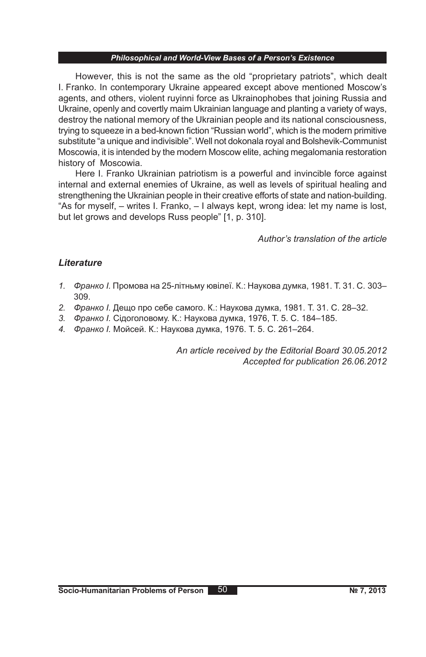However, this is not the same as the old "proprietary patriots", which dealt I. Franko. In contemporary Ukraine appeared except above mentioned Moscow's agents, and others, violent ruyinni force as Ukrainophobes that joining Russia and Ukraine, openly and covertly maim Ukrainian language and planting a variety of ways, destroy the national memory of the Ukrainian people and its national consciousness, trying to squeeze in a bed-known fiction "Russian world", which is the modern primitive substitute "a unique and indivisible". Well not dokonala royal and Bolshevik-Communist Moscowia, it is intended by the modern Moscow elite, aching megalomania restoration history of Moscowia.

Here I. Franko Ukrainian patriotism is a powerful and invincible force against internal and external enemies of Ukraine, as well as levels of spiritual healing and strengthening the Ukrainian people in their creative efforts of state and nation-building. "As for myself, – writes I. Franko, – I always kept, wrong idea: let my name is lost, but let grows and develops Russ people" [1, p. 310].

*Author's translation of the article*

### *Lіterature*

- *1. Франко І.* Промова на 25-літньму ювілеї. К.: Наукова думка, 1981. Т. 31. С. 303– 309.
- *2. Франко І.* Дещо про себе самого. К.: Наукова думка, 1981. Т. 31. С. 28–32.
- *3. Франко І.* Сідоголовому. К.: Наукова думка, 1976, Т. 5. С. 184–185.
- *4. Франко І.* Мойсей. К.: Наукова думка, 1976. Т. 5. С. 261–264.

*An article received by the Editorial Board 30.05.2012 Accepted for publication 26.06.2012*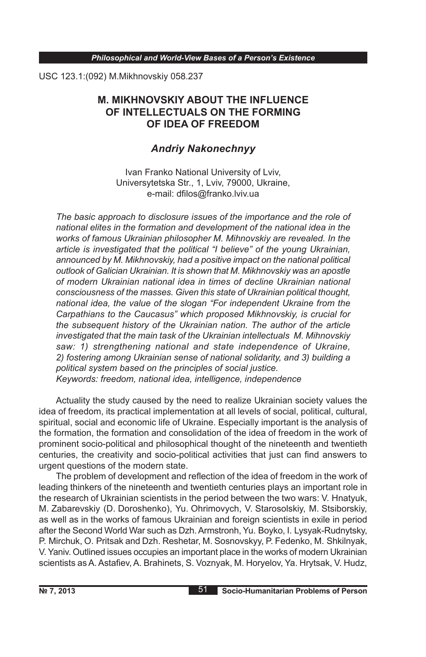USC 123.1:(092) М.Міkhnovskiy 058.237

# **M. MIKHNOVSKIY ABOUT THE INFLUENCE OF INTELLECTUALS ON THE FORMING OF IDEA OF FREEDOM**

# *Andriy Nakonechnyy*

Ivan Franko National University of Lviv, Universytetska Str., 1, Lviv, 79000, Ukraine, e-mail: dfilos@franko.lviv.ua

*The basic approach to disclosure issues of the importance and the role of national elites in the formation and development of the national idea in the works of famous Ukrainian philosopher M. Mihnovskiy are revealed. In the article is investigated that the political "I believe" of the young Ukrainian, announced by M. Mikhnovskiy, had a positive impact on the national political outlook of Galician Ukrainian. It is shown that M. Mikhnovskiy was an apostle of modern Ukrainian national idea in times of decline Ukrainian national consciousness of the masses. Given this state of Ukrainian political thought, national idea, the value of the slogan "For independent Ukraine from the Carpathians to the Caucasus" which proposed Mikhnovskiy, is crucial for the subsequent history of the Ukrainian nation. The author of the article investigated that the main task of the Ukrainian intellectuals M. Mihnovskiy saw: 1) strengthening national and state independence of Ukraine, 2) fostering among Ukrainian sense of national solidarity, and 3) building a political system based on the principles of social justice. Keywords: freedom, national idea, intelligence, independence*

Actuality the study caused by the need to realize Ukrainian society values the idea of freedom, its practical implementation at all levels of social, political, cultural, spiritual, social and economic life of Ukraine. Especially important is the analysis of the formation, the formation and consolidation of the idea of freedom in the work of prominent socio-political and philosophical thought of the nineteenth and twentieth centuries, the creativity and socio-political activities that just can find answers to urgent questions of the modern state.

The problem of development and reflection of the idea of freedom in the work of leading thinkers of the nineteenth and twentieth centuries plays an important role in the research of Ukrainian scientists in the period between the two wars: V. Hnatyuk, M. Zabarevskiy (D. Doroshenko), Yu. Ohrimovych, V. Starosolskiy, M. Stsiborskiy, as well as in the works of famous Ukrainian and foreign scientists in exile in period after the Second World War such as Dzh. Armstronh, Yu. Boyko, I. Lysyak-Rudnytsky, P. Mirchuk, O. Pritsak and Dzh. Reshetar, M. Sosnovskyy, P. Fedenko, M. Shkilnyak, V. Yaniv. Outlined issues occupies an important place in the works of modern Ukrainian scientists as A. Astafiev, A. Brahinets, S. Voznyak, M. Horyelov, Ya. Hrytsak, V. Hudz,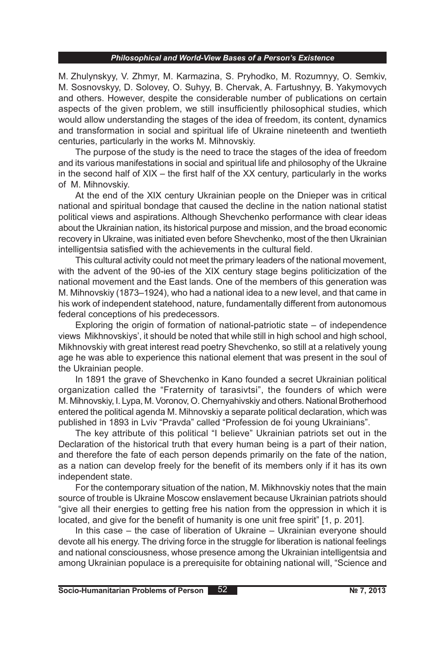M. Zhulynskyy, V. Zhmyr, M. Karmazina, S. Pryhodko, M. Rozumnyy, O. Semkiv, M. Sosnovskyy, D. Solovey, O. Suhyy, B. Chervak , A. Fartushnyy, B. Yakymovych and others. However, despite the considerable number of publications on certain aspects of the given problem, we still insufficiently philosophical studies, which would allow understanding the stages of the idea of freedom, its content, dynamics and transformation in social and spiritual life of Ukraine nineteenth and twentieth centuries, particularly in the works M. Mihnovskiy.

The purpose of the study is the need to trace the stages of the idea of freedom and its various manifestations in social and spiritual life and philosophy of the Ukraine in the second half of  $XIX -$  the first half of the  $XX$  century, particularly in the works of M. Mihnovskiy.

At the end of the XIX century Ukrainian people on the Dnieper was in critical national and spiritual bondage that caused the decline in the nation national statist political views and aspirations. Although Shevchenko performance with clear ideas about the Ukrainian nation, its historical purpose and mission, and the broad economic recovery in Ukraine, was initiated even before Shevchenko, most of the then Ukrainian intelligentsia satisfied with the achievements in the cultural field.

This cultural activity could not meet the primary leaders of the national movement, with the advent of the 90-ies of the XIX century stage begins politicization of the national movement and the East lands. One of the members of this generation was M. Mihnovskiy (1873–1924), who had a national idea to a new level, and that came in his work of independent statehood, nature, fundamentally different from autonomous federal conceptions of his predecessors.

Exploring the origin of formation of national-patriotic state – of independence views Mikhnovskiys', it should be noted that while still in high school and high school, Mikhnovskiy with great interest read poetry Shevchenko, so still at a relatively young age he was able to experience this national element that was present in the soul of the Ukrainian people.

In 1891 the grave of Shevchenko in Kano founded a secret Ukrainian political organization called the "Fraternity of tarasivtsi", the founders of which were M. Mihnovskiy, I. Lypa, M. Voronov, O. Chernyahivskiy and others. National Brotherhood entered the political agenda M. Mihnovskiy a separate political declaration, which was published in 1893 in Lviv "Pravda" called "Profession de foi young Ukrainians".

The key attribute of this political "I believe" Ukrainian patriots set out in the Declaration of the historical truth that every human being is a part of their nation, and therefore the fate of each person depends primarily on the fate of the nation, as a nation can develop freely for the benefit of its members only if it has its own independent state.

For the contemporary situation of the nation, M. Mikhnovskiy notes that the main source of trouble is Ukraine Moscow enslavement because Ukrainian patriots should "give all their energies to getting free his nation from the oppression in which it is located, and give for the benefit of humanity is one unit free spirit" [1, p. 201].

In this case – the case of liberation of Ukraine – Ukrainian everyone should devote all his energy. The driving force in the struggle for liberation is national feelings and national consciousness, whose presence among the Ukrainian intelligentsia and among Ukrainian populace is a prerequisite for obtaining national will, "Science and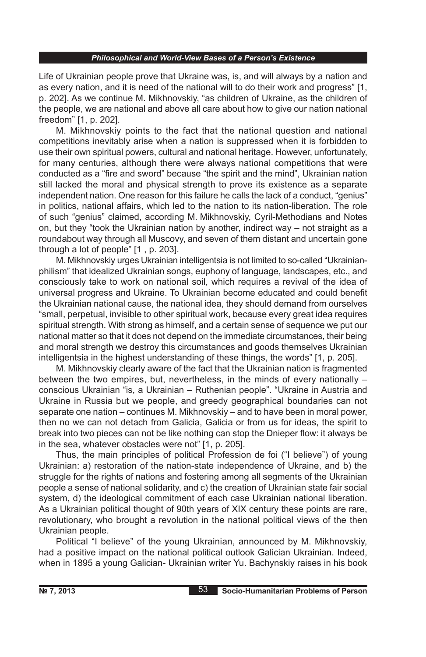Life of Ukrainian people prove that Ukraine was, is, and will always by a nation and as every nation, and it is need of the national will to do their work and progress" [1, p. 202]. As we continue M. Mikhnovskiy, "as children of Ukraine, as the children of the people, we are national and above all care about how to give our nation national freedom" [1, p. 202].

M. Mikhnovskiy points to the fact that the national question and national competitions inevitably arise when a nation is suppressed when it is forbidden to use their own spiritual powers, cultural and national heritage. However, unfortunately, for many centuries, although there were always national competitions that were conducted as a "fire and sword" because "the spirit and the mind", Ukrainian nation still lacked the moral and physical strength to prove its existence as a separate independent nation. One reason for this failure he calls the lack of a conduct, "genius" in politics, national affairs, which led to the nation to its nation-liberation. The role of such "genius" claimed, according M. Mikhnovskiy, Cyril-Methodians and Notes on, but they "took the Ukrainian nation by another, indirect way – not straight as a roundabout way through all Muscovy, and seven of them distant and uncertain gone through a lot of people" [1 , p. 203].

M. Mikhnovskiy urges Ukrainian intelligentsia is not limited to so-called "Ukrainianphilism" that idealized Ukrainian songs, euphony of language, landscapes, etc., and consciously take to work on national soil, which requires a revival of the idea of universal progress and Ukraine. To Ukrainian become educated and could benefit the Ukrainian national cause, the national idea, they should demand from ourselves "small, perpetual, invisible to other spiritual work, because every great idea requires spiritual strength. With strong as himself, and a certain sense of sequence we put our national matter so that it does not depend on the immediate circumstances, their being and moral strength we destroy this circumstances and goods themselves Ukrainian intelligentsia in the highest understanding of these things, the words" [1, p. 205].

M. Mikhnovskiy clearly aware of the fact that the Ukrainian nation is fragmented between the two empires, but, nevertheless, in the minds of every nationally – conscious Ukrainian "is, a Ukrainian – Ruthenian people". "Ukraine in Austria and Ukraine in Russia but we people, and greedy geographical boundaries can not separate one nation – continues M. Mikhnovskiy – and to have been in moral power, then no we can not detach from Galicia, Galicia or from us for ideas, the spirit to break into two pieces can not be like nothing can stop the Dnieper flow: it always be in the sea, whatever obstacles were not" [1, p. 205].

Thus, the main principles of political Profession de foi ("I believe") of young Ukrainian: a) restoration of the nation-state independence of Ukraine, and b) the struggle for the rights of nations and fostering among all segments of the Ukrainian people a sense of national solidarity, and c) the creation of Ukrainian state fair social system, d) the ideological commitment of each case Ukrainian national liberation. As a Ukrainian political thought of 90th years of XIX century these points are rare, revolutionary, who brought a revolution in the national political views of the then Ukrainian people.

Political "I believe" of the young Ukrainian, announced by M. Mikhnovskiy, had a positive impact on the national political outlook Galician Ukrainian. Indeed, when in 1895 a young Galician- Ukrainian writer Yu. Bachynskiy raises in his book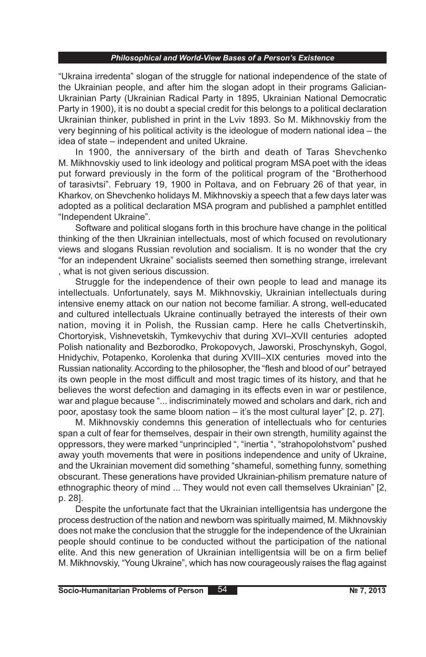"Ukraina irredenta" slogan of the struggle for national independence of the state of the Ukrainian people, and after him the slogan adopt in their programs Galician-Ukrainian Party (Ukrainian Radical Party in 1895, Ukrainian National Democratic Party in 1900), it is no doubt a special credit for this belongs to a political declaration Ukrainian thinker, published in print in the Lviv 1893. So M. Mikhnovskiy from the very beginning of his political activity is the ideologue of modern national idea – the idea of state – independent and united Ukraine.

In 1900, the anniversary of the birth and death of Taras Shevchenko M. Mikhnovskiy used to link ideology and political program MSA poet with the ideas put forward previously in the form of the political program of the "Brotherhood of tarasivtsi". February 19, 1900 in Poltava, and on February 26 of that year, in Kharkov, on Shevchenko holidays M. Mikhnovskiy a speech that a few days later was adopted as a political declaration MSA program and published a pamphlet entitled "Independent Ukraine".

Software and political slogans forth in this brochure have change in the political thinking of the then Ukrainian intellectuals, most of which focused on revolutionary views and slogans Russian revolution and socialism. It is no wonder that the cry "for an independent Ukraine" socialists seemed then something strange, irrelevant , what is not given serious discussion.

Struggle for the independence of their own people to lead and manage its intellectuals. Unfortunately, says M. Mikhnovskiy, Ukrainian intellectuals during intensive enemy attack on our nation not become familiar. A strong, well-educated and cultured intellectuals Ukraine continually betrayed the interests of their own nation, moving it in Polish, the Russian camp. Here he calls Chetvertinskih, Chortoryisk, Vishnevetskih, Tymkevychiv that during XVI–XVII centuries adopted Polish nationality and Bezborodko, Prokopovych, Jaworski, Proschynskyh, Gogol, Hnidychiv, Potapenko, Korolenka that during XVIII–XIX centuries moved into the Russian nationality. According to the philosopher, the "flesh and blood of our" betrayed its own people in the most difficult and most tragic times of its history, and that he believes the worst defection and damaging in its effects even in war or pestilence, war and plague because "... indiscriminately mowed and scholars and dark, rich and poor, apostasy took the same bloom nation – it's the most cultural layer" [2, p. 27].

M. Mikhnovskiy condemns this generation of intellectuals who for centuries span a cult of fear for themselves, despair in their own strength, humility against the oppressors, they were marked "unprincipled ", "inertia ", "strahopolohstvom" pushed away youth movements that were in positions independence and unity of Ukraine, and the Ukrainian movement did something "shameful, something funny, something obscurant. These generations have provided Ukrainian-philism premature nature of ethnographic theory of mind ... They would not even call themselves Ukrainian" [2, p. 28].

Despite the unfortunate fact that the Ukrainian intelligentsia has undergone the process destruction of the nation and newborn was spiritually maimed, M. Mikhnovskiy does not make the conclusion that the struggle for the independence of the Ukrainian people should continue to be conducted without the participation of the national elite. And this new generation of Ukrainian intelligentsia will be on a firm belief M. Mikhnovskiy, "Young Ukraine", which has now courageously raises the flag against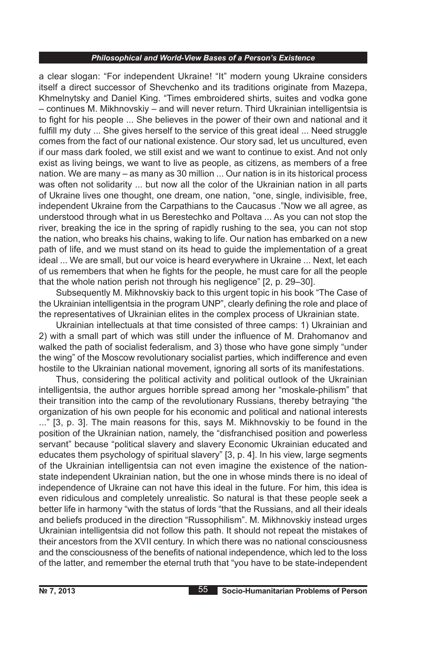a clear slogan: "For independent Ukraine! "It" modern young Ukraine considers itself a direct successor of Shevchenko and its traditions originate from Mazepa, Khmelnytsky and Daniel King. "Times embroidered shirts, suites and vodka gone – continues M. Mikhnovskiy – and will never return. Third Ukrainian intelligentsia is to fight for his people ... She believes in the power of their own and national and it fulfill my duty ... She gives herself to the service of this great ideal ... Need struggle comes from the fact of our national existence. Our story sad, let us uncultured, even if our mass dark fooled, we still exist and we want to continue to exist. And not only exist as living beings, we want to live as people, as citizens, as members of a free nation. We are many – as many as 30 million ... Our nation is in its historical process was often not solidarity ... but now all the color of the Ukrainian nation in all parts of Ukraine lives one thought, one dream, one nation, "one, single, indivisible, free, independent Ukraine from the Carpathians to the Caucasus ."Now we all agree, as understood through what in us Berestechko and Poltava ... As you can not stop the river, breaking the ice in the spring of rapidly rushing to the sea, you can not stop the nation, who breaks his chains, waking to life. Our nation has embarked on a new path of life, and we must stand on its head to guide the implementation of a great ideal ... We are small, but our voice is heard everywhere in Ukraine ... Next, let each of us remembers that when he fights for the people, he must care for all the people that the whole nation perish not through his negligence" [2, p. 29–30].

Subsequently M. Mikhnovskiy back to this urgent topic in his book "The Case of the Ukrainian intelligentsia in the program UNP", clearly defining the role and place of the representatives of Ukrainian elites in the complex process of Ukrainian state.

Ukrainian intellectuals at that time consisted of three camps: 1) Ukrainian and 2) with a small part of which was still under the influence of M. Drahomanov and walked the path of socialist federalism, and 3) those who have gone simply "under the wing" of the Moscow revolutionary socialist parties, which indifference and even hostile to the Ukrainian national movement, ignoring all sorts of its manifestations.

Thus, considering the political activity and political outlook of the Ukrainian intelligentsia, the author argues horrible spread among her "moskale-philism" that their transition into the camp of the revolutionary Russians, thereby betraying "the organization of his own people for his economic and political and national interests ..." [3, p. 3]. The main reasons for this, says M. Mikhnovskiy to be found in the position of the Ukrainian nation, namely, the "disfranchised position and powerless servant" because "political slavery and slavery Economic Ukrainian educated and educates them psychology of spiritual slavery" [3, p. 4]. In his view, large segments of the Ukrainian intelligentsia can not even imagine the existence of the nationstate independent Ukrainian nation, but the one in whose minds there is no ideal of independence of Ukraine can not have this ideal in the future. For him, this idea is even ridiculous and completely unrealistic. So natural is that these people seek a better life in harmony "with the status of lords "that the Russians, and all their ideals and beliefs produced in the direction "Russophilism". M. Mikhnovskiy instead urges Ukrainian intelligentsia did not follow this path. It should not repeat the mistakes of their ancestors from the XVII century. In which there was no national consciousness and the consciousness of the benefits of national independence, which led to the loss of the latter, and remember the eternal truth that "you have to be state-independent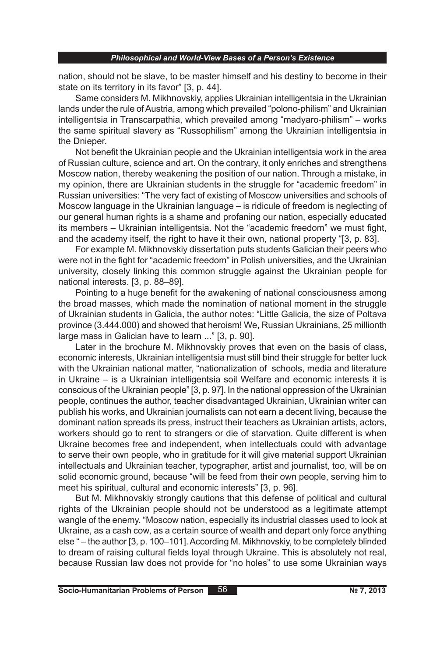nation, should not be slave, to be master himself and his destiny to become in their state on its territory in its favor" [3, p. 44].

Same considers M. Mikhnovskiy, applies Ukrainian intelligentsia in the Ukrainian lands under the rule of Austria, among which prevailed "polono-philism" and Ukrainian intelligentsia in Transcarpathia, which prevailed among "madyaro-philism" – works the same spiritual slavery as "Russophilism" among the Ukrainian intelligentsia in the Dnieper.

Not benefit the Ukrainian people and the Ukrainian intelligentsia work in the area of Russian culture, science and art. On the contrary, it only enriches and strengthens Moscow nation, thereby weakening the position of our nation. Through a mistake, in my opinion, there are Ukrainian students in the struggle for "academic freedom" in Russian universities: "The very fact of existing of Moscow universities and schools of Moscow language in the Ukrainian language – is ridicule of freedom is neglecting of our general human rights is a shame and profaning our nation, especially educated its members – Ukrainian intelligentsia. Not the "academic freedom" we must fight, and the academy itself, the right to have it their own, national property "[3, p. 83].

For example M. Mikhnovskiy dissertation puts students Galician their peers who were not in the fight for "academic freedom" in Polish universities, and the Ukrainian university, closely linking this common struggle against the Ukrainian people for national interests. [3, p. 88–89].

Pointing to a huge benefit for the awakening of national consciousness among the broad masses, which made the nomination of national moment in the struggle of Ukrainian students in Galicia, the author notes: "Little Galicia, the size of Poltava province (3.444.000) and showed that heroism! We, Russian Ukrainians, 25 millionth large mass in Galician have to learn ..." [3, p. 90].

Later in the brochure M. Mikhnovskiy proves that even on the basis of class, economic interests, Ukrainian intelligentsia must still bind their struggle for better luck with the Ukrainian national matter, "nationalization of schools, media and literature in Ukraine – is a Ukrainian intelligentsia soil Welfare and economic interests it is conscious of the Ukrainian people" [3, p. 97]. In the national oppression of the Ukrainian people, continues the author, teacher disadvantaged Ukrainian, Ukrainian writer can publish his works, and Ukrainian journalists can not earn a decent living, because the dominant nation spreads its press, instruct their teachers as Ukrainian artists, actors, workers should go to rent to strangers or die of starvation. Quite different is when Ukraine becomes free and independent, when intellectuals could with advantage to serve their own people, who in gratitude for it will give material support Ukrainian intellectuals and Ukrainian teacher, typographer, artist and journalist, too, will be on solid economic ground, because "will be feed from their own people, serving him to meet his spiritual, cultural and economic interests" [3, p. 96].

But M. Mikhnovskiy strongly cautions that this defense of political and cultural rights of the Ukrainian people should not be understood as a legitimate attempt wangle of the enemy. "Moscow nation, especially its industrial classes used to look at Ukraine, as a cash cow, as a certain source of wealth and depart only force anything else " – the author [3, p. 100–101]. According M. Mikhnovskiy, to be completely blinded to dream of raising cultural fields loyal through Ukraine. This is absolutely not real, because Russian law does not provide for "no holes" to use some Ukrainian ways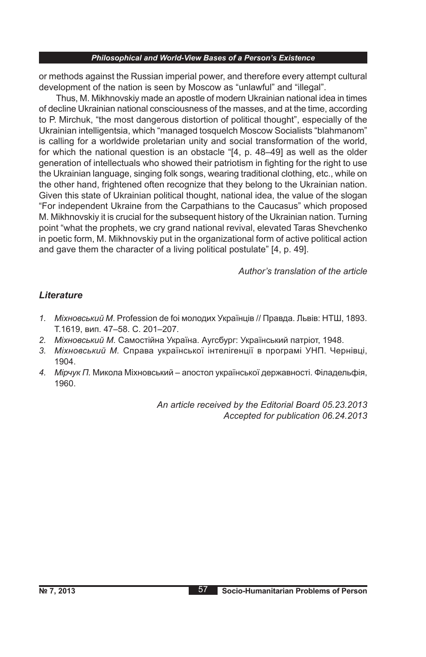or methods against the Russian imperial power, and therefore every attempt cultural development of the nation is seen by Moscow as "unlawful" and "illegal".

Thus, M. Mikhnovskiy made an apostle of modern Ukrainian national idea in times of decline Ukrainian national consciousness of the masses, and at the time, according to P. Mirchuk, "the most dangerous distortion of political thought", especially of the Ukrainian intelligentsia, which "managed tosquelch Moscow Socialists "blahmanom" is calling for a worldwide proletarian unity and social transformation of the world, for which the national question is an obstacle "[4, p. 48–49] as well as the older generation of intellectuals who showed their patriotism in fighting for the right to use the Ukrainian language, singing folk songs, wearing traditional clothing, etc., while on the other hand, frightened often recognize that they belong to the Ukrainian nation. Given this state of Ukrainian political thought, national idea, the value of the slogan "For independent Ukraine from the Carpathians to the Caucasus" which proposed M. Mikhnovskiy it is crucial for the subsequent history of the Ukrainian nation. Turning point "what the prophets, we cry grand national revival, elevated Taras Shevchenko in poetic form, M. Mikhnovskiy put in the organizational form of active political action and gave them the character of a living political postulate" [4, p. 49].

*Author's translation of the article*

### *Literature*

- *1. Міхновський М*. Profession de foi молодих Українців // Правда. Львів: НТШ, 1893. Т.1619, вип. 47–58. С. 201–207.
- *2. Міхновський М.* Самостійна Україна. Аугсбург: Український патріот, 1948.
- *3. Міхновський М.* Справа української інтелігенції в програмі УНП. Чернівці, 1904.
- *4. Мірчук П.* Микола Міхновський апостол української державності. Філадельфія, 1960.

*An article received by the Editorial Board 05.23.2013 Accepted for publication 06.24.2013*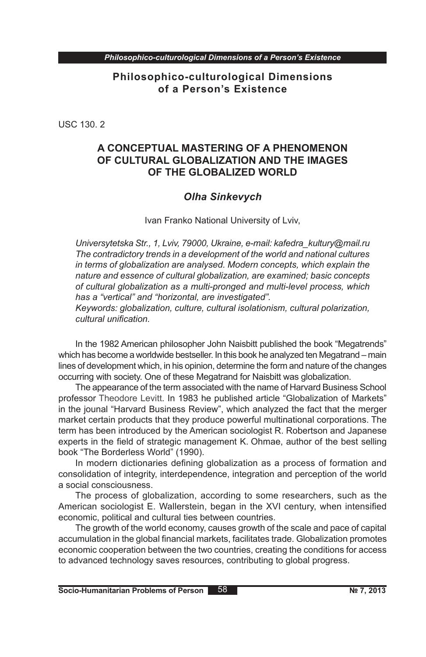**Philosophico-culturological Dimensions of a Person's Existence**

USC 130. 2

# **A CONCEPTUAL MASTERING OF A PHENOMENON OF CULTURAL GLOBALIZATION AND THE IMAGES OF THE GLOBALIZED WORLD**

### *Olha Sinkevych*

Ivan Franko National University of Lviv,

*Universytetska Str., 1, Lviv, 79000, Ukraine, e-mail: kafedra\_kultury@mail.ru The contradictory trends in a development of the world and national cultures in terms of globalization are analysed. Modern concepts, which explain the nature and essence of cultural globalization, are examined; basic concepts of cultural globalization as a multi-pronged and multi-level process, which has a "vertical" and "horizontal, are investigated".*

*Keywords: globalization, culture, cultural isolationism, cultural polarization, cultural unification.*

In the 1982 American philosopher John Naisbitt published the book "Megatrends" which has become a worldwide bestseller. In this book he analyzed ten Megatrand – main lines of development which, in his opinion, determine the form and nature of the changes occurring with society. One of these Megatrand for Naisbitt was globalization.

The appearance of the term associated with the name of Harvard Business School professor Theodore Levitt. In 1983 he published article "Globalization of Markets" in the jounal "Harvard Business Review", which analyzed the fact that the merger market certain products that they produce powerful multinational corporations. The term has been introduced by the American sociologist R. Robertson and Japanese experts in the field of strategic management K. Ohmae, author of the best selling book "The Borderless World" (1990).

In modern dictionaries defining globalization as a process of formation and consolidation of integrity, interdependence, integration and perception of the world a social consciousness.

The process of globalization, according to some researchers, such as the American sociologist E. Wallerstein, began in the XVI century, when intensified economic, political and cultural ties between countries.

The growth of the world economy, causes growth of the scale and pace of capital accumulation in the global financial markets, facilitates trade. Globalization promotes economic cooperation between the two countries, creating the conditions for access to advanced technology saves resources, contributing to global progress.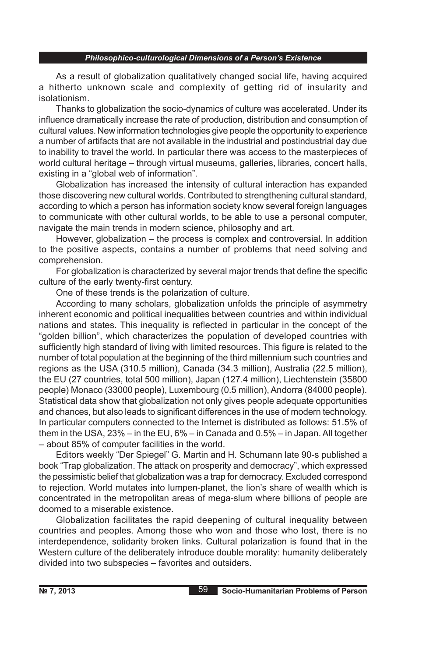As a result of globalization qualitatively changed social life, having acquired a hitherto unknown scale and complexity of getting rid of insularity and isolationism.

Thanks to globalization the socio-dynamics of culture was accelerated. Under its influence dramatically increase the rate of production, distribution and consumption of cultural values. New information technologies give people the opportunity to experience a number of artifacts that are not available in the industrial and postindustrial day due to inability to travel the world. In particular there was access to the masterpieces of world cultural heritage – through virtual museums, galleries, libraries, concert halls, existing in a "global web of information".

Globalization has increased the intensity of cultural interaction has expanded those discovering new cultural worlds. Contributed to strengthening cultural standard, according to which a person has information society know several foreign languages to communicate with other cultural worlds, to be able to use a personal computer, navigate the main trends in modern science, philosophy and art.

However, globalization – the process is complex and controversial. In addition to the positive aspects, contains a number of problems that need solving and comprehension.

For globalization is characterized by several major trends that define the specific culture of the early twenty-first century.

One of these trends is the polarization of culture.

According to many scholars, globalization unfolds the principle of asymmetry inherent economic and political inequalities between countries and within individual nations and states. This inequality is reflected in particular in the concept of the "golden billion", which characterizes the population of developed countries with sufficiently high standard of living with limited resources. This figure is related to the number of total population at the beginning of the third millennium such countries and regions as the USA (310.5 million), Canada (34.3 million), Australia (22.5 million), the EU (27 countries, total 500 million), Japan (127.4 million), Liechtenstein (35800 people) Monaco (33000 people), Luxembourg (0.5 million), Andorra (84000 people). Statistical data show that globalization not only gives people adequate opportunities and chances, but also leads to significant differences in the use of modern technology. In particular computers connected to the Internet is distributed as follows: 51.5% of them in the USA, 23% – in the EU, 6% – in Canada and 0.5% – in Japan. All together – about 85% of computer facilities in the world.

Editors weekly "Der Spiegel" G. Martin and H. Schumann late 90-s published a book "Trap globalization. The attack on prosperity and democracy", which expressed the pessimistic belief that globalization was a trap for democracy. Excluded correspond to rejection. World mutates into lumpen-planet, the lion's share of wealth which is concentrated in the metropolitan areas of mega-slum where billions of people are doomed to a miserable existence.

Globalization facilitates the rapid deepening of cultural inequality between countries and peoples. Among those who won and those who lost, there is no interdependence, solidarity broken links. Cultural polarization is found that in the Western culture of the deliberately introduce double morality: humanity deliberately divided into two subspecies – favorites and outsiders.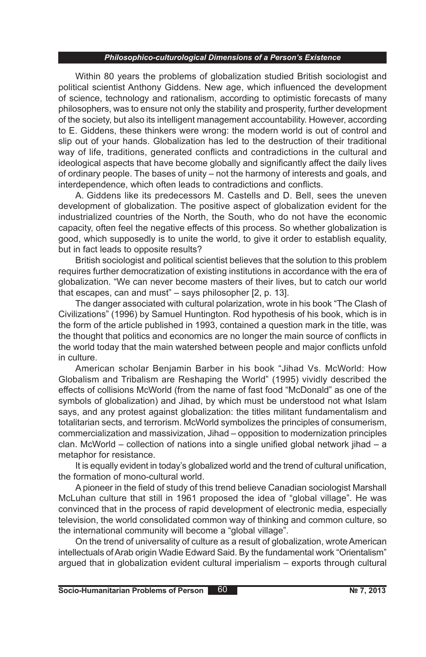Within 80 years the problems of globalization studied British sociologist and political scientist Anthony Giddens. New age, which influenced the development of science, technology and rationalism, according to optimistic forecasts of many philosophers, was to ensure not only the stability and prosperity, further development of the society, but also its intelligent management accountability. However, according to E. Giddens, these thinkers were wrong: the modern world is out of control and slip out of your hands. Globalization has led to the destruction of their traditional way of life, traditions, generated conflicts and contradictions in the cultural and ideological aspects that have become globally and significantly affect the daily lives of ordinary people. The bases of unity – not the harmony of interests and goals, and interdependence, which often leads to contradictions and conflicts.

A. Giddens like its predecessors M. Castells and D. Bell, sees the uneven development of globalization. The positive aspect of globalization evident for the industrialized countries of the North, the South, who do not have the economic capacity, often feel the negative effects of this process. So whether globalization is good, which supposedly is to unite the world, to give it order to establish equality, but in fact leads to opposite results?

British sociologist and political scientist believes that the solution to this problem requires further democratization of existing institutions in accordance with the era of globalization. "We can never become masters of their lives, but to catch our world that escapes, can and must" – says philosopher [2, p. 13].

The danger associated with cultural polarization, wrote in his book "The Clash of Civilizations" (1996) by Samuel Huntington. Rod hypothesis of his book, which is in the form of the article published in 1993, contained a question mark in the title, was the thought that politics and economics are no longer the main source of conflicts in the world today that the main watershed between people and major conflicts unfold in culture.

American scholar Benjamin Barber in his book "Jihad Vs. McWorld: How Globalism and Tribalism are Reshaping the World" (1995) vividly described the effects of collisions McWorld (from the name of fast food "McDonald" as one of the symbols of globalization) and Jihad, by which must be understood not what Islam says, and any protest against globalization: the titles militant fundamentalism and totalitarian sects, and terrorism. McWorld symbolizes the principles of consumerism, commercialization and massivization, Jihad – opposition to modernization principles clan. McWorld – collection of nations into a single unified global network jihad – a metaphor for resistance.

It is equally evident in today's globalized world and the trend of cultural unification, the formation of mono-cultural world.

A pioneer in the field of study of this trend believe Canadian sociologist Marshall McLuhan culture that still in 1961 proposed the idea of "global village". He was convinced that in the process of rapid development of electronic media, especially television, the world consolidated common way of thinking and common culture, so the international community will become a "global village".

On the trend of universality of culture as a result of globalization, wrote American intellectuals of Arab origin Wadie Edward Said. By the fundamental work "Orientalism" argued that in globalization evident cultural imperialism – exports through cultural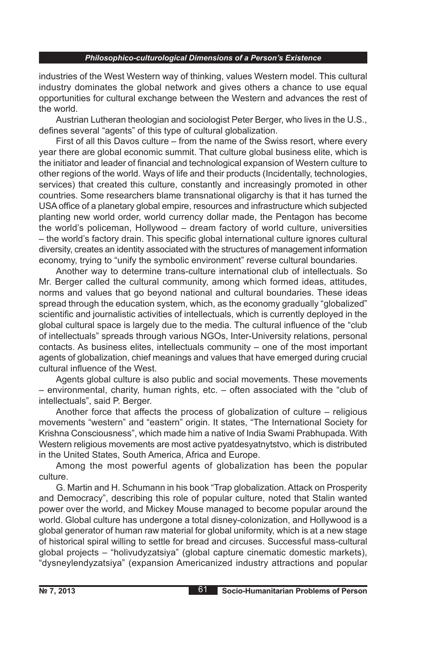industries of the West Western way of thinking, values Western model. This cultural industry dominates the global network and gives others a chance to use equal opportunities for cultural exchange between the Western and advances the rest of the world.

Austrian Lutheran theologian and sociologist Peter Berger, who lives in the U.S., defines several "agents" of this type of cultural globalization.

First of all this Davos culture – from the name of the Swiss resort, where every year there are global economic summit. That culture global business elite, which is the initiator and leader of financial and technological expansion of Western culture to other regions of the world. Ways of life and their products (Incidentally, technologies, services) that created this culture, constantly and increasingly promoted in other countries. Some researchers blame transnational oligarchy is that it has turned the USA office of a planetary global empire, resources and infrastructure which subjected planting new world order, world currency dollar made, the Pentagon has become the world's policeman, Hollywood – dream factory of world culture, universities – the world's factory drain. This specific global international culture ignores cultural diversity, creates an identity associated with the structures of management information economy, trying to "unify the symbolic environment" reverse cultural boundaries.

Another way to determine trans-culture international club of intellectuals. So Mr. Berger called the cultural community, among which formed ideas, attitudes, norms and values that go beyond national and cultural boundaries. These ideas spread through the education system, which, as the economy gradually "globalized" scientific and journalistic activities of intellectuals, which is currently deployed in the global cultural space is largely due to the media. The cultural influence of the "club of intellectuals" spreads through various NGOs, Inter-University relations, personal contacts. As business elites, intellectuals community – one of the most important agents of globalization, chief meanings and values that have emerged during crucial cultural influence of the West.

Agents global culture is also public and social movements. These movements – environmental, charity, human rights, etc. – often associated with the "club of intellectuals", said P. Berger.

Another force that affects the process of globalization of culture – religious movements "western" and "eastern" origin. It states, "The International Society for Krishna Consciousness", which made him a native of India Swami Prabhupada. With Western religious movements are most active pyatdesyatnytstvo, which is distributed in the United States, South America, Africa and Europe.

Among the most powerful agents of globalization has been the popular culture.

G. Martin and H. Schumann in his book "Trap globalization. Attack on Prosperity and Democracy", describing this role of popular culture, noted that Stalin wanted power over the world, and Mickey Mouse managed to become popular around the world. Global culture has undergone a total disney-colonization, and Hollywood is a global generator of human raw material for global uniformity, which is at a new stage of historical spiral willing to settle for bread and circuses. Successful mass-cultural global projects – "holivudyzatsiya" (global capture cinematic domestic markets), "dysneylendyzatsiya" (expansion Americanized industry attractions and popular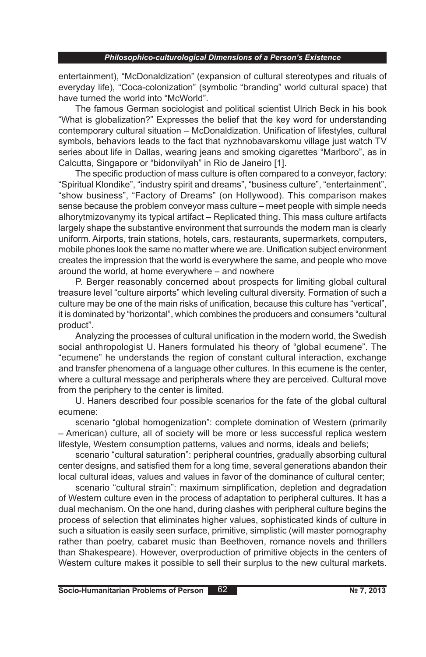entertainment), "McDonaldization" (expansion of cultural stereotypes and rituals of everyday life), "Coca-colonization" (symbolic "branding" world cultural space) that have turned the world into "McWorld".

The famous German sociologist and political scientist Ulrich Beck in his book "What is globalization?" Expresses the belief that the key word for understanding contemporary cultural situation – McDonaldization. Unification of lifestyles, cultural symbols, behaviors leads to the fact that nyzhnobavarskomu village just watch TV series about life in Dallas, wearing jeans and smoking cigarettes "Marlboro", as in Calcutta, Singapore or "bidonvilyah" in Rio de Janeiro [1].

The specific production of mass culture is often compared to a conveyor, factory: "Spiritual Klondike", "industry spirit and dreams", "business culture", "entertainment", "show business", "Factory of Dreams" (on Hollywood). This comparison makes sense because the problem conveyor mass culture – meet people with simple needs alhorytmizovanymy its typical artifact – Replicated thing. This mass culture artifacts largely shape the substantive environment that surrounds the modern man is clearly uniform. Airports, train stations, hotels, cars, restaurants, supermarkets, computers, mobile phones look the same no matter where we are. Unification subject environment creates the impression that the world is everywhere the same, and people who move around the world, at home everywhere – and nowhere

P. Berger reasonably concerned about prospects for limiting global cultural treasure level "culture airports" which leveling cultural diversity. Formation of such a culture may be one of the main risks of unification, because this culture has "vertical", it is dominated by "horizontal", which combines the producers and consumers "cultural product".

Analyzing the processes of cultural unification in the modern world, the Swedish social anthropologist U. Haners formulated his theory of "global ecumene". The "ecumene" he understands the region of constant cultural interaction, exchange and transfer phenomena of a language other cultures. In this ecumene is the center, where a cultural message and peripherals where they are perceived. Cultural move from the periphery to the center is limited.

U. Haners described four possible scenarios for the fate of the global cultural ecumene:

scenario "global homogenization": complete domination of Western (primarily – American) culture, all of society will be more or less successful replica western lifestyle, Western consumption patterns, values and norms, ideals and beliefs;

scenario "cultural saturation": peripheral countries, gradually absorbing cultural center designs, and satisfied them for a long time, several generations abandon their local cultural ideas, values and values in favor of the dominance of cultural center;

scenario "cultural strain": maximum simplification, depletion and degradation of Western culture even in the process of adaptation to peripheral cultures. It has a dual mechanism. On the one hand, during clashes with peripheral culture begins the process of selection that eliminates higher values, sophisticated kinds of culture in such a situation is easily seen surface, primitive, simplistic (will master pornography rather than poetry, cabaret music than Beethoven, romance novels and thrillers than Shakespeare). However, overproduction of primitive objects in the centers of Western culture makes it possible to sell their surplus to the new cultural markets.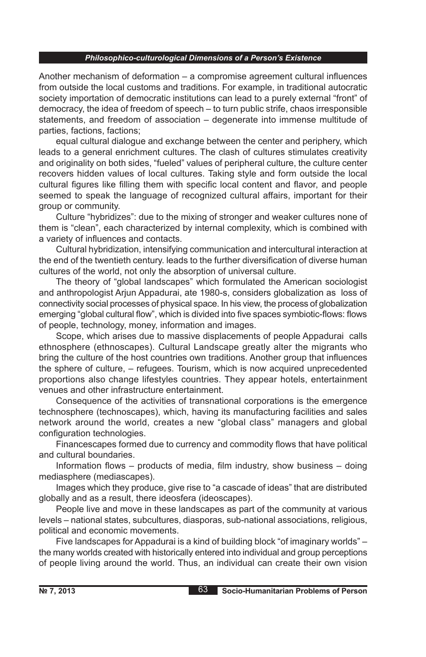Another mechanism of deformation – a compromise agreement cultural influences from outside the local customs and traditions. For example, in traditional autocratic society importation of democratic institutions can lead to a purely external "front" of democracy, the idea of freedom of speech – to turn public strife, chaos irresponsible statements, and freedom of association – degenerate into immense multitude of parties, factions, factions;

equal cultural dialogue and exchange between the center and periphery, which leads to a general enrichment cultures. The clash of cultures stimulates creativity and originality on both sides, "fueled" values of peripheral culture, the culture center recovers hidden values of local cultures. Taking style and form outside the local cultural figures like filling them with specific local content and flavor, and people seemed to speak the language of recognized cultural affairs, important for their group or community.

Culture "hybridizes": due to the mixing of stronger and weaker cultures none of them is "clean", each characterized by internal complexity, which is combined with a variety of influences and contacts.

Cultural hybridization, intensifying communication and intercultural interaction at the end of the twentieth century. leads to the further diversification of diverse human cultures of the world, not only the absorption of universal culture.

The theory of "global landscapes" which formulated the American sociologist and anthropologist Arjun Appadurai, ate 1980-s, considers globalization as loss of connectivity social processes of physical space. In his view, the process of globalization emerging "global cultural flow", which is divided into five spaces symbiotic-flows: flows of people, technology, money, information and images.

Scope, which arises due to massive displacements of people Appadurai calls ethnosphere (ethnoscapes). Cultural Landscape greatly alter the migrants who bring the culture of the host countries own traditions. Another group that influences the sphere of culture, – refugees. Tourism, which is now acquired unprecedented proportions also change lifestyles countries. They appear hotels, entertainment venues and other infrastructure entertainment.

Consequence of the activities of transnational corporations is the emergence technosphere (technoscapes), which, having its manufacturing facilities and sales network around the world, creates a new "global class" managers and global configuration technologies.

Financescapes formed due to currency and commodity flows that have political and cultural boundaries.

Information flows – products of media, film industry, show business – doing mediasphere (mediascapes).

Images which they produce, give rise to "a cascade of ideas" that are distributed globally and as a result, there ideosfera (ideoscapes).

People live and move in these landscapes as part of the community at various levels – national states, subcultures, diasporas, sub-national associations, religious, political and economic movements.

Five landscapes for Appadurai is a kind of building block "of imaginary worlds" – the many worlds created with historically entered into individual and group perceptions of people living around the world. Thus, an individual can create their own vision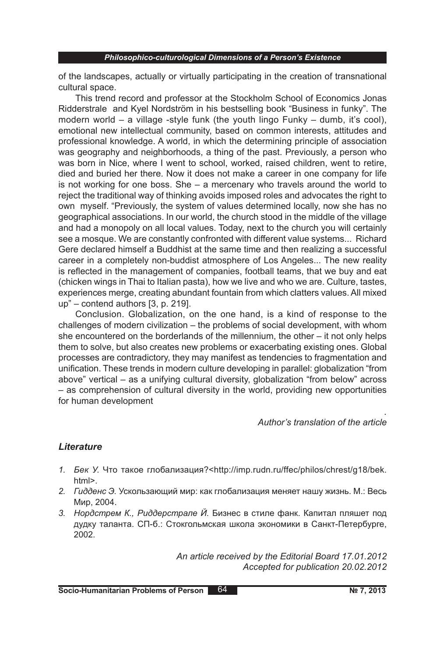of the landscapes, actually or virtually participating in the creation of transnational cultural space.

This trend record and professor at the Stockholm School of Economics Jonas Ridderstrale and Kyel Nordström in his bestselling book "Business in funky". The modern world – a village -style funk (the youth lingo Funky – dumb, it's cool), emotional new intellectual community, based on common interests, attitudes and professional knowledge. A world, in which the determining principle of association was geography and neighborhoods, a thing of the past. Previously, a person who was born in Nice, where I went to school, worked, raised children, went to retire, died and buried her there. Now it does not make a career in one company for life is not working for one boss. She – a mercenary who travels around the world to reject the traditional way of thinking avoids imposed roles and advocates the right to own myself. "Previously, the system of values determined locally, now she has no geographical associations. In our world, the church stood in the middle of the village and had a monopoly on all local values. Today, next to the church you will certainly see a mosque. We are constantly confronted with different value systems... Richard Gere declared himself a Buddhist at the same time and then realizing a successful career in a completely non-buddist atmosphere of Los Angeles... The new reality is reflected in the management of companies, football teams, that we buy and eat (chicken wings in Thai to Italian pasta), how we live and who we are. Culture, tastes, experiences merge, creating abundant fountain from which clatters values. All mixed up" – contend authors [3, p. 219].

Conclusion. Globalization, on the one hand, is a kind of response to the challenges of modern civilization – the problems of social development, with whom she encountered on the borderlands of the millennium, the other – it not only helps them to solve, but also creates new problems or exacerbating existing ones. Global processes are contradictory, they may manifest as tendencies to fragmentation and unification. These trends in modern culture developing in parallel: globalization "from above" vertical – as a unifying cultural diversity, globalization "from below" across – as comprehension of cultural diversity in the world, providing new opportunities for human development

### *Author's translation of the article*

### *Lіterature*

- *1. Бек У.* Что такое глобализация?<http://imp.rudn.ru/ffec/philos/chrest/g18/bek. html>.
- *2. Гидденс Э.* Ускользающий мир: как глобализация меняет нашу жизнь. М.: Весь Мир, 2004.
- *3. Нордстрем К., Риддерстрале Й.* Бизнес в стиле фанк. Капитал пляшет под дудку таланта. СП-б.: Стокгольмская школа экономики в Санкт-Петербурге, 2002.

*An article received by the Editorial Board 17.01.2012 Accepted for publication 20.02.2012*

*.*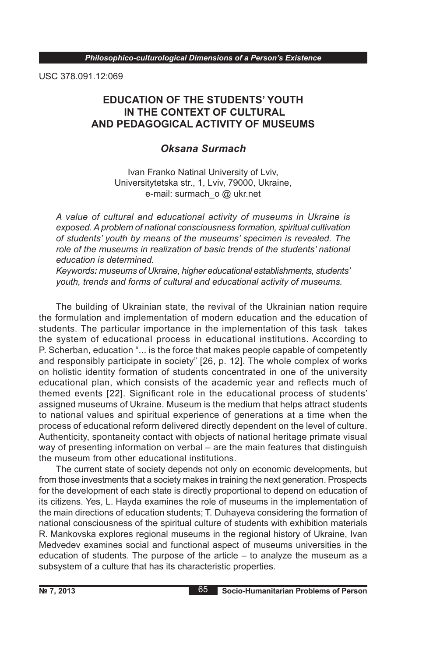USC 378.091.12:069

# **EDUCATION OF THE STUDENTS' YOUTH IN THE CONTEXT OF CULTURAL AND PEDAGOGICAL ACTIVITY OF MUSEUMS**

## *Oksana Surmach*

Ivan Franko Natinal University of Lviv, Universitytetska str., 1, Lviv, 79000, Ukraine, e-mail: surmach o @ ukr.net

*A value of cultural and educational activity of museums in Ukraine is exposed. A problem of national consciousness formation, spiritual cultivation of students' youth by means of the museums' specimen is revealed. The role of the museums in realization of basic trends of the students' national education is determined.*

*Keywords: museums of Ukraine, higher educational establishments, students' youth, trends and forms of cultural and educational activity of museums.*

The building of Ukrainian state, the revival of the Ukrainian nation require the formulation and implementation of modern education and the education of students. The particular importance in the implementation of this task takes the system of educational process in educational institutions. According to P. Scherban, education "... is the force that makes people capable of competently and responsibly participate in society" [26, p. 12]. The whole complex of works on holistic identity formation of students concentrated in one of the university educational plan, which consists of the academic year and reflects much of themed events [22]. Significant role in the educational process of students' assigned museums of Ukraine. Museum is the medium that helps attract students to national values and spiritual experience of generations at a time when the process of educational reform delivered directly dependent on the level of culture. Authenticity, spontaneity contact with objects of national heritage primate visual way of presenting information on verbal – are the main features that distinguish the museum from other educational institutions.

The current state of society depends not only on economic developments, but from those investments that a society makes in training the next generation. Prospects for the development of each state is directly proportional to depend on education of its citizens. Yes, L. Hayda examines the role of museums in the implementation of the main directions of education students; T. Duhayeva considering the formation of national consciousness of the spiritual culture of students with exhibition materials R. Mankovska explores regional museums in the regional history of Ukraine, Ivan Medvedev examines social and functional aspect of museums universities in the education of students. The purpose of the article – to analyze the museum as a subsystem of a culture that has its characteristic properties.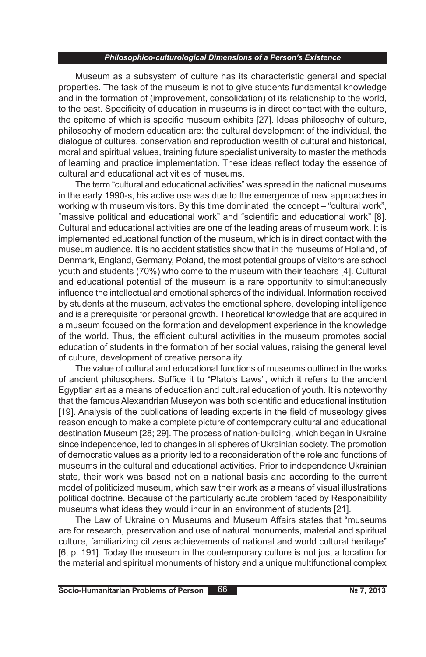Museum as a subsystem of culture has its characteristic general and special properties. The task of the museum is not to give students fundamental knowledge and in the formation of (improvement, consolidation) of its relationship to the world, to the past. Specificity of education in museums is in direct contact with the culture, the epitome of which is specific museum exhibits [27]. Ideas philosophy of culture, philosophy of modern education are: the cultural development of the individual, the dialogue of cultures, conservation and reproduction wealth of cultural and historical, moral and spiritual values , training future specialist university to master the methods of learning and practice implementation. These ideas reflect today the essence of cultural and educational activities of museums.

The term "cultural and educational activities" was spread in the national museums in the early 1990-s, his active use was due to the emergence of new approaches in working with museum visitors. By this time dominated the concept – "cultural work", "massive political and educational work" and "scientific and educational work" [8]. Cultural and educational activities are one of the leading areas of museum work. It is implemented educational function of the museum, which is in direct contact with the museum audience. It is no accident statistics show that in the museums of Holland, of Denmark, England, Germany, Poland, the most potential groups of visitors are school youth and students (70%) who come to the museum with their teachers [4]. Cultural and educational potential of the museum is a rare opportunity to simultaneously influence the intellectual and emotional spheres of the individual. Information received by students at the museum, activates the emotional sphere, developing intelligence and is a prerequisite for personal growth. Theoretical knowledge that are acquired in a museum focused on the formation and development experience in the knowledge of the world. Thus, the efficient cultural activities in the museum promotes social education of students in the formation of her social values, raising the general level of culture, development of creative personality.

The value of cultural and educational functions of museums outlined in the works of ancient philosophers. Suffice it to "Plato's Laws", which it refers to the ancient Egyptian art as a means of education and cultural education of youth. It is noteworthy that the famous Alexandrian Museyon was both scientific and educational institution [19]. Analysis of the publications of leading experts in the field of museology gives reason enough to make a complete picture of contemporary cultural and educational destination Museum [28; 29]. The process of nation-building, which began in Ukraine since independence, led to changes in all spheres of Ukrainian society. The promotion of democratic values as a priority led to a reconsideration of the role and functions of museums in the cultural and educational activities. Prior to independence Ukrainian state, their work was based not on a national basis and according to the current model of politicized museum, which saw their work as a means of visual illustrations political doctrine. Because of the particularly acute problem faced by Responsibility museums what ideas they would incur in an environment of students [21].

The Law of Ukraine on Museums and Museum Affairs states that "museums are for research, preservation and use of natural monuments, material and spiritual culture, familiarizing citizens achievements of national and world cultural heritage" [6, p. 191]. Today the museum in the contemporary culture is not just a location for the material and spiritual monuments of history and a unique multifunctional complex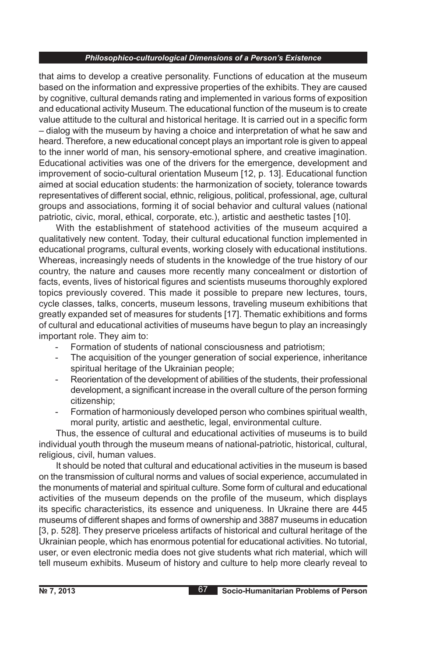that aims to develop a creative personality. Functions of education at the museum based on the information and expressive properties of the exhibits. They are caused by cognitive, cultural demands rating and implemented in various forms of exposition and educational activity Museum. The educational function of the museum is to create value attitude to the cultural and historical heritage. It is carried out in a specific form – dialog with the museum by having a choice and interpretation of what he saw and heard. Therefore, a new educational concept plays an important role is given to appeal to the inner world of man, his sensory-emotional sphere, and creative imagination. Educational activities was one of the drivers for the emergence, development and improvement of socio-cultural orientation Museum [12, p. 13]. Educational function aimed at social education students: the harmonization of society, tolerance towards representatives of different social, ethnic, religious, political, professional, age, cultural groups and associations, forming it of social behavior and cultural values (national patriotic, civic, moral, ethical, corporate, etc.), artistic and aesthetic tastes [10].

With the establishment of statehood activities of the museum acquired a qualitatively new content. Today, their cultural educational function implemented in educational programs, cultural events, working closely with educational institutions. Whereas, increasingly needs of students in the knowledge of the true history of our country, the nature and causes more recently many concealment or distortion of facts, events, lives of historical figures and scientists museums thoroughly explored topics previously covered. This made it possible to prepare new lectures, tours, cycle classes, talks, concerts, museum lessons, traveling museum exhibitions that greatly expanded set of measures for students [17]. Thematic exhibitions and forms of cultural and educational activities of museums have begun to play an increasingly important role. They aim to:

- Formation of students of national consciousness and patriotism;
- The acquisition of the younger generation of social experience, inheritance spiritual heritage of the Ukrainian people;
- Reorientation of the development of abilities of the students, their professional development, a significant increase in the overall culture of the person forming citizenship;
- Formation of harmoniously developed person who combines spiritual wealth, moral purity, artistic and aesthetic, legal, environmental culture.

Thus, the essence of cultural and educational activities of museums is to build individual youth through the museum means of national-patriotic, historical, cultural, religious, civil, human values.

It should be noted that cultural and educational activities in the museum is based on the transmission of cultural norms and values of social experience, accumulated in the monuments of material and spiritual culture. Some form of cultural and educational activities of the museum depends on the profile of the museum, which displays its specific characteristics, its essence and uniqueness. In Ukraine there are 445 museums of different shapes and forms of ownership and 3887 museums in education [3, p. 528]. They preserve priceless artifacts of historical and cultural heritage of the Ukrainian people, which has enormous potential for educational activities. No tutorial, user, or even electronic media does not give students what rich material, which will tell museum exhibits. Museum of history and culture to help more clearly reveal to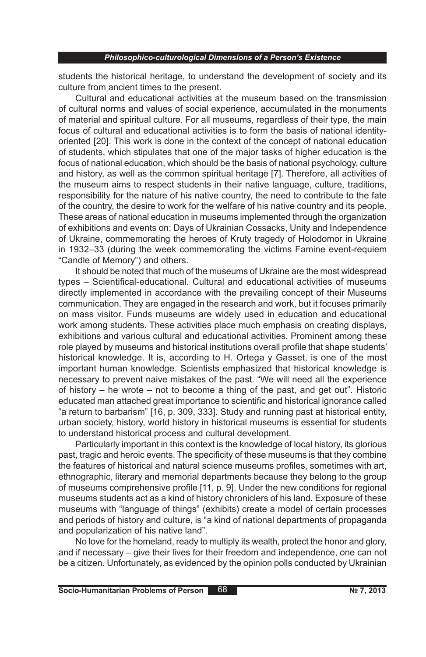students the historical heritage, to understand the development of society and its culture from ancient times to the present.

Cultural and educational activities at the museum based on the transmission of cultural norms and values of social experience, accumulated in the monuments of material and spiritual culture. For all museums, regardless of their type, the main focus of cultural and educational activities is to form the basis of national identityoriented [20]. This work is done in the context of the concept of national education of students, which stipulates that one of the major tasks of higher education is the focus of national education, which should be the basis of national psychology, culture and history, as well as the common spiritual heritage [7]. Therefore, all activities of the museum aims to respect students in their native language, culture, traditions, responsibility for the nature of his native country, the need to contribute to the fate of the country, the desire to work for the welfare of his native country and its people. These areas of national education in museums implemented through the organization of exhibitions and events on: Days of Ukrainian Cossacks, Unity and Independence of Ukraine, commemorating the heroes of Kruty tragedy of Holodomor in Ukraine in 1932–33 (during the week commemorating the victims Famine event-requiem "Candle of Memory") and others.

It should be noted that much of the museums of Ukraine are the most widespread types – Scientifical-educational. Cultural and educational activities of museums directly implemented in accordance with the prevailing concept of their Museums communication. They are engaged in the research and work, but it focuses primarily on mass visitor. Funds museums are widely used in education and educational work among students. These activities place much emphasis on creating displays, exhibitions and various cultural and educational activities. Prominent among these role played by museums and historical institutions overall profile that shape students' historical knowledge. It is, according to H. Ortega y Gasset, is one of the most important human knowledge. Scientists emphasized that historical knowledge is necessary to prevent naive mistakes of the past. "We will need all the experience of history – he wrote – not to become a thing of the past, and get out". Historic educated man attached great importance to scientific and historical ignorance called "a return to barbarism" [16, p. 309, 333]. Study and running past at historical entity, urban society, history, world history in historical museums is essential for students to understand historical process and cultural development.

Particularly important in this context is the knowledge of local history, its glorious past, tragic and heroic events. The specificity of these museums is that they combine the features of historical and natural science museums profiles, sometimes with art, ethnographic, literary and memorial departments because they belong to the group of museums comprehensive profile [11, p. 9]. Under the new conditions for regional museums students act as a kind of history chroniclers of his land. Exposure of these museums with "language of things" (exhibits) create a model of certain processes and periods of history and culture, is "a kind of national departments of propaganda and popularization of his native land".

No love for the homeland, ready to multiply its wealth, protect the honor and glory, and if necessary – give their lives for their freedom and independence, one can not be a citizen. Unfortunately, as evidenced by the opinion polls conducted by Ukrainian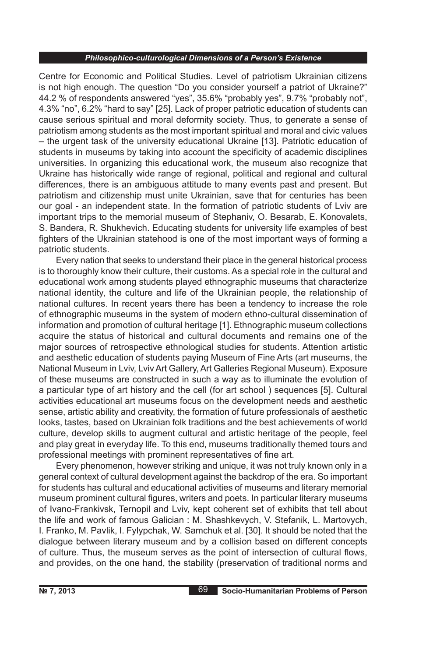Centre for Economic and Political Studies. Level of patriotism Ukrainian citizens is not high enough. The question "Do you consider yourself a patriot of Ukraine?" 44.2 % of respondents answered "yes", 35.6% "probably yes", 9.7% "probably not", 4.3% "no", 6.2% "hard to say" [25]. Lack of proper patriotic education of students can cause serious spiritual and moral deformity society. Thus, to generate a sense of patriotism among students as the most important spiritual and moral and civic values – the urgent task of the university educational Ukraine [13]. Patriotic education of students in museums by taking into account the specificity of academic disciplines universities. In organizing this educational work, the museum also recognize that Ukraine has historically wide range of regional, political and regional and cultural differences, there is an ambiguous attitude to many events past and present. But patriotism and citizenship must unite Ukrainian, save that for centuries has been our goal - an independent state. In the formation of patriotic students of Lviv are important trips to the memorial museum of Stephaniv, O. Besarab, E. Konovalets, S. Bandera, R. Shukhevich. Educating students for university life examples of best fighters of the Ukrainian statehood is one of the most important ways of forming a patriotic students.

Every nation that seeks to understand their place in the general historical process is to thoroughly know their culture, their customs. As a special role in the cultural and educational work among students played ethnographic museums that characterize national identity, the culture and life of the Ukrainian people, the relationship of national cultures. In recent years there has been a tendency to increase the role of ethnographic museums in the system of modern ethno-cultural dissemination of information and promotion of cultural heritage [1]. Ethnographic museum collections acquire the status of historical and cultural documents and remains one of the major sources of retrospective ethnological studies for students. Attention artistic and aesthetic education of students paying Museum of Fine Arts (art museums, the National Museum in Lviv, Lviv Art Gallery, Art Galleries Regional Museum). Exposure of these museums are constructed in such a way as to illuminate the evolution of a particular type of art history and the cell (for art school ) sequences [5]. Cultural activities educational art museums focus on the development needs and aesthetic sense, artistic ability and creativity, the formation of future professionals of aesthetic looks, tastes, based on Ukrainian folk traditions and the best achievements of world culture, develop skills to augment cultural and artistic heritage of the people, feel and play great in everyday life. To this end, museums traditionally themed tours and professional meetings with prominent representatives of fine art.

Every phenomenon, however striking and unique, it was not truly known only in a general context of cultural development against the backdrop of the era. So important for students has cultural and educational activities of museums and literary memorial museum prominent cultural figures, writers and poets. In particular literary museums of Ivano-Frankivsk, Ternopil and Lviv, kept coherent set of exhibits that tell about the life and work of famous Galician : M. Shashkevych, V. Stefanik, L. Martovych, I. Franko, M. Pavlik, I. Fylypchak, W. Samchuk et al. [30]. It should be noted that the dialogue between literary museum and by a collision based on different concepts of culture. Thus, the museum serves as the point of intersection of cultural flows, and provides, on the one hand, the stability (preservation of traditional norms and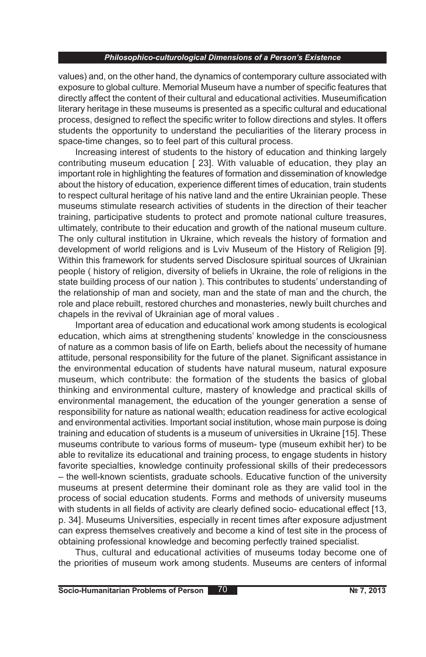values) and, on the other hand, the dynamics of contemporary culture associated with exposure to global culture. Memorial Museum have a number of specific features that directly affect the content of their cultural and educational activities. Museumification literary heritage in these museums is presented as a specific cultural and educational process, designed to reflect the specific writer to follow directions and styles. It offers students the opportunity to understand the peculiarities of the literary process in space-time changes, so to feel part of this cultural process.

Increasing interest of students to the history of education and thinking largely contributing museum education [ 23]. With valuable of education, they play an important role in highlighting the features of formation and dissemination of knowledge about the history of education, experience different times of education, train students to respect cultural heritage of his native land and the entire Ukrainian people. These museums stimulate research activities of students in the direction of their teacher training, participative students to protect and promote national culture treasures, ultimately, contribute to their education and growth of the national museum culture. The only cultural institution in Ukraine, which reveals the history of formation and development of world religions and is Lviv Museum of the History of Religion [9]. Within this framework for students served Disclosure spiritual sources of Ukrainian people ( history of religion, diversity of beliefs in Ukraine, the role of religions in the state building process of our nation ). This contributes to students' understanding of the relationship of man and society, man and the state of man and the church, the role and place rebuilt, restored churches and monasteries, newly built churches and chapels in the revival of Ukrainian age of moral values .

Important area of education and educational work among students is ecological education, which aims at strengthening students' knowledge in the consciousness of nature as a common basis of life on Earth, beliefs about the necessity of humane attitude, personal responsibility for the future of the planet. Significant assistance in the environmental education of students have natural museum, natural exposure museum, which contribute: the formation of the students the basics of global thinking and environmental culture, mastery of knowledge and practical skills of environmental management, the education of the younger generation a sense of responsibility for nature as national wealth; education readiness for active ecological and environmental activities. Important social institution, whose main purpose is doing training and education of students is a museum of universities in Ukraine [15]. These museums contribute to various forms of museum- type (museum exhibit her) to be able to revitalize its educational and training process, to engage students in history favorite specialties, knowledge continuity professional skills of their predecessors – the well-known scientists, graduate schools. Educative function of the university museums at present determine their dominant role as they are valid tool in the process of social education students. Forms and methods of university museums with students in all fields of activity are clearly defined socio- educational effect [13, p. 34]. Museums Universities, especially in recent times after exposure adjustment can express themselves creatively and become a kind of test site in the process of obtaining professional knowledge and becoming perfectly trained specialist.

Thus, cultural and educational activities of museums today become one of the priorities of museum work among students. Museums are centers of informal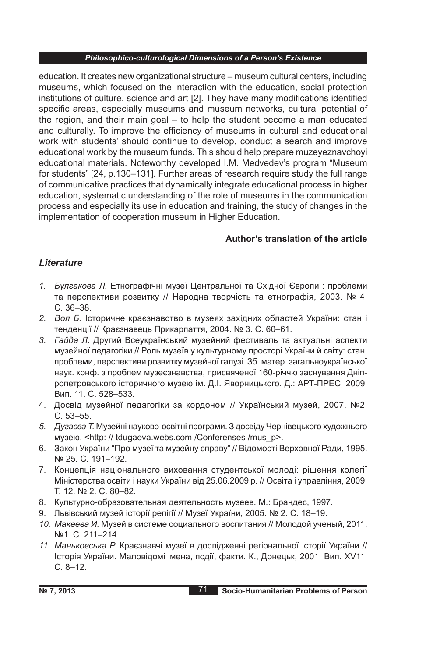education. It creates new organizational structure – museum cultural centers, including museums, which focused on the interaction with the education, social protection institutions of culture, science and art [2]. They have many modifications identified specific areas, especially museums and museum networks, cultural potential of the region, and their main goal – to help the student become a man educated and culturally. To improve the efficiency of museums in cultural and educational work with students' should continue to develop, conduct a search and improve educational work by the museum funds. This should help prepare muzeyeznavchoyi educational materials. Noteworthy developed I.M. Medvedev's program "Museum for students" [24, p.130–131]. Further areas of research require study the full range of communicative practices that dynamically integrate educational process in higher education, systematic understanding of the role of museums in the communication process and especially its use in education and training, the study of changes in the implementation of cooperation museum in Higher Education.

## **Author's translation of the article**

## *Lіterature*

- *1. Булгакова Л.* Етнографічні музеї Центральної та Східної Європи : проблеми та перспективи розвитку // Народна творчість та етнографія, 2003. № 4. С. 36–38.
- *2. Вол Б.* Історичне краєзнавство в музеях західних областей України: стан і тенденції // Краєзнавець Прикарпаття, 2004. № 3. С. 60–61.
- *3. Гайда Л.* Другий Всеукраїнський музейний фестиваль та актуальні аспекти музейної педагогіки // Роль музеїв у культурному просторі України й світу: стан, проблеми, перспективи розвитку музейної галузі. Зб. матер. загальноукраїнської наук. конф. з проблем музеєзнавства, присвяченої 160-річчю заснування Дніпропетровського історичного музею ім. Д.І. Яворницького. Д.: АРТ-ПРЕС, 2009. Вип. 11. С. 528–533.
- 4. Досвід музейної педагогіки за кордоном // Український музей, 2007. №2. С. 53–55.
- *5. Дугаєва Т.* Музейні науково-освітні програми. З досвіду Чернівецького художнього музею. <http: // tdugaeva.webs.com /Conferenses /mus\_p>.
- 6. Закон України "Про музеї та музейну справу" // Відомості Верховної Ради, 1995. № 25. С. 191–192.
- 7. Концепція національного виховання студентської молоді: рішення колегії Міністерства освіти і науки України від 25.06.2009 р. // Освіта і управління, 2009. Т. 12. № 2. С. 80–82.
- 8. Культурно-образовательная деятельность музеев. М.: Брандес, 1997.
- 9. Львівський музей історії релігії // Музеї України, 2005. № 2. С. 18–19.
- *10. Макеева И.* Музей в системе социального воспитания // Молодой ученый, 2011. №1. С. 211–214.
- *11. Маньковська Р.* Краєзнавчі музеї в дослідженні регіональної історії України // Історія України. Маловідомі імена, події, факти. К., Донецьк, 2001. Вип. ХV11. С. 8–12.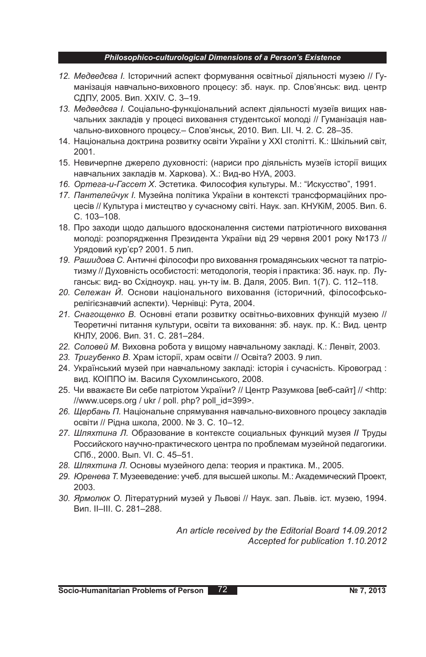- *12. Медведєва I.* Історичний аспект формування освітньої діяльності музею // Гуманізація навчально-виховного процесу: зб. наук. пр. Слов'янськ: вид. центр СДПУ, 2005. Вип. ХХIV. С. 3–19.
- *13. Медведєва І.* Соціально-функціональний аспект діяльності музеїв вищих навчальних закладів у процесі виховання студентської молоді // Гуманізація навчально-виховного процесу.– Слов'янськ, 2010. Вип. LІІ. Ч. 2. C. 28–35.
- 14. Національна доктрина розвитку освіти України у ХХІ столітті. К.: Шкільний світ, 2001.
- 15. Невичерпне джерело духовності: (нариси про діяльність музеїв історії вищих навчальних закладів м. Харкова). Х.: Вид-во НУА, 2003.
- *16. Ортега-и-Гассет Х*. Эстетика. Философия культуры. М.: "Искусство", 1991.
- *17. Пантелейчук І.* Музейна політика України в контексті трансформаційних процесів // Культура і мистецтво у сучасному світі. Наук. зап. КНУКіМ, 2005. Вип. 6. С. 103–108.
- 18. Про заходи щодо дальшого вдосконалення системи патріотичного виховання молоді: розпорядження Президента України від 29 червня 2001 року №173 // Урядовий кур'єр? 2001. 5 лип.
- *19. Рашидова С.* Античні філософи про виховання громадянських чеснот та патріотизму // Духовність особистості: методологія, теорія і практика: Зб. наук. пр. Луганськ: вид- во Східноукр. нац. ун-ту ім. В. Даля, 2005. Вип. 1(7). С. 112–118.
- *20. Сележан Й.* Основи національного виховання (історичний, філософськорелігієзнавчий аспекти). Чернівці: Рута, 2004.
- *21. Снагощенко В.* Основні етапи розвитку освітньо-виховних функцій музею // Теоретичні питання культури, освіти та виховання: зб. наук. пр. К.: Вид. центр КНЛУ, 2006. Вип. 31. С. 281–284.
- *22. Соловей М.* Виховна робота у вищому навчальному закладі. К.: Ленвіт, 2003.
- *23. Тригубенко В.* Храм історії, храм освіти // Освіта? 2003. 9 лип.
- 24. Український музей при навчальному закладі: історія і сучасність. Кіровоград : вид. КОІППО ім. Василя Сухомлинського, 2008.
- 25. Чи вважаєте Ви себе патріотом України? // Центр Разумкова [веб-сайт] // <http: //www.uceps.org / ukr / poll. php? poll\_id=399>.
- *26. Щербань П.* Національне спрямування навчально-виховного процесу закладів освіти // Рідна школа, 2000. № 3. С. 10–12.
- *27. Шляхтина Л.* Образование в контексте социальных функций музея **//** Труды Российского научно-практического центра по проблемам музейной педагогики. СПб., 2000. Вып. VI. С. 45–51.
- *28. Шляхтина Л.* Основы музейного дела: теория и практика. М., 2005.
- *29. Юренева Т.* Музееведение: учеб. для высшей школы. М.: Академический Проект, 2003.
- *30. Ярмолюк О.* Літературний музей у Львові // Наук. зап. Львів. іст. музею, 1994. Вип. ІІ–ІІІ. С. 281–288.

*An article received by the Editorial Board 14.09.2012 Accepted for publication 1.10.2012*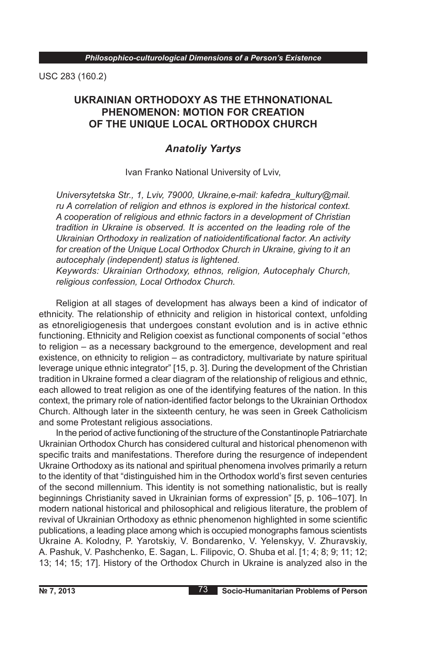USC 283 (160.2)

# **UKRAINIAN ORTHODOXY AS THE ETHNONATIONAL PHENOMENON: MOTION FOR CREATION OF THE UNIQUE LOCAL ORTHODOX CHURCH**

# *Anatoliy Yartys*

Ivan Franko National University of Lviv,

*Universytetska Str., 1, Lviv, 79000, Ukraine,e-mail: kafedra\_kultury@mail. ru A correlation of religion and ethnos is explored in the historical context. A cooperation of religious and ethnic factors in a development of Christian tradition in Ukraine is observed. It is accented on the leading role of the Ukrainian Orthodoxy in realization of natioidentificational factor. An activity for creation of the Unique Local Orthodox Church in Ukraine, giving to it an autocephaly (independent) status is lightened.*

*Keywords: Ukrainian Orthodoxy, ethnos, religion, Autocephaly Church, religious confession, Local Orthodox Church.* 

Religion at all stages of development has always been a kind of indicator of ethnicity. The relationship of ethnicity and religion in historical context, unfolding as etnoreligiogenesis that undergoes constant evolution and is in active ethnic functioning. Ethnicity and Religion coexist as functional components of social "ethos to religion – as a necessary background to the emergence, development and real existence, on ethnicity to religion – as contradictory, multivariate by nature spiritual leverage unique ethnic integrator" [15, p. 3]. During the development of the Christian tradition in Ukraine formed a clear diagram of the relationship of religious and ethnic, each allowed to treat religion as one of the identifying features of the nation. In this context, the primary role of nation-identified factor belongs to the Ukrainian Orthodox Church. Although later in the sixteenth century, he was seen in Greek Catholicism and some Protestant religious associations.

In the period of active functioning of the structure of the Constantinople Patriarchate Ukrainian Orthodox Church has considered cultural and historical phenomenon with specific traits and manifestations. Therefore during the resurgence of independent Ukraine Orthodoxy as its national and spiritual phenomena involves primarily a return to the identity of that "distinguished him in the Orthodox world's first seven centuries of the second millennium. This identity is not something nationalistic, but is really beginnings Christianity saved in Ukrainian forms of expression" [5, p. 106–107]. In modern national historical and philosophical and religious literature, the problem of revival of Ukrainian Orthodoxy as ethnic phenomenon highlighted in some scientific publications, a leading place among which is occupied monographs famous scientists Ukraine A. Kolodny, P. Yarotskiy, V. Bondarenko, V. Yelenskyy, V. Zhuravskiy, A. Pashuk, V. Pashchenko, E. Sagan, L. Filipovic, O. Shuba et al. [1; 4; 8; 9; 11; 12; 13; 14; 15; 17]. History of the Orthodox Church in Ukraine is analyzed also in the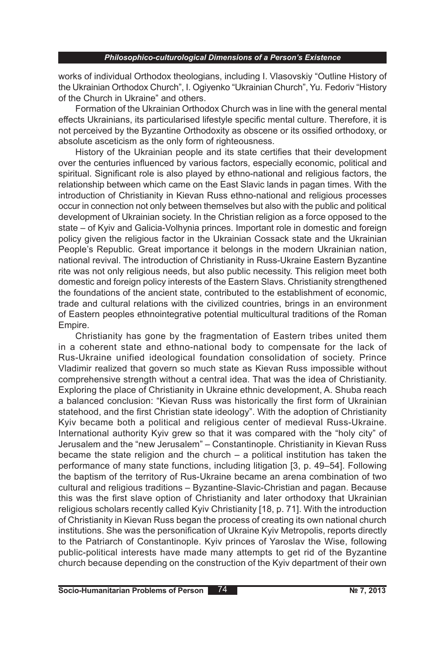works of individual Orthodox theologians, including I. Vlasovskiy "Outline History of the Ukrainian Orthodox Church", I. Ogiyenko "Ukrainian Church", Yu. Fedoriv "History of the Church in Ukraine" and others.

Formation of the Ukrainian Orthodox Church was in line with the general mental effects Ukrainians, its particularised lifestyle specific mental culture. Therefore, it is not perceived by the Byzantine Orthodoxity as obscene or its ossified orthodoxy, or absolute asceticism as the only form of righteousness.

History of the Ukrainian people and its state certifies that their development over the centuries influenced by various factors, especially economic, political and spiritual. Significant role is also played by ethno-national and religious factors, the relationship between which came on the East Slavic lands in pagan times. With the introduction of Christianity in Kievan Russ ethno-national and religious processes occur in connection not only between themselves but also with the public and political development of Ukrainian society. In the Christian religion as a force opposed to the state – of Kyiv and Galicia-Volhynia princes. Important role in domestic and foreign policy given the religious factor in the Ukrainian Cossack state and the Ukrainian People's Republic. Great importance it belongs in the modern Ukrainian nation, national revival. The introduction of Christianity in Russ-Ukraine Eastern Byzantine rite was not only religious needs, but also public necessity. This religion meet both domestic and foreign policy interests of the Eastern Slavs. Christianity strengthened the foundations of the ancient state, contributed to the establishment of economic, trade and cultural relations with the civilized countries, brings in an environment of Eastern peoples ethnointegrative potential multicultural traditions of the Roman Empire.

Christianity has gone by the fragmentation of Eastern tribes united them in a coherent state and ethno-national body to compensate for the lack of Rus-Ukraine unified ideological foundation consolidation of society. Prince Vladimir realized that govern so much state as Kievan Russ impossible without comprehensive strength without a central idea. That was the idea of Christianity. Exploring the place of Christianity in Ukraine ethnic development, A. Shuba reach a balanced conclusion: "Kievan Russ was historically the first form of Ukrainian statehood, and the first Christian state ideology". With the adoption of Christianity Kyiv became both a political and religious center of medieval Russ-Ukraine. International authority Kyiv grew so that it was compared with the "holy city" of Jerusalem and the "new Jerusalem" – Constantinople. Christianity in Kievan Russ became the state religion and the church – a political institution has taken the performance of many state functions, including litigation [3, p. 49–54]. Following the baptism of the territory of Rus-Ukraine became an arena combination of two cultural and religious traditions – Byzantine-Slavic-Christian and pagan. Because this was the first slave option of Christianity and later orthodoxy that Ukrainian religious scholars recently called Kyiv Christianity [18, p. 71]. With the introduction of Christianity in Kievan Russ began the process of creating its own national church institutions. She was the personification of Ukraine Kyiv Metropolis, reports directly to the Patriarch of Constantinople. Kyiv princes of Yaroslav the Wise, following public-political interests have made many attempts to get rid of the Byzantine church because depending on the construction of the Kyiv department of their own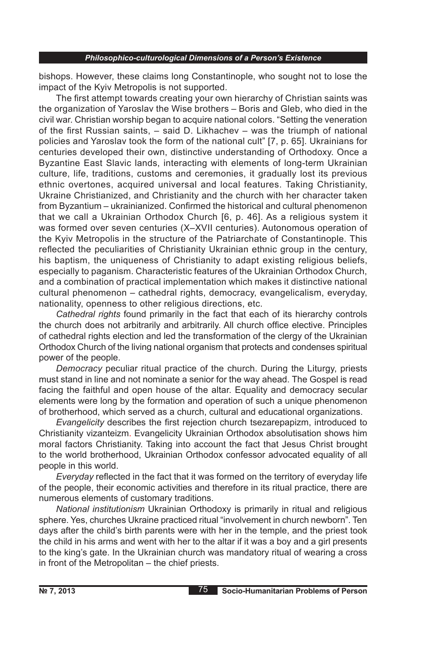bishops. However, these claims long Constantinople, who sought not to lose the impact of the Kyiv Metropolis is not supported.

The first attempt towards creating your own hierarchy of Christian saints was the organization of Yaroslav the Wise brothers – Boris and Gleb, who died in the civil war. Christian worship began to acquire national colors. "Setting the veneration of the first Russian saints, – said D. Likhachev – was the triumph of national policies and Yaroslav took the form of the national cult" [7, p. 65]. Ukrainians for centuries developed their own, distinctive understanding of Orthodoxy. Once a Byzantine East Slavic lands, interacting with elements of long-term Ukrainian culture, life, traditions, customs and ceremonies, it gradually lost its previous ethnic overtones, acquired universal and local features. Taking Christianity, Ukraine Christianized, and Christianity and the church with her character taken from Byzantium – ukrainianized. Confirmed the historical and cultural phenomenon that we call a Ukrainian Orthodox Church [6, p. 46]. As a religious system it was formed over seven centuries (X–XVII centuries). Autonomous operation of the Kyiv Metropolis in the structure of the Patriarchate of Constantinople. This reflected the peculiarities of Christianity Ukrainian ethnic group in the century, his baptism, the uniqueness of Christianity to adapt existing religious beliefs, especially to paganism. Characteristic features of the Ukrainian Orthodox Church, and a combination of practical implementation which makes it distinctive national cultural phenomenon – cathedral rights, democracy, evangelicalism, everyday, nationality, openness to other religious directions, etc.

*Cathedral rights* found primarily in the fact that each of its hierarchy controls the church does not arbitrarily and arbitrarily. All church office elective. Principles of cathedral rights election and led the transformation of the clergy of the Ukrainian Orthodox Church of the living national organism that protects and condenses spiritual power of the people.

*Democracy* peculiar ritual practice of the church. During the Liturgy, priests must stand in line and not nominate a senior for the way ahead. The Gospel is read facing the faithful and open house of the altar. Equality and democracy secular elements were long by the formation and operation of such a unique phenomenon of brotherhood, which served as a church, cultural and educational organizations.

*Evangelicity* describes the first rejection church tsezarepapizm, introduced to Christianity vizanteizm. Evangelicity Ukrainian Orthodox absolutisation shows him moral factors Christianity. Taking into account the fact that Jesus Christ brought to the world brotherhood, Ukrainian Orthodox confessor advocated equality of all people in this world.

*Everyday* reflected in the fact that it was formed on the territory of everyday life of the people, their economic activities and therefore in its ritual practice, there are numerous elements of customary traditions.

*National institutionism* Ukrainian Orthodoxy is primarily in ritual and religious sphere. Yes, churches Ukraine practiced ritual "involvement in church newborn". Ten days after the child's birth parents were with her in the temple, and the priest took the child in his arms and went with her to the altar if it was a boy and a girl presents to the king's gate. In the Ukrainian church was mandatory ritual of wearing a cross in front of the Metropolitan – the chief priests.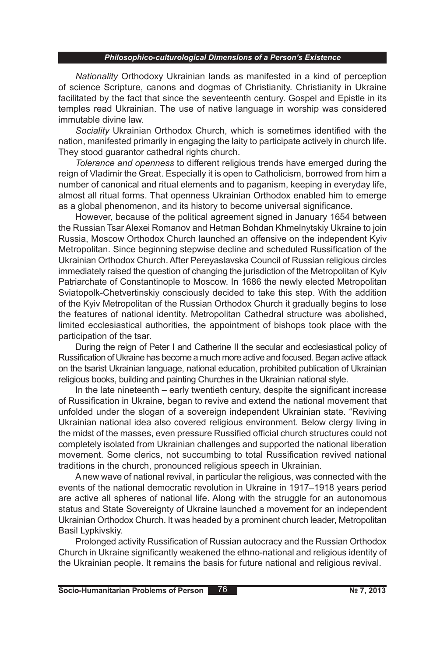*Nationality* Orthodoxy Ukrainian lands as manifested in a kind of perception of science Scripture, canons and dogmas of Christianity. Christianity in Ukraine facilitated by the fact that since the seventeenth century. Gospel and Epistle in its temples read Ukrainian. The use of native language in worship was considered immutable divine law.

*Sociality* Ukrainian Orthodox Church, which is sometimes identified with the nation, manifested primarily in engaging the laity to participate actively in church life. They stood guarantor cathedral rights church.

*Tolerance and openness* to different religious trends have emerged during the reign of Vladimir the Great. Especially it is open to Catholicism, borrowed from him a number of canonical and ritual elements and to paganism, keeping in everyday life, almost all ritual forms. That openness Ukrainian Orthodox enabled him to emerge as a global phenomenon, and its history to become universal significance.

However, because of the political agreement signed in January 1654 between the Russian Tsar Alexei Romanov and Hetman Bohdan Khmelnytskiy Ukraine to join Russia, Moscow Orthodox Church launched an offensive on the independent Kyiv Metropolitan. Since beginning stepwise decline and scheduled Russification of the Ukrainian Orthodox Church. After Pereyaslavska Council of Russian religious circles immediately raised the question of changing the jurisdiction of the Metropolitan of Kyiv Patriarchate of Constantinople to Moscow. In 1686 the newly elected Metropolitan Sviatopolk-Chetvertinskiy consciously decided to take this step. With the addition of the Kyiv Metropolitan of the Russian Orthodox Church it gradually begins to lose the features of national identity. Metropolitan Cathedral structure was abolished, limited ecclesiastical authorities, the appointment of bishops took place with the participation of the tsar.

During the reign of Peter I and Catherine II the secular and ecclesiastical policy of Russification of Ukraine has become a much more active and focused. Began active attack on the tsarist Ukrainian language, national education, prohibited publication of Ukrainian religious books, building and painting Churches in the Ukrainian national style.

In the late nineteenth – early twentieth century, despite the significant increase of Russification in Ukraine, began to revive and extend the national movement that unfolded under the slogan of a sovereign independent Ukrainian state. "Reviving Ukrainian national idea also covered religious environment. Below clergy living in the midst of the masses, even pressure Russified official church structures could not completely isolated from Ukrainian challenges and supported the national liberation movement. Some clerics, not succumbing to total Russification revived national traditions in the church, pronounced religious speech in Ukrainian.

A new wave of national revival, in particular the religious, was connected with the events of the national democratic revolution in Ukraine in 1917–1918 years period are active all spheres of national life. Along with the struggle for an autonomous status and State Sovereignty of Ukraine launched a movement for an independent Ukrainian Orthodox Church. It was headed by a prominent church leader, Metropolitan Basil Lypkivskiy.

Prolonged activity Russification of Russian autocracy and the Russian Orthodox Church in Ukraine significantly weakened the ethno-national and religious identity of the Ukrainian people. It remains the basis for future national and religious revival.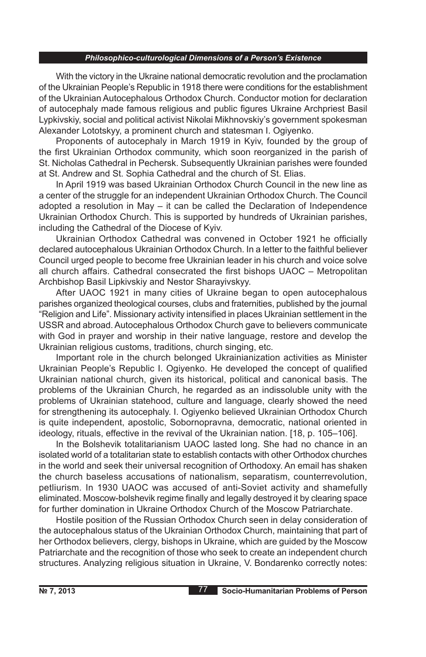With the victory in the Ukraine national democratic revolution and the proclamation of the Ukrainian People's Republic in 1918 there were conditions for the establishment of the Ukrainian Autocephalous Orthodox Church. Conductor motion for declaration of autocephaly made famous religious and public figures Ukraine Archpriest Basil Lypkivskiy, social and political activist Nikolai Mikhnovskiy's government spokesman Alexander Lototskyy, a prominent church and statesman I. Ogiyenko.

Proponents of autocephaly in March 1919 in Kyiv, founded by the group of the first Ukrainian Orthodox community, which soon reorganized in the parish of St. Nicholas Cathedral in Pechersk. Subsequently Ukrainian parishes were founded at St. Andrew and St. Sophia Cathedral and the church of St. Elias.

In April 1919 was based Ukrainian Orthodox Church Council in the new line as a center of the struggle for an independent Ukrainian Orthodox Church. The Council adopted a resolution in May – it can be called the Declaration of Independence Ukrainian Orthodox Church. This is supported by hundreds of Ukrainian parishes, including the Cathedral of the Diocese of Kyiv.

Ukrainian Orthodox Cathedral was convened in October 1921 he officially declared autocephalous Ukrainian Orthodox Church. In a letter to the faithful believer Council urged people to become free Ukrainian leader in his church and voice solve all church affairs. Cathedral consecrated the first bishops UAOC – Metropolitan Archbishop Basil Lipkivskiy and Nestor Sharayivskyy.

After UAOC 1921 in many cities of Ukraine began to open autocephalous parishes organized theological courses, clubs and fraternities, published by the journal "Religion and Life". Missionary activity intensified in places Ukrainian settlement in the USSR and abroad. Autocephalous Orthodox Church gave to believers communicate with God in prayer and worship in their native language, restore and develop the Ukrainian religious customs, traditions, church singing, etc.

Important role in the church belonged Ukrainianization activities as Minister Ukrainian People's Republic I. Ogiyenko. He developed the concept of qualified Ukrainian national church, given its historical, political and canonical basis. The problems of the Ukrainian Church, he regarded as an indissoluble unity with the problems of Ukrainian statehood, culture and language, clearly showed the need for strengthening its autocephaly. I. Ogiyenko believed Ukrainian Orthodox Church is quite independent, apostolic, Sobornopravna, democratic, national oriented in ideology, rituals, effective in the revival of the Ukrainian nation. [18, p. 105–106].

In the Bolshevik totalitarianism UAOC lasted long. She had no chance in an isolated world of a totalitarian state to establish contacts with other Orthodox churches in the world and seek their universal recognition of Orthodoxy. An email has shaken the church baseless accusations of nationalism, separatism, counterrevolution, petliurism. In 1930 UAOC was accused of anti-Soviet activity and shamefully eliminated. Moscow-bolshevik regime finally and legally destroyed it by clearing space for further domination in Ukraine Orthodox Church of the Moscow Patriarchate.

Hostile position of the Russian Orthodox Church seen in delay consideration of the autocephalous status of the Ukrainian Orthodox Church, maintaining that part of her Orthodox believers, clergy, bishops in Ukraine, which are guided by the Moscow Patriarchate and the recognition of those who seek to create an independent church structures. Analyzing religious situation in Ukraine, V. Bondarenko correctly notes: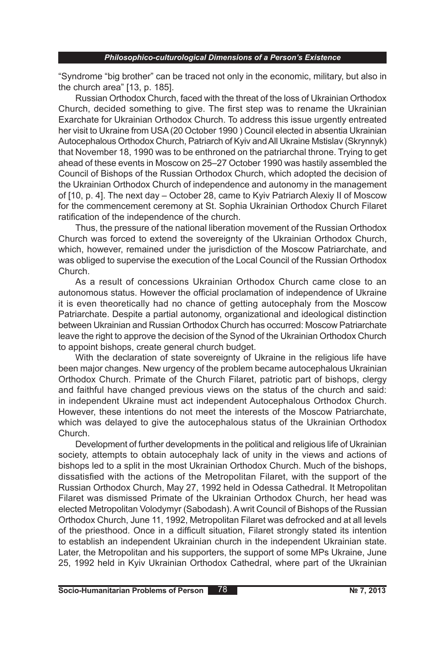"Syndrome "big brother" can be traced not only in the economic, military, but also in the church area" [13, p. 185].

Russian Orthodox Church, faced with the threat of the loss of Ukrainian Orthodox Church, decided something to give. The first step was to rename the Ukrainian Exarchate for Ukrainian Orthodox Church. To address this issue urgently entreated her visit to Ukraine from USA (20 October 1990 ) Council elected in absentia Ukrainian Autocephalous Orthodox Church, Patriarch of Kyiv and All Ukraine Mstislav (Skrynnyk) that November 18, 1990 was to be enthroned on the patriarchal throne. Trying to get ahead of these events in Moscow on 25–27 October 1990 was hastily assembled the Council of Bishops of the Russian Orthodox Church, which adopted the decision of the Ukrainian Orthodox Church of independence and autonomy in the management of [10, p. 4]. The next day – October 28, came to Kyiv Patriarch Alexiy II of Moscow for the commencement ceremony at St. Sophia Ukrainian Orthodox Church Filaret ratification of the independence of the church.

Thus, the pressure of the national liberation movement of the Russian Orthodox Church was forced to extend the sovereignty of the Ukrainian Orthodox Church, which, however, remained under the jurisdiction of the Moscow Patriarchate, and was obliged to supervise the execution of the Local Council of the Russian Orthodox Church.

As a result of concessions Ukrainian Orthodox Church came close to an autonomous status. However the official proclamation of independence of Ukraine it is even theoretically had no chance of getting autocephaly from the Moscow Patriarchate. Despite a partial autonomy, organizational and ideological distinction between Ukrainian and Russian Orthodox Church has occurred: Moscow Patriarchate leave the right to approve the decision of the Synod of the Ukrainian Orthodox Church to appoint bishops, create general church budget.

With the declaration of state sovereignty of Ukraine in the religious life have been major changes. New urgency of the problem became autocephalous Ukrainian Orthodox Church. Primate of the Church Filaret, patriotic part of bishops, clergy and faithful have changed previous views on the status of the church and said: in independent Ukraine must act independent Autocephalous Orthodox Church. However, these intentions do not meet the interests of the Moscow Patriarchate, which was delayed to give the autocephalous status of the Ukrainian Orthodox Church.

Development of further developments in the political and religious life of Ukrainian society, attempts to obtain autocephaly lack of unity in the views and actions of bishops led to a split in the most Ukrainian Orthodox Church. Much of the bishops, dissatisfied with the actions of the Metropolitan Filaret, with the support of the Russian Orthodox Church, May 27, 1992 held in Odessa Cathedral. It Metropolitan Filaret was dismissed Primate of the Ukrainian Orthodox Church, her head was elected Metropolitan Volodymyr (Sabodash). A writ Council of Bishops of the Russian Orthodox Church, June 11, 1992, Metropolitan Filaret was defrocked and at all levels of the priesthood. Once in a difficult situation, Filaret strongly stated its intention to establish an independent Ukrainian church in the independent Ukrainian state. Later, the Metropolitan and his supporters, the support of some MPs Ukraine, June 25, 1992 held in Kyiv Ukrainian Orthodox Cathedral, where part of the Ukrainian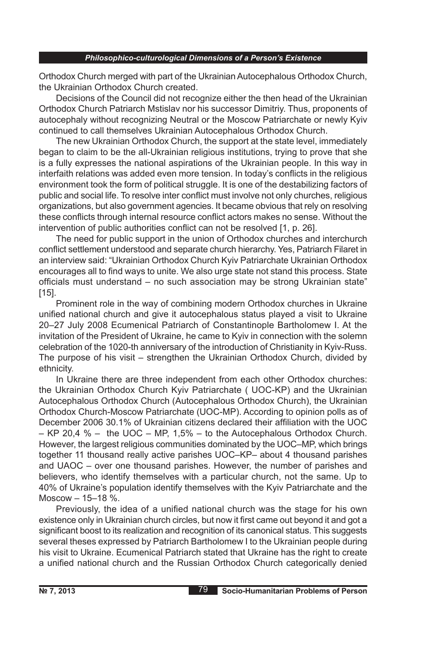Orthodox Church merged with part of the Ukrainian Autocephalous Orthodox Church, the Ukrainian Orthodox Church created.

Decisions of the Council did not recognize either the then head of the Ukrainian Orthodox Church Patriarch Mstislav nor his successor Dimitriy. Thus, proponents of autocephaly without recognizing Neutral or the Moscow Patriarchate or newly Kyiv continued to call themselves Ukrainian Autocephalous Orthodox Church.

The new Ukrainian Orthodox Church, the support at the state level, immediately began to claim to be the all-Ukrainian religious institutions, trying to prove that she is a fully expresses the national aspirations of the Ukrainian people. In this way in interfaith relations was added even more tension. In today's conflicts in the religious environment took the form of political struggle. It is one of the destabilizing factors of public and social life. To resolve inter conflict must involve not only churches, religious organizations, but also government agencies. It became obvious that rely on resolving these conflicts through internal resource conflict actors makes no sense. Without the intervention of public authorities conflict can not be resolved [1, p. 26].

The need for public support in the union of Orthodox churches and interchurch conflict settlement understood and separate church hierarchy. Yes, Patriarch Filaret in an interview said: "Ukrainian Orthodox Church Kyiv Patriarchate Ukrainian Orthodox encourages all to find ways to unite. We also urge state not stand this process. State officials must understand – no such association may be strong Ukrainian state" [15].

Prominent role in the way of combining modern Orthodox churches in Ukraine unified national church and give it autocephalous status played a visit to Ukraine 20–27 July 2008 Ecumenical Patriarch of Constantinople Bartholomew I. At the invitation of the President of Ukraine, he came to Kyiv in connection with the solemn celebration of the 1020-th anniversary of the introduction of Christianity in Kyiv-Russ. The purpose of his visit – strengthen the Ukrainian Orthodox Church, divided by ethnicity.

In Ukraine there are three independent from each other Orthodox churches: the Ukrainian Orthodox Church Kyiv Patriarchate ( UOC-KP) and the Ukrainian Autocephalous Orthodox Church (Autocephalous Orthodox Church), the Ukrainian Orthodox Church-Moscow Patriarchate (UOC-MP). According to opinion polls as of December 2006 30.1% of Ukrainian citizens declared their affiliation with the UOC – KP 20,4  $%$  – the UOC – MP, 1,5% – to the Autocephalous Orthodox Church. However, the largest religious communities dominated by the UOC–MP, which brings together 11 thousand really active parishes UOC–KP– about 4 thousand parishes and UAOC – over one thousand parishes. However, the number of parishes and believers, who identify themselves with a particular church, not the same. Up to 40% of Ukraine's population identify themselves with the Kyiv Patriarchate and the Moscow – 15–18 %.

Previously, the idea of a unified national church was the stage for his own existence only in Ukrainian church circles, but now it first came out beyond it and got a significant boost to its realization and recognition of its canonical status. This suggests several theses expressed by Patriarch Bartholomew I to the Ukrainian people during his visit to Ukraine. Ecumenical Patriarch stated that Ukraine has the right to create a unified national church and the Russian Orthodox Church categorically denied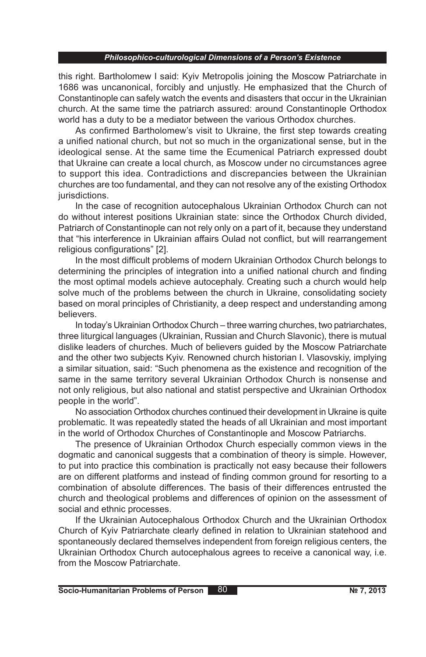this right. Bartholomew I said: Kyiv Metropolis joining the Moscow Patriarchate in 1686 was uncanonical, forcibly and unjustly. He emphasized that the Church of Constantinople can safely watch the events and disasters that occur in the Ukrainian church. At the same time the patriarch assured: around Constantinople Orthodox world has a duty to be a mediator between the various Orthodox churches.

As confirmed Bartholomew's visit to Ukraine, the first step towards creating a unified national church, but not so much in the organizational sense, but in the ideological sense. At the same time the Ecumenical Patriarch expressed doubt that Ukraine can create a local church, as Moscow under no circumstances agree to support this idea. Contradictions and discrepancies between the Ukrainian churches are too fundamental, and they can not resolve any of the existing Orthodox jurisdictions.

In the case of recognition autocephalous Ukrainian Orthodox Church can not do without interest positions Ukrainian state: since the Orthodox Church divided, Patriarch of Constantinople can not rely only on a part of it, because they understand that "his interference in Ukrainian affairs Oulad not conflict, but will rearrangement religious configurations" [2].

In the most difficult problems of modern Ukrainian Orthodox Church belongs to determining the principles of integration into a unified national church and finding the most optimal models achieve autocephaly. Creating such a church would help solve much of the problems between the church in Ukraine, consolidating society based on moral principles of Christianity, a deep respect and understanding among believers.

In today's Ukrainian Orthodox Church – three warring churches, two patriarchates, three liturgical languages (Ukrainian, Russian and Church Slavonic), there is mutual dislike leaders of churches. Much of believers guided by the Moscow Patriarchate and the other two subjects Kyiv. Renowned church historian I. Vlasovskiy, implying a similar situation, said: "Such phenomena as the existence and recognition of the same in the same territory several Ukrainian Orthodox Church is nonsense and not only religious, but also national and statist perspective and Ukrainian Orthodox people in the world".

No association Orthodox churches continued their development in Ukraine is quite problematic. It was repeatedly stated the heads of all Ukrainian and most important in the world of Orthodox Churches of Constantinople and Moscow Patriarchs.

The presence of Ukrainian Orthodox Church especially common views in the dogmatic and canonical suggests that a combination of theory is simple. However, to put into practice this combination is practically not easy because their followers are on different platforms and instead of finding common ground for resorting to a combination of absolute differences. The basis of their differences entrusted the church and theological problems and differences of opinion on the assessment of social and ethnic processes.

If the Ukrainian Autocephalous Orthodox Church and the Ukrainian Orthodox Church of Kyiv Patriarchate clearly defined in relation to Ukrainian statehood and spontaneously declared themselves independent from foreign religious centers, the Ukrainian Orthodox Church autocephalous agrees to receive a canonical way, i.e. from the Moscow Patriarchate.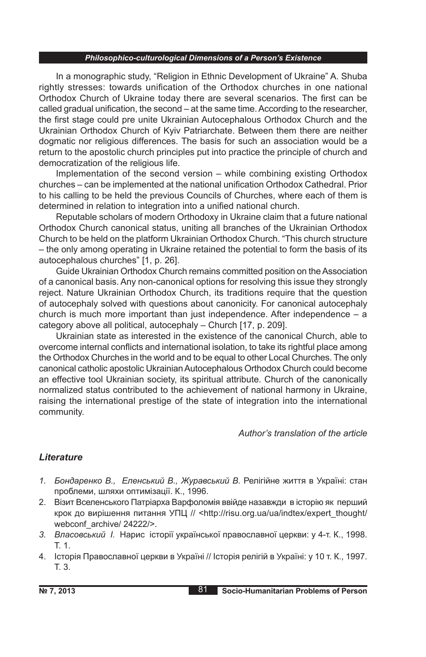In a monographic study, "Religion in Ethnic Development of Ukraine" A. Shuba rightly stresses: towards unification of the Orthodox churches in one national Orthodox Church of Ukraine today there are several scenarios. The first can be called gradual unification, the second – at the same time. According to the researcher, the first stage could pre unite Ukrainian Autocephalous Orthodox Church and the Ukrainian Orthodox Church of Kyiv Patriarchate. Between them there are neither dogmatic nor religious differences. The basis for such an association would be a return to the apostolic church principles put into practice the principle of church and democratization of the religious life.

Implementation of the second version – while combining existing Orthodox churches – can be implemented at the national unification Orthodox Cathedral. Prior to his calling to be held the previous Councils of Churches, where each of them is determined in relation to integration into a unified national church.

Reputable scholars of modern Orthodoxy in Ukraine claim that a future national Orthodox Church canonical status, uniting all branches of the Ukrainian Orthodox Church to be held on the platform Ukrainian Orthodox Church. "This church structure – the only among operating in Ukraine retained the potential to form the basis of its autocephalous churches" [1, p. 26].

Guide Ukrainian Orthodox Church remains committed position on the Association of a canonical basis. Any non-canonical options for resolving this issue they strongly reject. Nature Ukrainian Orthodox Church, its traditions require that the question of autocephaly solved with questions about canonicity. For canonical autocephaly church is much more important than just independence. After independence  $- a$ category above all political, autocephaly – Church [17, p. 209].

Ukrainian state as interested in the existence of the canonical Church, able to overcome internal conflicts and international isolation, to take its rightful place among the Orthodox Churches in the world and to be equal to other Local Churches. The only canonical catholic apostolic Ukrainian Autocephalous Orthodox Church could become an effective tool Ukrainian society, its spiritual attribute. Church of the canonically normalized status contributed to the achievement of national harmony in Ukraine, raising the international prestige of the state of integration into the international community.

### *Author's translation of the article*

## *Lіterature*

- *1. Бондаренко В., Еленський В., Журавський В.* Релігійне життя в Україні: стан проблеми, шляхи оптимізації. К., 1996.
- 2. Візит Вселенського Патріарха Варфоломія ввійде назавжди в історію як перший крок до вирішення питання УПЦ // <http://risu.org.ua/ua/indteх/eхpert\_thought/ webconf archive/ 24222/>.
- *3. Власовський І.* Нарис історії української православної церкви: у 4-т. К., 1998. Т. 1.
- 4. Історія Православної церкви в Україні // Історія релігій в Україні: у 10 т. К., 1997. Т. 3.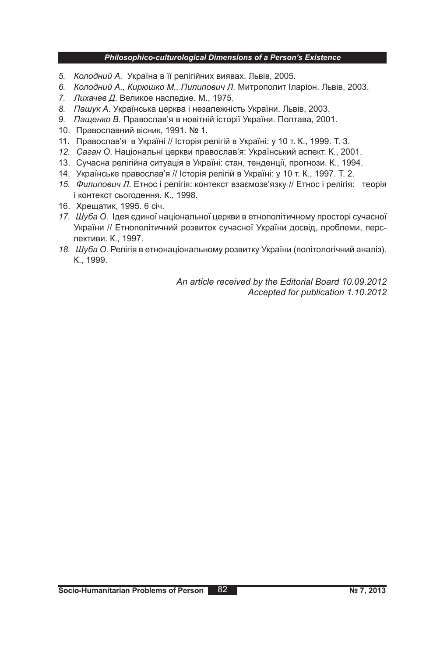- *5. Колодний А.* Україна в її релігійних виявах. Львів, 2005.
- *6. Колодний А., Кирюшко М., Пилипович Л.* Митрополит Іларіон. Львів, 2003.
- *7. Лихачев Д*. Великое наследие. М., 1975.
- *8. Пашук А*. Українська церква і незалежність України. Львів, 2003.
- *9. Пащенко В*. Православ'я в новітній історії України. Полтава, 2001.
- 10. Православний вісник, 1991. № 1.
- 11. Православ'я в Україні // Історія релігій в Україні: у 10 т. К., 1999. Т. 3.
- *12. Саган О*. Національні церкви православ'я: Український аспект. К., 2001.
- 13. Сучасна релігійна ситуація в Україні: стан, тенденції, прогнози. К., 1994.
- 14. Українське православ'я // Історія релігій в Україні: у 10 т. К., 1997. Т. 2.
- *15. Филипович Л.* Етнос і релігія: контекст взаємозв'язку // Етнос і релігія: теорія і контекст сьогодення. К., 1998.
- 16. Хрещатик, 1995. 6 січ.
- *17. Шуба О.* Ідея єдиної національної церкви в етнополітичному просторі сучасної України // Етнополітичний розвиток сучасної України досвід, проблеми, перспективи. К., 1997.
- *18. Шуба О.* Релігія в етнонаціональному розвитку України (політологічний аналіз). К., 1999.

*An article received by the Editorial Board 10.09.2012 Accepted for publication 1.10.2012*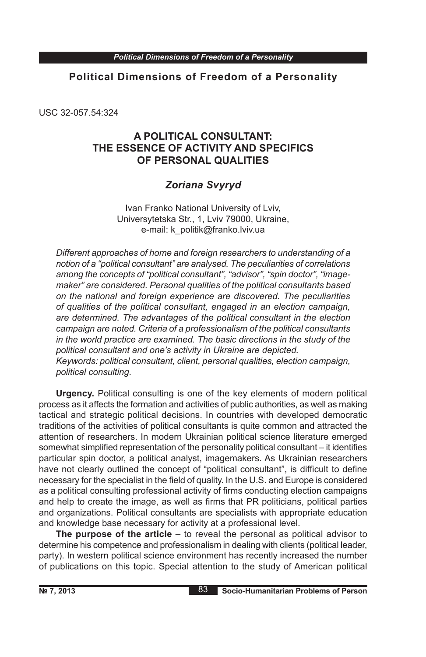USC 32-057.54:324

# **A POLITICAL CONSULTANT: THE ESSENCE OF ACTIVITY AND SPECIFICS OF PERSONAL QUALITIES**

# *Zoriana Svyryd*

Ivan Franko National University of Lviv, Universytetska Str., 1, Lviv 79000, Ukraine, e-mail: k\_politik@franko.lviv.ua

*Different approaches of home and foreign researchers to understanding of a notion of a "political consultant" are analysed. The peculiarities of correlations among the concepts of "political consultant", "advisor", "spin doctor", "imagemaker" are considered. Personal qualities of the political consultants based on the national and foreign experience are discovered. The peculiarities of qualities of the political consultant, engaged in an election campaign, are determined. The advantages of the political consultant in the election campaign are noted. Criteria of a professionalism of the political consultants in the world practice are examined. The basic directions in the study of the political consultant and one's activity in Ukraine are depicted.*

*Keywords: political consultant, client, personal qualities, election campaign, political consulting.*

**Urgency.** Political consulting is one of the key elements of modern political process as it affects the formation and activities of public authorities, as well as making tactical and strategic political decisions. In countries with developed democratic traditions of the activities of political consultants is quite common and attracted the attention of researchers. In modern Ukrainian political science literature emerged somewhat simplified representation of the personality political consultant – it identifies particular spin doctor, a political analyst, imagemakers. As Ukrainian researchers have not clearly outlined the concept of "political consultant", is difficult to define necessary for the specialist in the field of quality. In the U.S. and Europe is considered as a political consulting professional activity of firms conducting election campaigns and help to create the image, as well as firms that PR politicians, political parties and organizations. Political consultants are specialists with appropriate education and knowledge base necessary for activity at a professional level.

**The purpose of the article** – to reveal the personal as political advisor to determine his competence and professionalism in dealing with clients (political leader, party). In western political science environment has recently increased the number of publications on this topic. Special attention to the study of American political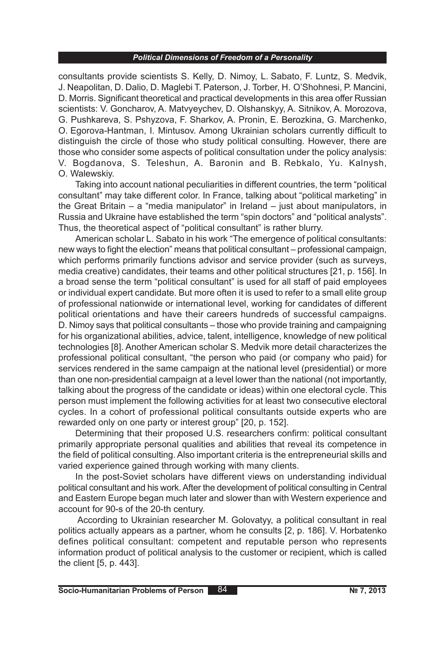consultants provide scientists S. Kelly, D. Nimoy, L. Sabato, F. Luntz, S. Medvik, J. Neapolitan, D. Dalio, D. Maglebi T. Paterson, J. Torber, H. O'Shohnesi, P. Mancini, D. Morris. Significant theoretical and practical developments in this area offer Russian scientists: V. Goncharov, A. Matvyeychev, D. Olshanskyy, A. Sitnikov, A. Morozova, G. Pushkareva, S. Pshyzova, F. Sharkov, A. Pronin, E. Berozkina, G. Marchenko, O. Egorova-Hantman, I. Mintusov. Among Ukrainian scholars currently difficult to distinguish the circle of those who study political consulting. However, there are those who consider some aspects of political consultation under the policy analysis: V. Bogdanova, S. Teleshun, A. Baronin and B. Rebkalo, Yu. Kalnysh, O. Walewskiy.

Taking into account national peculiarities in different countries, the term "political consultant" may take different color. In France, talking about "political marketing" in the Great Britain – a "media manipulator" in Ireland – just about manipulators, in Russia and Ukraine have established the term "spin doctors" and "political analysts". Thus, the theoretical aspect of "political consultant" is rather blurry.

American scholar L. Sabato in his work "The emergence of political consultants: new ways to fight the election" means that political consultant – professional campaign, which performs primarily functions advisor and service provider (such as surveys, media creative) candidates, their teams and other political structures [21, p. 156]. In a broad sense the term "political consultant" is used for all staff of paid employees or individual expert candidate. But more often it is used to refer to a small elite group of professional nationwide or international level, working for candidates of different political orientations and have their careers hundreds of successful campaigns. D. Nimoy says that political consultants – those who provide training and campaigning for his organizational abilities, advice, talent, intelligence, knowledge of new political technologies [8]. Another American scholar S. Medvik more detail characterizes the professional political consultant, "the person who paid (or company who paid) for services rendered in the same campaign at the national level (presidential) or more than one non-presidential campaign at a level lower than the national (not importantly, talking about the progress of the candidate or ideas) within one electoral cycle. This person must implement the following activities for at least two consecutive electoral cycles. In a cohort of professional political consultants outside experts who are rewarded only on one party or interest group" [20, p. 152].

Determining that their proposed U.S. researchers confirm: political consultant primarily appropriate personal qualities and abilities that reveal its competence in the field of political consulting. Also important criteria is the entrepreneurial skills and varied experience gained through working with many clients.

In the post-Soviet scholars have different views on understanding individual political consultant and his work. After the development of political consulting in Central and Eastern Europe began much later and slower than with Western experience and account for 90-s of the 20-th century.

According to Ukrainian researcher M. Golovatyy, a political consultant in real politics actually appears as a partner, whom he consults [2, p. 186]. V. Horbatenko defines political consultant: competent and reputable person who represents information product of political analysis to the customer or recipient, which is called the client [5, p. 443].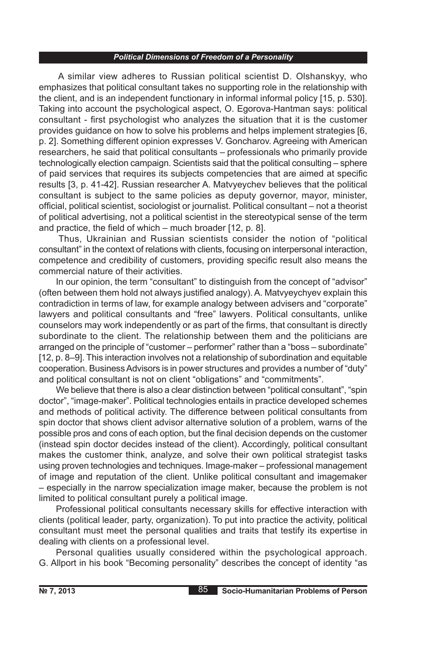A similar view adheres to Russian political scientist D. Olshanskyy, who emphasizes that political consultant takes no supporting role in the relationship with the client, and is an independent functionary in informal informal policy [15, p. 530]. Taking into account the psychological aspect, O. Egorova-Hantman says: political consultant - first psychologist who analyzes the situation that it is the customer provides guidance on how to solve his problems and helps implement strategies [6, p. 2]. Something different opinion expresses V. Goncharov. Agreeing with American researchers, he said that political consultants – professionals who primarily provide technologically election campaign. Scientists said that the political consulting – sphere of paid services that requires its subjects competencies that are aimed at specific results [3, p. 41-42]. Russian researcher A. Matvyeychev believes that the political consultant is subject to the same policies as deputy governor, mayor, minister, official, political scientist, sociologist or journalist. Political consultant – not a theorist of political advertising, not a political scientist in the stereotypical sense of the term and practice, the field of which – much broader [12, p. 8].

Thus, Ukrainian and Russian scientists consider the notion of "political consultant" in the context of relations with clients, focusing on interpersonal interaction, competence and credibility of customers, providing specific result also means the commercial nature of their activities.

In our opinion, the term "consultant" to distinguish from the concept of "advisor" (often between them hold not always justified analogy). A. Matvyeychyev explain this contradiction in terms of law, for example analogy between advisers and "corporate" lawyers and political consultants and "free" lawyers. Political consultants, unlike counselors may work independently or as part of the firms, that consultant is directly subordinate to the client. The relationship between them and the politicians are arranged on the principle of "customer – performer" rather than a "boss – subordinate" [12, p. 8–9]. This interaction involves not a relationship of subordination and equitable cooperation. Business Advisors is in power structures and provides a number of "duty" and political consultant is not on client "obligations" and "commitments".

We believe that there is also a clear distinction between "political consultant", "spin doctor", "image-maker". Political technologies entails in practice developed schemes and methods of political activity. The difference between political consultants from spin doctor that shows client advisor alternative solution of a problem, warns of the possible pros and cons of each option, but the final decision depends on the customer (instead spin doctor decides instead of the client). Accordingly, political consultant makes the customer think, analyze, and solve their own political strategist tasks using proven technologies and techniques. Image-maker – professional management of image and reputation of the client. Unlike political consultant and imagemaker – especially in the narrow specialization image maker, because the problem is not limited to political consultant purely a political image.

Professional political consultants necessary skills for effective interaction with clients (political leader, party, organization). To put into practice the activity, political consultant must meet the personal qualities and traits that testify its expertise in dealing with clients on a professional level.

Personal qualities usually considered within the psychological approach. G. Allport in his book "Becoming personality" describes the concept of identity "as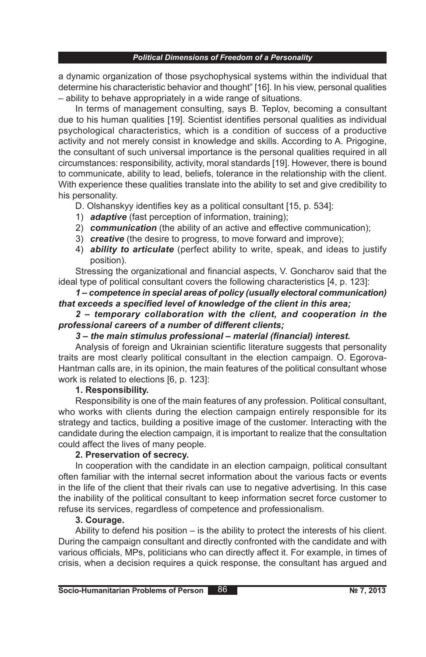a dynamic organization of those psychophysical systems within the individual that determine his characteristic behavior and thought" [16]. In his view, personal qualities – ability to behave appropriately in a wide range of situations.

In terms of management consulting, says B. Teplov, becoming a consultant due to his human qualities [19]. Scientist identifies personal qualities as individual psychological characteristics, which is a condition of success of a productive activity and not merely consist in knowledge and skills. According to A. Prigogine, the consultant of such universal importance is the personal qualities required in all circumstances: responsibility, activity, moral standards [19]. However, there is bound to communicate, ability to lead, beliefs, tolerance in the relationship with the client. With experience these qualities translate into the ability to set and give credibility to his personality.

D. Olshanskyy identifies key as a political consultant [15, p. 534]:

- 1) *adaptive* (fast perception of information, training);
- 2) *communication* (the ability of an active and effective communication);
- 3) *creative* (the desire to progress, to move forward and improve);
- 4) *ability to articulate* (perfect ability to write, speak, and ideas to justify position).

Stressing the organizational and financial aspects, V. Goncharov said that the ideal type of political consultant covers the following characteristics [4, p. 123]:

## *1 – competence in special areas of policy (usually electoral communication) that exceeds a specified level of knowledge of the client in this area;*

### *2 – temporary collaboration with the client, and cooperation in the professional careers of a number of different clients;*

## *3 – the main stimulus professional – material (financial) interest.*

Analysis of foreign and Ukrainian scientific literature suggests that personality traits are most clearly political consultant in the election campaign. O. Egorova-Hantman calls are, in its opinion, the main features of the political consultant whose work is related to elections [6, p. 123]:

## **1. Responsibility.**

Responsibility is one of the main features of any profession. Political consultant, who works with clients during the election campaign entirely responsible for its strategy and tactics, building a positive image of the customer. Interacting with the candidate during the election campaign, it is important to realize that the consultation could affect the lives of many people.

## **2. Preservation of secrecy.**

In cooperation with the candidate in an election campaign, political consultant often familiar with the internal secret information about the various facts or events in the life of the client that their rivals can use to negative advertising. In this case the inability of the political consultant to keep information secret force customer to refuse its services, regardless of competence and professionalism.

## **3. Courage.**

Ability to defend his position – is the ability to protect the interests of his client. During the campaign consultant and directly confronted with the candidate and with various officials, MPs, politicians who can directly affect it. For example, in times of crisis, when a decision requires a quick response, the consultant has argued and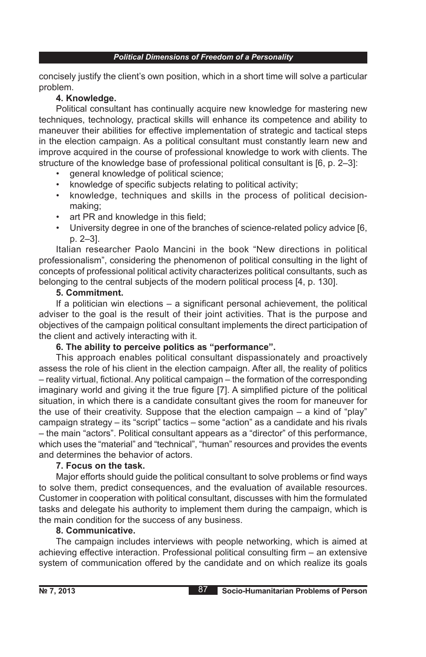concisely justify the client's own position, which in a short time will solve a particular problem.

### **4. Knowledge.**

Political consultant has continually acquire new knowledge for mastering new techniques, technology, practical skills will enhance its competence and ability to maneuver their abilities for effective implementation of strategic and tactical steps in the election campaign. As a political consultant must constantly learn new and improve acquired in the course of professional knowledge to work with clients. The structure of the knowledge base of professional political consultant is [6, p. 2–3]:

- general knowledge of political science;
- knowledge of specific subjects relating to political activity;
- knowledge, techniques and skills in the process of political decisionmaking;
- art PR and knowledge in this field;
- University degree in one of the branches of science-related policy advice [6, p. 2–3].

Italian researcher Paolo Mancini in the book "New directions in political professionalism", considering the phenomenon of political consulting in the light of concepts of professional political activity characterizes political consultants, such as belonging to the central subjects of the modern political process [4, p. 130].

## **5. Commitment.**

If a politician win elections – a significant personal achievement, the political adviser to the goal is the result of their joint activities. That is the purpose and objectives of the campaign political consultant implements the direct participation of the client and actively interacting with it.

## **6. The ability to perceive politics as "performance".**

This approach enables political consultant dispassionately and proactively assess the role of his client in the election campaign. After all, the reality of politics – reality virtual, fictional. Any political campaign – the formation of the corresponding imaginary world and giving it the true figure [7]. A simplified picture of the political situation, in which there is a candidate consultant gives the room for maneuver for the use of their creativity. Suppose that the election campaign – a kind of "play" campaign strategy – its "script" tactics – some "action" as a candidate and his rivals – the main "actors". Political consultant appears as a "director" of this performance, which uses the "material" and "technical", "human" resources and provides the events and determines the behavior of actors.

## **7. Focus on the task.**

Major efforts should guide the political consultant to solve problems or find ways to solve them, predict consequences, and the evaluation of available resources. Customer in cooperation with political consultant, discusses with him the formulated tasks and delegate his authority to implement them during the campaign, which is the main condition for the success of any business.

### **8. Communicative.**

The campaign includes interviews with people networking, which is aimed at achieving effective interaction. Professional political consulting firm – an extensive system of communication offered by the candidate and on which realize its goals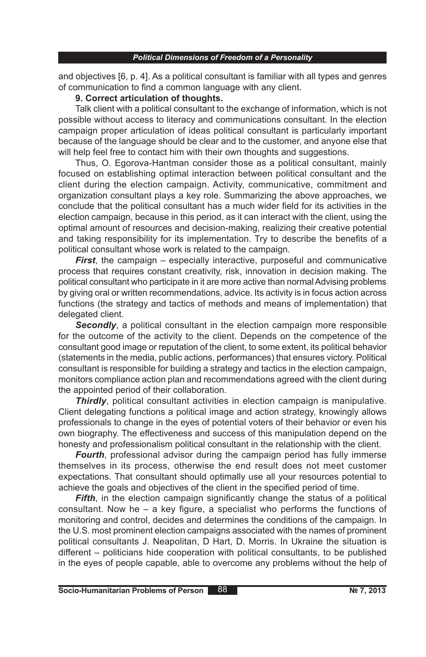and objectives [6, p. 4]. As a political consultant is familiar with all types and genres of communication to find a common language with any client.

### **9. Correct articulation of thoughts.**

Talk client with a political consultant to the exchange of information, which is not possible without access to literacy and communications consultant. In the election campaign proper articulation of ideas political consultant is particularly important because of the language should be clear and to the customer, and anyone else that will help feel free to contact him with their own thoughts and suggestions.

Thus, O. Egorova-Hantman consider those as a political consultant, mainly focused on establishing optimal interaction between political consultant and the client during the election campaign. Activity, communicative, commitment and organization consultant plays a key role. Summarizing the above approaches, we conclude that the political consultant has a much wider field for its activities in the election campaign, because in this period, as it can interact with the client, using the optimal amount of resources and decision-making, realizing their creative potential and taking responsibility for its implementation. Try to describe the benefits of a political consultant whose work is related to the campaign.

*First*, the campaign – especially interactive, purposeful and communicative process that requires constant creativity, risk, innovation in decision making. The political consultant who participate in it are more active than normal Advising problems by giving oral or written recommendations, advice. Its activity is in focus action across functions (the strategy and tactics of methods and means of implementation) that delegated client.

**Secondly**, a political consultant in the election campaign more responsible for the outcome of the activity to the client. Depends on the competence of the consultant good image or reputation of the client, to some extent, its political behavior (statements in the media, public actions, performances) that ensures victory. Political consultant is responsible for building a strategy and tactics in the election campaign, monitors compliance action plan and recommendations agreed with the client during the appointed period of their collaboration.

*Thirdly*, political consultant activities in election campaign is manipulative. Client delegating functions a political image and action strategy, knowingly allows professionals to change in the eyes of potential voters of their behavior or even his own biography. The effectiveness and success of this manipulation depend on the honesty and professionalism political consultant in the relationship with the client.

*Fourth*, professional advisor during the campaign period has fully immerse themselves in its process, otherwise the end result does not meet customer expectations. That consultant should optimally use all your resources potential to achieve the goals and objectives of the client in the specified period of time.

*Fifth*, in the election campaign significantly change the status of a political consultant. Now he – a key figure, a specialist who performs the functions of monitoring and control, decides and determines the conditions of the campaign. In the U.S. most prominent election campaigns associated with the names of prominent political consultants J. Neapolitan, D Hart, D. Morris. In Ukraine the situation is different – politicians hide cooperation with political consultants, to be published in the eyes of people capable, able to overcome any problems without the help of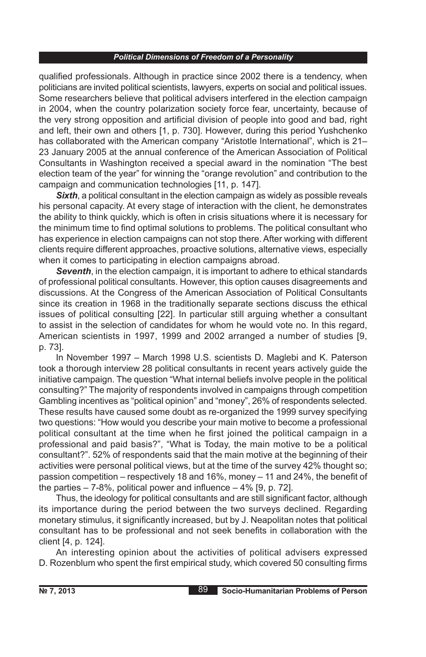qualified professionals. Although in practice since 2002 there is a tendency, when politicians are invited political scientists, lawyers, experts on social and political issues. Some researchers believe that political advisers interfered in the election campaign in 2004, when the country polarization society force fear, uncertainty, because of the very strong opposition and artificial division of people into good and bad, right and left, their own and others [1, p. 730]. However, during this period Yushchenko has collaborated with the American company "Aristotle International", which is 21– 23 January 2005 at the annual conference of the American Association of Political Consultants in Washington received a special award in the nomination "The best election team of the year" for winning the "orange revolution" and contribution to the campaign and communication technologies [11, p. 147].

**Sixth**, a political consultant in the election campaign as widely as possible reveals his personal capacity. At every stage of interaction with the client, he demonstrates the ability to think quickly, which is often in crisis situations where it is necessary for the minimum time to find optimal solutions to problems. The political consultant who has experience in election campaigns can not stop there. After working with different clients require different approaches, proactive solutions, alternative views, especially when it comes to participating in election campaigns abroad.

*Seventh*, in the election campaign, it is important to adhere to ethical standards of professional political consultants. However, this option causes disagreements and discussions. At the Congress of the American Association of Political Consultants since its creation in 1968 in the traditionally separate sections discuss the ethical issues of political consulting [22]. In particular still arguing whether a consultant to assist in the selection of candidates for whom he would vote no. In this regard, American scientists in 1997, 1999 and 2002 arranged a number of studies [9, p. 73].

In November 1997 – March 1998 U.S. scientists D. Maglebi and K. Paterson took a thorough interview 28 political consultants in recent years actively guide the initiative campaign. The question "What internal beliefs involve people in the political consulting?" The majority of respondents involved in campaigns through competition Gambling incentives as "political opinion" and "money", 26% of respondents selected. These results have caused some doubt as re-organized the 1999 survey specifying two questions: "How would you describe your main motive to become a professional political consultant at the time when he first joined the political campaign in a professional and paid basis?", "What is Today, the main motive to be a political consultant?". 52% of respondents said that the main motive at the beginning of their activities were personal political views, but at the time of the survey 42% thought so; passion competition – respectively 18 and 16%, money – 11 and 24%, the benefit of the parties  $-7-8\%$ , political power and influence  $-4\%$  [9, p. 72].

Thus, the ideology for political consultants and are still significant factor, although its importance during the period between the two surveys declined. Regarding monetary stimulus, it significantly increased, but by J. Neapolitan notes that political consultant has to be professional and not seek benefits in collaboration with the client [4, p. 124].

An interesting opinion about the activities of political advisers expressed D. Rozenblum who spent the first empirical study, which covered 50 consulting firms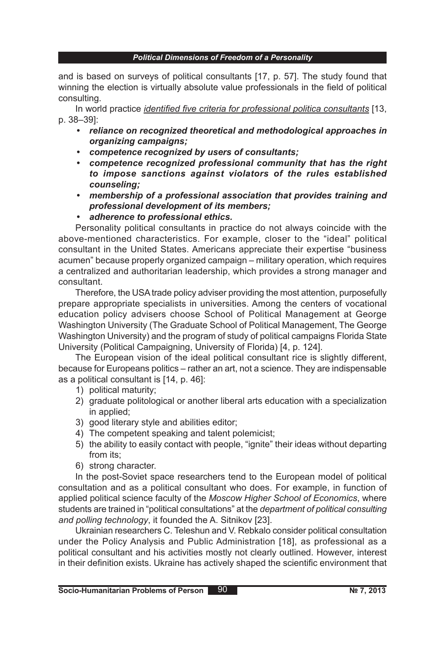and is based on surveys of political consultants [17, p. 57]. The study found that winning the election is virtually absolute value professionals in the field of political consulting.

In world practice *identified five criteria for professional politica consultants* [13, p. 38–39]:

- *• reliance on recognized theoretical and methodological approaches in organizing campaigns;*
- *• competence recognized by users of consultants;*
- *• competence recognized professional community that has the right to impose sanctions against violators of the rules established counseling;*
- *• membership of a professional association that provides training and professional development of its members;*
- *• adherence to professional ethics.*

Personality political consultants in practice do not always coincide with the above-mentioned characteristics. For example, closer to the "ideal" political consultant in the United States. Americans appreciate their expertise "business acumen" because properly organized campaign – military operation, which requires a centralized and authoritarian leadership, which provides a strong manager and consultant.

Therefore, the USA trade policy adviser providing the most attention, purposefully prepare appropriate specialists in universities. Among the centers of vocational education policy advisers choose School of Political Management at George Washington University (The Graduate School of Political Management, The George Washington University) and the program of study of political campaigns Florida State University (Political Campaigning, University of Florida) [4, p. 124].

The European vision of the ideal political consultant rice is slightly different, because for Europeans politics – rather an art, not a science. They are indispensable as a political consultant is [14, p. 46]:

- 1) political maturity;
- 2) graduate politological or another liberal arts education with a specialization in applied;
- 3) good literary style and abilities editor;
- 4) The competent speaking and talent polemicist;
- 5) the ability to easily contact with people, "ignite" their ideas without departing from its;
- 6) strong character.

In the post-Soviet space researchers tend to the European model of political consultation and as a political consultant who does. For example, in function of applied political science faculty of the *Moscow Higher School of Economics*, where students are trained in "political consultations" at the *department of political consulting and polling technology*, it founded the A. Sitnikov [23].

Ukrainian researchers C. Teleshun and V. Rebkalo consider political consultation under the Policy Analysis and Public Administration [18], as professional as a political consultant and his activities mostly not clearly outlined. However, interest in their definition exists. Ukraine has actively shaped the scientific environment that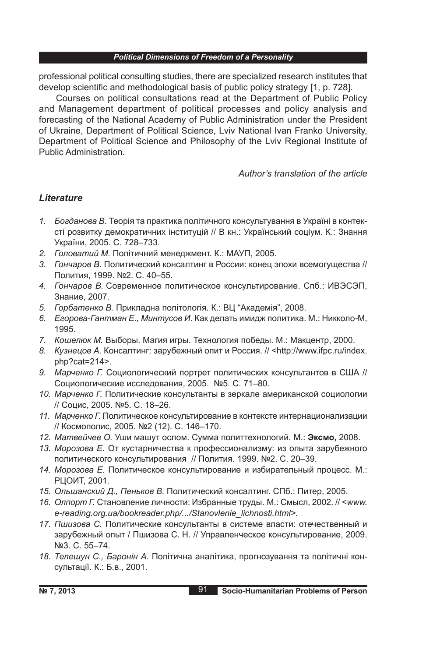professional political consulting studies, there are specialized research institutes that develop scientific and methodological basis of public policy strategy [1, p. 728].

Courses on political consultations read at the Department of Public Policy and Management department of political processes and policy analysis and forecasting of the National Academy of Public Administration under the President of Ukraine, Department of Political Science, Lviv National Ivan Franko University, Department of Political Science and Philosophy of the Lviv Regional Institute of Public Administration.

*Author's translation of the article*

## *Lіterature*

- *1. Богданова В.* Теорія та практика політичного консультування в Україні в контексті розвитку демократичних інституцій // В кн.: Український соціум. К.: Знання України, 2005. С. 728–733.
- *2. Головатий М.* Політичний менеджмент. К.: МАУП, 2005.
- *3. Гончаров В.* Политический консалтинг в России: конец эпохи всемогущества // Полития, 1999. №2. С. 40–55.
- *4. Гончаров В.* Современное политическое консультирование. Спб.: ИВЭСЭП, Знание, 2007.
- *5. Горбатенко В.* Прикладна політологія. К.: ВЦ "Академія", 2008.
- *6. Егорова-Гантман Е., Минтусов И.* Как делать имидж политика. М.: Никколо*-*М, 1995.
- *7. Кошелюк М.* Выборы. Магия игры. Технология победы. М.: Макцентр, 2000.
- *8. Кузнецов А.* Консалтинг: зарубежный опит и Россия. // <http://www.ifpc.ru/index. php?cat=214>.
- *9. Марченко Г.* Социологический портрет политических консультантов в США // Социологические исследования, 2005. №5. С. 71–80.
- *10. Марченко Г.* Политические консультанты в зеркале американской социологии // Социс, 2005. №5. С. 18–26.
- *11. Марченко Г.* Политическое консультирование в контексте интернационализации // Космополис, 2005. №2 (12). С. 146–170.
- *12. Матвейчев О.* Уши машут ослом. Сумма политтехнологий. М.: **Эксмо,** 2008.
- *13. Морозова Е.* От кустарничества к профессионализму: из опыта зарубежного политического консультирования // Полития. 1999. №2. С. 20–39.
- *14. Морозова Е.* Политическое консультирование и избирательный процесс. М.: РЦОИТ, 2001.
- *15. Ольшанский Д., Пеньков В.* Политический консалтинг. СПб.: Питер, 2005.
- *16. Олпорт Г.* Становление личности: Избранные труды. М.: Смысл, 2002. // <*www. e-reading.org.ua/bookreader.php/.../Stanovlenie\_lichnosti.html>.*
- *17. Пшизова С.* Политические консультанты в системе власти: отечественный и зарубежный опыт / Пшизова С. Н. // Управленческое консультирование, 2009. №3. С. 55–74.
- *18. Телешун С., Баронін А.* Політична аналітика, прогнозування та політичні консультації. К.: Б.в., 2001.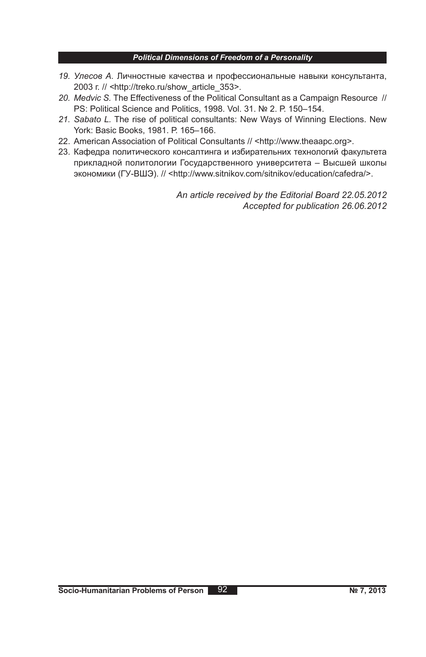- *19. Улесов А.* Личностные качества и профессиональные навыки консультанта, 2003 г. // *<*http://treko.ru/show\_article\_353>.
- *20. Medvic S.* The Effectiveness of the Political Consultant as a Campaign Resource // PS: Political Science and Politics, 1998. Vol. 31. № 2. Р. 150–154.
- *21. Sabato L.* The rise of political consultants: New Ways of Winning Elections. New York: Basic Books, 1981. Р. 165–166.
- 22. American Association of Political Consultants // <http://www.theaapc.org>.
- 23. Кафедра политического консалтинга и избирательних технологий факультета прикладной политологии Государственного университета – Высшей школы экономики (ГУ-ВШЭ). // <http://www.sitnikov.com/sitnikov/education/cafedra/>.

*An article received by the Editorial Board 22.05.2012 Accepted for publication 26.06.2012*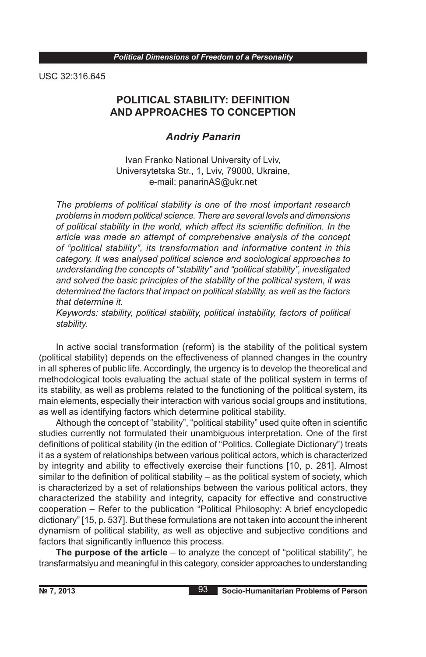USC 32:316.645

# **POLITICAL STABILITY: DEFINITION AND APPROACHES TO CONCEPTION**

## *Andriy Panarin*

Ivan Franko National University of Lviv, Universytetska Str., 1, Lviv, 79000, Ukraine, e-mail: panarinAS@ukr.net

*The problems of political stability is one of the most important research problems in modern political science. There are several levels and dimensions of political stability in the world, which affect its scientific definition. In the article was made an attempt of comprehensive analysis of the concept of "political stability", its transformation and informative content in this category. It was analysed political science and sociological approaches to understanding the concepts of "stability" and "political stability", investigated and solved the basic principles of the stability of the political system, it was determined the factors that impact on political stability, as well as the factors that determine it.*

*Keywords: stability, political stability, political instability, factors of political stability.*

In active social transformation (reform) is the stability of the political system (political stability) depends on the effectiveness of planned changes in the country in all spheres of public life. Accordingly, the urgency is to develop the theoretical and methodological tools evaluating the actual state of the political system in terms of its stability, as well as problems related to the functioning of the political system, its main elements, especially their interaction with various social groups and institutions, as well as identifying factors which determine political stability.

Although the concept of "stability", "political stability" used quite often in scientific studies currently not formulated their unambiguous interpretation. One of the first definitions of political stability (in the edition of "Politics. Collegiate Dictionary") treats it as a system of relationships between various political actors, which is characterized by integrity and ability to effectively exercise their functions [10, p. 281]. Almost similar to the definition of political stability – as the political system of society, which is characterized by a set of relationships between the various political actors, they characterized the stability and integrity, capacity for effective and constructive cooperation – Refer to the publication "Political Philosophy: A brief encyclopedic dictionary" [15, p. 537]. But these formulations are not taken into account the inherent dynamism of political stability, as well as objective and subjective conditions and factors that significantly influence this process.

**The purpose of the article** – to analyze the concept of "political stability", he transfarmatsiyu and meaningful in this category, consider approaches to understanding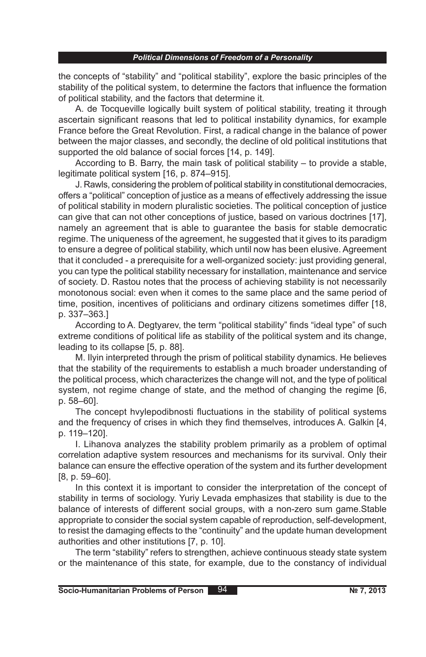the concepts of "stability" and "political stability", explore the basic principles of the stability of the political system, to determine the factors that influence the formation of political stability, and the factors that determine it.

A. de Tocqueville logically built system of political stability, treating it through ascertain significant reasons that led to political instability dynamics, for example France before the Great Revolution. First, a radical change in the balance of power between the major classes, and secondly, the decline of old political institutions that supported the old balance of social forces [14, p. 149].

According to B. Barry, the main task of political stability – to provide a stable, legitimate political system [16, p. 874–915].

J. Rawls, considering the problem of political stability in constitutional democracies, offers a "political" conception of justice as a means of effectively addressing the issue of political stability in modern pluralistic societies. The political conception of justice can give that can not other conceptions of justice, based on various doctrines [17], namely an agreement that is able to guarantee the basis for stable democratic regime. The uniqueness of the agreement, he suggested that it gives to its paradigm to ensure a degree of political stability, which until now has been elusive. Agreement that it concluded - a prerequisite for a well-organized society: just providing general, you can type the political stability necessary for installation, maintenance and service of society. D. Rastou notes that the process of achieving stability is not necessarily monotonous social: even when it comes to the same place and the same period of time, position, incentives of politicians and ordinary citizens sometimes differ [18, p. 337–363.]

According to A. Degtyarev, the term "political stability" finds "ideal type" of such extreme conditions of political life as stability of the political system and its change, leading to its collapse [5, p. 88].

M. Ilyin interpreted through the prism of political stability dynamics. He believes that the stability of the requirements to establish a much broader understanding of the political process, which characterizes the change will not, and the type of political system, not regime change of state, and the method of changing the regime [6, p. 58–60].

The concept hvylepodibnosti fluctuations in the stability of political systems and the frequency of crises in which they find themselves, introduces A. Galkin [4, p. 119–120].

I. Lihanova analyzes the stability problem primarily as a problem of optimal correlation adaptive system resources and mechanisms for its survival. Only their balance can ensure the effective operation of the system and its further development [8, p. 59–60].

In this context it is important to consider the interpretation of the concept of stability in terms of sociology. Yuriy Levada emphasizes that stability is due to the balance of interests of different social groups, with a non-zero sum game.Stable appropriate to consider the social system capable of reproduction, self-development, to resist the damaging effects to the "continuity" and the update human development authorities and other institutions [7, p. 10].

The term "stability" refers to strengthen, achieve continuous steady state system or the maintenance of this state, for example, due to the constancy of individual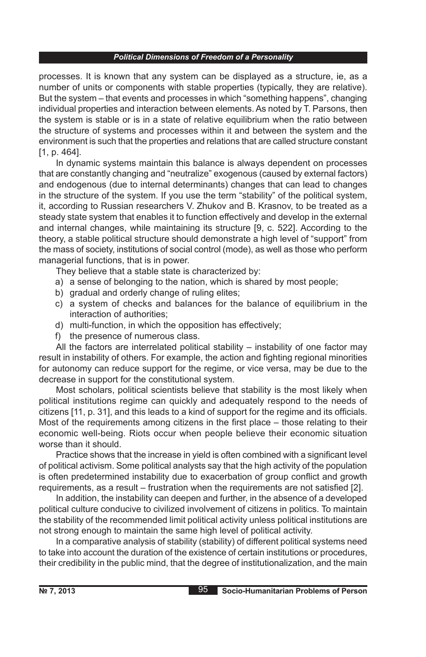processes. It is known that any system can be displayed as a structure, ie, as a number of units or components with stable properties (typically, they are relative). But the system – that events and processes in which "something happens", changing individual properties and interaction between elements. As noted by T. Parsons, then the system is stable or is in a state of relative equilibrium when the ratio between the structure of systems and processes within it and between the system and the environment is such that the properties and relations that are called structure constant [1, p. 464].

In dynamic systems maintain this balance is always dependent on processes that are constantly changing and "neutralize" exogenous (caused by external factors) and endogenous (due to internal determinants) changes that can lead to changes in the structure of the system. If you use the term "stability" of the political system, it, according to Russian researchers V. Zhukov and B. Krasnov, to be treated as a steady state system that enables it to function effectively and develop in the external and internal changes, while maintaining its structure [9, c. 522]. According to the theory, a stable political structure should demonstrate a high level of "support" from the mass of society, institutions of social control (mode), as well as those who perform managerial functions, that is in power.

They believe that a stable state is characterized by:

- a) a sense of belonging to the nation, which is shared by most people;
- b) gradual and orderly change of ruling elites;
- c) a system of checks and balances for the balance of equilibrium in the interaction of authorities;
- d) multi-function, in which the opposition has effectively;
- f) the presence of numerous class.

All the factors are interrelated political stability – instability of one factor may result in instability of others. For example, the action and fighting regional minorities for autonomy can reduce support for the regime, or vice versa, may be due to the decrease in support for the constitutional system.

Most scholars, political scientists believe that stability is the most likely when political institutions regime can quickly and adequately respond to the needs of citizens [11, p. 31], and this leads to a kind of support for the regime and its officials. Most of the requirements among citizens in the first place – those relating to their economic well-being. Riots occur when people believe their economic situation worse than it should.

Practice shows that the increase in yield is often combined with a significant level of political activism. Some political analysts say that the high activity of the population is often predetermined instability due to exacerbation of group conflict and growth requirements, as a result – frustration when the requirements are not satisfied [2].

In addition, the instability can deepen and further, in the absence of a developed political culture conducive to civilized involvement of citizens in politics. To maintain the stability of the recommended limit political activity unless political institutions are not strong enough to maintain the same high level of political activity.

In a comparative analysis of stability (stability) of different political systems need to take into account the duration of the existence of certain institutions or procedures, their credibility in the public mind, that the degree of institutionalization, and the main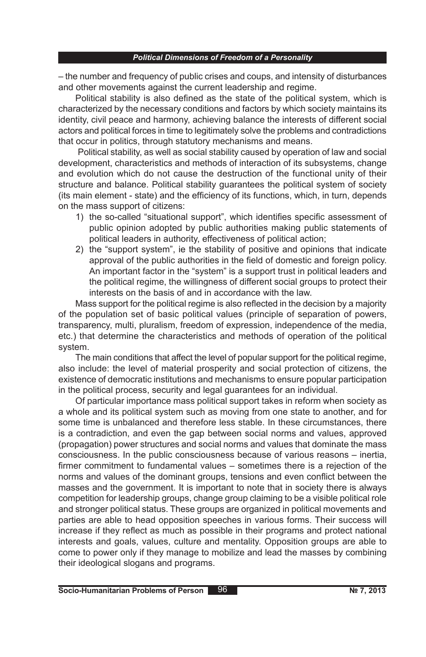– the number and frequency of public crises and coups, and intensity of disturbances and other movements against the current leadership and regime.

Political stability is also defined as the state of the political system, which is characterized by the necessary conditions and factors by which society maintains its identity, civil peace and harmony, achieving balance the interests of different social actors and political forces in time to legitimately solve the problems and contradictions that occur in politics, through statutory mechanisms and means.

Political stability, as well as social stability caused by operation of law and social development, characteristics and methods of interaction of its subsystems, change and evolution which do not cause the destruction of the functional unity of their structure and balance. Political stability guarantees the political system of society (its main element - state) and the efficiency of its functions, which, in turn, depends on the mass support of citizens:

- 1) the so-called "situational support", which identifies specific assessment of public opinion adopted by public authorities making public statements of political leaders in authority, effectiveness of political action;
- 2) the "support system", ie the stability of positive and opinions that indicate approval of the public authorities in the field of domestic and foreign policy. An important factor in the "system" is a support trust in political leaders and the political regime, the willingness of different social groups to protect their interests on the basis of and in accordance with the law.

Mass support for the political regime is also reflected in the decision by a majority of the population set of basic political values (principle of separation of powers, transparency, multi, pluralism, freedom of expression, independence of the media, etc.) that determine the characteristics and methods of operation of the political system.

The main conditions that affect the level of popular support for the political regime, also include: the level of material prosperity and social protection of citizens, the existence of democratic institutions and mechanisms to ensure popular participation in the political process, security and legal guarantees for an individual.

Of particular importance mass political support takes in reform when society as a whole and its political system such as moving from one state to another, and for some time is unbalanced and therefore less stable. In these circumstances, there is a contradiction, and even the gap between social norms and values, approved (propagation) power structures and social norms and values that dominate the mass consciousness. In the public consciousness because of various reasons – inertia, firmer commitment to fundamental values – sometimes there is a rejection of the norms and values of the dominant groups, tensions and even conflict between the masses and the government. It is important to note that in society there is always competition for leadership groups, change group claiming to be a visible political role and stronger political status. These groups are organized in political movements and parties are able to head opposition speeches in various forms. Their success will increase if they reflect as much as possible in their programs and protect national interests and goals, values, culture and mentality. Opposition groups are able to come to power only if they manage to mobilize and lead the masses by combining their ideological slogans and programs.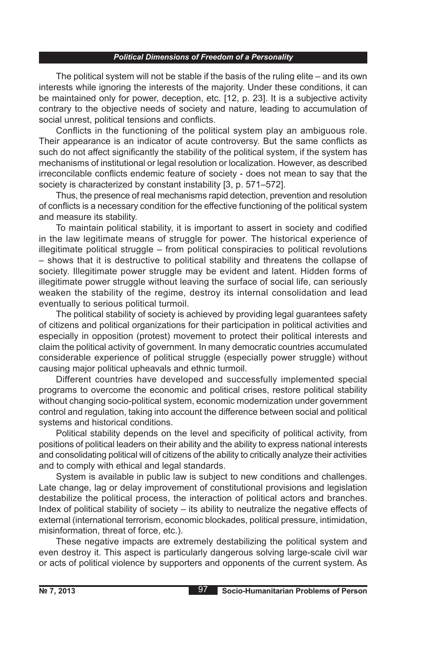The political system will not be stable if the basis of the ruling elite – and its own interests while ignoring the interests of the majority. Under these conditions, it can be maintained only for power, deception, etc. [12, p. 23]. It is a subjective activity contrary to the objective needs of society and nature, leading to accumulation of social unrest, political tensions and conflicts.

Conflicts in the functioning of the political system play an ambiguous role. Their appearance is an indicator of acute controversy. But the same conflicts as such do not affect significantly the stability of the political system, if the system has mechanisms of institutional or legal resolution or localization. However, as described irreconcilable conflicts endemic feature of society - does not mean to say that the society is characterized by constant instability [3, p. 571–572].

Thus, the presence of real mechanisms rapid detection, prevention and resolution of conflicts is a necessary condition for the effective functioning of the political system and measure its stability.

To maintain political stability, it is important to assert in society and codified in the law legitimate means of struggle for power. The historical experience of illegitimate political struggle – from political conspiracies to political revolutions – shows that it is destructive to political stability and threatens the collapse of society. Illegitimate power struggle may be evident and latent. Hidden forms of illegitimate power struggle without leaving the surface of social life, can seriously weaken the stability of the regime, destroy its internal consolidation and lead eventually to serious political turmoil.

The political stability of society is achieved by providing legal guarantees safety of citizens and political organizations for their participation in political activities and especially in opposition (protest) movement to protect their political interests and claim the political activity of government. In many democratic countries accumulated considerable experience of political struggle (especially power struggle) without causing major political upheavals and ethnic turmoil.

Different countries have developed and successfully implemented special programs to overcome the economic and political crises, restore political stability without changing socio-political system, economic modernization under government control and regulation, taking into account the difference between social and political systems and historical conditions.

Political stability depends on the level and specificity of political activity, from positions of political leaders on their ability and the ability to express national interests and consolidating political will of citizens of the ability to critically analyze their activities and to comply with ethical and legal standards.

System is available in public law is subject to new conditions and challenges. Late change, lag or delay improvement of constitutional provisions and legislation destabilize the political process, the interaction of political actors and branches. Index of political stability of society – its ability to neutralize the negative effects of external (international terrorism, economic blockades, political pressure, intimidation, misinformation, threat of force, etc.).

These negative impacts are extremely destabilizing the political system and even destroy it. This aspect is particularly dangerous solving large-scale civil war or acts of political violence by supporters and opponents of the current system. As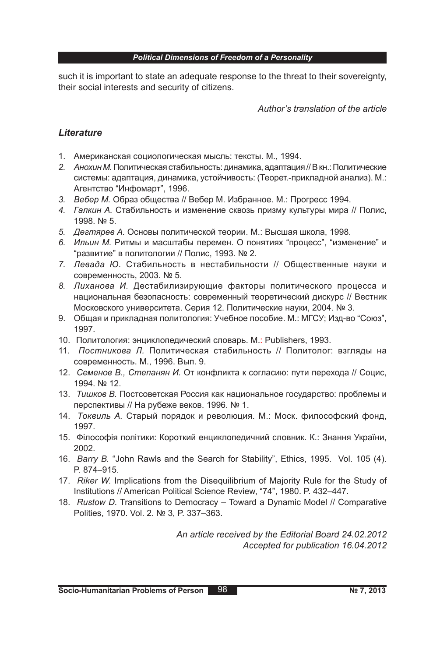such it is important to state an adequate response to the threat to their sovereignty, their social interests and security of citizens.

*Author's translation of the article*

## *Lіterature*

- 1. Американская социологическая мысль: тексты. М., 1994.
- *2. Анохин М.* Политическая стабильность: динамика, адаптация // В кн.:Политические системы: адаптация, динамика, устойчивость: (Теорет.-прикладной анализ). М.: Агентство "Инфомарт", 1996.
- *3. Вебер М.* Образ общества // Вебер М. Избранное. М.: Прогресс 1994.
- *4. Галкин А.* Стабильность и изменение сквозь призму культуры мира // Полис, 1998. № 5.
- *5. Дегтярев А.* Основы политической теории. М.: Высшая школа, 1998.
- *6. Ильин М.* Ритмы и масштабы перемен. О понятиях "процесс", "изменение" и "развитие" в политологии // Полис, 1993. № 2.
- *7. Левада Ю.* Стабильность в нестабильности // Общественные науки и современность, 2003. № 5.
- *8. Лиханова И.* Дестабилизирующие факторы политического процесса и национальная безопасность: современный теоретический дискурс // Вестник Московского университета. Серия 12. Политические науки, 2004. № 3.
- 9. Общая и прикладная политология: Учебное пособие. М.: МГСУ; Изд-во "Союз", 1997.
- 10. Политология: энциклопедический словарь. М.: Publishers, 1993.
- 11. *Постникова Л.* Политическая стабильность // Политолог: взгляды на современность. М., 1996. Вып. 9.
- 12. *Семенов В., Степанян И.* От конфликта к согласию: пути перехода // Социс, 1994. № 12.
- 13. *Тишков В.* Постсоветская Россия как национальное государство: проблемы и перспективы // На рубеже веков. 1996. № 1.
- 14. *Токвиль А.* Старый порядок и революция. М.: Моск. философский фонд, 1997.
- 15. Філософія політики: Короткий енциклопедичний словник. К.: Знання України, 2002.
- 16. *Barry В.* "John Rawls and the Search for Stability", Ethics, 1995. Vol. 105 (4). P. 874–915.
- 17. *Riker W.* Implications from the Disequilibrium of Majority Rule for the Study of Institutions // American Political Science Review, "74", 1980. P. 432–447.
- 18. *Rustow D.* Transitions to Democracy Toward a Dynamic Model // Comparative Polities, 1970. Vol. 2. № 3, P. 337–363.

*An article received by the Editorial Board 24.02.2012 Accepted for publication 16.04.2012*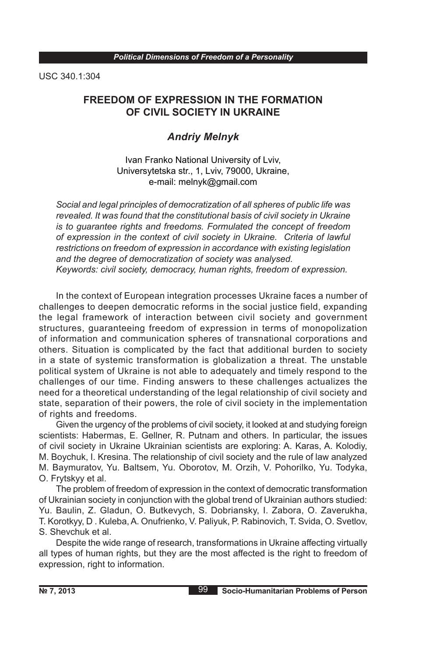USC 340.1:304

# **FREEDOM OF EXPRESSION IN THE FORMATION OF CIVIL SOCIETY IN UKRAINE**

## *Andriy Melnyk*

Ivan Franko National University of Lviv, Universytetska str., 1, Lviv, 79000, Ukraine, e-mail: melnyk@gmail.com

*Social and legal principles of democratization of all spheres of public life was revealed. It was found that the constitutional basis of civil society in Ukraine is to guarantee rights and freedoms. Formulated the concept of freedom of expression in the context of civil society in Ukraine. Criteria of lawful restrictions on freedom of expression in accordance with existing legislation and the degree of democratization of society was analysed. Keywords: civil society, democracy, human rights, freedom of expression.*

In the context of European integration processes Ukraine faces a number of challenges to deepen democratic reforms in the social justice field, expanding the legal framework of interaction between civil society and government structures, guaranteeing freedom of expression in terms of monopolization of information and communication spheres of transnational corporations and others. Situation is complicated by the fact that additional burden to society in a state of systemic transformation is globalization a threat. The unstable political system of Ukraine is not able to adequately and timely respond to the challenges of our time. Finding answers to these challenges actualizes the need for a theoretical understanding of the legal relationship of civil society and state, separation of their powers, the role of civil society in the implementation of rights and freedoms.

Given the urgency of the problems of civil society, it looked at and studying foreign scientists: Habermas, E. Gellner, R. Putnam and others. In particular, the issues of civil society in Ukraine Ukrainian scientists are exploring: A. Karas, A. Kolodiy, M. Boychuk, I. Kresina. The relationship of civil society and the rule of law analyzed M. Baymuratov, Yu. Baltsem, Yu. Oborotov, M. Orzih, V. Pohorilko, Yu. Todyka, O. Frytskyy et al.

The problem of freedom of expression in the context of democratic transformation of Ukrainian society in conjunction with the global trend of Ukrainian authors studied: Yu. Baulin, Z. Gladun, O. Butkevych, S. Dobriansky, I. Zabora, O. Zaverukha, T. Korotkyy, D . Kuleba, A. Onufrienko, V. Paliyuk, P. Rabinovich, T. Svida, O. Svetlov, S. Shevchuk et al.

Despite the wide range of research, transformations in Ukraine affecting virtually all types of human rights, but they are the most affected is the right to freedom of expression, right to information.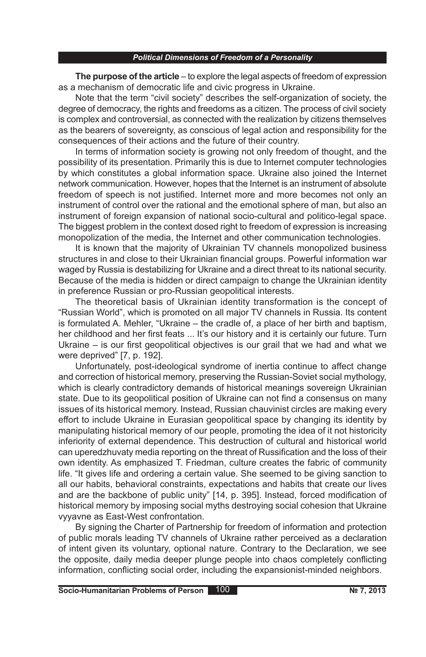**The purpose of the article** – to explore the legal aspects of freedom of expression as a mechanism of democratic life and civic progress in Ukraine.

Note that the term "civil society" describes the self-organization of society, the degree of democracy, the rights and freedoms as a citizen. The process of civil society is complex and controversial, as connected with the realization by citizens themselves as the bearers of sovereignty, as conscious of legal action and responsibility for the consequences of their actions and the future of their country.

In terms of information society is growing not only freedom of thought, and the possibility of its presentation. Primarily this is due to Internet computer technologies by which constitutes a global information space. Ukraine also joined the Internet network communication. However, hopes that the Internet is an instrument of absolute freedom of speech is not justified. Internet more and more becomes not only an instrument of control over the rational and the emotional sphere of man, but also an instrument of foreign expansion of national socio-cultural and politico-legal space. The biggest problem in the context dosed right to freedom of expression is increasing monopolization of the media, the Internet and other communication technologies.

It is known that the majority of Ukrainian TV channels monopolized business structures in and close to their Ukrainian financial groups. Powerful information war waged by Russia is destabilizing for Ukraine and a direct threat to its national security. Because of the media is hidden or direct campaign to change the Ukrainian identity in preference Russian or pro-Russian geopolitical interests.

The theoretical basis of Ukrainian identity transformation is the concept of "Russian World", which is promoted on all major TV channels in Russia. Its content is formulated A. Mehler, "Ukraine – the cradle of, a place of her birth and baptism, her childhood and her first feats ... It's our history and it is certainly our future. Turn Ukraine – is our first geopolitical objectives is our grail that we had and what we were deprived" [7, p. 192].

Unfortunately, post-ideological syndrome of inertia continue to affect change and correction of historical memory, preserving the Russian-Soviet social mythology, which is clearly contradictory demands of historical meanings sovereign Ukrainian state. Due to its geopolitical position of Ukraine can not find a consensus on many issues of its historical memory. Instead, Russian chauvinist circles are making every effort to include Ukraine in Eurasian geopolitical space by changing its identity by manipulating historical memory of our people, promoting the idea of it not historicity inferiority of external dependence. This destruction of cultural and historical world can uperedzhuvaty media reporting on the threat of Russification and the loss of their own identity. As emphasized T. Friedman, culture creates the fabric of community life. "It gives life and ordering a certain value. She seemed to be giving sanction to all our habits, behavioral constraints, expectations and habits that create our lives and are the backbone of public unity" [14, p. 395]. Instead, forced modification of historical memory by imposing social myths destroying social cohesion that Ukraine vyyavne as East-West confrontation.

By signing the Charter of Partnership for freedom of information and protection of public morals leading TV channels of Ukraine rather perceived as a declaration of intent given its voluntary, optional nature. Contrary to the Declaration, we see the opposite, daily media deeper plunge people into chaos completely conflicting information, conflicting social order, including the expansionist-minded neighbors.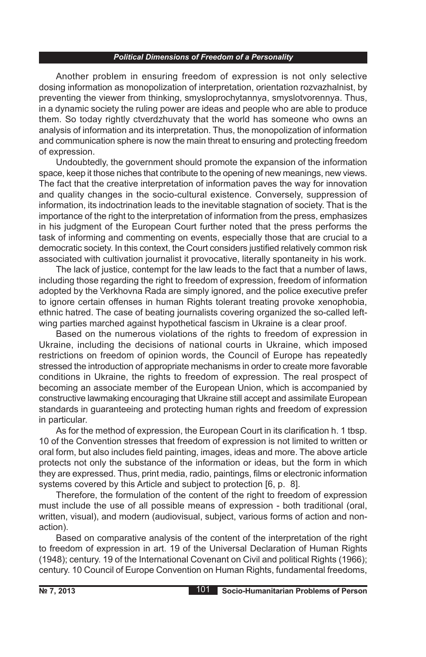Another problem in ensuring freedom of expression is not only selective dosing information as monopolization of interpretation, orientation rozvazhalnist, by preventing the viewer from thinking, smysloprochytannya, smyslotvorennya. Thus, in a dynamic society the ruling power are ideas and people who are able to produce them. So today rightly ctverdzhuvaty that the world has someone who owns an analysis of information and its interpretation. Thus, the monopolization of information and communication sphere is now the main threat to ensuring and protecting freedom of expression.

Undoubtedly, the government should promote the expansion of the information space, keep it those niches that contribute to the opening of new meanings, new views. The fact that the creative interpretation of information paves the way for innovation and quality changes in the socio-cultural existence. Conversely, suppression of information, its indoctrination leads to the inevitable stagnation of society. That is the importance of the right to the interpretation of information from the press, emphasizes in his judgment of the European Court further noted that the press performs the task of informing and commenting on events, especially those that are crucial to a democratic society. In this context, the Court considers justified relatively common risk associated with cultivation journalist it provocative, literally spontaneity in his work.

The lack of justice, contempt for the law leads to the fact that a number of laws, including those regarding the right to freedom of expression, freedom of information adopted by the Verkhovna Rada are simply ignored, and the police executive prefer to ignore certain offenses in human Rights tolerant treating provoke xenophobia, ethnic hatred. The case of beating journalists covering organized the so-called leftwing parties marched against hypothetical fascism in Ukraine is a clear proof.

Based on the numerous violations of the rights to freedom of expression in Ukraine, including the decisions of national courts in Ukraine, which imposed restrictions on freedom of opinion words, the Council of Europe has repeatedly stressed the introduction of appropriate mechanisms in order to create more favorable conditions in Ukraine, the rights to freedom of expression. The real prospect of becoming an associate member of the European Union, which is accompanied by constructive lawmaking encouraging that Ukraine still accept and assimilate European standards in guaranteeing and protecting human rights and freedom of expression in particular.

As for the method of expression, the European Court in its clarification h. 1 tbsp. 10 of the Convention stresses that freedom of expression is not limited to written or oral form, but also includes field painting, images, ideas and more. The above article protects not only the substance of the information or ideas, but the form in which they are expressed. Thus, print media, radio, paintings, films or electronic information systems covered by this Article and subject to protection [6, p. 8].

Therefore, the formulation of the content of the right to freedom of expression must include the use of all possible means of expression - both traditional (oral, written, visual), and modern (audiovisual, subject, various forms of action and nonaction).

Based on comparative analysis of the content of the interpretation of the right to freedom of expression in art. 19 of the Universal Declaration of Human Rights (1948); century. 19 of the International Covenant on Civil and political Rights (1966); century. 10 Council of Europe Convention on Human Rights, fundamental freedoms,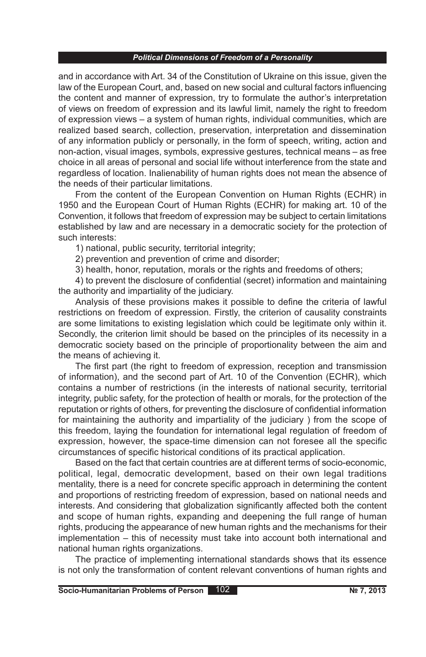and in accordance with Art. 34 of the Constitution of Ukraine on this issue, given the law of the European Court, and, based on new social and cultural factors influencing the content and manner of expression, try to formulate the author's interpretation of views on freedom of expression and its lawful limit, namely the right to freedom of expression views – a system of human rights, individual communities, which are realized based search, collection, preservation, interpretation and dissemination of any information publicly or personally, in the form of speech, writing, action and non-action, visual images, symbols, expressive gestures, technical means – as free choice in all areas of personal and social life without interference from the state and regardless of location. Inalienability of human rights does not mean the absence of the needs of their particular limitations.

From the content of the European Convention on Human Rights (ECHR) in 1950 and the European Court of Human Rights (ECHR) for making art. 10 of the Convention, it follows that freedom of expression may be subject to certain limitations established by law and are necessary in a democratic society for the protection of such interests:

1) national, public security, territorial integrity;

2) prevention and prevention of crime and disorder;

3) health, honor, reputation, morals or the rights and freedoms of others;

4) to prevent the disclosure of confidential (secret) information and maintaining the authority and impartiality of the judiciary.

Analysis of these provisions makes it possible to define the criteria of lawful restrictions on freedom of expression. Firstly, the criterion of causality constraints are some limitations to existing legislation which could be legitimate only within it. Secondly, the criterion limit should be based on the principles of its necessity in a democratic society based on the principle of proportionality between the aim and the means of achieving it.

The first part (the right to freedom of expression, reception and transmission of information), and the second part of Art. 10 of the Convention (ECHR), which contains a number of restrictions (in the interests of national security, territorial integrity, public safety, for the protection of health or morals, for the protection of the reputation or rights of others, for preventing the disclosure of confidential information for maintaining the authority and impartiality of the judiciary ) from the scope of this freedom, laying the foundation for international legal regulation of freedom of expression, however, the space-time dimension can not foresee all the specific circumstances of specific historical conditions of its practical application.

Based on the fact that certain countries are at different terms of socio-economic, political, legal, democratic development, based on their own legal traditions mentality, there is a need for concrete specific approach in determining the content and proportions of restricting freedom of expression, based on national needs and interests. And considering that globalization significantly affected both the content and scope of human rights, expanding and deepening the full range of human rights, producing the appearance of new human rights and the mechanisms for their implementation – this of necessity must take into account both international and national human rights organizations.

The practice of implementing international standards shows that its essence is not only the transformation of content relevant conventions of human rights and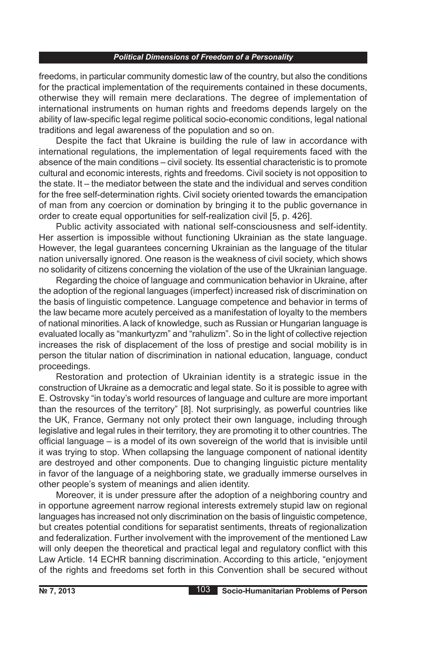freedoms, in particular community domestic law of the country, but also the conditions for the practical implementation of the requirements contained in these documents, otherwise they will remain mere declarations. The degree of implementation of international instruments on human rights and freedoms depends largely on the ability of law-specific legal regime political socio-economic conditions, legal national traditions and legal awareness of the population and so on.

Despite the fact that Ukraine is building the rule of law in accordance with international regulations, the implementation of legal requirements faced with the absence of the main conditions – civil society. Its essential characteristic is to promote cultural and economic interests, rights and freedoms. Civil society is not opposition to the state. It – the mediator between the state and the individual and serves condition for the free self-determination rights. Civil society oriented towards the emancipation of man from any coercion or domination by bringing it to the public governance in order to create equal opportunities for self-realization civil [5, p. 426].

Public activity associated with national self-consciousness and self-identity. Her assertion is impossible without functioning Ukrainian as the state language. However, the legal guarantees concerning Ukrainian as the language of the titular nation universally ignored. One reason is the weakness of civil society, which shows no solidarity of citizens concerning the violation of the use of the Ukrainian language.

Regarding the choice of language and communication behavior in Ukraine, after the adoption of the regional languages (imperfect) increased risk of discrimination on the basis of linguistic competence. Language competence and behavior in terms of the law became more acutely perceived as a manifestation of loyalty to the members of national minorities. A lack of knowledge, such as Russian or Hungarian language is evaluated locally as "mankurtyzm" and "rahulizm". So in the light of collective rejection increases the risk of displacement of the loss of prestige and social mobility is in person the titular nation of discrimination in national education, language, conduct proceedings.

Restoration and protection of Ukrainian identity is a strategic issue in the construction of Ukraine as a democratic and legal state. So it is possible to agree with E. Ostrovsky "in today's world resources of language and culture are more important than the resources of the territory" [8]. Not surprisingly, as powerful countries like the UK, France, Germany not only protect their own language, including through legislative and legal rules in their territory, they are promoting it to other countries. The official language – is a model of its own sovereign of the world that is invisible until it was trying to stop. When collapsing the language component of national identity are destroyed and other components. Due to changing linguistic picture mentality in favor of the language of a neighboring state, we gradually immerse ourselves in other people's system of meanings and alien identity.

Moreover, it is under pressure after the adoption of a neighboring country and in opportune agreement narrow regional interests extremely stupid law on regional languages has increased not only discrimination on the basis of linguistic competence, but creates potential conditions for separatist sentiments, threats of regionalization and federalization. Further involvement with the improvement of the mentioned Law will only deepen the theoretical and practical legal and regulatory conflict with this Law Article. 14 ECHR banning discrimination. According to this article, "enjoyment of the rights and freedoms set forth in this Convention shall be secured without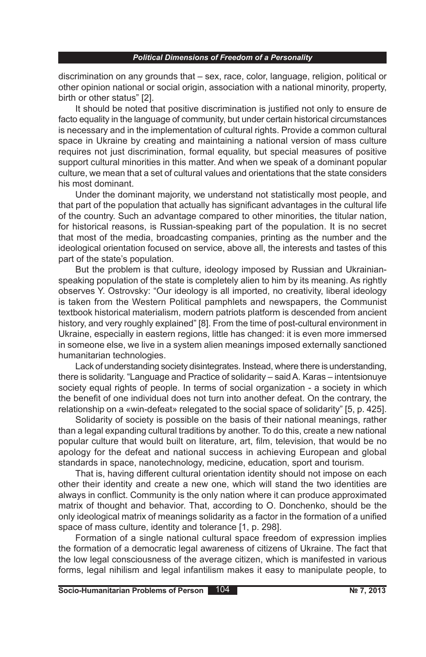discrimination on any grounds that – sex, race, color, language, religion, political or other opinion national or social origin, association with a national minority, property, birth or other status" [2].

It should be noted that positive discrimination is justified not only to ensure de facto equality in the language of community, but under certain historical circumstances is necessary and in the implementation of cultural rights. Provide a common cultural space in Ukraine by creating and maintaining a national version of mass culture requires not just discrimination, formal equality, but special measures of positive support cultural minorities in this matter. And when we speak of a dominant popular culture, we mean that a set of cultural values and orientations that the state considers his most dominant.

Under the dominant majority, we understand not statistically most people, and that part of the population that actually has significant advantages in the cultural life of the country. Such an advantage compared to other minorities, the titular nation, for historical reasons, is Russian-speaking part of the population. It is no secret that most of the media, broadcasting companies, printing as the number and the ideological orientation focused on service, above all, the interests and tastes of this part of the state's population.

But the problem is that culture, ideology imposed by Russian and Ukrainianspeaking population of the state is completely alien to him by its meaning. As rightly observes Y. Ostrovsky: "Our ideology is all imported, no creativity, liberal ideology is taken from the Western Political pamphlets and newspapers, the Communist textbook historical materialism, modern patriots platform is descended from ancient history, and very roughly explained" [8]. From the time of post-cultural environment in Ukraine, especially in eastern regions, little has changed: it is even more immersed in someone else, we live in a system alien meanings imposed externally sanctioned humanitarian technologies.

Lack of understanding society disintegrates. Instead, where there is understanding, there is solidarity. "Language and Practice of solidarity – said A. Karas – intentsionuye society equal rights of people. In terms of social organization - a society in which the benefit of one individual does not turn into another defeat. On the contrary, the relationship on a «win-defeat» relegated to the social space of solidarity" [5, p. 425].

Solidarity of society is possible on the basis of their national meanings, rather than a legal expanding cultural traditions by another. To do this, create a new national popular culture that would built on literature, art, film, television, that would be no apology for the defeat and national success in achieving European and global standards in space, nanotechnology, medicine, education, sport and tourism.

That is, having different cultural orientation identity should not impose on each other their identity and create a new one, which will stand the two identities are always in conflict. Community is the only nation where it can produce approximated matrix of thought and behavior. That, according to O. Donchenko, should be the only ideological matrix of meanings solidarity as a factor in the formation of a unified space of mass culture, identity and tolerance [1, p. 298].

Formation of a single national cultural space freedom of expression implies the formation of a democratic legal awareness of citizens of Ukraine. The fact that the low legal consciousness of the average citizen, which is manifested in various forms, legal nihilism and legal infantilism makes it easy to manipulate people, to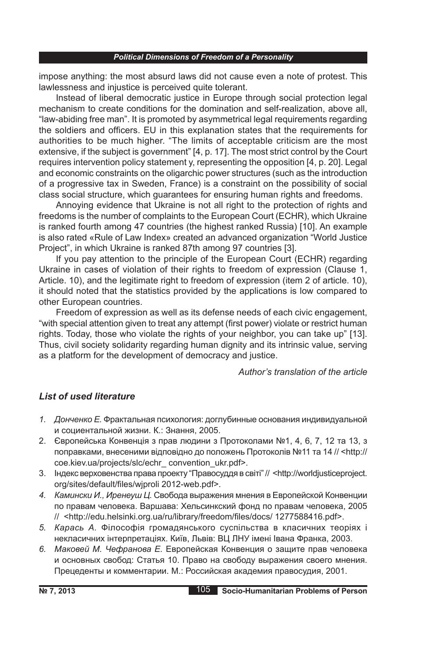impose anything: the most absurd laws did not cause even a note of protest. This lawlessness and injustice is perceived quite tolerant.

Instead of liberal democratic justice in Europe through social protection legal mechanism to create conditions for the domination and self-realization, above all, "law-abiding free man". It is promoted by asymmetrical legal requirements regarding the soldiers and officers. EU in this explanation states that the requirements for authorities to be much higher. "The limits of acceptable criticism are the most extensive, if the subject is government" [4, p. 17]. The most strict control by the Court requires intervention policy statement y, representing the opposition [4, p. 20]. Legal and economic constraints on the oligarchic power structures (such as the introduction of a progressive tax in Sweden, France) is a constraint on the possibility of social class social structure, which guarantees for ensuring human rights and freedoms.

Annoying evidence that Ukraine is not all right to the protection of rights and freedoms is the number of complaints to the European Court (ECHR), which Ukraine is ranked fourth among 47 countries (the highest ranked Russia) [10]. An example is also rated «Rule of Law Index» created an advanced organization "World Justice Project", in which Ukraine is ranked 87th among 97 countries [3].

If you pay attention to the principle of the European Court (ECHR) regarding Ukraine in cases of violation of their rights to freedom of expression (Clause 1, Article. 10), and the legitimate right to freedom of expression (item 2 of article. 10), it should noted that the statistics provided by the applications is low compared to other European countries.

Freedom of expression as well as its defense needs of each civic engagement, "with special attention given to treat any attempt (first power) violate or restrict human rights. Today, those who violate the rights of your neighbor, you can take up" [13]. Thus, civil society solidarity regarding human dignity and its intrinsic value, serving as a platform for the development of democracy and justice.

*Author's translation of the article*

# *List of used literature*

- *1. Донченко Е.* Фрактальная психология: доглубинные основания индивидуальной и социентальной жизни. К.: Знання, 2005.
- 2. Європейська Конвенція з прав людини з Протоколами №1, 4, 6, 7, 12 та 13, з поправками, внесеними відповідно до положень Протоколів №11 та 14 // <http:// coe.kiev.ua/projects/slc/echr\_ convention\_ukr.pdf>.
- 3. Індекс верховенства права проекту "Правосуддя в світі" // <http://worldjusticeproject. org/sites/default/files/wjproli 2012-web.pdf>.
- *4. Камински И., Иренеуш Ц.* Свобода выражения мнения в Европейской Конвенции по правам человека. Варшава: Хельсинкский фонд по правам человека, 2005 // <http://edu.helsinki.org.ua/ru/library/freedom/files/docs/ 1277588416.pdf>.
- *5. Карась А.* Філософія громадянського суспільства в класичних теоріях і некласичних інтерпретаціях. Київ, Львів: ВЦ ЛНУ імені Івана Франка, 2003.
- *6. Маковей М. Чефранова Е.* Европейская Конвенция о защите прав человека и основных свобод: Статья 10. Право на свободу выражения своего мнения. Прецеденты и комментарии. М.: Российская академия правосудия, 2001.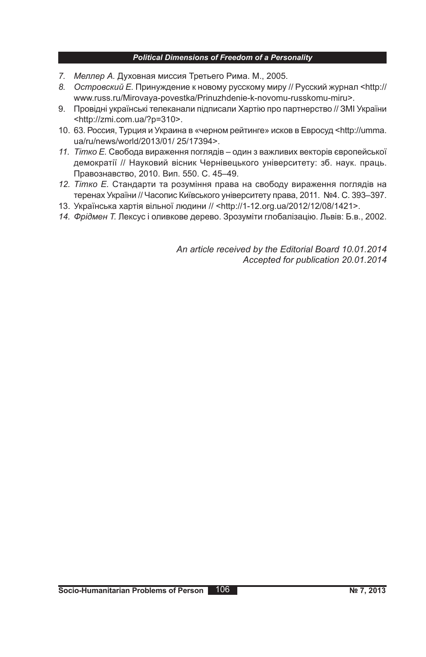- *7. Меллер А.* Духовная миссия Третьего Рима. М., 2005.
- *8. Островский Е.* Принуждение к новому русскому миру // Русский журнал <http:// www.russ.ru/Mirovaya-povestka/Prinuzhdenie-k-novomu-russkomu-miru>.
- 9. Провідні українські телеканали підписали Хартію про партнерство // ЗМІ України <http://zmi.com.ua/?p=310>.
- 10. 63. Россия, Турция и Украина в «черном рейтинге» исков в Евросуд <http://umma. ua/ru/news/world/2013/01/ 25/17394>.
- *11. Тітко Е.* Свобода вираження поглядів один з важливих векторів європейської демократії // Науковий вісник Чернівецького університету: зб. наук. праць. Правознавство, 2010. Вип. 550. C. 45–49.
- *12. Тітко Е.* Стандарти та розуміння права на свободу вираження поглядів на теренах України // Часопис Київського університету права, 2011. №4. C. 393–397.
- 13. Українська хартія вільної людини // <http://1-12.org.ua/2012/12/08/1421>.
- *14. Фрідмен Т.* Лексус і оливкове дерево. Зрозуміти глобалізацію. Львів: Б.в., 2002.

*An article received by the Editorial Board 10.01.2014 Accepted for publication 20.01.2014*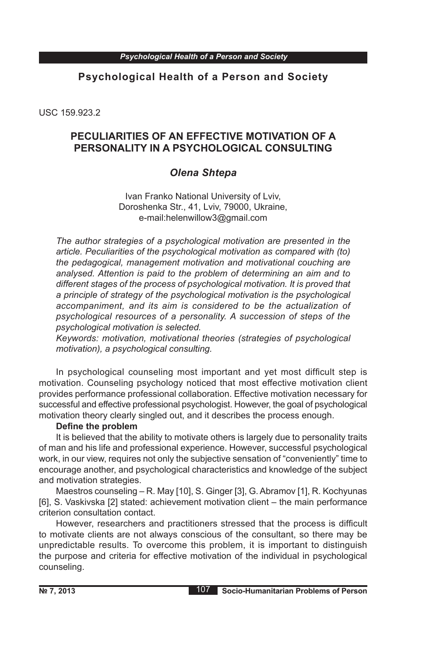# **Psychological Health of a Person and Society**

USC 159.923.2

# **PECULIARITIES OF AN EFFECTIVE MOTIVATION OF A PERSONALITY IN A PSYCHOLOGICAL CONSULTING**

# *Olena Shtepa*

Ivan Franko National University of Lviv, Doroshenka Str., 41, Lviv, 79000, Ukraine, e-mail:helenwillow3@gmail.com

*The author strategies of a psychological motivation are presented in the article. Peculiarities of the psychological motivation as compared with (to) the pedagogical, management motivation and motivational couching are analysed. Attention is paid to the problem of determining an aim and to different stages of the process of psychological motivation. It is proved that a principle of strategy of the psychological motivation is the psychological accompaniment, and its aim is considered to be the actualization of psychological resources of a personality. A succession of steps of the psychological motivation is selected.*

*Keywords: motivation, motivational theories (strategies of psychological motivation), a psychological consulting.*

In psychological counseling most important and yet most difficult step is motivation. Counseling psychology noticed that most effective motivation client provides performance professional collaboration. Effective motivation necessary for successful and effective professional psychologist. However, the goal of psychological motivation theory clearly singled out, and it describes the process enough.

## **Define the problem**

It is believed that the ability to motivate others is largely due to personality traits of man and his life and professional experience. However, successful psychological work, in our view, requires not only the subjective sensation of "conveniently" time to encourage another, and psychological characteristics and knowledge of the subject and motivation strategies.

Maestros counseling – R. May [10], S. Ginger [3], G. Abramov [1], R. Kochyunas [6], S. Vaskivska [2] stated: achievement motivation client – the main performance criterion consultation contact.

However, researchers and practitioners stressed that the process is difficult to motivate clients are not always conscious of the consultant, so there may be unpredictable results. To overcome this problem, it is important to distinguish the purpose and criteria for effective motivation of the individual in psychological counseling.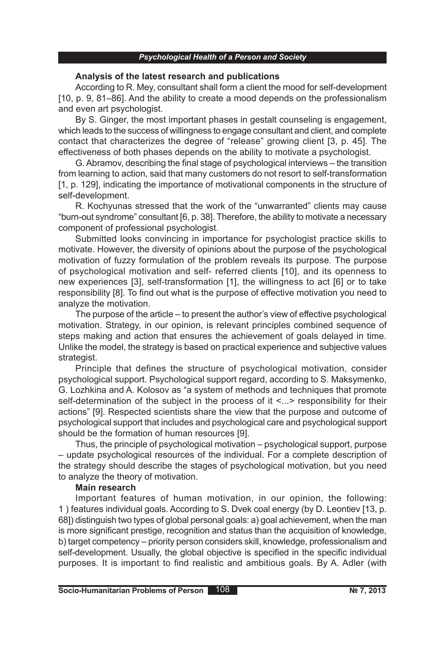#### *Psychological Health of a Person and Society*

### **Analysis of the latest research and publications**

According to R. Mey, consultant shall form a client the mood for self-development [10, p. 9, 81–86]. And the ability to create a mood depends on the professionalism and even art psychologist.

By S. Ginger, the most important phases in gestalt counseling is engagement, which leads to the success of willingness to engage consultant and client, and complete contact that characterizes the degree of "release" growing client [3, p. 45]. The effectiveness of both phases depends on the ability to motivate a psychologist.

G. Abramov, describing the final stage of psychological interviews – the transition from learning to action, said that many customers do not resort to self-transformation [1, p. 129], indicating the importance of motivational components in the structure of self-development.

R. Kochyunas stressed that the work of the "unwarranted" clients may cause "burn-out syndrome" consultant [6, p. 38]. Therefore, the ability to motivate a necessary component of professional psychologist.

Submitted looks convincing in importance for psychologist practice skills to motivate. However, the diversity of opinions about the purpose of the psychological motivation of fuzzy formulation of the problem reveals its purpose. The purpose of psychological motivation and self- referred clients [10], and its openness to new experiences [3], self-transformation [1], the willingness to act [6] or to take responsibility [8]. To find out what is the purpose of effective motivation you need to analyze the motivation.

The purpose of the article – to present the author's view of effective psychological motivation. Strategy, in our opinion, is relevant principles combined sequence of steps making and action that ensures the achievement of goals delayed in time. Unlike the model, the strategy is based on practical experience and subjective values strategist.

Principle that defines the structure of psychological motivation, consider psychological support. Psychological support regard, according to S. Maksymenko, G. Lozhkina and A. Kolosov as "a system of methods and techniques that promote self-determination of the subject in the process of it <...> responsibility for their actions" [9]. Respected scientists share the view that the purpose and outcome of psychological support that includes and psychological care and psychological support should be the formation of human resources [9].

Thus, the principle of psychological motivation – psychological support, purpose – update psychological resources of the individual. For a complete description of the strategy should describe the stages of psychological motivation, but you need to analyze the theory of motivation.

### **Main research**

Important features of human motivation, in our opinion, the following: 1 ) features individual goals. According to S. Dvek coal energy (by D. Leontiev [13, p. 68]) distinguish two types of global personal goals: a) goal achievement, when the man is more significant prestige, recognition and status than the acquisition of knowledge, b) target competency – priority person considers skill, knowledge, professionalism and self-development. Usually, the global objective is specified in the specific individual purposes. It is important to find realistic and ambitious goals. By A. Adler (with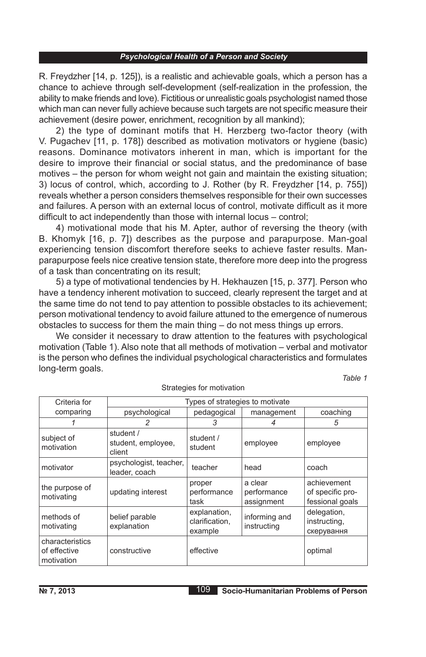R. Freydzher [14, p. 125]), is a realistic and achievable goals, which a person has a chance to achieve through self-development (self-realization in the profession, the ability to make friends and love). Fictitious or unrealistic goals psychologist named those which man can never fully achieve because such targets are not specific measure their achievement (desire power, enrichment, recognition by all mankind);

2) the type of dominant motifs that H. Herzberg two-factor theory (with V. Pugachev [11, p. 178]) described as motivation motivators or hygiene (basic) reasons. Dominance motivators inherent in man, which is important for the desire to improve their financial or social status, and the predominance of base motives – the person for whom weight not gain and maintain the existing situation; 3) locus of control, which, according to J. Rother (by R. Freydzher [14, p. 755]) reveals whether a person considers themselves responsible for their own successes and failures. A person with an external locus of control, motivate difficult as it more difficult to act independently than those with internal locus – control;

4) motivational mode that his M. Apter, author of reversing the theory (with B. Khomyk [16, p. 7]) describes as the purpose and parapurpose. Man-goal experiencing tension discomfort therefore seeks to achieve faster results. Manparapurpose feels nice creative tension state, therefore more deep into the progress of a task than concentrating on its result;

5) a type of motivational tendencies by H. Hekhauzen [15, p. 377]. Person who have a tendency inherent motivation to succeed, clearly represent the target and at the same time do not tend to pay attention to possible obstacles to its achievement; person motivational tendency to avoid failure attuned to the emergence of numerous obstacles to success for them the main thing – do not mess things up errors.

We consider it necessary to draw attention to the features with psychological motivation (Table 1). Also note that all methods of motivation – verbal and motivator is the person who defines the individual psychological characteristics and formulates long-term goals.

| Criteria for                                  | Types of strategies to motivate           |                                           |                                      |                                                    |  |
|-----------------------------------------------|-------------------------------------------|-------------------------------------------|--------------------------------------|----------------------------------------------------|--|
| comparing                                     | psychological                             | pedagogical                               | management                           | coaching                                           |  |
|                                               | 2                                         | 3                                         |                                      | 5                                                  |  |
| subject of<br>motivation                      | student /<br>student, employee,<br>client | student /<br>student                      | employee                             | employee                                           |  |
| motivator                                     | psychologist, teacher,<br>leader, coach   | teacher                                   | head                                 | coach                                              |  |
| the purpose of<br>motivating                  | updating interest                         | proper<br>performance<br>task             | a clear<br>performance<br>assignment | achievement<br>of specific pro-<br>fessional goals |  |
| methods of<br>motivating                      | belief parable<br>explanation             | explanation,<br>clarification,<br>example | informing and<br>instructing         | delegation,<br>instructing,<br>скерування          |  |
| characteristics<br>of effective<br>motivation | constructive                              | effective                                 |                                      | optimal                                            |  |

Strategies for motivation

*Table 1*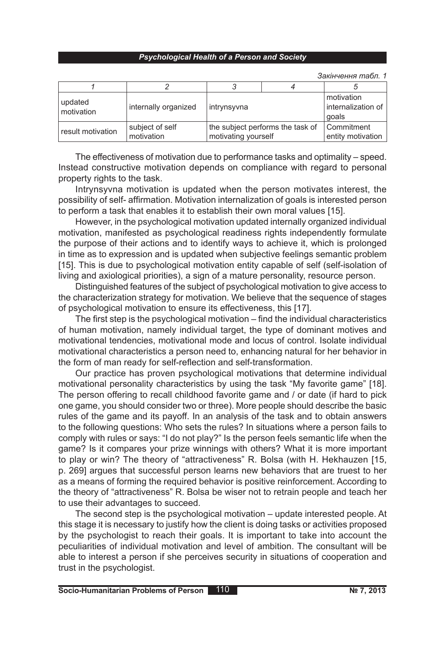*Закінчення табл. 1*

| updated<br>motivation | internally organized          | intrynsyvna                                             |  | motivation<br>internalization of<br>goals |
|-----------------------|-------------------------------|---------------------------------------------------------|--|-------------------------------------------|
| result motivation     | subject of self<br>motivation | the subject performs the task of<br>motivating yourself |  | Commitment<br>entity motivation           |

The effectiveness of motivation due to performance tasks and optimality – speed. Instead constructive motivation depends on compliance with regard to personal property rights to the task.

Intrynsyvna motivation is updated when the person motivates interest, the possibility of self- affirmation. Motivation internalization of goals is interested person to perform a task that enables it to establish their own moral values [15].

However, in the psychological motivation updated internally organized individual motivation, manifested as psychological readiness rights independently formulate the purpose of their actions and to identify ways to achieve it, which is prolonged in time as to expression and is updated when subjective feelings semantic problem [15]. This is due to psychological motivation entity capable of self (self-isolation of living and axiological priorities), a sign of a mature personality, resource person.

Distinguished features of the subject of psychological motivation to give access to the characterization strategy for motivation. We believe that the sequence of stages of psychological motivation to ensure its effectiveness, this [17].

The first step is the psychological motivation – find the individual characteristics of human motivation, namely individual target, the type of dominant motives and motivational tendencies, motivational mode and locus of control. Isolate individual motivational characteristics a person need to, enhancing natural for her behavior in the form of man ready for self-reflection and self-transformation.

Our practice has proven psychological motivations that determine individual motivational personality characteristics by using the task "My favorite game" [18]. The person offering to recall childhood favorite game and / or date (if hard to pick one game, you should consider two or three). More people should describe the basic rules of the game and its payoff. In an analysis of the task and to obtain answers to the following questions: Who sets the rules? In situations where a person fails to comply with rules or says: "I do not play?" Is the person feels semantic life when the game? Is it compares your prize winnings with others? What it is more important to play or win? The theory of "attractiveness" R. Bolsa (with H. Hekhauzen [15, p. 269] argues that successful person learns new behaviors that are truest to her as a means of forming the required behavior is positive reinforcement. According to the theory of "attractiveness" R. Bolsa be wiser not to retrain people and teach her to use their advantages to succeed.

The second step is the psychological motivation – update interested people. At this stage it is necessary to justify how the client is doing tasks or activities proposed by the psychologist to reach their goals. It is important to take into account the peculiarities of individual motivation and level of ambition. The consultant will be able to interest a person if she perceives security in situations of cooperation and trust in the psychologist.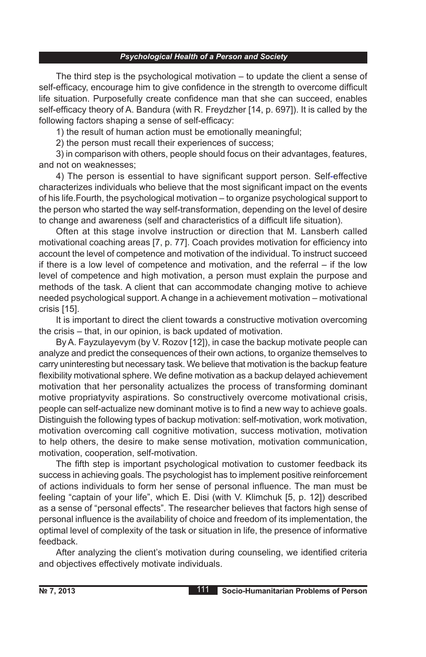The third step is the psychological motivation – to update the client a sense of self-efficacy, encourage him to give confidence in the strength to overcome difficult life situation. Purposefully create confidence man that she can succeed, enables self-efficacy theory of A. Bandura (with R. Freydzher [14, p. 697]). It is called by the following factors shaping a sense of self-efficacy:

1) the result of human action must be emotionally meaningful;

2) the person must recall their experiences of success;

3) in comparison with others, people should focus on their advantages, features, and not on weaknesses;

4) The person is essential to have significant support person. Self-effective characterizes individuals who believe that the most significant impact on the events of his life.Fourth, the psychological motivation – to organize psychological support to the person who started the way self-transformation, depending on the level of desire to change and awareness (self and characteristics of a difficult life situation).

Often at this stage involve instruction or direction that M. Lansberh called motivational coaching areas [7, p. 77]. Coach provides motivation for efficiency into account the level of competence and motivation of the individual. To instruct succeed if there is a low level of competence and motivation, and the referral – if the low level of competence and high motivation, a person must explain the purpose and methods of the task. A client that can accommodate changing motive to achieve needed psychological support. A change in a achievement motivation – motivational crisis [15].

It is important to direct the client towards a constructive motivation overcoming the crisis – that, in our opinion, is back updated of motivation.

By A. Fayzulayevym (by V. Rozov [12]), in case the backup motivate people can analyze and predict the consequences of their own actions, to organize themselves to carry uninteresting but necessary task. We believe that motivation is the backup feature flexibility motivational sphere. We define motivation as a backup delayed achievement motivation that her personality actualizes the process of transforming dominant motive propriatyvity aspirations. So constructively overcome motivational crisis, people can self-actualize new dominant motive is to find a new way to achieve goals. Distinguish the following types of backup motivation: self-motivation, work motivation, motivation overcoming call cognitive motivation, success motivation, motivation to help others, the desire to make sense motivation, motivation communication, motivation, cooperation, self-motivation.

The fifth step is important psychological motivation to customer feedback its success in achieving goals. The psychologist has to implement positive reinforcement of actions individuals to form her sense of personal influence. The man must be feeling "captain of your life", which E. Disi (with V. Klimchuk [5, p. 12]) described as a sense of "personal effects". The researcher believes that factors high sense of personal influence is the availability of choice and freedom of its implementation, the optimal level of complexity of the task or situation in life, the presence of informative feedback.

After analyzing the client's motivation during counseling, we identified criteria and objectives effectively motivate individuals.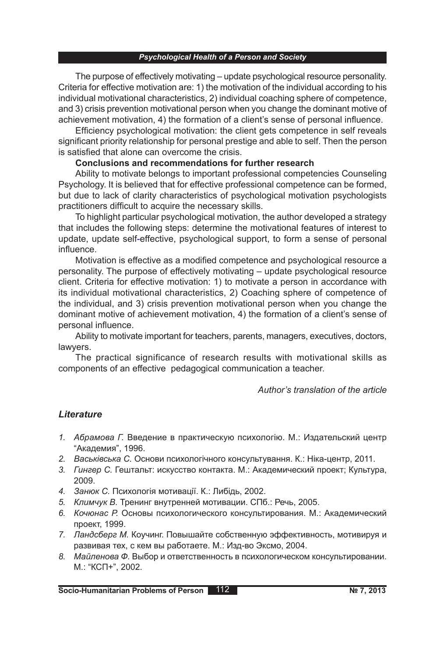The purpose of effectively motivating – update psychological resource personality. Criteria for effective motivation are: 1) the motivation of the individual according to his individual motivational characteristics, 2) individual coaching sphere of competence, and 3) crisis prevention motivational person when you change the dominant motive of achievement motivation, 4) the formation of a client's sense of personal influence.

Efficiency psychological motivation: the client gets competence in self reveals significant priority relationship for personal prestige and able to self. Then the person is satisfied that alone can overcome the crisis.

## **Conclusions and recommendations for further research**

Ability to motivate belongs to important professional competencies Counseling Psychology. It is believed that for effective professional competence can be formed, but due to lack of clarity characteristics of psychological motivation psychologists practitioners difficult to acquire the necessary skills.

To highlight particular psychological motivation, the author developed a strategy that includes the following steps: determine the motivational features of interest to update, update self-effective, psychological support, to form a sense of personal influence.

Motivation is effective as a modified competence and psychological resource a personality. The purpose of effectively motivating – update psychological resource client. Criteria for effective motivation: 1) to motivate a person in accordance with its individual motivational characteristics, 2) Coaching sphere of competence of the individual, and 3) crisis prevention motivational person when you change the dominant motive of achievement motivation, 4) the formation of a client's sense of personal influence.

Ability to motivate important for teachers, parents, managers, executives, doctors, lawyers.

The practical significance of research results with motivational skills as components of an effective pedagogical communication a teacher.

*Author's translation of the article*

## *Lіterature*

- *1. Абрамова Г.* Введение в практическую психологію. М.: Издательский центр "Академия", 1996.
- *2. Васьківська С.* Основи психологічного консультування. К.: Ніка-центр, 2011.
- *3. Гингер С.* Гештальт: искусство контакта. М.: Академический проект; Культура, 2009.
- *4. Занюк С.* Психологія мотивації. К.: Либідь, 2002.
- *5. Климчук В.* Тренинг внутренней мотивации. СПб.: Речь, 2005.
- *6. Кочюнас Р.* Основы психологического консультирования. М.: Академический проект, 1999.
- *7. Ландсберг М.* Коучинг. Повышайте собственную эффективность, мотивируя и развивая тех, с кем вы работаете. М.: Изд-во Эксмо, 2004.
- *8. Майленова Ф.* Выбор и ответственность в психологическом консультировании. М.: "КСП+", 2002.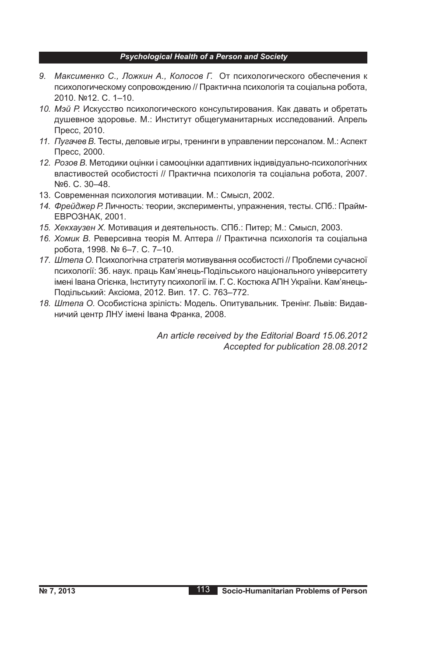- *9. Максименко С., Ложкин А., Колосов Г.* От психологического обеспечения к психологическому сопровождению // Практична психологія та соціальна робота, 2010. №12. С. 1–10.
- *10. Мэй Р.* Искусство психологического консультирования. Как давать и обретать душевное здоровье. М.: Институт общегуманитарных исследований. Апрель Пресс, 2010.
- *11. Пугачев В.* Тесты, деловые игры, тренинги в управлении персоналом. М.: Аспект Пресс, 2000.
- *12. Розов В.* Методики оцінки і самооцінки адаптивних індивідуально-психологічних властивостей особистості // Практична психологія та соціальна робота, 2007. №6. С. 30–48.
- 13. Современная психология мотивации. М.: Смысл, 2002.
- *14. Фрейджер Р.* Личность: теории, эксперименты, упражнения, тесты. СПб.: Прайм-ЕВРОЗНАК, 2001.
- *15. Хекхаузен Х.* Мотивация и деятельность. СПб.: Питер; М.: Смысл, 2003.
- *16. Хомик В.* Реверсивна теорія М. Аптера // Практична психологія та соціальна робота, 1998. № 6–7. С. 7–10.
- *17. Штепа О.* Психологічна стратегія мотивування особистості // Проблеми сучасної психології: Зб. наук. праць Кам'янець-Подільського національного університету імені Івана Огієнка, Інституту психології ім. Г. С. Костюка АПН України. Кам'янець-Подільський: Аксіома, 2012. Вип. 17. С. 763–772.
- *18. Штепа О.* Особистісна зрілість: Модель. Опитувальник. Тренінг. Львів: Видавничий центр ЛНУ імені Івана Франка, 2008.

*An article received by the Editorial Board 15.06.2012 Accepted for publication 28.08.2012*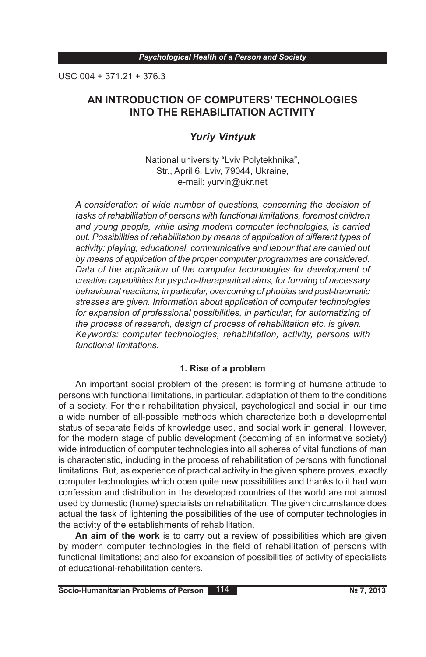USC 004 + 371.21 + 376.3

# **AN INTRODUCTION OF COMPUTERS' TECHNOLOGIES INTO THE REHABILITATION ACTIVITY**

# *Yuriy Vintyuk*

National university "Lviv Polytekhnika", Str., April 6, Lviv, 79044, Ukraine, e-mail: yurvin@ukr.net

*A consideration of wide number of questions, concerning the decision of tasks of rehabilitation of persons with functional limitations, foremost children and young people, while using modern computer technologies, is carried out. Possibilities of rehabilitation by means of application of different types of activity: playing, educational, communicative and labour that are carried out by means of application of the proper computer programmes are considered. Data of the application of the computer technologies for development of creative capabilities for psycho-therapeutical aims, for forming of necessary behavioural reactions, in particular, overcoming of phobias and post-traumatic stresses are given. Information about application of computer technologies for expansion of professional possibilities, in particular, for automatizing of the process of research, design of process of rehabilitation etc. is given. Keywords: computer technologies, rehabilitation, activity, persons with functional limitations.*

## **1. Rise of a problem**

An important social problem of the present is forming of humane attitude to persons with functional limitations, in particular, adaptation of them to the conditions of a society. For their rehabilitation physical, psychological and social in our time a wide number of all-possible methods which characterize both a developmental status of separate fields of knowledge used, and social work in general. However, for the modern stage of public development (becoming of an informative society) wide introduction of computer technologies into all spheres of vital functions of man is characteristic, including in the process of rehabilitation of persons with functional limitations. But, as experience of practical activity in the given sphere proves, exactly computer technologies which open quite new possibilities and thanks to it had won confession and distribution in the developed countries of the world are not almost used by domestic (home) specialists on rehabilitation. The given circumstance does actual the task of lightening the possibilities of the use of computer technologies in the activity of the establishments of rehabilitation.

**An aim of the work** is to carry out a review of possibilities which are given by modern computer technologies in the field of rehabilitation of persons with functional limitations; and also for expansion of possibilities of activity of specialists of educational-rehabilitation centers.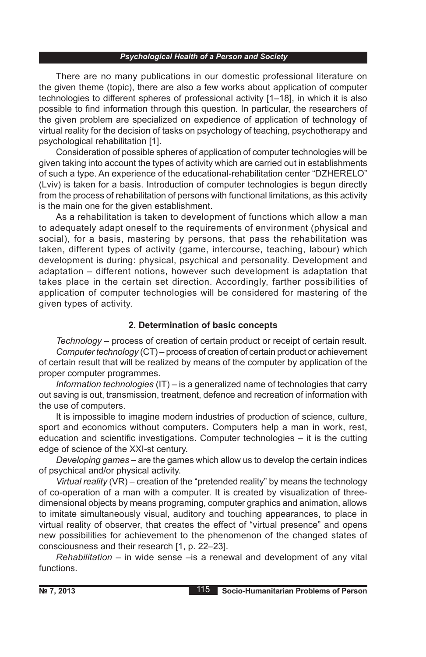There are no many publications in our domestic professional literature on the given theme (topic), there are also a few works about application of computer technologies to different spheres of professional activity [1–18], in which it is also possible to find information through this question. In particular, the researchers of the given problem are specialized on expedience of application of technology of virtual reality for the decision of tasks on psychology of teaching, psychotherapy and psychological rehabilitation [1].

Consideration of possible spheres of application of computer technologies will be given taking into account the types of activity which are carried out in establishments of such a type. An experience of the educational-rehabilitation center "DZHERELO" (Lviv) is taken for a basis. Introduction of computer technologies is begun directly from the process of rehabilitation of persons with functional limitations, as this activity is the main one for the given establishment.

As a rehabilitation is taken to development of functions which allow a man to adequately adapt oneself to the requirements of environment (physical and social), for a basis, mastering by persons, that pass the rehabilitation was taken, different types of activity (game, intercourse, teaching, labour) which development is during: physical, psychical and personality. Development and adaptation – different notions, however such development is adaptation that takes place in the certain set direction. Accordingly, farther possibilities of application of computer technologies will be considered for mastering of the given types of activity.

### **2. Determination of basic concepts**

*Technology* – process of creation of certain product or receipt of certain result. *Computer technology* (CT) – process of creation of certain product or achievement of certain result that will be realized by means of the computer by application of the proper computer programmes.

*Information technologies* (IT) – is a generalized name of technologies that carry out saving is out, transmission, treatment, defence and recreation of information with the use of computers.

It is impossible to imagine modern industries of production of science, culture, sport and economics without computers. Computers help a man in work, rest, education and scientific investigations. Computer technologies – it is the cutting edge of science of the XXI-st century.

*Developing games* – are the games which allow us to develop the certain indices of psychical and/or physical activity.

*Virtual reality* (VR) – creation of the "pretended reality" by means the technology of co-operation of a man with a computer. It is created by visualization of threedimensional objects by means programing, computer graphics and animation, allows to imitate simultaneously visual, auditory and touching appearances, to place in virtual reality of observer, that creates the effect of "virtual presence" and opens new possibilities for achievement to the phenomenon of the changed states of consciousness and their research [1, p. 22–23].

*Rehabilitation* – in wide sense –is a renewal and development of any vital functions.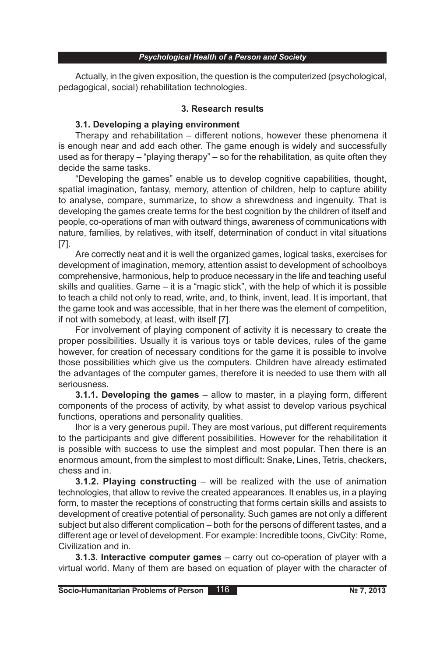Actually, in the given exposition, the question is the computerized (psychological, pedagogical, social) rehabilitation technologies.

## **3. Research results**

## **3.1. Developing a playing environment**

Therapy and rehabilitation – different notions, however these phenomena it is enough near and add each other. The game enough is widely and successfully used as for therapy – "playing therapy" – so for the rehabilitation, as quite often they decide the same tasks.

"Developing the games" enable us to develop cognitive capabilities, thought, spatial imagination, fantasy, memory, attention of children, help to capture ability to analyse, compare, summarize, to show a shrewdness and ingenuity. That is developing the games create terms for the best cognition by the children of itself and people, co-operations of man with outward things, awareness of communications with nature, families, by relatives, with itself, determination of conduct in vital situations [7].

Are correctly neat and it is well the organized games, logical tasks, exercises for development of imagination, memory, attention assist to development of schoolboys comprehensive, harmonious, help to produce necessary in the life and teaching useful skills and qualities. Game – it is a "magic stick", with the help of which it is possible to teach a child not only to read, write, and, to think, invent, lead. It is important, that the game took and was accessible, that in her there was the element of competition, if not with somebody, at least, with itself [7].

For involvement of playing component of activity it is necessary to create the proper possibilities. Usually it is various toys or table devices, rules of the game however, for creation of necessary conditions for the game it is possible to involve those possibilities which give us the computers. Children have already estimated the advantages of the computer games, therefore it is needed to use them with all seriousness.

**3.1.1. Developing the games** – allow to master, in a playing form, different components of the process of activity, by what assist to develop various psychical functions, operations and personality qualities.

Ihor is a very generous pupil. They are most various, put different requirements to the participants and give different possibilities. However for the rehabilitation it is possible with success to use the simplest and most popular. Then there is an enormous amount, from the simplest to most difficult: Snake, Lines, Tetris, checkers, chess and in.

**3.1.2. Playing constructing** – will be realized with the use of animation technologies, that allow to revive the created appearances. It enables us, in a playing form, to master the receptions of constructing that forms certain skills and assists to development of creative potential of personality. Such games are not only a different subject but also different complication – both for the persons of different tastes, and a different age or level of development. For example: Incredible toons, CivCity: Rome, Civilization and in.

**3.1.3. Interactive computer games** – carry out co-operation of player with a virtual world. Many of them are based on equation of player with the character of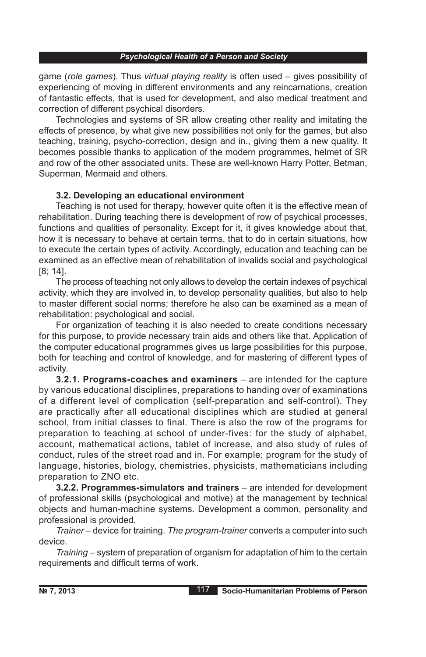game (*role games*). Thus *virtual playing reality* is often used – gives possibility of experiencing of moving in different environments and any reincarnations, creation of fantastic effects, that is used for development, and also medical treatment and correction of different psychical disorders.

Technologies and systems of SR allow creating other reality and imitating the effects of presence, by what give new possibilities not only for the games, but also teaching, training, psycho-correction, design and in., giving them a new quality. It becomes possible thanks to application of the modern programmes, helmet of SR and row of the other associated units. These are well-known Harry Potter, Betman, Superman, Mermaid and others.

## **3.2. Developing an educational environment**

Teaching is not used for therapy, however quite often it is the effective mean of rehabilitation. During teaching there is development of row of psychical processes, functions and qualities of personality. Except for it, it gives knowledge about that, how it is necessary to behave at certain terms, that to do in certain situations, how to execute the certain types of activity. Accordingly, education and teaching can be examined as an effective mean of rehabilitation of invalids social and psychological [8; 14].

The process of teaching not only allows to develop the certain indexes of psychical activity, which they are involved in, to develop personality qualities, but also to help to master different social norms; therefore he also can be examined as a mean of rehabilitation: psychological and social.

For organization of teaching it is also needed to create conditions necessary for this purpose, to provide necessary train aids and others like that. Application of the computer educational programmes gives us large possibilities for this purpose, both for teaching and control of knowledge, and for mastering of different types of activity.

**3.2.1. Programs-coaches and examiners** – are intended for the capture by various educational disciplines, preparations to handing over of examinations of a different level of complication (self-preparation and self-control). They are practically after all educational disciplines which are studied at general school, from initial classes to final. There is also the row of the programs for preparation to teaching at school of under-fives: for the study of alphabet, account, mathematical actions, tablet of increase, and also study of rules of conduct, rules of the street road and in. For example: program for the study of language, histories, biology, chemistries, physicists, mathematicians including preparation to ZNO etc.

**3.2.2. Programmes-simulators and trainers** – are intended for development of professional skills (psychological and motive) at the management by technical objects and human-machine systems. Development a common, personality and professional is provided.

*Trainer* – device for training. *The program-trainer* converts a computer into such device.

*Training –* system of preparation of organism for adaptation of him to the certain requirements and difficult terms of work.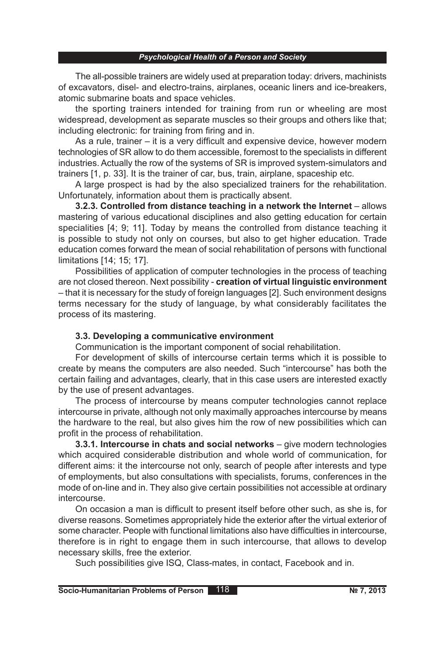The all-possible trainers are widely used at preparation today: drivers, machinists of excavators, disel- and electro-trains, airplanes, oceanic liners and ice-breakers, atomic submarine boats and space vehicles.

the sporting trainers intended for training from run or wheeling are most widespread, development as separate muscles so their groups and others like that; including electronic: for training from firing and in.

As a rule, trainer – it is a very difficult and expensive device, however modern technologies of SR allow to do them accessible, foremost to the specialists in different industries. Actually the row of the systems of SR is improved system-simulators and trainers [1, p. 33]. It is the trainer of car, bus, train, airplane, spaceship etc.

A large prospect is had by the also specialized trainers for the rehabilitation. Unfortunately, information about them is practically absent.

**3.2.3. Controlled from distance teaching in a network the Internet** – allows mastering of various educational disciplines and also getting education for certain specialities [4; 9; 11]. Today by means the controlled from distance teaching it is possible to study not only on courses, but also to get higher education. Trade education comes forward the mean of social rehabilitation of persons with functional limitations [14; 15; 17].

Possibilities of application of computer technologies in the process of teaching are not closed thereon. Next possibility - **creation of virtual linguistic environment**  – that it is necessary for the study of foreign languages [2]. Such environment designs terms necessary for the study of language, by what considerably facilitates the process of its mastering.

## **3.3. Developing a communicative environment**

Communication is the important component of social rehabilitation.

For development of skills of intercourse certain terms which it is possible to create by means the computers are also needed. Such "intercourse" has both the certain failing and advantages, clearly, that in this case users are interested exactly by the use of present advantages.

The process of intercourse by means computer technologies cannot replace intercourse in private, although not only maximally approaches intercourse by means the hardware to the real, but also gives him the row of new possibilities which can profit in the process of rehabilitation.

**3.3.1. Intercourse in chats and social networks** – give modern technologies which acquired considerable distribution and whole world of communication, for different aims: it the intercourse not only, search of people after interests and type of employments, but also consultations with specialists, forums, conferences in the mode of on-line and in. They also give certain possibilities not accessible at ordinary intercourse.

On occasion a man is difficult to present itself before other such, as she is, for diverse reasons. Sometimes appropriately hide the exterior after the virtual exterior of some character. People with functional limitations also have difficulties in intercourse, therefore is in right to engage them in such intercourse, that allows to develop necessary skills, free the exterior.

Such possibilities give ISQ, Class-mates, in contact, Facebook and in.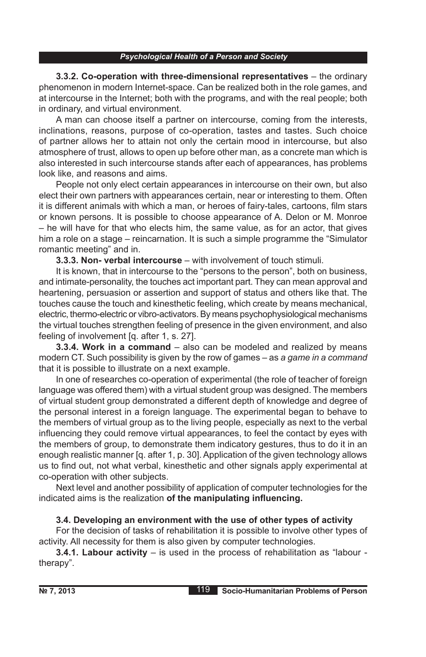**3.3.2. Co-operation with three-dimensional representatives** – the ordinary phenomenon in modern Internet-space. Can be realized both in the role games, and at intercourse in the Internet; both with the programs, and with the real people; both in ordinary, and virtual environment.

A man can choose itself a partner on intercourse, coming from the interests, inclinations, reasons, purpose of co-operation, tastes and tastes. Such choice of partner allows her to attain not only the certain mood in intercourse, but also atmosphere of trust, allows to open up before other man, as a concrete man which is also interested in such intercourse stands after each of appearances, has problems look like, and reasons and aims.

People not only elect certain appearances in intercourse on their own, but also elect their own partners with appearances certain, near or interesting to them. Often it is different animals with which a man, or heroes of fairy-tales, cartoons, film stars or known persons. It is possible to choose appearance of A. Delon or M. Monroe – he will have for that who elects him, the same value, as for an actor, that gives him a role on a stage – reincarnation. It is such a simple programme the "Simulator romantic meeting" and in.

**3.3.3. Non- verbal intercourse** – with involvement of touch stimuli.

It is known, that in intercourse to the "persons to the person", both on business, and intimate-personality, the touches act important part. They can mean approval and heartening, persuasion or assertion and support of status and others like that. The touches cause the touch and kinesthetic feeling, which create by means mechanical, electric, thermo-electric or vibro-activators. By means psychophysiological mechanisms the virtual touches strengthen feeling of presence in the given environment, and also feeling of involvement [q. after 1, s. 27].

**3.3.4. Work in a command** – also can be modeled and realized by means modern CT. Such possibility is given by the row of games – as *a game in a command* that it is possible to illustrate on a next example.

In one of researches co-operation of experimental (the role of teacher of foreign language was offered them) with a virtual student group was designed. The members of virtual student group demonstrated a different depth of knowledge and degree of the personal interest in a foreign language. The experimental began to behave to the members of virtual group as to the living people, especially as next to the verbal influencing they could remove virtual appearances, to feel the contact by eyes with the members of group, to demonstrate them indicatory gestures, thus to do it in an enough realistic manner [q. after 1, p. 30]. Application of the given technology allows us to find out, not what verbal, kinesthetic and other signals apply experimental at co-operation with other subjects.

Next level and another possibility of application of computer technologies for the indicated aims is the realization **of the manipulating influencing.**

## **3.4. Developing an environment with the use of other types of activity**

For the decision of tasks of rehabilitation it is possible to involve other types of activity. All necessity for them is also given by computer technologies.

**3.4.1. Labour activity** – is used in the process of rehabilitation as "labour therapy".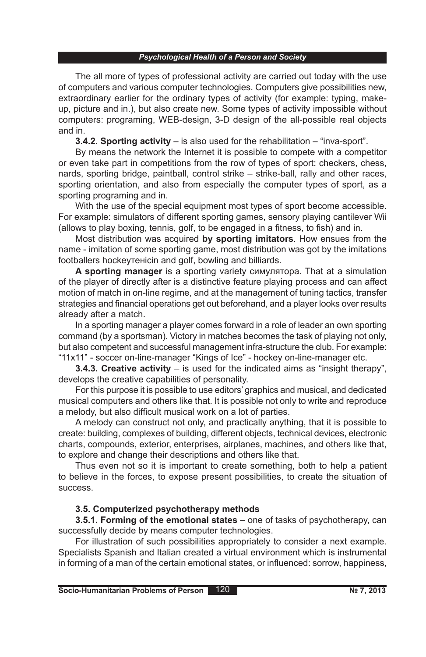The all more of types of professional activity are carried out today with the use of computers and various computer technologies. Computers give possibilities new, extraordinary earlier for the ordinary types of activity (for example: typing, makeup, picture and in.), but also create new. Some types of activity impossible without computers: programing, WEB-design, 3-D design of the all-possible real objects and in.

**3.4.2. Sporting activity** – is also used for the rehabilitation – "inva-sport".

By means the network the Internet it is possible to compete with a competitor or even take part in competitions from the row of types of sport: checkers, chess, nards, sporting bridge, paintball, control strike – strike-ball, rally and other races, sporting orientation, and also from especially the computer types of sport, as a sporting programing and in.

With the use of the special equipment most types of sport become accessible. For example: simulators of different sporting games, sensory playing cantilever Wii (allows to play boxing, tennis, golf, to be engaged in a fitness, to fish) and in.

Most distribution was acquired **by sporting imitators**. How ensues from the name - imitation of some sporting game, most distribution was got by the imitations footballers hockeyтенісin and golf, bowling and billiards.

**A sporting manager** is a sporting variety симулятора. That at a simulation of the player of directly after is a distinctive feature playing process and can affect motion of match in on-line regime, and at the management of tuning tactics, transfer strategies and financial operations get out beforehand, and a player looks over results already after a match.

In a sporting manager a player comes forward in a role of leader an own sporting command (by a sportsman). Victory in matches becomes the task of playing not only, but also competent and successful management infra-structure the club. For example: "11х11" - soccer on-line-manager "Kings of Ice" - hockey on-line-manager etc.

**3.4.3. Creative activity** – is used for the indicated aims as "insight therapy", develops the creative capabilities of personality.

For this purpose it is possible to use editors' graphics and musical, and dedicated musical computers and others like that. It is possible not only to write and reproduce a melody, but also difficult musical work on a lot of parties.

A melody can construct not only, and practically anything, that it is possible to create: building, complexes of building, different objects, technical devices, electronic charts, compounds, exterior, enterprises, airplanes, machines, and others like that, to explore and change their descriptions and others like that.

Thus even not so it is important to create something, both to help a patient to believe in the forces, to expose present possibilities, to create the situation of success.

# **3.5. Computerized psychotherapy methods**

**3.5.1. Forming of the emotional states** – one of tasks of psychotherapy, can successfully decide by means computer technologies.

For illustration of such possibilities appropriately to consider a next example. Specialists Spanish and Italian created a virtual environment which is instrumental in forming of a man of the certain emotional states, or influenced: sorrow, happiness,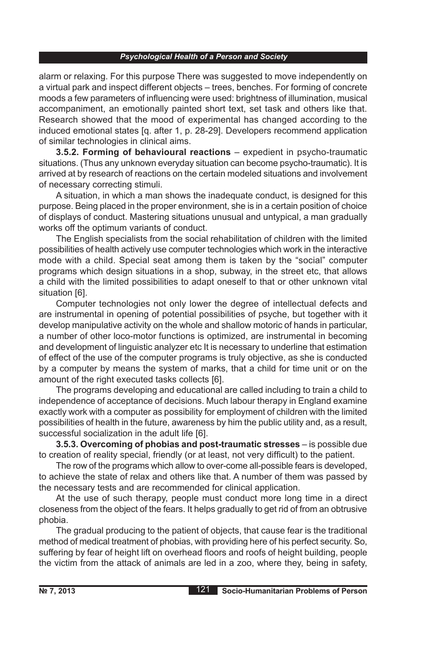alarm or relaxing. For this purpose There was suggested to move independently on a virtual park and inspect different objects – trees, benches. For forming of concrete moods a few parameters of influencing were used: brightness of illumination, musical accompaniment, an emotionally painted short text, set task and others like that. Research showed that the mood of experimental has changed according to the induced emotional states [q. after 1, p. 28-29]. Developers recommend application of similar technologies in clinical aims.

**3.5.2. Forming of behavioural reactions** – expedient in psycho-traumatic situations. (Thus any unknown everyday situation can become psycho-traumatic). It is arrived at by research of reactions on the certain modeled situations and involvement of necessary correcting stimuli.

A situation, in which a man shows the inadequate conduct, is designed for this purpose. Being placed in the proper environment, she is in a certain position of choice of displays of conduct. Mastering situations unusual and untypical, a man gradually works off the optimum variants of conduct.

The English specialists from the social rehabilitation of children with the limited possibilities of health actively use computer technologies which work in the interactive mode with a child. Special seat among them is taken by the "social" computer programs which design situations in a shop, subway, in the street etc, that allows a child with the limited possibilities to adapt oneself to that or other unknown vital situation [6].

Computer technologies not only lower the degree of intellectual defects and are instrumental in opening of potential possibilities of psyche, but together with it develop manipulative activity on the whole and shallow motoric of hands in particular, a number of other loco-motor functions is optimized, are instrumental in becoming and development of linguistic analyzer etc It is necessary to underline that estimation of effect of the use of the computer programs is truly objective, as she is conducted by a computer by means the system of marks, that a child for time unit or on the amount of the right executed tasks collects [6].

The programs developing and educational are called including to train a child to independence of acceptance of decisions. Much labour therapy in England examine exactly work with a computer as possibility for employment of children with the limited possibilities of health in the future, awareness by him the public utility and, as a result, successful socialization in the adult life [6].

**3.5.3. Overcoming of phobias and post-traumatic stresses** – is possible due to creation of reality special, friendly (or at least, not very difficult) to the patient.

The row of the programs which allow to over-come all-possible fears is developed, to achieve the state of relax and others like that. A number of them was passed by the necessary tests and are recommended for clinical application.

At the use of such therapy, people must conduct more long time in a direct closeness from the object of the fears. It helps gradually to get rid of from an obtrusive phobia.

The gradual producing to the patient of objects, that cause fear is the traditional method of medical treatment of phobias, with providing here of his perfect security. So, suffering by fear of height lift on overhead floors and roofs of height building, people the victim from the attack of animals are led in a zoo, where they, being in safety,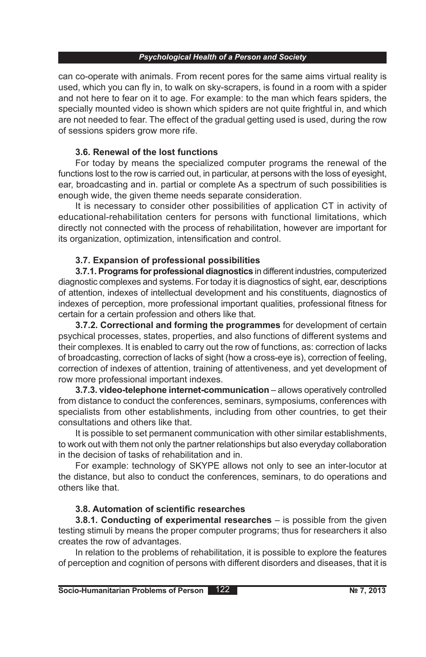can co-operate with animals. From recent pores for the same aims virtual reality is used, which you can fly in, to walk on sky-scrapers, is found in a room with a spider and not here to fear on it to age. For example: to the man which fears spiders, the specially mounted video is shown which spiders are not quite frightful in, and which are not needed to fear. The effect of the gradual getting used is used, during the row of sessions spiders grow more rife.

## **3.6. Renewal of the lost functions**

For today by means the specialized computer programs the renewal of the functions lost to the row is carried out, in particular, at persons with the loss of eyesight, ear, broadcasting and in. partial or complete As a spectrum of such possibilities is enough wide, the given theme needs separate consideration.

It is necessary to consider other possibilities of application CT in activity of educational-rehabilitation centers for persons with functional limitations, which directly not connected with the process of rehabilitation, however are important for its organization, optimization, intensification and control.

## **3.7. Expansion of professional possibilities**

**3.7.1. Programs for professional diagnostics** in different industries, computerized diagnostic complexes and systems. For today it is diagnostics of sight, ear, descriptions of attention, indexes of intellectual development and his constituents, diagnostics of indexes of perception, more professional important qualities, professional fitness for certain for a certain profession and others like that.

**3.7.2. Correctional and forming the programmes** for development of certain psychical processes, states, properties, and also functions of different systems and their complexes. It is enabled to carry out the row of functions, as: correction of lacks of broadcasting, correction of lacks of sight (how a cross-eye is), correction of feeling, correction of indexes of attention, training of attentiveness, and yet development of row more professional important indexes.

**3.7.3. video-telephone internet-communication** – allows operatively controlled from distance to conduct the conferences, seminars, symposiums, conferences with specialists from other establishments, including from other countries, to get their consultations and others like that.

It is possible to set permanent communication with other similar establishments, to work out with them not only the partner relationships but also everyday collaboration in the decision of tasks of rehabilitation and in.

For example: technology of SKYPE allows not only to see an inter-locutor at the distance, but also to conduct the conferences, seminars, to do operations and others like that.

## **3.8. Automation of scientific researches**

**3.8.1. Conducting of experimental researches** – is possible from the given testing stimuli by means the proper computer programs; thus for researchers it also creates the row of advantages.

In relation to the problems of rehabilitation, it is possible to explore the features of perception and cognition of persons with different disorders and diseases, that it is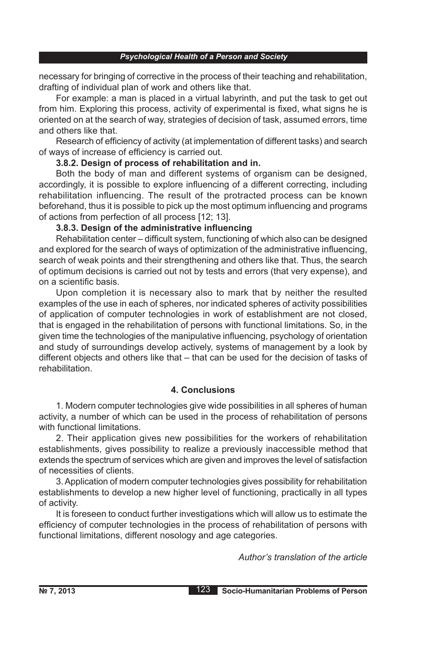necessary for bringing of corrective in the process of their teaching and rehabilitation, drafting of individual plan of work and others like that.

For example: a man is placed in a virtual labyrinth, and put the task to get out from him. Exploring this process, activity of experimental is fixed, what signs he is oriented on at the search of way, strategies of decision of task, assumed errors, time and others like that.

Research of efficiency of activity (at implementation of different tasks) and search of ways of increase of efficiency is carried out.

## **3.8.2. Design of process of rehabilitation and in.**

Both the body of man and different systems of organism can be designed, accordingly, it is possible to explore influencing of a different correcting, including rehabilitation influencing. The result of the protracted process can be known beforehand, thus it is possible to pick up the most optimum influencing and programs of actions from perfection of all process [12; 13].

## **3.8.3. Design of the administrative influencing**

Rehabilitation center – difficult system, functioning of which also can be designed and explored for the search of ways of optimization of the administrative influencing, search of weak points and their strengthening and others like that. Thus, the search of optimum decisions is carried out not by tests and errors (that very expense), and on a scientific basis.

Upon completion it is necessary also to mark that by neither the resulted examples of the use in each of spheres, nor indicated spheres of activity possibilities of application of computer technologies in work of establishment are not closed, that is engaged in the rehabilitation of persons with functional limitations. So, in the given time the technologies of the manipulative influencing, psychology of orientation and study of surroundings develop actively, systems of management by a look by different objects and others like that – that can be used for the decision of tasks of rehabilitation.

## **4. Conclusions**

1. Modern computer technologies give wide possibilities in all spheres of human activity, a number of which can be used in the process of rehabilitation of persons with functional limitations.

2. Their application gives new possibilities for the workers of rehabilitation establishments, gives possibility to realize a previously inaccessible method that extends the spectrum of services which are given and improves the level of satisfaction of necessities of clients.

3. Application of modern computer technologies gives possibility for rehabilitation establishments to develop a new higher level of functioning, practically in all types of activity.

It is foreseen to conduct further investigations which will allow us to estimate the efficiency of computer technologies in the process of rehabilitation of persons with functional limitations, different nosology and age categories.

*Author's translation of the article*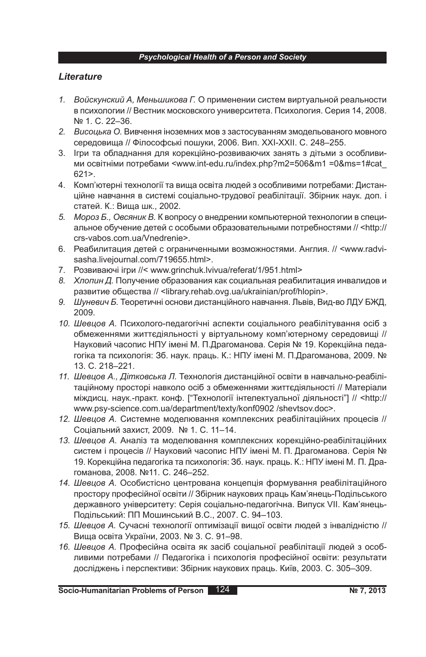## *Lіterature*

- *1. Войскунский А, Меньшикова Г.* О применении систем виртуальной реальности в психологии // Вестник московского университета. Психология. Серия 14, 2008. № 1. С. 22–36.
- *2. Висоцька О.* Вивчення іноземних мов з застосуванням змодельованого мовного середовища // Філософські пошуки, 2006. Вип. ХХІ-ХХІІ. С. 248–255.
- 3. Ігри та обладнання для корекційно-розвиваючих занять з дітьми з особливими освітніми потребами <www.int-edu.ru/index.php?m2=506&m1 =0&ms=1#cat\_ 621>.
- 4. Комп'ютерні технології та вища освіта людей з особливими потребами: Дистанційне навчання в системі соціально-трудової реабілітації. Збірник наук. доп. і статей. К.: Вища шк., 2002.
- *5. Мороз Б., Овсяник В.* К вопросу о внедрении компьютерной технологии в специальное обучение детей с особыми образовательными потребностями // <http:// crs-vabos.com.ua/Vnedrenie>.
- 6. Реабилитация детей с ограниченными возможностями. Англия. // <www.radvisasha.livejournal.com/719655.html>.
- 7. Розвиваючі ігри //< www.grinchuk.lvivua/referat/1/951.html>
- *8. Хлопин Д.* Получение образования как социальная реабилитация инвалидов и развитие общества // <library.rehab.ovg.ua/ukrainian/prof/hlopin>.
- *9. Шуневич Б.* Теоретичні основи дистанційного навчання. Львів, Вид-во ЛДУ БЖД, 2009.
- *10. Шевцов А.* Психолого-педагогічні аспекти соціального реабілітування осіб з обмеженнями життєдіяльності у віртуальному комп'ютерному середовищі // Науковий часопис НПУ імені М. П.Драгоманова. Серія № 19. Корекційна педагогіка та психологія: Зб. наук. праць. К.: НПУ імені М. П.Драгоманова, 2009. № 13. С. 218–221.
- *11. Шевцов А., Дітковська Л.* Технологія дистанційної освіти в навчально-реабілітаційному просторі навколо осіб з обмеженнями життєдіяльності // Матеріали міждисц. наук.-практ. конф. ["Технології інтелектуальної діяльності"] // <http:// www.psy-science.com.ua/department/texty/konf0902 /shevtsov.doc>.
- *12. Шевцов А.* Системне моделювання комплексних реабілітаційних процесів // Соціальний захист, 2009. № 1. С. 11–14.
- *13. Шевцов А.* Аналіз та моделювання комплексних корекційно-реабілітаційних систем і процесів // Науковий часопис НПУ імені М. П. Драгоманова. Серія № 19. Корекційна педагогіка та психологія: Зб. наук. праць. К.: НПУ імені М. П. Драгоманова, 2008. №11. С. 246–252.
- *14. Шевцов А.* Особистісно центрована концепція формування реабілітаційного простору професійної освіти // Збірник наукових праць Кам'янець-Подільського державного університету: Серія соціально-педагогічна. Випуск VII. Кам'янець-Подільський: ПП Мошинський В.С., 2007. C. 94–103.
- *15. Шевцов А.* Сучасні технології оптимізації вищої освіти людей з інвалідністю // Вища освіта України, 2003. № 3. С. 91–98.
- *16. Шевцов А.* Професійна освіта як засіб соціальної реабілітації людей з особливими потребами // Педагогіка і психологія професійної освіти: результати досліджень і перспективи: Збірник наукових праць. Київ, 2003. С. 305–309.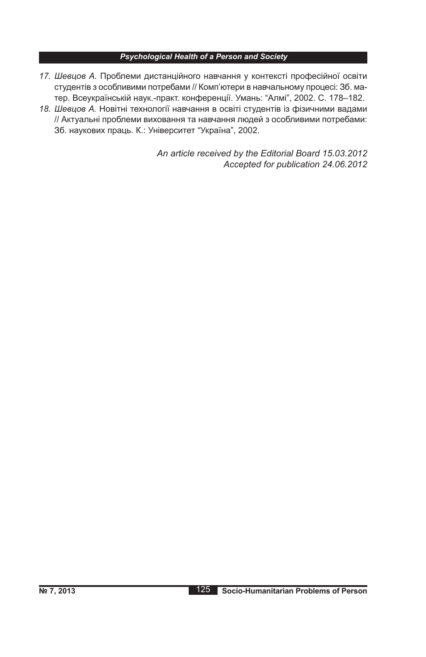- *17. Шевцов А.* Проблеми дистанційного навчання у контексті професійної освіти студентів з особливими потребами // Комп'ютери в навчальному процесі: Зб. матер. Всеукраїнській наук.-практ. конференції. Умань: "Алмі", 2002. C. 178–182.
- *18. Шевцов А.* Новітні технології навчання в освіті студентів із фізичними вадами // Актуальні проблеми виховання та навчання людей з особливими потребами: Зб. наукових праць. К.: Університет "Україна", 2002.

*An article received by the Editorial Board 15.03.2012 Accepted for publication 24.06.2012*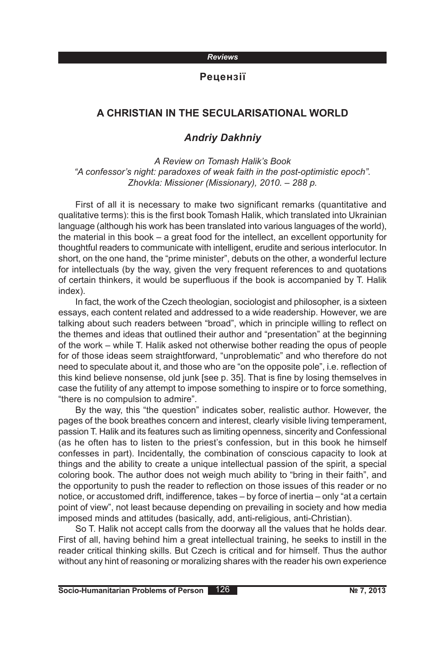### **Рецензії**

# **A CHRISTIAN IN THE SECULARISATIONAL WORLD**

## *Andriy Dakhniy*

*A Review on Tomash Halik's Book "A confessor's night: paradoxes of weak faith in the post-optimistic epoch". Zhovkla: Missioner (Missionary), 2010. – 288 p.*

First of all it is necessary to make two significant remarks (quantitative and qualitative terms): this is the first book Tomash Halik, which translated into Ukrainian language (although his work has been translated into various languages of the world), the material in this book – a great food for the intellect, an excellent opportunity for thoughtful readers to communicate with intelligent, erudite and serious interlocutor. In short, on the one hand, the "prime minister", debuts on the other, a wonderful lecture for intellectuals (by the way, given the very frequent references to and quotations of certain thinkers, it would be superfluous if the book is accompanied by T. Halik index).

In fact, the work of the Czech theologian, sociologist and philosopher, is a sixteen essays, each content related and addressed to a wide readership. However, we are talking about such readers between "broad", which in principle willing to reflect on the themes and ideas that outlined their author and "presentation" at the beginning of the work – while T. Halik asked not otherwise bother reading the opus of people for of those ideas seem straightforward, "unproblematic" and who therefore do not need to speculate about it, and those who are "on the opposite pole", i.e. reflection of this kind believe nonsense, old junk [see p. 35]. That is fine by losing themselves in case the futility of any attempt to impose something to inspire or to force something, "there is no compulsion to admire".

By the way, this "the question" indicates sober, realistic author. However, the pages of the book breathes concern and interest, clearly visible living temperament, passion T. Halik and its features such as limiting openness, sincerity and Confessional (as he often has to listen to the priest's confession, but in this book he himself confesses in part). Incidentally, the combination of conscious capacity to look at things and the ability to create a unique intellectual passion of the spirit, a special coloring book. The author does not weigh much ability to "bring in their faith", and the opportunity to push the reader to reflection on those issues of this reader or no notice, or accustomed drift, indifference, takes – by force of inertia – only "at a certain point of view", not least because depending on prevailing in society and how media imposed minds and attitudes (basically, add, anti-religious, anti-Christian).

So T. Halik not accept calls from the doorway all the values that he holds dear. First of all, having behind him a great intellectual training, he seeks to instill in the reader critical thinking skills. But Czech is critical and for himself. Thus the author without any hint of reasoning or moralizing shares with the reader his own experience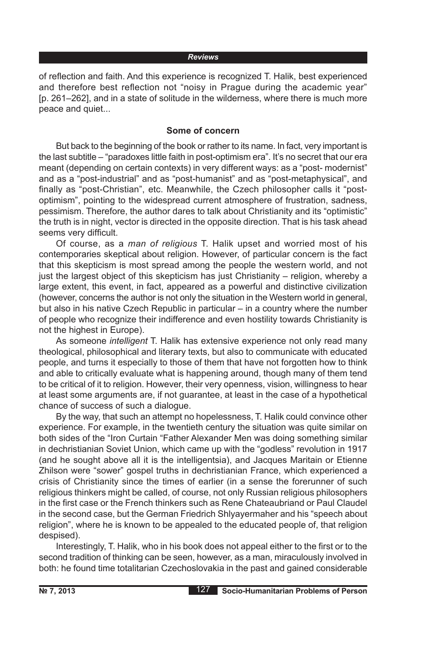of reflection and faith. And this experience is recognized T. Halik, best experienced and therefore best reflection not "noisy in Prague during the academic year" [p. 261–262], and in a state of solitude in the wilderness, where there is much more peace and quiet...

#### **Some of concern**

But back to the beginning of the book or rather to its name. In fact, very important is the last subtitle – "paradoxes little faith in post-optimism era". It's no secret that our era meant (depending on certain contexts) in very different ways: as a "post- modernist" and as a "post-industrial" and as "post-humanist" and as "post-metaphysical", and finally as "post-Christian", etc. Meanwhile, the Czech philosopher calls it "postoptimism", pointing to the widespread current atmosphere of frustration, sadness, pessimism. Therefore, the author dares to talk about Christianity and its "optimistic" the truth is in night, vector is directed in the opposite direction. That is his task ahead seems very difficult.

Of course, as a *man of religious* T. Halik upset and worried most of his contemporaries skeptical about religion. However, of particular concern is the fact that this skepticism is most spread among the people the western world, and not just the largest object of this skepticism has just Christianity – religion, whereby a large extent, this event, in fact, appeared as a powerful and distinctive civilization (however, concerns the author is not only the situation in the Western world in general, but also in his native Czech Republic in particular – in a country where the number of people who recognize their indifference and even hostility towards Christianity is not the highest in Europe).

As someone *intelligent* T. Halik has extensive experience not only read many theological, philosophical and literary texts, but also to communicate with educated people, and turns it especially to those of them that have not forgotten how to think and able to critically evaluate what is happening around, though many of them tend to be critical of it to religion. However, their very openness, vision, willingness to hear at least some arguments are, if not guarantee, at least in the case of a hypothetical chance of success of such a dialogue.

By the way, that such an attempt no hopelessness, T. Halik could convince other experience. For example, in the twentieth century the situation was quite similar on both sides of the "Iron Curtain "Father Alexander Men was doing something similar in dechristianian Soviet Union, which came up with the "godless" revolution in 1917 (and he sought above all it is the intelligentsia), and Jacques Maritain or Etienne Zhilson were "sower" gospel truths in dechristianian France, which experienced a crisis of Christianity since the times of earlier (in a sense the forerunner of such religious thinkers might be called, of course, not only Russian religious philosophers in the first case or the French thinkers such as Rene Chateaubriand or Paul Claudel in the second case, but the German Friedrich Shlyayermaher and his "speech about religion", where he is known to be appealed to the educated people of, that religion despised).

Interestingly, T. Halik, who in his book does not appeal either to the first or to the second tradition of thinking can be seen, however, as a man, miraculously involved in both: he found time totalitarian Czechoslovakia in the past and gained considerable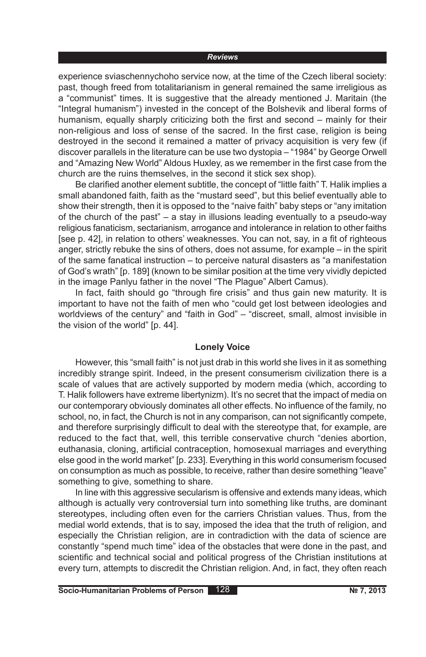experience sviaschennychoho service now, at the time of the Czech liberal society: past, though freed from totalitarianism in general remained the same irreligious as a "communist" times. It is suggestive that the already mentioned J. Maritain (the "Integral humanism") invested in the concept of the Bolshevik and liberal forms of humanism, equally sharply criticizing both the first and second – mainly for their non-religious and loss of sense of the sacred. In the first case, religion is being destroyed in the second it remained a matter of privacy acquisition is very few (if discover parallels in the literature can be use two dystopia – "1984" by George Orwell and "Amazing New World" Aldous Huxley, as we remember in the first case from the church are the ruins themselves, in the second it stick sex shop).

Be clarified another element subtitle, the concept of "little faith" T. Halik implies a small abandoned faith, faith as the "mustard seed", but this belief eventually able to show their strength, then it is opposed to the "naive faith" baby steps or "any imitation of the church of the past" – a stay in illusions leading eventually to a pseudo-way religious fanaticism, sectarianism, arrogance and intolerance in relation to other faiths [see p. 42], in relation to others' weaknesses. You can not, say, in a fit of righteous anger, strictly rebuke the sins of others, does not assume, for example – in the spirit of the same fanatical instruction – to perceive natural disasters as "a manifestation of God's wrath" [p. 189] (known to be similar position at the time very vividly depicted in the image Panlyu father in the novel "The Plague" Albert Camus).

In fact, faith should go "through fire crisis" and thus gain new maturity. It is important to have not the faith of men who "could get lost between ideologies and worldviews of the century" and "faith in God" – "discreet, small, almost invisible in the vision of the world" [p. 44].

#### **Lonely Voice**

However, this "small faith" is not just drab in this world she lives in it as something incredibly strange spirit. Indeed, in the present consumerism civilization there is a scale of values that are actively supported by modern media (which, according to T. Halik followers have extreme libertynizm). It's no secret that the impact of media on our contemporary obviously dominates all other effects. No influence of the family, no school, no, in fact, the Church is not in any comparison, can not significantly compete, and therefore surprisingly difficult to deal with the stereotype that, for example, are reduced to the fact that, well, this terrible conservative church "denies abortion, euthanasia, cloning, artificial contraception, homosexual marriages and everything else good in the world market" [p. 233]. Everything in this world consumerism focused on consumption as much as possible, to receive, rather than desire something "leave" something to give, something to share.

In line with this aggressive secularism is offensive and extends many ideas, which although is actually very controversial turn into something like truths, are dominant stereotypes, including often even for the carriers Christian values. Thus, from the medial world extends, that is to say, imposed the idea that the truth of religion, and especially the Christian religion, are in contradiction with the data of science are constantly "spend much time" idea of the obstacles that were done in the past, and scientific and technical social and political progress of the Christian institutions at every turn, attempts to discredit the Christian religion. And, in fact, they often reach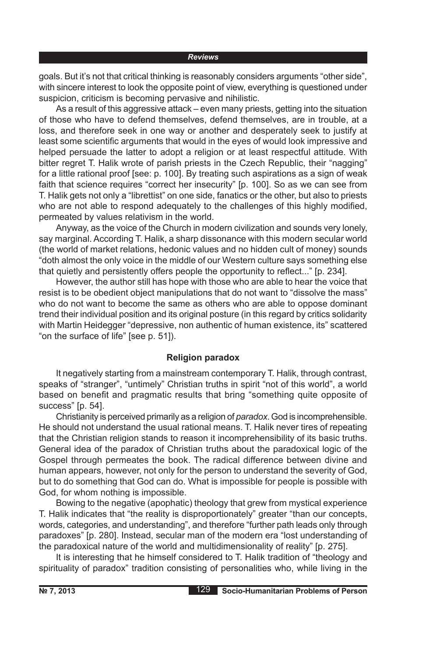goals. But it's not that critical thinking is reasonably considers arguments "other side", with sincere interest to look the opposite point of view, everything is questioned under suspicion, criticism is becoming pervasive and nihilistic.

As a result of this aggressive attack – even many priests, getting into the situation of those who have to defend themselves, defend themselves, are in trouble, at a loss, and therefore seek in one way or another and desperately seek to justify at least some scientific arguments that would in the eyes of would look impressive and helped persuade the latter to adopt a religion or at least respectful attitude. With bitter regret T. Halik wrote of parish priests in the Czech Republic, their "nagging" for a little rational proof [see: p. 100]. By treating such aspirations as a sign of weak faith that science requires "correct her insecurity" [p. 100]. So as we can see from T. Halik gets not only a "librettist" on one side, fanatics or the other, but also to priests who are not able to respond adequately to the challenges of this highly modified, permeated by values relativism in the world.

Anyway, as the voice of the Church in modern civilization and sounds very lonely, say marginal. According T. Halik, a sharp dissonance with this modern secular world (the world of market relations, hedonic values and no hidden cult of money) sounds "doth almost the only voice in the middle of our Western culture says something else that quietly and persistently offers people the opportunity to reflect..." [p. 234].

However, the author still has hope with those who are able to hear the voice that resist is to be obedient object manipulations that do not want to "dissolve the mass" who do not want to become the same as others who are able to oppose dominant trend their individual position and its original posture (in this regard by critics solidarity with Martin Heidegger "depressive, non authentic of human existence, its" scattered "on the surface of life" [see p. 51]).

## **Religion paradox**

It negatively starting from a mainstream contemporary T. Halik, through contrast, speaks of "stranger", "untimely" Christian truths in spirit "not of this world", a world based on benefit and pragmatic results that bring "something quite opposite of success" [p. 54].

Christianity is perceived primarily as a religion of *paradox*. God is incomprehensible. He should not understand the usual rational means. T. Halik never tires of repeating that the Christian religion stands to reason it incomprehensibility of its basic truths. General idea of the paradox of Christian truths about the paradoxical logic of the Gospel through permeates the book. The radical difference between divine and human appears, however, not only for the person to understand the severity of God, but to do something that God can do. What is impossible for people is possible with God, for whom nothing is impossible.

Bowing to the negative (apophatic) theology that grew from mystical experience T. Halik indicates that "the reality is disproportionately" greater "than our concepts, words, categories, and understanding", and therefore "further path leads only through paradoxes" [p. 280]. Instead, secular man of the modern era "lost understanding of the paradoxical nature of the world and multidimensionality of reality" [p. 275].

It is interesting that he himself considered to T. Halik tradition of "theology and spirituality of paradox" tradition consisting of personalities who, while living in the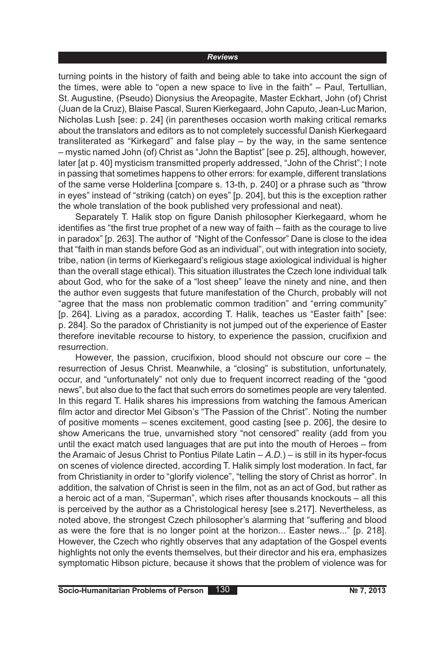turning points in the history of faith and being able to take into account the sign of the times, were able to "open a new space to live in the faith" – Paul, Tertullian, St. Augustine, (Pseudo) Dionysius the Areopagite, Master Eckhart, John (of) Christ (Juan de la Cruz), Blaise Pascal, Sшren Kierkegaard, John Caputo, Jean-Luc Marion, Nicholas Lush [see: p. 24] (in parentheses occasion worth making critical remarks about the translators and editors as to not completely successful Danish Kierkegaard transliterated as "Kirkegard" and false play – by the way, in the same sentence – mystic named John (of) Christ as "John the Baptist" [see p. 25], although, however, later [at p. 40] mysticism transmitted properly addressed, "John of the Christ"; I note in passing that sometimes happens to other errors: for example, different translations of the same verse Holderlina [compare s. 13-th, p. 240] or a phrase such as "throw in eyes" instead of "striking (catch) on eyes" [p. 204], but this is the exception rather the whole translation of the book published very professional and neat).

Separately T. Halik stop on figure Danish philosopher Kierkegaard, whom he identifies as "the first true prophet of a new way of faith – faith as the courage to live in paradox" [p. 263]. The author of "Night of the Confessor" Dane is close to the idea that "faith in man stands before God as an individual", out with integration into society, tribe, nation (in terms of Kierkegaard's religious stage axiological individual is higher than the overall stage ethical). This situation illustrates the Czech lone individual talk about God, who for the sake of a "lost sheep" leave the ninety and nine, and then the author even suggests that future manifestation of the Church, probably will not "agree that the mass non problematic common tradition" and "erring community" [p. 264]. Living as a paradox, according T. Halik, teaches us "Easter faith" [see: p. 284]. So the paradox of Christianity is not jumped out of the experience of Easter therefore inevitable recourse to history, to experience the passion, crucifixion and resurrection.

However, the passion, crucifixion, blood should not obscure our core – the resurrection of Jesus Christ. Meanwhile, a "closing" is substitution, unfortunately, occur, and "unfortunately" not only due to frequent incorrect reading of the "good news", but also due to the fact that such errors do sometimes people are very talented. In this regard T. Halik shares his impressions from watching the famous American film actor and director Mel Gibson's "The Passion of the Christ". Noting the number of positive moments – scenes excitement, good casting [see p. 206], the desire to show Americans the true, unvarnished story "not censored" reality (add from you until the exact match used languages that are put into the mouth of Heroes – from the Aramaic of Jesus Christ to Pontius Pilate Latin – *A.D.*) – is still in its hyper-focus on scenes of violence directed, according T. Halik simply lost moderation. In fact, far from Christianity in order to "glorify violence", "telling the story of Christ as horror". In addition, the salvation of Christ is seen in the film, not as an act of God, but rather as a heroic act of a man, "Superman", which rises after thousands knockouts – all this is perceived by the author as a Christological heresy [see s.217]. Nevertheless, as noted above, the strongest Czech philosopher's alarming that "suffering and blood as were the fore that is no longer point at the horizon... Easter news..." [p. 218]. However, the Czech who rightly observes that any adaptation of the Gospel events highlights not only the events themselves, but their director and his era, emphasizes symptomatic Hibson picture, because it shows that the problem of violence was for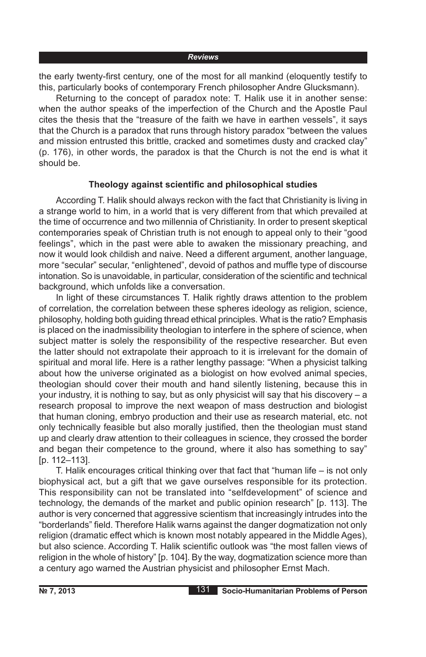the early twenty-first century, one of the most for all mankind (eloquently testify to this, particularly books of contemporary French philosopher Andre Glucksmann).

Returning to the concept of paradox note: T. Halik use it in another sense: when the author speaks of the imperfection of the Church and the Apostle Paul cites the thesis that the "treasure of the faith we have in earthen vessels", it says that the Church is a paradox that runs through history paradox "between the values and mission entrusted this brittle, cracked and sometimes dusty and cracked clay" (p. 176), in other words, the paradox is that the Church is not the end is what it should be.

## **Theology against scientific and philosophical studies**

According T. Halik should always reckon with the fact that Christianity is living in a strange world to him, in a world that is very different from that which prevailed at the time of occurrence and two millennia of Christianity. In order to present skeptical contemporaries speak of Christian truth is not enough to appeal only to their "good feelings", which in the past were able to awaken the missionary preaching, and now it would look childish and naive. Need a different argument, another language, more "secular" secular, "enlightened", devoid of pathos and muffle type of discourse intonation. So is unavoidable, in particular, consideration of the scientific and technical background, which unfolds like a conversation.

In light of these circumstances T. Halik rightly draws attention to the problem of correlation, the correlation between these spheres ideology as religion, science, philosophy, holding both guiding thread ethical principles. What is the ratio? Emphasis is placed on the inadmissibility theologian to interfere in the sphere of science, when subject matter is solely the responsibility of the respective researcher. But even the latter should not extrapolate their approach to it is irrelevant for the domain of spiritual and moral life. Here is a rather lengthy passage: "When a physicist talking about how the universe originated as a biologist on how evolved animal species, theologian should cover their mouth and hand silently listening, because this in your industry, it is nothing to say, but as only physicist will say that his discovery – a research proposal to improve the next weapon of mass destruction and biologist that human cloning, embryo production and their use as research material, etc. not only technically feasible but also morally justified, then the theologian must stand up and clearly draw attention to their colleagues in science, they crossed the border and began their competence to the ground, where it also has something to say" [p. 112–113].

T. Halik encourages critical thinking over that fact that "human life – is not only biophysical act, but a gift that we gave ourselves responsible for its protection. This responsibility can not be translated into "selfdevelopment" of science and technology, the demands of the market and public opinion research" [p. 113]. The author is very concerned that aggressive scientism that increasingly intrudes into the "borderlands" field. Therefore Halik warns against the danger dogmatization not only religion (dramatic effect which is known most notably appeared in the Middle Ages), but also science. According T. Halik scientific outlook was "the most fallen views of religion in the whole of history" [p. 104]. By the way, dogmatization science more than a century ago warned the Austrian physicist and philosopher Ernst Mach.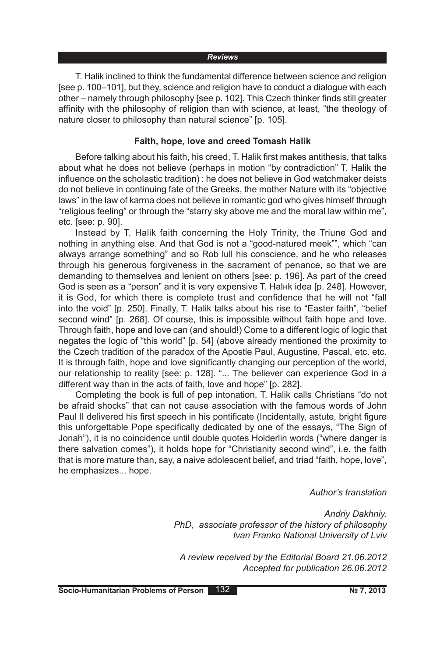T. Halik inclined to think the fundamental difference between science and religion [see p. 100–101], but they, science and religion have to conduct a dialogue with each other – namely through philosophy [see p. 102]. This Czech thinker finds still greater affinity with the philosophy of religion than with science, at least, "the theology of nature closer to philosophy than natural science" [p. 105].

### **Faith, hope, love and creed Tomash Halik**

Before talking about his faith, his creed, T. Halik first makes antithesis, that talks about what he does not believe (perhaps in motion "by contradiction" T. Halik the influence on the scholastic tradition) : he does not believe in God watchmaker deists do not believe in continuing fate of the Greeks, the mother Nature with its "objective laws" in the law of karma does not believe in romantic god who gives himself through "religious feeling" or through the "starry sky above me and the moral law within me", etc. [see: p. 90].

Instead by T. Halik faith concerning the Holy Trinity, the Triune God and nothing in anything else. And that God is not a "good-natured meek"", which "can always arrange something" and so Rob lull his conscience, and he who releases through his generous forgiveness in the sacrament of penance, so that we are demanding to themselves and lenient on others [see: p. 196]. As part of the creed God is seen as a "person" and it is very expensive T. Halнk idea [p. 248]. However, it is God, for which there is complete trust and confidence that he will not "fall into the void" [p. 250]. Finally, T. Halik talks about his rise to "Easter faith", "belief second wind" [p. 268]. Of course, this is impossible without faith hope and love. Through faith, hope and love can (and should!) Come to a different logic of logic that negates the logic of "this world" [p. 54] (above already mentioned the proximity to the Czech tradition of the paradox of the Apostle Paul, Augustine, Pascal, etc. etc. It is through faith, hope and love significantly changing our perception of the world, our relationship to reality [see: p. 128]. "... The believer can experience God in a different way than in the acts of faith, love and hope" [p. 282].

Completing the book is full of pep intonation. T. Halik calls Christians "do not be afraid shocks" that can not cause association with the famous words of John Paul II delivered his first speech in his pontificate (Incidentally, astute, bright figure this unforgettable Pope specifically dedicated by one of the essays, "The Sign of Jonah"), it is no coincidence until double quotes Holderlin words ("where danger is there salvation comes"), it holds hope for "Christianity second wind", i.e. the faith that is more mature than, say, a naive adolescent belief, and triad "faith, hope, love", he emphasizes... hope.

*Author's translation*

*Andriy Dakhniy, PhD, associate professor of the history of philosophy Ivan Franko National University of Lviv*

*A review received by the Editorial Board 21.06.2012 Accepted for publication 26.06.2012*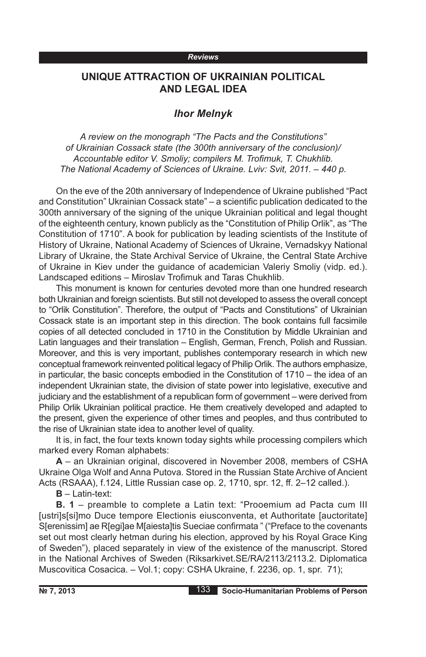# **UNIQUE ATTRACTION OF UKRAINIAN POLITICAL AND LEGAL IDEA**

## *Ihor Melnyk*

*A review on the monograph "The Pacts and the Constitutions" of Ukrainian Cossack state (the 300th anniversary of the conclusion)/ Accountable editor V. Smoliy; compilers M. Trofimuk, T. Chukhlib. The National Academy of Sciences of Ukraine. Lviv: Svit, 2011. – 440 p.*

On the eve of the 20th anniversary of Independence of Ukraine published "Pact and Constitution" Ukrainian Cossack state" – a scientific publication dedicated to the 300th anniversary of the signing of the unique Ukrainian political and legal thought of the eighteenth century, known publicly as the "Constitution of Philip Orlik", as "The Constitution of 1710". A book for publication by leading scientists of the Institute of History of Ukraine, National Academy of Sciences of Ukraine, Vernadskyy National Library of Ukraine, the State Archival Service of Ukraine, the Central State Archive of Ukraine in Kiev under the guidance of academician Valeriy Smoliy (vidp. ed.). Landscaped editions – Miroslav Trofimuk and Taras Chukhlib.

This monument is known for centuries devoted more than one hundred research both Ukrainian and foreign scientists. But still not developed to assess the overall concept to "Orlik Constitution". Therefore, the output of "Pacts and Constitutions" of Ukrainian Cossack state is an important step in this direction. The book contains full facsimile copies of all detected concluded in 1710 in the Constitution by Middle Ukrainian and Latin languages and their translation – English, German, French, Polish and Russian. Moreover, and this is very important, publishes contemporary research in which new conceptual framework reinvented political legacy of Philip Orlik. The authors emphasize, in particular, the basic concepts embodied in the Constitution of 1710 – the idea of an independent Ukrainian state, the division of state power into legislative, executive and judiciary and the establishment of a republican form of government – were derived from Philip Orlik Ukrainian political practice. He them creatively developed and adapted to the present, given the experience of other times and peoples, and thus contributed to the rise of Ukrainian state idea to another level of quality.

It is, in fact, the four texts known today sights while processing compilers which marked every Roman alphabets:

**A** – an Ukrainian original, discovered in November 2008, members of CSHA Ukraine Olga Wolf and Anna Putova. Stored in the Russian State Archive of Ancient Acts (RSAAA), f.124, Little Russian case op. 2, 1710, spr. 12, ff. 2–12 called.).

**B** – Latin-text:

**B. 1** – preamble to complete a Latin text: "Prooemium ad Pacta cum III [ustri]s[si]mo Duce tempore Electionis eiusconventa, et Authoritate [auctoritate] S[erenissim] ae R[egi]ae M[aiesta]tis Sueciae confirmata " ("Preface to the covenants set out most clearly hetman during his election, approved by his Royal Grace King of Sweden"), placed separately in view of the existence of the manuscript. Stored in the National Archives of Sweden (Riksarkivet.SE/RA/2113/2113.2. Diplomatica Muscovitica Cosacica. – Vol.1; copy: CSHA Ukraine, f. 2236, op. 1, spr. 71);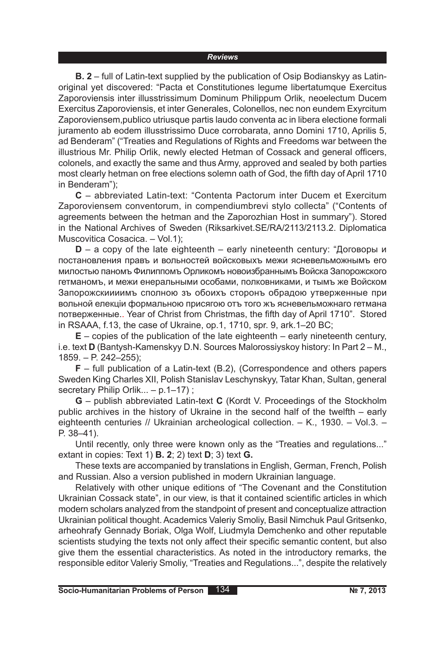**B. 2** – full of Latin-text supplied by the publication of Osip Bodianskyy as Latinoriginal yet discovered: "Pacta et Constitutiones legume libertatumque Exercitus Zaporoviensis inter illusstrissimum Dominum Philippum Orlik, neoelectum Ducem Exercitus Zaporoviensis, et inter Generales, Colonellos, nec non eundem Exуrcitum Zaporoviensem,publico utriusque partis laudo conventa ac in libera electione formali juramento ab eodem illusstrissimo Duce corrobarata, anno Domini 1710, Aprilis 5, ad Benderam" ("Treaties and Regulations of Rights and Freedoms war between the illustrious Mr. Philip Orlik, newly elected Hetman of Cossack and general officers, colonels, and exactly the same and thus Army, approved and sealed by both parties most clearly hetman on free elections solemn oath of God, the fifth day of April 1710 in Benderam");

**C** – abbreviated Latin-text: "Contenta Pactorum inter Ducem et Exercitum Zaporoviensem conventorum, in compendiumbrevi stylo collecta" ("Contents of agreements between the hetman and the Zaporozhian Host in summary"). Stored in the National Archives of Sweden (Riksarkivet.SE/RA/2113/2113.2. Diplomatica Muscovitica Cosacica. – Vol.1);

**D** – a copy of the late eighteenth – early nineteenth century: "Договоры и постановления правъ и вольностей войсковыхъ межи ясневельможнымъ его милостью паномъ Филиппомъ Орликомъ новоизбраннымъ Войска Запорожского гетманомъ, и межи енеральными особами, полковниками, и тымъ же Войском Запорожскиииимъ сполною зъ обоихъ сторонъ обрадою утверженные при вольной елекціи формальною присягою отъ того жъ ясневельможнаго гетмана потверженные.. Year of Christ from Christmas, the fifth day of April 1710". Stored in RSAAA, f.13, the case of Ukraine, op.1, 1710, spr. 9, ark.1–20 BC;

**E** – copies of the publication of the late eighteenth – early nineteenth century, i.e. text **D** (Bantysh-Kamenskyy D.N. Sources Malorossiyskoy history: In Part 2 – M., 1859. – P. 242–255);

**F** – full publication of a Latin-text (B.2), (Correspondence and others papers Sweden King Charles XII, Polish Stanislav Leschynskyy, Tatar Khan, Sultan, general secretary Philip Orlik... - p.1-17);

**G** – publish abbreviated Latin-text **C** (Kordt V. Proceedings of the Stockholm public archives in the history of Ukraine in the second half of the twelfth – early eighteenth centuries // Ukrainian archeological collection. – K., 1930. – Vol.3. – P. 38–41).

Until recently, only three were known only as the "Treaties and regulations..." extant in copies: Text 1) **B. 2**; 2) text **D**; 3) text **G.**

These texts are accompanied by translations in English, German, French, Polish and Russian. Also a version published in modern Ukrainian language.

Relatively with other unique editions of "The Covenant and the Constitution Ukrainian Cossack state", in our view, is that it contained scientific articles in which modern scholars analyzed from the standpoint of present and conceptualize attraction Ukrainian political thought. Academics Valeriy Smoliy, Basil Nimchuk Paul Gritsenko, arheohrafy Gennady Boriak, Olga Wolf, Liudmyla Demchenko and other reputable scientists studying the texts not only affect their specific semantic content, but also give them the essential characteristics. As noted in the introductory remarks, the responsible editor Valeriy Smoliy, "Treaties and Regulations...", despite the relatively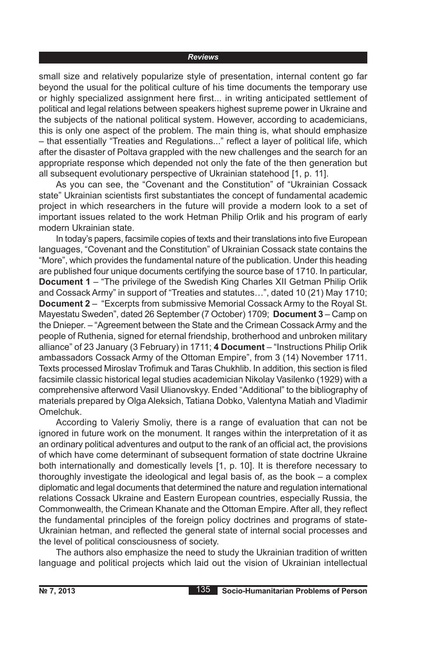small size and relatively popularize style of presentation, internal content go far beyond the usual for the political culture of his time documents the temporary use or highly specialized assignment here first... in writing anticipated settlement of political and legal relations between speakers highest supreme power in Ukraine and the subjects of the national political system. However, according to academicians, this is only one aspect of the problem. The main thing is, what should emphasize – that essentially "Treaties and Regulations..." reflect a layer of political life, which after the disaster of Poltava grappled with the new challenges and the search for an appropriate response which depended not only the fate of the then generation but all subsequent evolutionary perspective of Ukrainian statehood [1, p. 11].

As you can see, the "Covenant and the Constitution" of "Ukrainian Cossack state" Ukrainian scientists first substantiates the concept of fundamental academic project in which researchers in the future will provide a modern look to a set of important issues related to the work Hetman Philip Orlik and his program of early modern Ukrainian state.

In today's papers, facsimile copies of texts and their translations into five European languages, "Covenant and the Constitution" of Ukrainian Cossack state contains the "More", which provides the fundamental nature of the publication. Under this heading are published four unique documents certifying the source base of 1710. In particular, **Document 1** – "The privilege of the Swedish King Charles XII Getman Philip Orlik and Cossack Army" in support of "Treaties and statutes…", dated 10 (21) May 1710; **Document 2** – "Excerpts from submissive Memorial Cossack Army to the Royal St. Mayestatu Sweden", dated 26 September (7 October) 1709; **Document 3** – Camp on the Dnieper. – "Agreement between the State and the Crimean Cossack Army and the people of Ruthenia, signed for eternal friendship, brotherhood and unbroken military alliance" of 23 January (3 February) in 1711; **4 Document** – "Instructions Philip Orlik ambassadors Cossack Army of the Ottoman Empire", from 3 (14) November 1711. Texts processed Miroslav Trofimuk and Taras Chukhlib. In addition, this section is filed facsimile classic historical legal studies academician Nikolay Vasilenko (1929) with a comprehensive afterword Vasil Ulianovskyy. Ended "Additional" to the bibliography of materials prepared by Olga Aleksich, Tatiana Dobko, Valentyna Matiah and Vladimir Omelchuk.

According to Valeriy Smoliy, there is a range of evaluation that can not be ignored in future work on the monument. It ranges within the interpretation of it as an ordinary political adventures and output to the rank of an official act, the provisions of which have come determinant of subsequent formation of state doctrine Ukraine both internationally and domestically levels [1, p. 10]. It is therefore necessary to thoroughly investigate the ideological and legal basis of, as the book – a complex diplomatic and legal documents that determined the nature and regulation international relations Cossack Ukraine and Eastern European countries, especially Russia, the Commonwealth, the Crimean Khanate and the Ottoman Empire. After all, they reflect the fundamental principles of the foreign policy doctrines and programs of state-Ukrainian hetman, and reflected the general state of internal social processes and the level of political consciousness of society.

The authors also emphasize the need to study the Ukrainian tradition of written language and political projects which laid out the vision of Ukrainian intellectual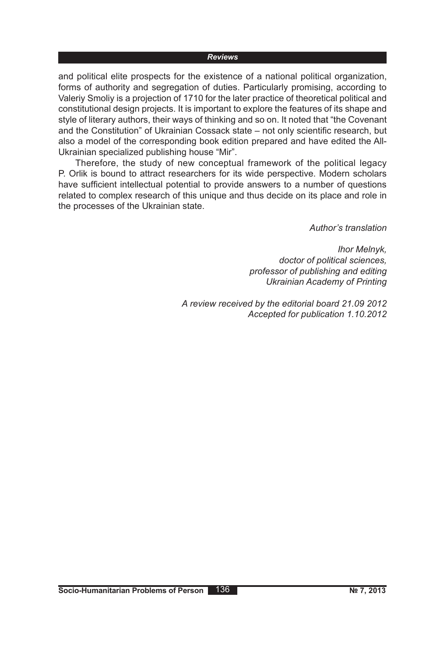and political elite prospects for the existence of a national political organization, forms of authority and segregation of duties. Particularly promising, according to Valeriy Smoliy is a projection of 1710 for the later practice of theoretical political and constitutional design projects. It is important to explore the features of its shape and style of literary authors, their ways of thinking and so on. It noted that "the Covenant and the Constitution" of Ukrainian Cossack state – not only scientific research, but also a model of the corresponding book edition prepared and have edited the All-Ukrainian specialized publishing house "Mir".

Therefore, the study of new conceptual framework of the political legacy P. Orlik is bound to attract researchers for its wide perspective. Modern scholars have sufficient intellectual potential to provide answers to a number of questions related to complex research of this unique and thus decide on its place and role in the processes of the Ukrainian state.

*Author's translation*

*Ihor Melnyk, doctor of political sciences, professor of publishing and editing Ukrainian Academy of Printing*

*A review received by the editorial board 21.09 2012 Accepted for publication 1.10.2012*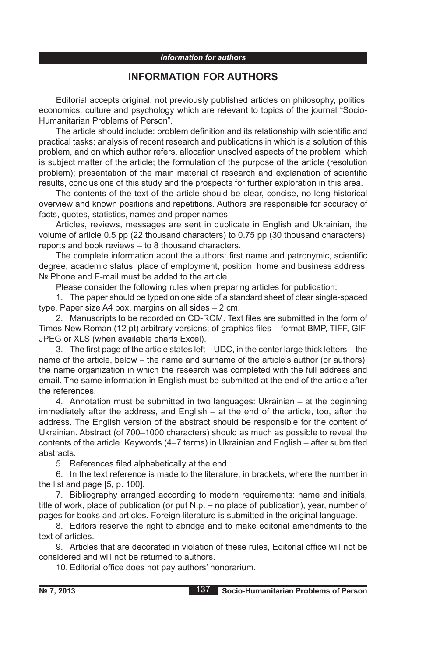#### *Information for authors*

## **INFORMATION FOR AUTHORS**

Editorial accepts original, not previously published articles on philosophy, politics, economics, culture and psychology which are relevant to topics of the journal "Socio-Humanitarian Problems of Person".

The article should include: problem definition and its relationship with scientific and practical tasks; analysis of recent research and publications in which is a solution of this problem, and on which author refers, allocation unsolved aspects of the problem, which is subject matter of the article; the formulation of the purpose of the article (resolution problem); presentation of the main material of research and explanation of scientific results, conclusions of this study and the prospects for further exploration in this area.

The contents of the text of the article should be clear, concise, no long historical overview and known positions and repetitions. Authors are responsible for accuracy of facts, quotes, statistics, names and proper names.

Articles, reviews, messages are sent in duplicate in English and Ukrainian, the volume of article 0.5 pp (22 thousand characters) to 0.75 pp (30 thousand characters); reports and book reviews – to 8 thousand characters.

The complete information about the authors: first name and patronymic, scientific degree, academic status, place of employment, position, home and business address, Nº Phone and E-mail must be added to the article.

Please consider the following rules when preparing articles for publication:

1. The paper should be typed on one side of a standard sheet of clear single-spaced type. Paper size A4 box, margins on all sides – 2 cm.

2. Manuscripts to be recorded on CD-ROM. Text files are submitted in the form of Times New Roman (12 pt) arbitrary versions; of graphics files – format BMP, TIFF, GIF, JPEG or XLS (when available charts Excel).

3. The first page of the article states left – UDC, in the center large thick letters – the name of the article, below – the name and surname of the article's author (or authors), the name organization in which the research was completed with the full address and email. The same information in English must be submitted at the end of the article after the references.

4. Annotation must be submitted in two languages: Ukrainian – at the beginning immediately after the address, and English – at the end of the article, too, after the address. The English version of the abstract should be responsible for the content of Ukrainian. Abstract (of 700–1000 characters) should as much as possible to reveal the contents of the article. Keywords (4–7 terms) in Ukrainian and English – after submitted abstracts.

5. References filed alphabetically at the end.

6. In the text reference is made to the literature, in brackets, where the number in the list and page [5, p. 100].

7. Bibliography arranged according to modern requirements: name and initials, title of work, place of publication (or put N.p. – no place of publication), year, number of pages for books and articles. Foreign literature is submitted in the original language.

8. Editors reserve the right to abridge and to make editorial amendments to the text of articles.

9. Articles that are decorated in violation of these rules, Editorial office will not be considered and will not be returned to authors.

10. Editorial office does not pay authors' honorarium.